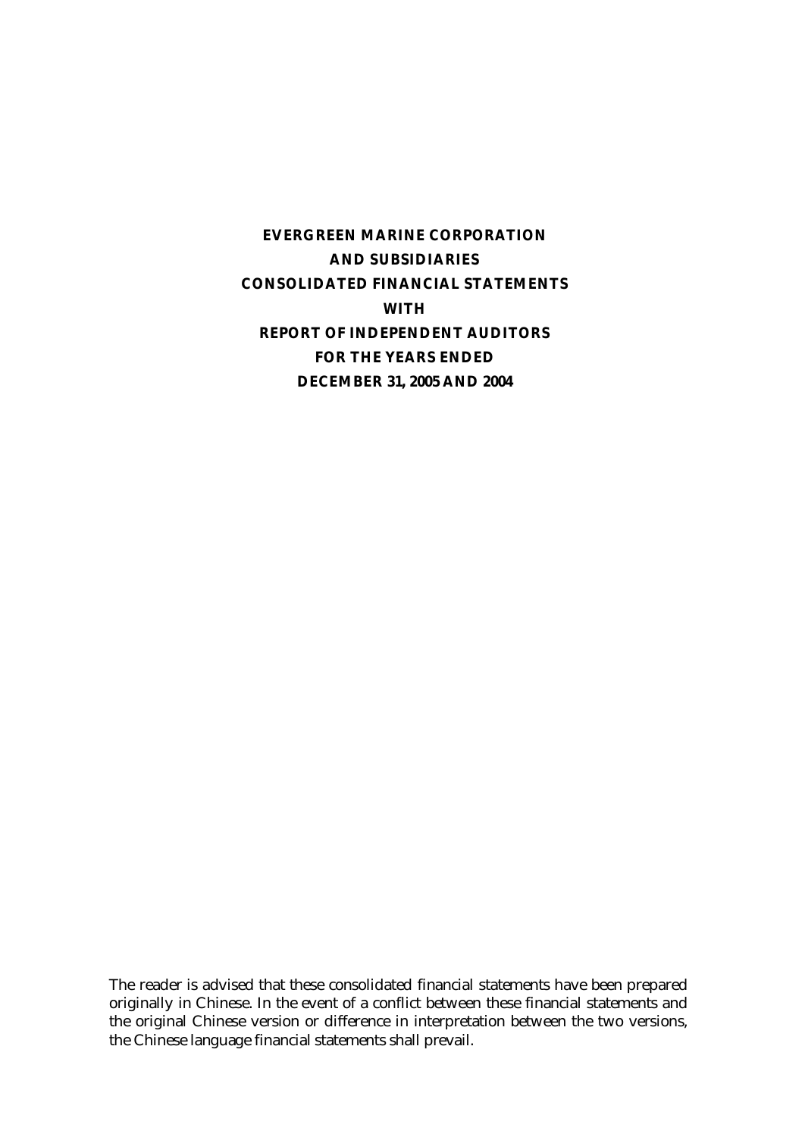**EVERGREEN MARINE CORPORATION AND SUBSIDIARIES CONSOLIDATED FINANCIAL STATEMENTS WITH REPORT OF INDEPENDENT AUDITORS FOR THE YEARS ENDED DECEMBER 31, 2005 AND 2004** 

The reader is advised that these consolidated financial statements have been prepared originally in Chinese. In the event of a conflict between these financial statements and the original Chinese version or difference in interpretation between the two versions, the Chinese language financial statements shall prevail.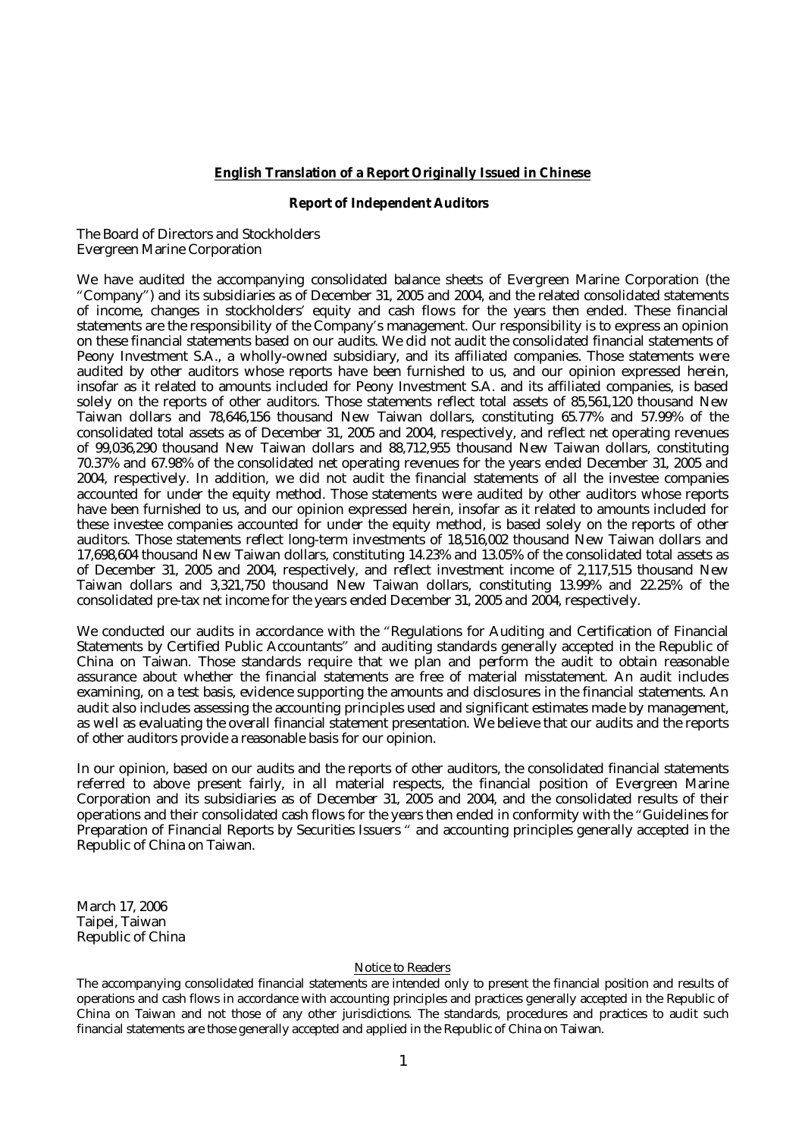#### **English Translation of a Report Originally Issued in Chinese**

#### **Report of Independent Auditors**

The Board of Directors and Stockholders Evergreen Marine Corporation

We have audited the accompanying consolidated balance sheets of Evergreen Marine Corporation (the "Company") and its subsidiaries as of December 31, 2005 and 2004, and the related consolidated statements of income, changes in stockholders' equity and cash flows for the years then ended. These financial statements are the responsibility of the Company's management. Our responsibility is to express an opinion on these financial statements based on our audits. We did not audit the consolidated financial statements of Peony Investment S.A., a wholly-owned subsidiary, and its affiliated companies. Those statements were audited by other auditors whose reports have been furnished to us, and our opinion expressed herein, insofar as it related to amounts included for Peony Investment S.A. and its affiliated companies, is based solely on the reports of other auditors. Those statements reflect total assets of 85,561,120 thousand New Taiwan dollars and 78,646,156 thousand New Taiwan dollars, constituting 65.77% and 57.99% of the consolidated total assets as of December 31, 2005 and 2004, respectively, and reflect net operating revenues of 99,036,290 thousand New Taiwan dollars and 88,712,955 thousand New Taiwan dollars, constituting 70.37% and 67.98% of the consolidated net operating revenues for the years ended December 31, 2005 and 2004, respectively. In addition, we did not audit the financial statements of all the investee companies accounted for under the equity method. Those statements were audited by other auditors whose reports have been furnished to us, and our opinion expressed herein, insofar as it related to amounts included for these investee companies accounted for under the equity method, is based solely on the reports of other auditors. Those statements reflect long-term investments of 18,516,002 thousand New Taiwan dollars and 17,698,604 thousand New Taiwan dollars, constituting 14.23% and 13.05% of the consolidated total assets as of December 31, 2005 and 2004, respectively, and reflect investment income of 2,117,515 thousand New Taiwan dollars and 3,321,750 thousand New Taiwan dollars, constituting 13.99% and 22.25% of the consolidated pre-tax net income for the years ended December 31, 2005 and 2004, respectively.

We conducted our audits in accordance with the "Regulations for Auditing and Certification of Financial Statements by Certified Public Accountants" and auditing standards generally accepted in the Republic of China on Taiwan. Those standards require that we plan and perform the audit to obtain reasonable assurance about whether the financial statements are free of material misstatement. An audit includes examining, on a test basis, evidence supporting the amounts and disclosures in the financial statements. An audit also includes assessing the accounting principles used and significant estimates made by management, as well as evaluating the overall financial statement presentation. We believe that our audits and the reports of other auditors provide a reasonable basis for our opinion.

In our opinion, based on our audits and the reports of other auditors, the consolidated financial statements referred to above present fairly, in all material respects, the financial position of Evergreen Marine Corporation and its subsidiaries as of December 31, 2005 and 2004, and the consolidated results of their operations and their consolidated cash flows for the years then ended in conformity with the "Guidelines for Preparation of Financial Reports by Securities Issuers " and accounting principles generally accepted in the Republic of China on Taiwan.

March 17, 2006 Taipei, Taiwan Republic of China

#### Notice to Readers

The accompanying consolidated financial statements are intended only to present the financial position and results of operations and cash flows in accordance with accounting principles and practices generally accepted in the Republic of China on Taiwan and not those of any other jurisdictions. The standards, procedures and practices to audit such financial statements are those generally accepted and applied in the Republic of China on Taiwan.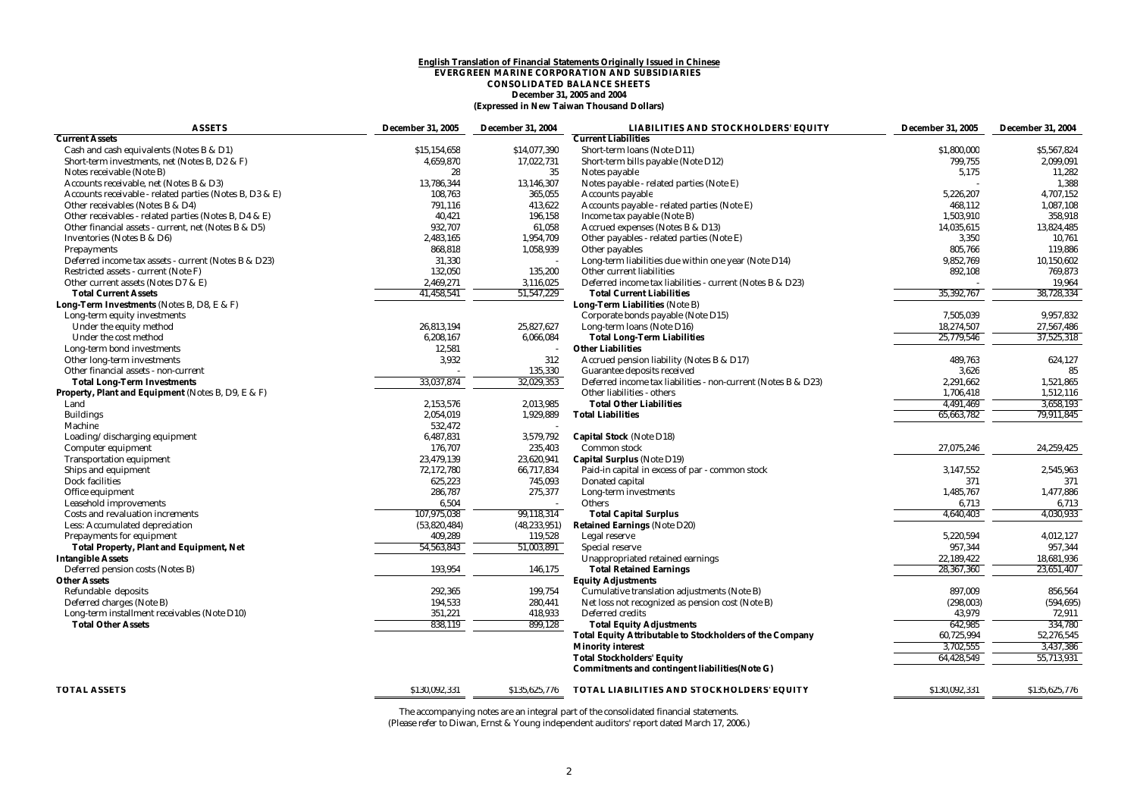#### **English Translation of Financial Statements Originally Issued in Chinese EVERGREEN MARINE CORPORATION AND SUBSIDIARIES CONSOLIDATED BALANCE SHEETS December 31, 2005 and 2004 (Expressed in New Taiwan Thousand Dollars)**

| <b>ASSETS</b>                                           | <b>December 31, 2005</b> | <b>December 31, 2004</b> | <b>LIABILITIES AND STOCKHOLDERS' EQUITY</b>                     | <b>December 31, 2005</b> | <b>December 31, 2004</b> |
|---------------------------------------------------------|--------------------------|--------------------------|-----------------------------------------------------------------|--------------------------|--------------------------|
| <b>Current Assets</b>                                   |                          |                          | <b>Current Liabilities</b>                                      |                          |                          |
| Cash and cash equivalents (Notes B & D1)                | \$15,154,658             | \$14,077,390             | Short-term loans (Note D11)                                     | \$1,800,000              | \$5,567,824              |
| Short-term investments, net (Notes B, D2 & F)           | 4,659,870                | 17,022,731               | Short-term bills payable (Note D12)                             | 799,755                  | 2,099,091                |
| Notes receivable (Note B)                               | 28                       | 35                       | Notes payable                                                   | 5,175                    | 11,282                   |
| Accounts receivable, net (Notes B & D3)                 | 13,786,344               | 13,146,307               | Notes payable - related parties (Note E)                        |                          | 1,388                    |
| Accounts receivable - related parties (Notes B, D3 & E) | 108,763                  | 365,055                  | <b>Accounts payable</b>                                         | 5,226,207                | 4,707,152                |
| Other receivables (Notes B & D4)                        | 791,116                  | 413,622                  | Accounts payable - related parties (Note E)                     | 468,112                  | 1,087,108                |
| Other receivables - related parties (Notes B, D4 & E)   | 40,421                   | 196,158                  | Income tax payable (Note B)                                     | 1,503,910                | 358,918                  |
| Other financial assets - current, net (Notes B & D5)    | 932,707                  | 61,058                   | Accrued expenses (Notes B & D13)                                | 14.035.615               | 13,824,485               |
| Inventories (Notes B & D6)                              | 2,483,165                | 1,954,709                | Other payables - related parties (Note E)                       | 3,350                    | 10,761                   |
| Prepayments                                             | 868,818                  | 1,058,939                | Other payables                                                  | 805,766                  | 119,886                  |
| Deferred income tax assets - current (Notes B & D23)    | 31,330                   |                          | Long-term liabilities due within one year (Note D14)            | 9,852,769                | 10.150.602               |
| Restricted assets - current (Note F)                    | 132,050                  | 135,200                  | Other current liabilities                                       | 892,108                  | 769,873                  |
| Other current assets (Notes D7 & E)                     | 2,469,271                | 3,116,025                | Deferred income tax liabilities - current (Notes B & D23)       |                          | 19,964                   |
| <b>Total Current Assets</b>                             | 41,458,541               | 51,547,229               | <b>Total Current Liabilities</b>                                | 35,392,767               | 38,728,334               |
| Long-Term Investments (Notes B, D8, E & F)              |                          |                          | Long-Term Liabilities (Note B)                                  |                          |                          |
| Long-term equity investments                            |                          |                          | Corporate bonds payable (Note D15)                              | 7,505,039                | 9,957,832                |
| Under the equity method                                 | 26,813,194               | 25,827,627               | Long-term loans (Note D16)                                      | 18,274,507               | 27,567,486               |
| Under the cost method                                   | 6,208,167                | 6,066,084                | <b>Total Long-Term Liabilities</b>                              | 25,779,546               | 37,525,318               |
| Long-term bond investments                              | 12,581                   |                          | <b>Other Liabilities</b>                                        |                          |                          |
| Other long-term investments                             | 3,932                    | 312                      | Accrued pension liability (Notes B & D17)                       | 489,763                  | 624,127                  |
| Other financial assets - non-current                    |                          | 135,330                  | Guarantee deposits received                                     | 3,626                    | 85                       |
| <b>Total Long-Term Investments</b>                      | 33,037,874               | 32,029,353               | Deferred income tax liabilities - non-current (Notes B & D23)   | 2,291,662                | 1,521,865                |
| Property, Plant and Equipment (Notes B, D9, E & F)      |                          |                          | Other liabilities - others                                      | 1,706,418                | 1,512,116                |
| Land                                                    | 2,153,576                | 2,013,985                | <b>Total Other Liabilities</b>                                  | 4,491,469                | 3,658,193                |
| <b>Buildings</b>                                        | 2,054,019                | 1,929,889                | <b>Total Liabilities</b>                                        | 65,663,782               | 79,911,845               |
| Machine                                                 | 532,472                  |                          |                                                                 |                          |                          |
| Loading/discharging equipment                           | 6,487,831                | 3,579,792                | <b>Capital Stock (Note D18)</b>                                 |                          |                          |
| Computer equipment                                      | 176,707                  | 235,403                  | <b>Common stock</b>                                             | 27,075,246               | 24,259,425               |
| <b>Transportation equipment</b>                         | 23,479,139               | 23,620,941               | <b>Capital Surplus (Note D19)</b>                               |                          |                          |
| Ships and equipment                                     | 72,172,780               | 66,717,834               | Paid-in capital in excess of par - common stock                 | 3,147,552                | 2,545,963                |
| <b>Dock facilities</b>                                  | 625,223                  | 745,093                  | Donated capital                                                 | 371                      | 371                      |
| Office equipment                                        | 286,787                  | 275,377                  | Long-term investments                                           | 1,485,767                | 1,477,886                |
| <b>Leasehold improvements</b>                           | 6,504                    |                          | <b>Others</b>                                                   | 6,713                    | 6,713                    |
| Costs and revaluation increments                        | 107,975,038              | 99,118,314               | <b>Total Capital Surplus</b>                                    | 4,640,403                | 4,030,933                |
| Less: Accumulated depreciation                          | (53,820,484)             | (48, 233, 951)           | <b>Retained Earnings (Note D20)</b>                             |                          |                          |
| <b>Prepayments for equipment</b>                        | 409,289                  | 119,528                  | Legal reserve                                                   | 5,220,594                | 4,012,127                |
| <b>Total Property, Plant and Equipment, Net</b>         | 54,563,843               | 51,003,891               | <b>Special reserve</b>                                          | 957,344                  | 957,344                  |
| <b>Intangible Assets</b>                                |                          |                          | Unappropriated retained earnings                                | 22,189,422               | 18,681,936               |
| Deferred pension costs (Notes B)                        | 193,954                  | 146,175                  | <b>Total Retained Earnings</b>                                  | 28,367,360               | 23,651,407               |
| <b>Other Assets</b>                                     |                          |                          |                                                                 |                          |                          |
|                                                         |                          |                          | <b>Equity Adjustments</b>                                       |                          |                          |
| Refundable deposits                                     | 292,365                  | 199,754                  | Cumulative translation adjustments (Note B)                     | 897,009                  | 856,564                  |
| Deferred charges (Note B)                               | 194,533                  | 280,441                  | Net loss not recognized as pension cost (Note B)                | (298, 003)               | (594, 695)               |
| Long-term installment receivables (Note D10)            | 351,221                  | 418,933                  | Deferred credits                                                | 43,979                   | 72,911                   |
| <b>Total Other Assets</b>                               | 838,119                  | 899,128                  | <b>Total Equity Adjustments</b>                                 | 642,985                  | 334,780                  |
|                                                         |                          |                          | <b>Total Equity Attributable to Stockholders of the Company</b> | 60,725,994               | 52,276,545               |
|                                                         |                          |                          | <b>Minority interest</b>                                        | 3,702,555                | 3,437,386                |
|                                                         |                          |                          | <b>Total Stockholders' Equity</b>                               | 64,428,549               | 55,713,931               |
|                                                         |                          |                          | Commitments and contingent liabilities (Note G)                 |                          |                          |
|                                                         |                          |                          |                                                                 |                          |                          |
| <b>TOTAL ASSETS</b>                                     | \$130,092,331            | \$135,625,776            | TOTAL LIABILITIES AND STOCKHOLDERS' EQUITY                      | \$130,092,331            | \$135,625,776            |

The accompanying notes are an integral part of the consolidated financial statements.

(Please refer to Diwan, Ernst & Young independent auditors' report dated March 17, 2006.)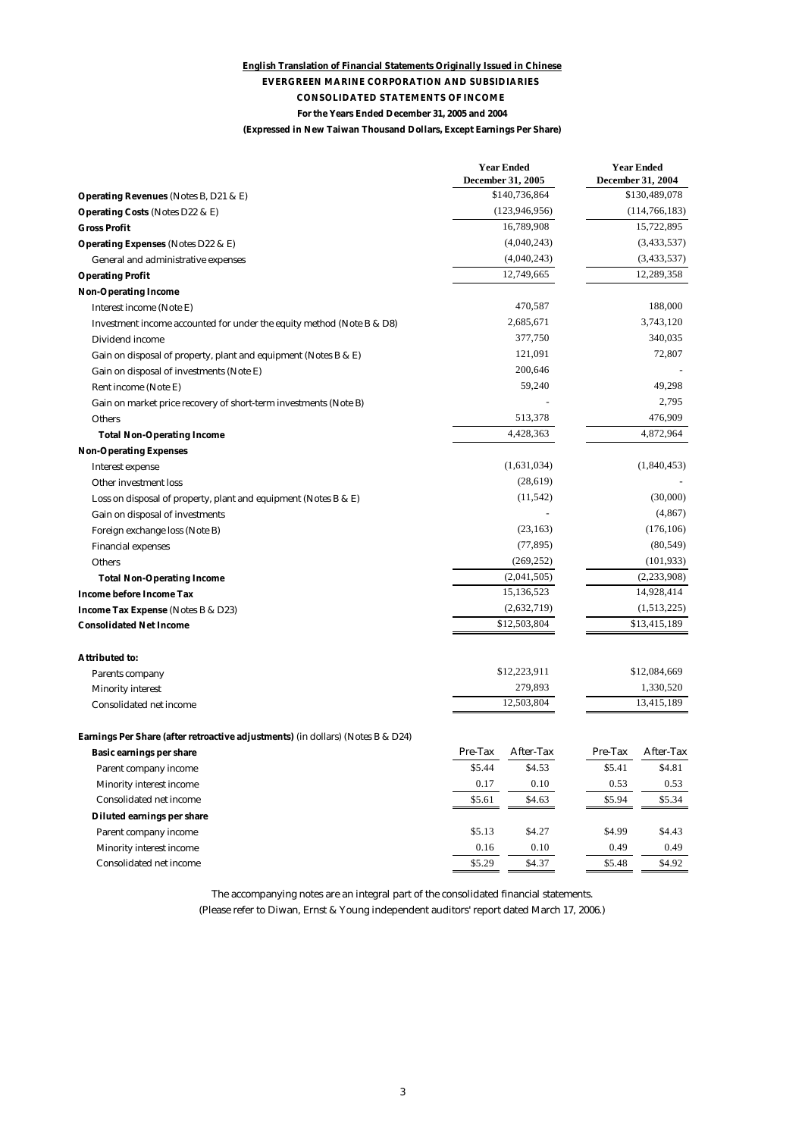#### **(Expressed in New Taiwan Thousand Dollars, Except Earnings Per Share) English Translation of Financial Statements Originally Issued in Chinese EVERGREEN MARINE CORPORATION AND SUBSIDIARIES CONSOLIDATED STATEMENTS OF INCOME For the Years Ended December 31, 2005 and 2004**

|                                                                                 |                       | <b>Year Ended</b><br>December 31, 2005 |              | <b>Year Ended</b><br>December 31, 2004 |
|---------------------------------------------------------------------------------|-----------------------|----------------------------------------|--------------|----------------------------------------|
| Operating Revenues (Notes B, D21 & E)                                           |                       | \$140,736,864                          |              | \$130,489,078                          |
| <b>Operating Costs (Notes D22 &amp; E)</b>                                      |                       | (123, 946, 956)                        |              | (114, 766, 183)                        |
| <b>Gross Profit</b>                                                             |                       | 16,789,908                             |              | 15,722,895                             |
| <b>Operating Expenses (Notes D22 &amp; E)</b>                                   |                       | (4,040,243)                            |              | (3,433,537)                            |
| General and administrative expenses                                             |                       | (4,040,243)                            |              | (3,433,537)                            |
| <b>Operating Profit</b>                                                         |                       | 12,749,665                             |              | 12,289,358                             |
| <b>Non-Operating Income</b>                                                     |                       |                                        |              |                                        |
| Interest income (Note E)                                                        |                       | 470,587                                |              | 188,000                                |
| Investment income accounted for under the equity method (Note B & D8)           |                       | 2,685,671                              |              | 3,743,120                              |
| Dividend income                                                                 |                       | 377,750                                |              | 340,035                                |
| Gain on disposal of property, plant and equipment (Notes B & E)                 |                       | 121,091                                |              | 72,807                                 |
| Gain on disposal of investments (Note E)                                        |                       | 200,646                                |              |                                        |
| Rent income (Note E)                                                            |                       | 59,240                                 |              | 49,298                                 |
| Gain on market price recovery of short-term investments (Note B)                |                       |                                        |              | 2,795                                  |
| <b>Others</b>                                                                   |                       | 513,378                                |              | 476,909                                |
| <b>Total Non-Operating Income</b>                                               |                       | 4,428,363                              |              | 4,872,964                              |
| <b>Non-Operating Expenses</b>                                                   |                       |                                        |              |                                        |
| <b>Interest expense</b>                                                         |                       | (1,631,034)                            |              | (1,840,453)                            |
| <b>Other investment loss</b>                                                    | (28, 619)             |                                        |              |                                        |
| Loss on disposal of property, plant and equipment (Notes B & E)                 |                       | (11, 542)                              |              | (30,000)                               |
| Gain on disposal of investments                                                 |                       |                                        |              | (4, 867)                               |
| Foreign exchange loss (Note B)                                                  |                       | (23, 163)                              | (176, 106)   |                                        |
| <b>Financial expenses</b>                                                       | (77, 895)             |                                        | (80, 549)    |                                        |
| Others                                                                          |                       | (269, 252)                             | (101, 933)   |                                        |
| <b>Total Non-Operating Income</b>                                               |                       | (2,041,505)                            |              | (2, 233, 908)                          |
| <b>Income before Income Tax</b>                                                 |                       | 15,136,523                             |              | 14,928,414                             |
| Income Tax Expense (Notes B & D23)                                              |                       | (2,632,719)                            | (1,513,225)  |                                        |
| <b>Consolidated Net Income</b>                                                  |                       | \$12,503,804                           | \$13,415,189 |                                        |
|                                                                                 |                       |                                        |              |                                        |
| Attributed to:                                                                  |                       | \$12,223,911                           |              | \$12,084,669                           |
| Parents company                                                                 |                       |                                        |              | 1,330,520                              |
| <b>Minority interest</b>                                                        | 279,893<br>12,503,804 |                                        |              | 13,415,189                             |
| <b>Consolidated net income</b>                                                  |                       |                                        |              |                                        |
| Earnings Per Share (after retroactive adjustments) (in dollars) (Notes B & D24) |                       |                                        |              |                                        |
| Basic earnings per share                                                        | Pre-Tax               | After-Tax                              | Pre-Tax      | After-Tax                              |
| Parent company income                                                           | \$5.44                | \$4.53                                 | \$5.41       | \$4.81                                 |
| <b>Minority interest income</b>                                                 | 0.17                  | 0.10                                   | 0.53         | 0.53                                   |
| <b>Consolidated net income</b>                                                  | \$5.61                | \$4.63                                 | \$5.94       | \$5.34                                 |
| Diluted earnings per share                                                      |                       |                                        |              |                                        |
| Parent company income                                                           | \$5.13                | \$4.27                                 | \$4.99       | \$4.43                                 |
| <b>Minority interest income</b>                                                 | 0.16                  | 0.10                                   | 0.49         | 0.49                                   |
| <b>Consolidated net income</b>                                                  | \$5.29                | \$4.37                                 | \$5.48       | \$4.92                                 |

The accompanying notes are an integral part of the consolidated financial statements.

(Please refer to Diwan, Ernst & Young independent auditors' report dated March 17, 2006.)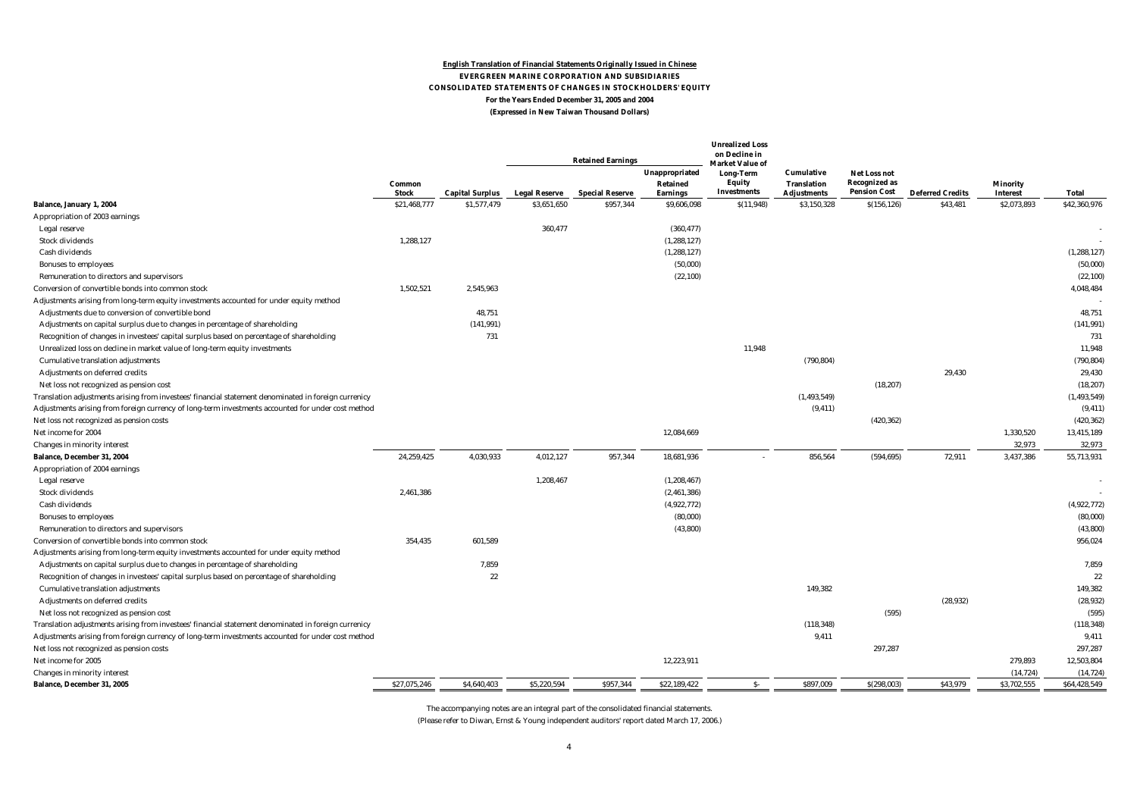#### **English Translation of Financial Statements Originally Issued in Chinese EVERGREEN MARINE CORPORATION AND SUBSIDIARIES CONSOLIDATED STATEMENTS OF CHANGES IN STOCKHOLDERS' EQUITY For the Years Ended December 31, 2005 and 2004 (Expressed in New Taiwan Thousand Dollars)**

|                                                                                                      |                              |                                       |                                     | <b>Retained Earnings</b>            | Unappropriated                 | <b>Unrealized Loss</b><br>on Decline in<br><b>Market Value of</b><br>Long-Term | Cumulative                        | Net Loss not         |                                     |                                |                       |
|------------------------------------------------------------------------------------------------------|------------------------------|---------------------------------------|-------------------------------------|-------------------------------------|--------------------------------|--------------------------------------------------------------------------------|-----------------------------------|----------------------|-------------------------------------|--------------------------------|-----------------------|
|                                                                                                      | Common                       |                                       |                                     |                                     | Retained                       | Equity                                                                         | <b>Translation</b>                | <b>Recognized as</b> |                                     | <b>Minority</b>                |                       |
|                                                                                                      | <b>Stock</b><br>\$21,468,777 | <b>Capital Surplus</b><br>\$1,577,479 | <b>Legal Reserve</b><br>\$3,651,650 | <b>Special Reserve</b><br>\$957,344 | <b>Earnings</b><br>\$9,606,098 | Investments<br>S(11, 948)                                                      | <b>Adjustments</b><br>\$3,150,328 | <b>Pension Cost</b>  | <b>Deferred Credits</b><br>\$43,481 | <b>Interest</b><br>\$2,073,893 | Total<br>\$42,360,976 |
| Balance, January 1, 2004                                                                             |                              |                                       |                                     |                                     |                                |                                                                                |                                   | S(156, 126)          |                                     |                                |                       |
| Appropriation of 2003 earnings                                                                       |                              |                                       | 360,477                             |                                     |                                |                                                                                |                                   |                      |                                     |                                |                       |
| Legal reserve<br><b>Stock dividends</b>                                                              | 1,288,127                    |                                       |                                     |                                     | (360, 477)<br>(1, 288, 127)    |                                                                                |                                   |                      |                                     |                                |                       |
| Cash dividends                                                                                       |                              |                                       |                                     |                                     | (1, 288, 127)                  |                                                                                |                                   |                      |                                     |                                | (1, 288, 127)         |
|                                                                                                      |                              |                                       |                                     |                                     | (50,000)                       |                                                                                |                                   |                      |                                     |                                | (50,000)              |
| <b>Bonuses to employees</b><br>Remuneration to directors and supervisors                             |                              |                                       |                                     |                                     | (22, 100)                      |                                                                                |                                   |                      |                                     |                                | (22, 100)             |
| Conversion of convertible bonds into common stock                                                    | 1,502,521                    | 2,545,963                             |                                     |                                     |                                |                                                                                |                                   |                      |                                     |                                | 4,048,484             |
| Adjustments arising from long-term equity investments accounted for under equity method              |                              |                                       |                                     |                                     |                                |                                                                                |                                   |                      |                                     |                                |                       |
| Adjustments due to conversion of convertible bond                                                    |                              | 48,751                                |                                     |                                     |                                |                                                                                |                                   |                      |                                     |                                | 48,751                |
| Adjustments on capital surplus due to changes in percentage of shareholding                          |                              | (141, 991)                            |                                     |                                     |                                |                                                                                |                                   |                      |                                     |                                | (141, 991)            |
| Recognition of changes in investees' capital surplus based on percentage of shareholding             |                              | 731                                   |                                     |                                     |                                |                                                                                |                                   |                      |                                     |                                | 731                   |
| Unrealized loss on decline in market value of long-term equity investments                           |                              |                                       |                                     |                                     |                                | 11.948                                                                         |                                   |                      |                                     |                                | 11.948                |
| <b>Cumulative translation adjustments</b>                                                            |                              |                                       |                                     |                                     |                                |                                                                                | (790, 804)                        |                      |                                     |                                | (790, 804)            |
| Adjustments on deferred credits                                                                      |                              |                                       |                                     |                                     |                                |                                                                                |                                   |                      | 29,430                              |                                | 29,430                |
| Net loss not recognized as pension cost                                                              |                              |                                       |                                     |                                     |                                |                                                                                |                                   | (18, 207)            |                                     |                                | (18, 207)             |
| Translation adjustments arising from investees' financial statement denominated in foreign currenicy |                              |                                       |                                     |                                     |                                |                                                                                | (1, 493, 549)                     |                      |                                     |                                | (1, 493, 549)         |
| Adjustments arising from foreign currency of long-term investments accounted for under cost method   |                              |                                       |                                     |                                     |                                |                                                                                | (9, 411)                          |                      |                                     |                                | (9, 411)              |
| Net loss not recognized as pension costs                                                             |                              |                                       |                                     |                                     |                                |                                                                                |                                   | (420, 362)           |                                     |                                | (420, 362)            |
| Net income for 2004                                                                                  |                              |                                       |                                     |                                     | 12,084,669                     |                                                                                |                                   |                      |                                     | 1,330,520                      | 13,415,189            |
| <b>Changes in minority interest</b>                                                                  |                              |                                       |                                     |                                     |                                |                                                                                |                                   |                      |                                     | 32,973                         | 32,973                |
| Balance, December 31, 2004                                                                           | 24,259,425                   | 4,030,933                             | 4,012,127                           | 957,344                             | 18,681,936                     |                                                                                | 856.564                           | (594, 695)           | 72,911                              | 3,437,386                      | 55,713,931            |
| Appropriation of 2004 earnings                                                                       |                              |                                       |                                     |                                     |                                |                                                                                |                                   |                      |                                     |                                |                       |
| Legal reserve                                                                                        |                              |                                       | 1,208,467                           |                                     | (1, 208, 467)                  |                                                                                |                                   |                      |                                     |                                |                       |
| <b>Stock dividends</b>                                                                               | 2,461,386                    |                                       |                                     |                                     | (2,461,386)                    |                                                                                |                                   |                      |                                     |                                |                       |
| Cash dividends                                                                                       |                              |                                       |                                     |                                     | (4,922,772)                    |                                                                                |                                   |                      |                                     |                                | (4,922,772)           |
| <b>Bonuses to employees</b>                                                                          |                              |                                       |                                     |                                     | (80,000)                       |                                                                                |                                   |                      |                                     |                                | (80,000)              |
| Remuneration to directors and supervisors                                                            |                              |                                       |                                     |                                     | (43,800)                       |                                                                                |                                   |                      |                                     |                                | (43, 800)             |
| Conversion of convertible bonds into common stock                                                    | 354,435                      | 601,589                               |                                     |                                     |                                |                                                                                |                                   |                      |                                     |                                | 956,024               |
| Adjustments arising from long-term equity investments accounted for under equity method              |                              |                                       |                                     |                                     |                                |                                                                                |                                   |                      |                                     |                                |                       |
| Adjustments on capital surplus due to changes in percentage of shareholding                          |                              | 7,859                                 |                                     |                                     |                                |                                                                                |                                   |                      |                                     |                                | 7,859                 |
| Recognition of changes in investees' capital surplus based on percentage of shareholding             |                              | 22                                    |                                     |                                     |                                |                                                                                |                                   |                      |                                     |                                | 22                    |
| <b>Cumulative translation adjustments</b>                                                            |                              |                                       |                                     |                                     |                                |                                                                                | 149,382                           |                      |                                     |                                | 149,382               |
| Adjustments on deferred credits                                                                      |                              |                                       |                                     |                                     |                                |                                                                                |                                   |                      | (28, 932)                           |                                | (28, 932)             |
| Net loss not recognized as pension cost                                                              |                              |                                       |                                     |                                     |                                |                                                                                |                                   | (595)                |                                     |                                | (595)                 |
| Translation adjustments arising from investees' financial statement denominated in foreign currenicy |                              |                                       |                                     |                                     |                                |                                                                                | (118, 348)                        |                      |                                     |                                | (118, 348)            |
| Adjustments arising from foreign currency of long-term investments accounted for under cost method   |                              |                                       |                                     |                                     |                                |                                                                                | 9,411                             |                      |                                     |                                | 9,411                 |
| Net loss not recognized as pension costs                                                             |                              |                                       |                                     |                                     |                                |                                                                                |                                   | 297,287              |                                     |                                | 297,287               |
| Net income for 2005                                                                                  |                              |                                       |                                     |                                     | 12,223,911                     |                                                                                |                                   |                      |                                     | 279,893                        | 12,503,804            |
| Changes in minority interest                                                                         |                              |                                       |                                     |                                     |                                |                                                                                |                                   |                      |                                     | (14, 724)                      | (14, 724)             |
| Balance, December 31, 2005                                                                           | \$27,075,246                 | \$4,640,403                           | \$5,220.594                         | \$957.344                           | \$22,189,422                   | $S-$                                                                           | \$897.009                         | S(298.003)           | \$43,979                            | \$3,702,555                    | \$64,428,549          |
|                                                                                                      |                              |                                       |                                     |                                     |                                |                                                                                |                                   |                      |                                     |                                |                       |

The accompanying notes are an integral part of the consolidated financial statements.

(Please refer to Diwan, Ernst & Young independent auditors' report dated March 17, 2006.)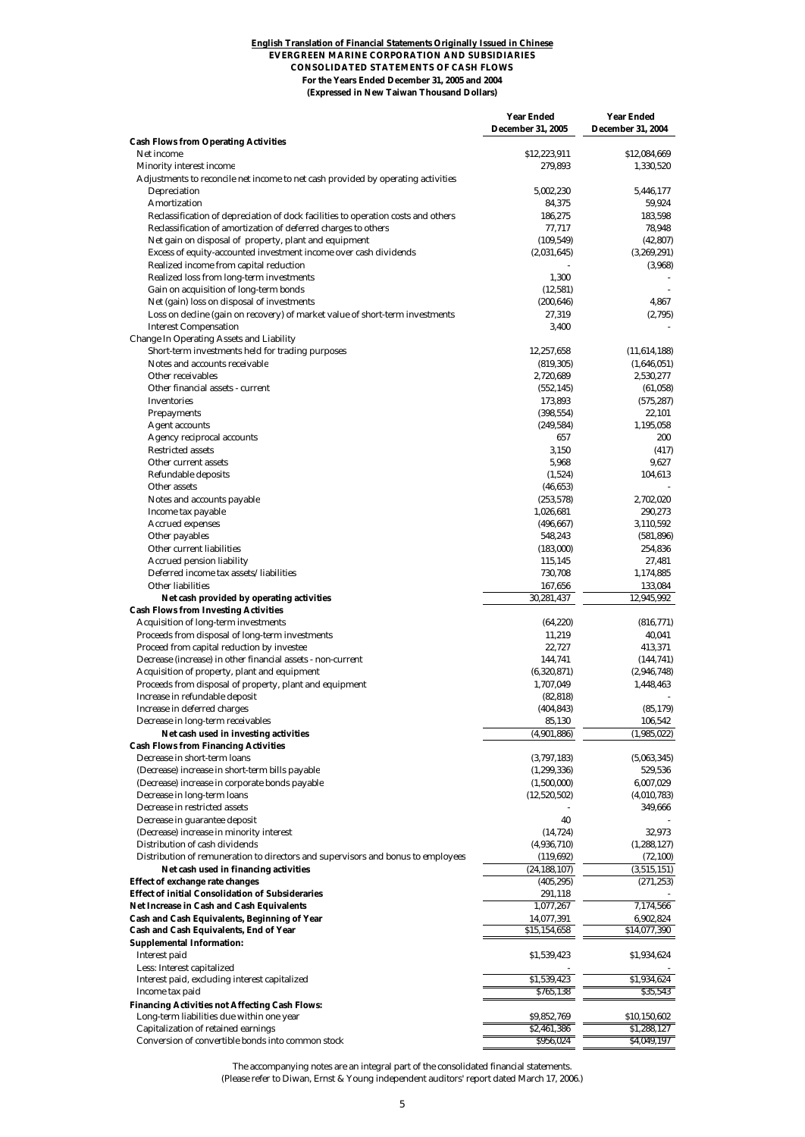#### **English Translation of Financial Statements Originally Issued in Chinese EVERGREEN MARINE CORPORATION AND SUBSIDIARIES CONSOLIDATED STATEMENTS OF CASH FLOWS For the Years Ended December 31, 2005 and 2004 (Expressed in New Taiwan Thousand Dollars)**

|                                                                                                                           | <b>Year Ended</b><br><b>December 31, 2005</b> | <b>Year Ended</b><br><b>December 31, 2004</b> |
|---------------------------------------------------------------------------------------------------------------------------|-----------------------------------------------|-----------------------------------------------|
| <b>Cash Flows from Operating Activities</b>                                                                               |                                               |                                               |
| Net income                                                                                                                | \$12,223,911                                  | \$12,084,669                                  |
| Minority interest income                                                                                                  | 279,893                                       | 1,330,520                                     |
| Adjustments to reconcile net income to net cash provided by operating activities<br><b>Depreciation</b>                   | 5,002,230                                     | 5,446,177                                     |
| <b>Amortization</b>                                                                                                       | 84,375                                        | 59,924                                        |
| Reclassification of depreciation of dock facilities to operation costs and others                                         | 186,275                                       | 183,598                                       |
| Reclassification of amortization of deferred charges to others                                                            | 77,717                                        | 78,948                                        |
| Net gain on disposal of property, plant and equipment<br>Excess of equity-accounted investment income over cash dividends | (109, 549)                                    | (42, 807)                                     |
| Realized income from capital reduction                                                                                    | (2,031,645)                                   | (3,269,291)<br>(3,968)                        |
| Realized loss from long-term investments                                                                                  | 1,300                                         |                                               |
| Gain on acquisition of long-term bonds                                                                                    | (12, 581)                                     |                                               |
| Net (gain) loss on disposal of investments                                                                                | (200, 646)                                    | 4,867                                         |
| Loss on decline (gain on recovery) of market value of short-term investments                                              | 27,319                                        | (2,795)                                       |
| <b>Interest Compensation</b><br><b>Change In Operating Assets and Liability</b>                                           | 3,400                                         |                                               |
| Short-term investments held for trading purposes                                                                          | 12,257,658                                    | (11,614,188)                                  |
| Notes and accounts receivable                                                                                             | (819, 305)                                    | (1,646,051)                                   |
| Other receivables                                                                                                         | 2,720,689                                     | 2,530,277                                     |
| Other financial assets - current                                                                                          | (552, 145)                                    | (61, 058)                                     |
| <b>Inventories</b>                                                                                                        | 173,893                                       | (575, 287)                                    |
| <b>Prepayments</b><br><b>Agent accounts</b>                                                                               | (398, 554)<br>(249, 584)                      | 22,101<br>1,195,058                           |
| <b>Agency reciprocal accounts</b>                                                                                         | 657                                           | 200                                           |
| <b>Restricted assets</b>                                                                                                  | 3,150                                         | (417)                                         |
| Other current assets                                                                                                      | 5,968                                         | 9,627                                         |
| Refundable deposits                                                                                                       | (1,524)                                       | 104,613                                       |
| Other assets                                                                                                              | (46, 653)                                     |                                               |
| Notes and accounts payable<br>Income tax payable                                                                          | (253, 578)<br>1,026,681                       | 2,702,020<br>290,273                          |
| <b>Accrued expenses</b>                                                                                                   | (496, 667)                                    | 3,110,592                                     |
| Other payables                                                                                                            | 548,243                                       | (581, 896)                                    |
| Other current liabilities                                                                                                 | (183,000)                                     | 254,836                                       |
| <b>Accrued pension liability</b>                                                                                          | 115,145                                       | 27,481                                        |
| Deferred income tax assets/liabilities<br><b>Other liabilities</b>                                                        | 730,708<br>167,656                            | 1,174,885<br>133,084                          |
| Net cash provided by operating activities                                                                                 | 30,281,437                                    | 12,945,992                                    |
| <b>Cash Flows from Investing Activities</b>                                                                               |                                               |                                               |
| <b>Acquisition of long-term investments</b>                                                                               | (64, 220)                                     | (816, 771)                                    |
| Proceeds from disposal of long-term investments                                                                           | 11,219                                        | 40,041                                        |
| Proceed from capital reduction by investee<br>Decrease (increase) in other financial assets - non-current                 | 22,727                                        | 413,371                                       |
| Acquisition of property, plant and equipment                                                                              | 144,741<br>(6,320,871)                        | (144, 741)<br>(2,946,748)                     |
| Proceeds from disposal of property, plant and equipment                                                                   | 1,707,049                                     | 1,448,463                                     |
| Increase in refundable deposit                                                                                            | (82, 818)                                     |                                               |
| Increase in deferred charges                                                                                              | (404, 843)                                    | (85, 179)                                     |
| Decrease in long-term receivables                                                                                         | 85,130                                        | 106,542                                       |
| Net cash used in investing activities<br><b>Cash Flows from Financing Activities</b>                                      | (4,901,886)                                   | (1,985,022)                                   |
| Decrease in short-term loans                                                                                              | (3,797,183)                                   | (5,063,345)                                   |
| (Decrease) increase in short-term bills payable                                                                           | (1, 299, 336)                                 | 529,536                                       |
| (Decrease) increase in corporate bonds payable                                                                            | (1,500,000)                                   | 6,007,029                                     |
| Decrease in long-term loans                                                                                               | (12,520,502)                                  | (4,010,783)                                   |
| Decrease in restricted assets                                                                                             | 40                                            | 349,666                                       |
| Decrease in guarantee deposit<br>(Decrease) increase in minority interest                                                 | (14, 724)                                     | 32,973                                        |
| Distribution of cash dividends                                                                                            | (4,936,710)                                   | (1,288,127)                                   |
| Distribution of remuneration to directors and supervisors and bonus to employees                                          | (119, 692)                                    | (72, 100)                                     |
| Net cash used in financing activities                                                                                     | (24, 188, 107)                                | (3,515,151)                                   |
| Effect of exchange rate changes                                                                                           | (405, 295)                                    | (271, 253)                                    |
| <b>Effect of initial Consolidation of Subsideraries</b><br>Net Increase in Cash and Cash Equivalents                      | 291,118<br>1,077,267                          | 7,174,566                                     |
| Cash and Cash Equivalents, Beginning of Year                                                                              | 14,077,391                                    | 6,902,824                                     |
| Cash and Cash Equivalents, End of Year                                                                                    | \$15,154,658                                  | \$14,077,390                                  |
| <b>Supplemental Information:</b>                                                                                          |                                               |                                               |
| Interest paid                                                                                                             | \$1,539,423                                   | \$1,934,624                                   |
| Less: Interest capitalized<br>Interest paid, excluding interest capitalized                                               | \$1,539,423                                   | \$1,934,624                                   |
| Income tax paid                                                                                                           | \$765,138                                     | \$35,543                                      |
| <b>Financing Activities not Affecting Cash Flows:</b>                                                                     |                                               |                                               |
| Long-term liabilities due within one year                                                                                 | \$9,852,769                                   | \$10,150,602                                  |
| Capitalization of retained earnings                                                                                       | \$2,461,386                                   | \$1,288,127                                   |
| Conversion of convertible bonds into common stock                                                                         | \$956,024                                     | \$4,049,197                                   |

The accompanying notes are an integral part of the consolidated financial statements. (Please refer to Diwan, Ernst & Young independent auditors' report dated March 17, 2006.)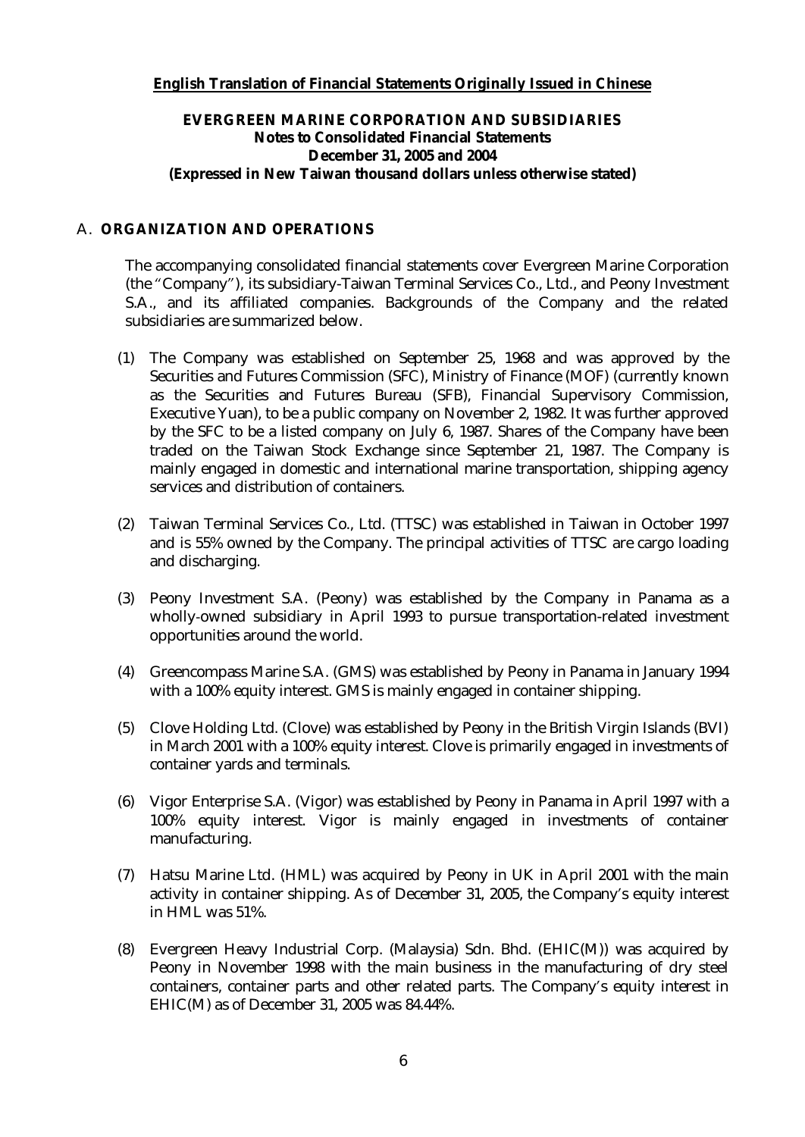## **English Translation of Financial Statements Originally Issued in Chinese**

## **EVERGREEN MARINE CORPORATION AND SUBSIDIARIES Notes to Consolidated Financial Statements December 31, 2005 and 2004 (Expressed in New Taiwan thousand dollars unless otherwise stated)**

#### A. **ORGANIZATION AND OPERATIONS**

The accompanying consolidated financial statements cover Evergreen Marine Corporation (the "Company"), its subsidiary-Taiwan Terminal Services Co., Ltd., and Peony Investment S.A., and its affiliated companies. Backgrounds of the Company and the related subsidiaries are summarized below.

- (1) The Company was established on September 25, 1968 and was approved by the Securities and Futures Commission (SFC), Ministry of Finance (MOF) (currently known as the Securities and Futures Bureau (SFB), Financial Supervisory Commission, Executive Yuan), to be a public company on November 2, 1982. It was further approved by the SFC to be a listed company on July 6, 1987. Shares of the Company have been traded on the Taiwan Stock Exchange since September 21, 1987. The Company is mainly engaged in domestic and international marine transportation, shipping agency services and distribution of containers.
- (2) Taiwan Terminal Services Co., Ltd. (TTSC) was established in Taiwan in October 1997 and is 55% owned by the Company. The principal activities of TTSC are cargo loading and discharging.
- (3) Peony Investment S.A. (Peony) was established by the Company in Panama as a wholly-owned subsidiary in April 1993 to pursue transportation-related investment opportunities around the world.
- (4) Greencompass Marine S.A. (GMS) was established by Peony in Panama in January 1994 with a 100% equity interest. GMS is mainly engaged in container shipping.
- (5) Clove Holding Ltd. (Clove) was established by Peony in the British Virgin Islands (BVI) in March 2001 with a 100% equity interest. Clove is primarily engaged in investments of container yards and terminals.
- (6) Vigor Enterprise S.A. (Vigor) was established by Peony in Panama in April 1997 with a 100% equity interest. Vigor is mainly engaged in investments of container manufacturing.
- (7) Hatsu Marine Ltd. (HML) was acquired by Peony in UK in April 2001 with the main activity in container shipping. As of December 31, 2005, the Company's equity interest in HML was 51%.
- (8) Evergreen Heavy Industrial Corp. (Malaysia) Sdn. Bhd. (EHIC(M)) was acquired by Peony in November 1998 with the main business in the manufacturing of dry steel containers, container parts and other related parts. The Company's equity interest in EHIC(M) as of December 31, 2005 was 84.44%.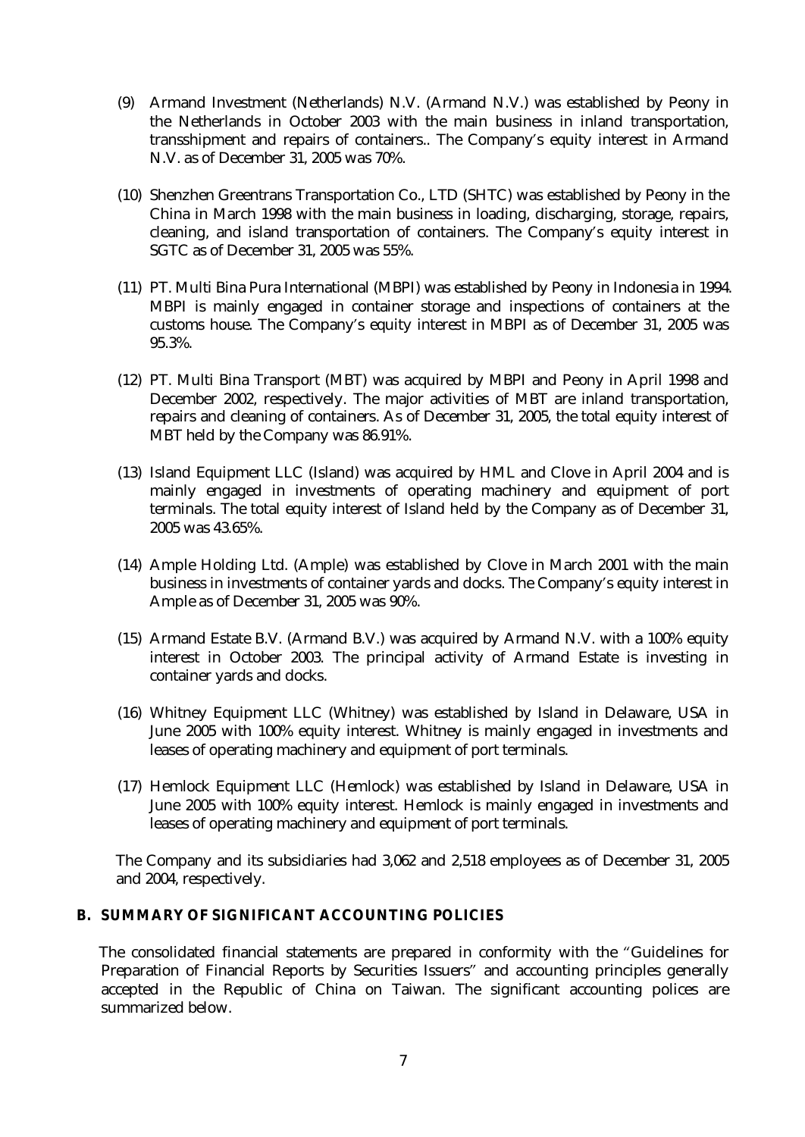- (9) Armand Investment (Netherlands) N.V. (Armand N.V.) was established by Peony in the Netherlands in October 2003 with the main business in inland transportation, transshipment and repairs of containers.. The Company's equity interest in Armand N.V. as of December 31, 2005 was 70%.
- (10) Shenzhen Greentrans Transportation Co., LTD (SHTC) was established by Peony in the China in March 1998 with the main business in loading, discharging, storage, repairs, cleaning, and island transportation of containers. The Company's equity interest in SGTC as of December 31, 2005 was 55%.
- (11) PT. Multi Bina Pura International (MBPI) was established by Peony in Indonesia in 1994. MBPI is mainly engaged in container storage and inspections of containers at the customs house. The Company's equity interest in MBPI as of December 31, 2005 was 95.3%.
- (12) PT. Multi Bina Transport (MBT) was acquired by MBPI and Peony in April 1998 and December 2002, respectively. The major activities of MBT are inland transportation, repairs and cleaning of containers. As of December 31, 2005, the total equity interest of MBT held by the Company was 86.91%.
- (13) Island Equipment LLC (Island) was acquired by HML and Clove in April 2004 and is mainly engaged in investments of operating machinery and equipment of port terminals. The total equity interest of Island held by the Company as of December 31, 2005 was 43.65%.
- (14) Ample Holding Ltd. (Ample) was established by Clove in March 2001 with the main business in investments of container yards and docks. The Company's equity interest in Ample as of December 31, 2005 was 90%.
- (15) Armand Estate B.V. (Armand B.V.) was acquired by Armand N.V. with a 100% equity interest in October 2003. The principal activity of Armand Estate is investing in container yards and docks.
- (16) Whitney Equipment LLC (Whitney) was established by Island in Delaware, USA in June 2005 with 100% equity interest. Whitney is mainly engaged in investments and leases of operating machinery and equipment of port terminals.
- (17) Hemlock Equipment LLC (Hemlock) was established by Island in Delaware, USA in June 2005 with 100% equity interest. Hemlock is mainly engaged in investments and leases of operating machinery and equipment of port terminals.

The Company and its subsidiaries had 3,062 and 2,518 employees as of December 31, 2005 and 2004, respectively.

## **B. SUMMARY OF SIGNIFICANT ACCOUNTING POLICIES**

 The consolidated financial statements are prepared in conformity with the "Guidelines for Preparation of Financial Reports by Securities Issuers" and accounting principles generally accepted in the Republic of China on Taiwan. The significant accounting polices are summarized below.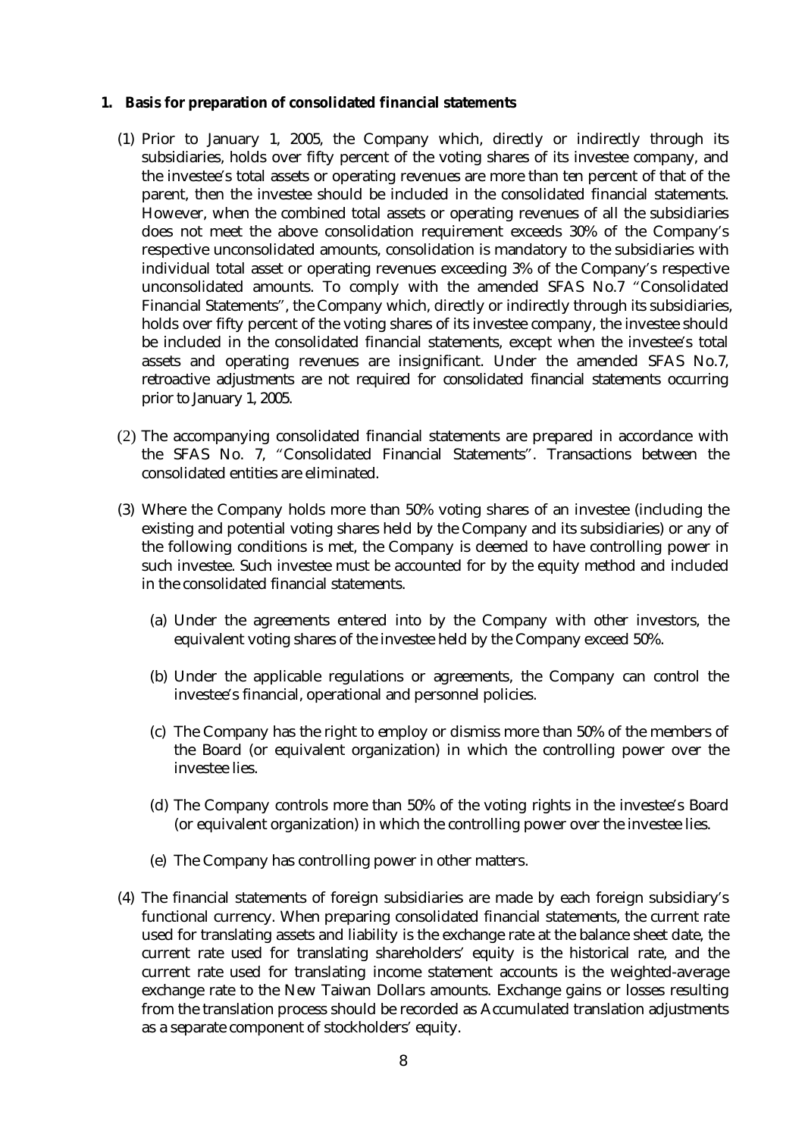- **1. Basis for preparation of consolidated financial statements** 
	- (1) Prior to January 1, 2005, the Company which, directly or indirectly through its subsidiaries, holds over fifty percent of the voting shares of its investee company, and the investee's total assets or operating revenues are more than ten percent of that of the parent, then the investee should be included in the consolidated financial statements. However, when the combined total assets or operating revenues of all the subsidiaries does not meet the above consolidation requirement exceeds 30% of the Company's respective unconsolidated amounts, consolidation is mandatory to the subsidiaries with individual total asset or operating revenues exceeding 3% of the Company's respective unconsolidated amounts. To comply with the amended SFAS No.7 "Consolidated Financial Statements", the Company which, directly or indirectly through its subsidiaries, holds over fifty percent of the voting shares of its investee company, the investee should be included in the consolidated financial statements, except when the investee's total assets and operating revenues are insignificant. Under the amended SFAS No.7, retroactive adjustments are not required for consolidated financial statements occurring prior to January 1, 2005.
	- (2) The accompanying consolidated financial statements are prepared in accordance with the SFAS No. 7, "Consolidated Financial Statements". Transactions between the consolidated entities are eliminated.
	- (3) Where the Company holds more than 50% voting shares of an investee (including the existing and potential voting shares held by the Company and its subsidiaries) or any of the following conditions is met, the Company is deemed to have controlling power in such investee. Such investee must be accounted for by the equity method and included in the consolidated financial statements.
		- (a) Under the agreements entered into by the Company with other investors, the equivalent voting shares of the investee held by the Company exceed 50%.
		- (b) Under the applicable regulations or agreements, the Company can control the investee's financial, operational and personnel policies.
		- (c) The Company has the right to employ or dismiss more than 50% of the members of the Board (or equivalent organization) in which the controlling power over the investee lies.
		- (d) The Company controls more than 50% of the voting rights in the investee's Board (or equivalent organization) in which the controlling power over the investee lies.
		- (e) The Company has controlling power in other matters.
	- (4) The financial statements of foreign subsidiaries are made by each foreign subsidiary's functional currency. When preparing consolidated financial statements, the current rate used for translating assets and liability is the exchange rate at the balance sheet date, the current rate used for translating shareholders' equity is the historical rate, and the current rate used for translating income statement accounts is the weighted-average exchange rate to the New Taiwan Dollars amounts. Exchange gains or losses resulting from the translation process should be recorded as Accumulated translation adjustments as a separate component of stockholders' equity.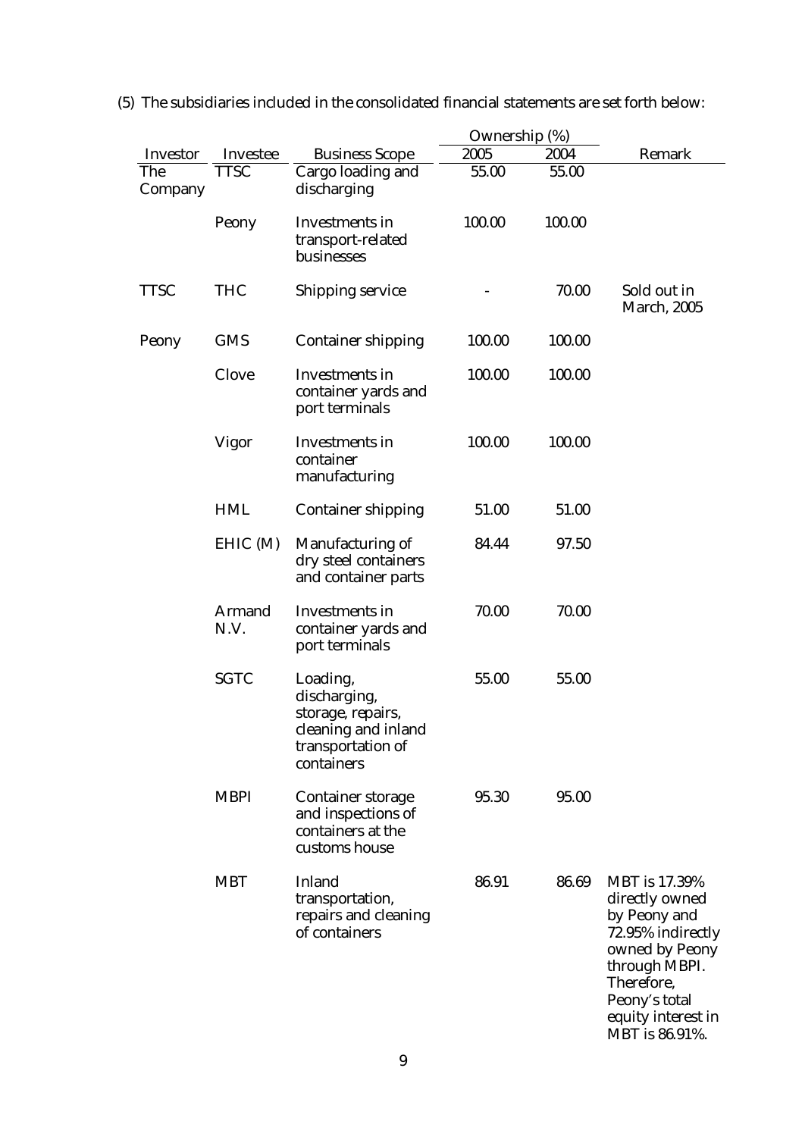|                 |                       |                                                                                                         | Ownership (%) |        |                                                                                                                                                                                       |
|-----------------|-----------------------|---------------------------------------------------------------------------------------------------------|---------------|--------|---------------------------------------------------------------------------------------------------------------------------------------------------------------------------------------|
| <b>Investor</b> | <b>Investee</b>       | <b>Business Scope</b>                                                                                   | 2005          | 2004   | Remark                                                                                                                                                                                |
| The<br>Company  | <b>TTSC</b>           | Cargo loading and<br>discharging                                                                        | 55.00         | 55.00  |                                                                                                                                                                                       |
|                 | Peony                 | <b>Investments</b> in<br>transport-related<br>businesses                                                | 100.00        | 100.00 |                                                                                                                                                                                       |
| <b>TTSC</b>     | <b>THC</b>            | <b>Shipping service</b>                                                                                 |               | 70.00  | Sold out in<br><b>March, 2005</b>                                                                                                                                                     |
| Peony           | <b>GMS</b>            | <b>Container shipping</b>                                                                               | 100.00        | 100.00 |                                                                                                                                                                                       |
|                 | <b>Clove</b>          | <b>Investments</b> in<br>container yards and<br>port terminals                                          | 100.00        | 100.00 |                                                                                                                                                                                       |
|                 | <b>Vigor</b>          | <b>Investments in</b><br>container<br>manufacturing                                                     | 100.00        | 100.00 |                                                                                                                                                                                       |
|                 | <b>HML</b>            | <b>Container shipping</b>                                                                               | 51.00         | 51.00  |                                                                                                                                                                                       |
|                 | EHIC(M)               | <b>Manufacturing of</b><br>dry steel containers<br>and container parts                                  | 84.44         | 97.50  |                                                                                                                                                                                       |
|                 | <b>Armand</b><br>N.V. | <b>Investments</b> in<br>container yards and<br>port terminals                                          | 70.00         | 70.00  |                                                                                                                                                                                       |
|                 | <b>SGTC</b>           | Loading,<br>discharging,<br>storage, repairs,<br>cleaning and inland<br>transportation of<br>containers | 55.00         | 55.00  |                                                                                                                                                                                       |
|                 | <b>MBPI</b>           | <b>Container storage</b><br>and inspections of<br>containers at the<br>customs house                    | 95.30         | 95.00  |                                                                                                                                                                                       |
|                 | <b>MBT</b>            | <b>Inland</b><br>transportation,<br>repairs and cleaning<br>of containers                               | 86.91         | 86.69  | <b>MBT</b> is 17.39%<br>directly owned<br>by Peony and<br>72.95% indirectly<br>owned by Peony<br>through MBPI.<br>Therefore,<br>Peony's total<br>equity interest in<br>MBT is 86.91%. |

(5) The subsidiaries included in the consolidated financial statements are set forth below: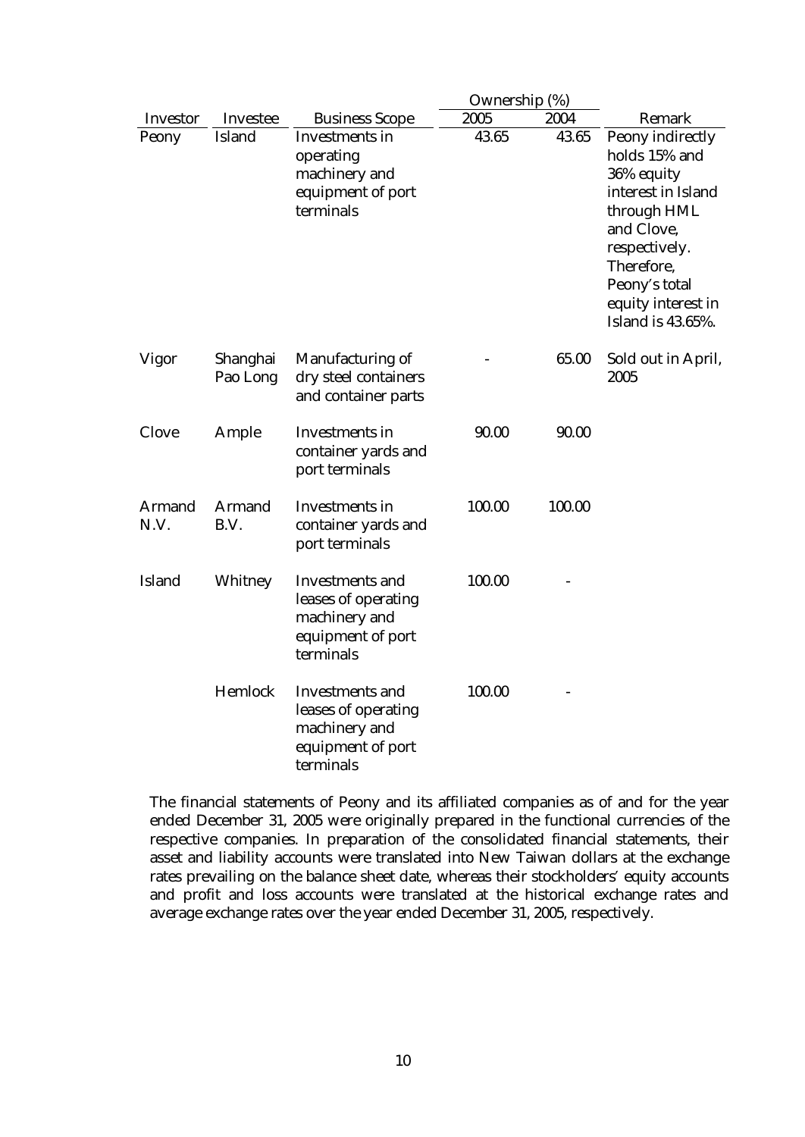|                       |                       |                                                                                                  | Ownership (%) |        |                                                                                                                                                                                                             |
|-----------------------|-----------------------|--------------------------------------------------------------------------------------------------|---------------|--------|-------------------------------------------------------------------------------------------------------------------------------------------------------------------------------------------------------------|
| <b>Investor</b>       | <b>Investee</b>       | <b>Business Scope</b>                                                                            | 2005          | 2004   | <b>Remark</b>                                                                                                                                                                                               |
| Peony                 | <b>Island</b>         | <b>Investments</b> in<br>operating<br>machinery and<br>equipment of port<br>terminals            | 43.65         | 43.65  | <b>Peony indirectly</b><br>holds 15% and<br>36% equity<br>interest in Island<br>through HML<br>and Clove,<br>respectively.<br>Therefore,<br>Peony's total<br>equity interest in<br><b>Island is 43.65%.</b> |
| <b>Vigor</b>          | Shanghai<br>Pao Long  | <b>Manufacturing of</b><br>dry steel containers<br>and container parts                           |               | 65.00  | Sold out in April,<br>2005                                                                                                                                                                                  |
| <b>Clove</b>          | Ample                 | <b>Investments</b> in<br>container yards and<br>port terminals                                   | 90.00         | 90.00  |                                                                                                                                                                                                             |
| <b>Armand</b><br>N.V. | <b>Armand</b><br>B.V. | <b>Investments in</b><br>container yards and<br>port terminals                                   | 100.00        | 100.00 |                                                                                                                                                                                                             |
| <b>Island</b>         | Whitney               | <b>Investments and</b><br>leases of operating<br>machinery and<br>equipment of port<br>terminals | 100.00        |        |                                                                                                                                                                                                             |
|                       | Hemlock               | <b>Investments and</b><br>leases of operating<br>machinery and<br>equipment of port<br>terminals | 100.00        |        |                                                                                                                                                                                                             |

The financial statements of Peony and its affiliated companies as of and for the year ended December 31, 2005 were originally prepared in the functional currencies of the respective companies. In preparation of the consolidated financial statements, their asset and liability accounts were translated into New Taiwan dollars at the exchange rates prevailing on the balance sheet date, whereas their stockholders' equity accounts and profit and loss accounts were translated at the historical exchange rates and average exchange rates over the year ended December 31, 2005, respectively.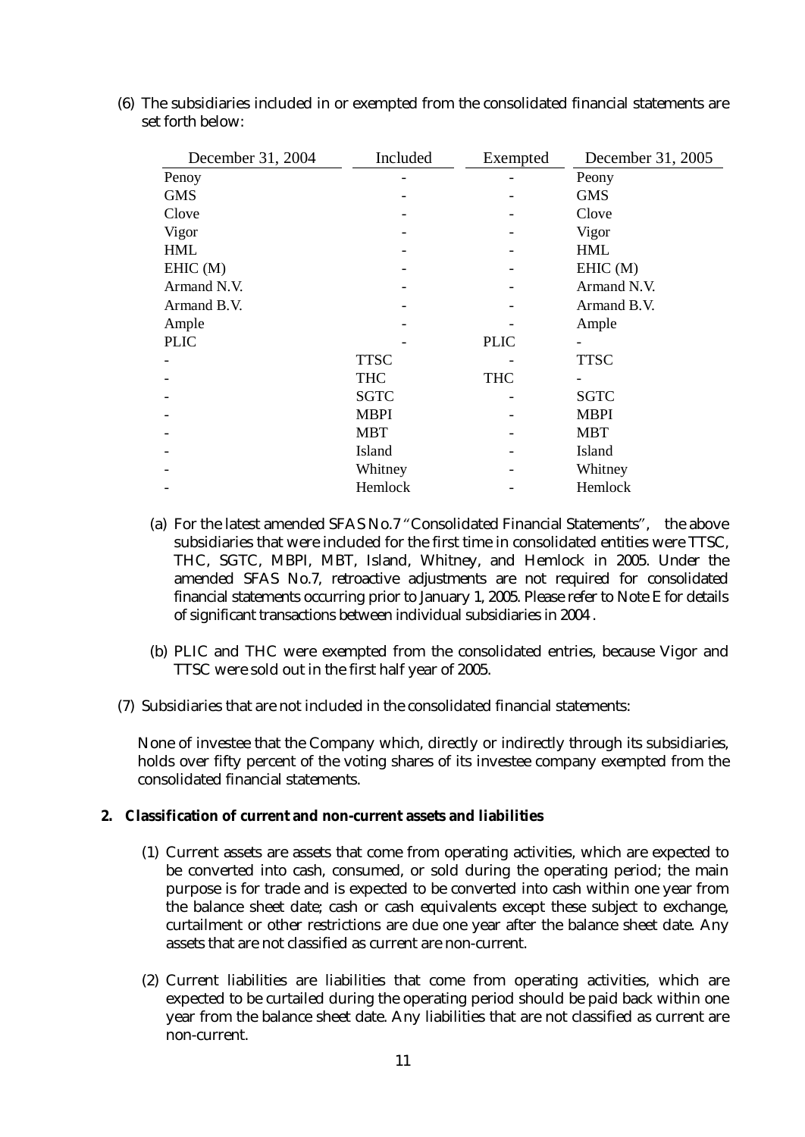| December 31, 2004 | Included    | Exempted    | December 31, 2005 |
|-------------------|-------------|-------------|-------------------|
| Penoy             |             |             | Peony             |
| <b>GMS</b>        |             |             | <b>GMS</b>        |
| Clove             |             |             | Clove             |
| Vigor             |             |             | Vigor             |
| <b>HML</b>        |             |             | <b>HML</b>        |
| EHIC(M)           |             |             | EHIC(M)           |
| Armand N.V.       |             |             | Armand N.V.       |
| Armand B.V.       |             |             | Armand B.V.       |
| Ample             |             |             | Ample             |
| <b>PLIC</b>       |             | <b>PLIC</b> |                   |
|                   | <b>TTSC</b> |             | <b>TTSC</b>       |
|                   | <b>THC</b>  | <b>THC</b>  |                   |
|                   | <b>SGTC</b> |             | <b>SGTC</b>       |
|                   | <b>MBPI</b> |             | <b>MBPI</b>       |
|                   | <b>MBT</b>  |             | <b>MBT</b>        |
|                   | Island      |             | Island            |
|                   | Whitney     |             | Whitney           |
|                   | Hemlock     |             | Hemlock           |

(6) The subsidiaries included in or exempted from the consolidated financial statements are set forth below:

- (a) For the latest amended SFAS No.7 "Consolidated Financial Statements", the above subsidiaries that were included for the first time in consolidated entities were TTSC, THC, SGTC, MBPI, MBT, Island, Whitney, and Hemlock in 2005. Under the amended SFAS No.7, retroactive adjustments are not required for consolidated financial statements occurring prior to January 1, 2005. Please refer to Note E for details of significant transactions between individual subsidiaries in 2004 .
- (b) PLIC and THC were exempted from the consolidated entries, because Vigor and TTSC were sold out in the first half year of 2005.
- (7) Subsidiaries that are not included in the consolidated financial statements:

None of investee that the Company which, directly or indirectly through its subsidiaries, holds over fifty percent of the voting shares of its investee company exempted from the consolidated financial statements.

- **2. Classification of current and non-current assets and liabilities** 
	- (1) Current assets are assets that come from operating activities, which are expected to be converted into cash, consumed, or sold during the operating period; the main purpose is for trade and is expected to be converted into cash within one year from the balance sheet date; cash or cash equivalents except these subject to exchange, curtailment or other restrictions are due one year after the balance sheet date. Any assets that are not classified as current are non-current.
	- (2) Current liabilities are liabilities that come from operating activities, which are expected to be curtailed during the operating period should be paid back within one year from the balance sheet date. Any liabilities that are not classified as current are non-current.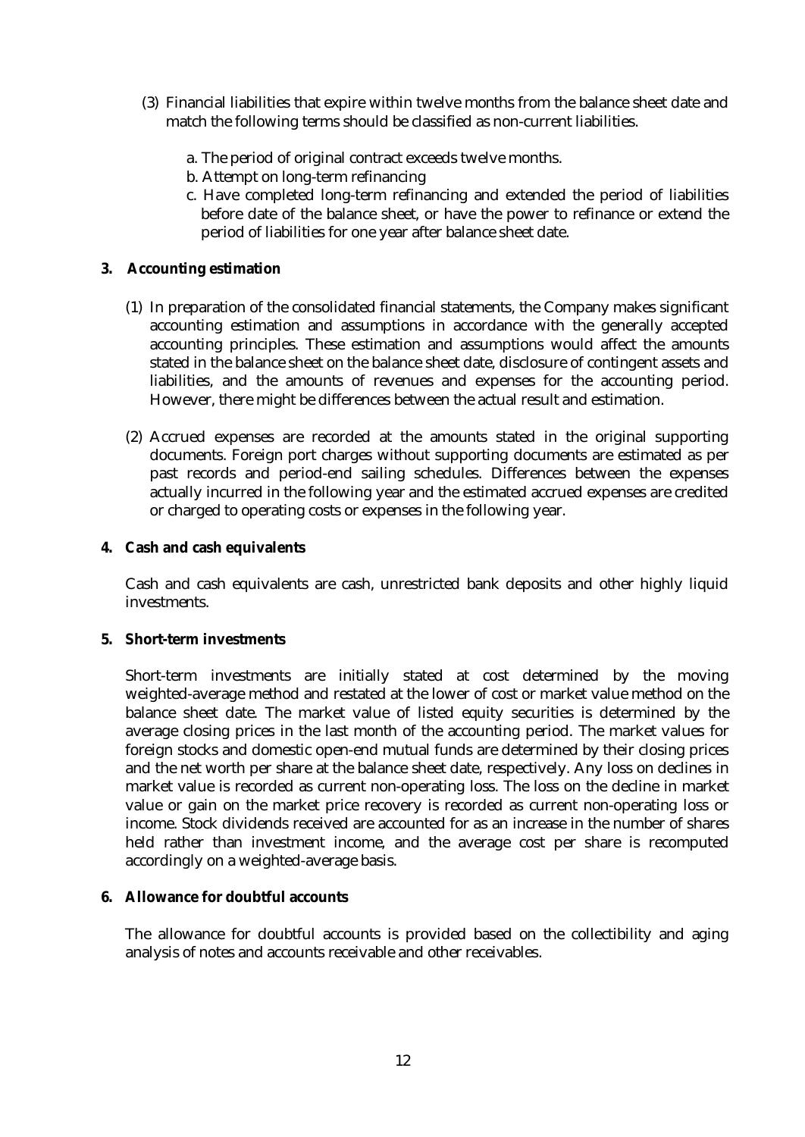- (3) Financial liabilities that expire within twelve months from the balance sheet date and match the following terms should be classified as non-current liabilities.
	- a. The period of original contract exceeds twelve months.
	- b. Attempt on long-term refinancing
	- c. Have completed long-term refinancing and extended the period of liabilities before date of the balance sheet, or have the power to refinance or extend the period of liabilities for one year after balance sheet date.
- **3. Accounting estimation** 
	- (1) In preparation of the consolidated financial statements, the Company makes significant accounting estimation and assumptions in accordance with the generally accepted accounting principles. These estimation and assumptions would affect the amounts stated in the balance sheet on the balance sheet date, disclosure of contingent assets and liabilities, and the amounts of revenues and expenses for the accounting period. However, there might be differences between the actual result and estimation.
	- (2) Accrued expenses are recorded at the amounts stated in the original supporting documents. Foreign port charges without supporting documents are estimated as per past records and period-end sailing schedules. Differences between the expenses actually incurred in the following year and the estimated accrued expenses are credited or charged to operating costs or expenses in the following year.
- **4. Cash and cash equivalents**

Cash and cash equivalents are cash, unrestricted bank deposits and other highly liquid investments.

**5. Short-term investments** 

Short-term investments are initially stated at cost determined by the moving weighted-average method and restated at the lower of cost or market value method on the balance sheet date. The market value of listed equity securities is determined by the average closing prices in the last month of the accounting period. The market values for foreign stocks and domestic open-end mutual funds are determined by their closing prices and the net worth per share at the balance sheet date, respectively. Any loss on declines in market value is recorded as current non-operating loss. The loss on the decline in market value or gain on the market price recovery is recorded as current non-operating loss or income. Stock dividends received are accounted for as an increase in the number of shares held rather than investment income, and the average cost per share is recomputed accordingly on a weighted-average basis.

## **6. Allowance for doubtful accounts**

The allowance for doubtful accounts is provided based on the collectibility and aging analysis of notes and accounts receivable and other receivables.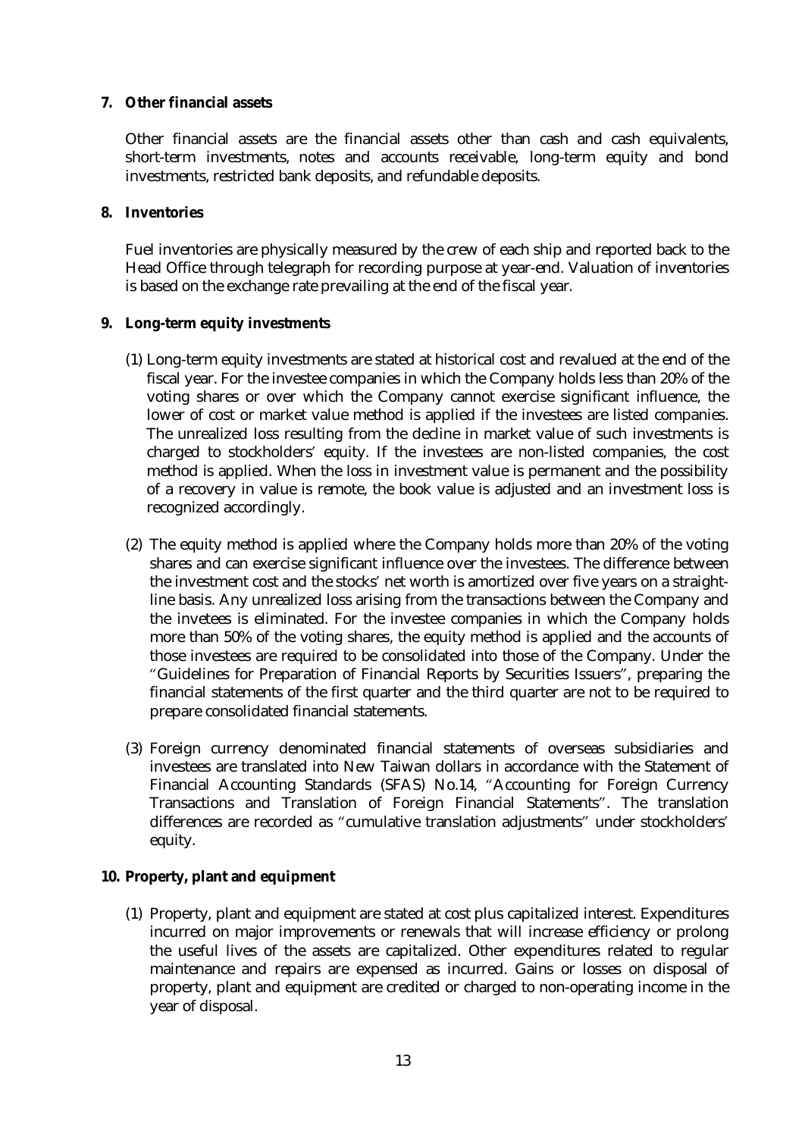## **7. Other financial assets**

Other financial assets are the financial assets other than cash and cash equivalents, short-term investments, notes and accounts receivable, long-term equity and bond investments, restricted bank deposits, and refundable deposits.

## **8. Inventories**

Fuel inventories are physically measured by the crew of each ship and reported back to the Head Office through telegraph for recording purpose at year-end. Valuation of inventories is based on the exchange rate prevailing at the end of the fiscal year.

## **9. Long-term equity investments**

- (1) Long-term equity investments are stated at historical cost and revalued at the end of the fiscal year. For the investee companies in which the Company holds less than 20% of the voting shares or over which the Company cannot exercise significant influence, the lower of cost or market value method is applied if the investees are listed companies. The unrealized loss resulting from the decline in market value of such investments is charged to stockholders' equity. If the investees are non-listed companies, the cost method is applied. When the loss in investment value is permanent and the possibility of a recovery in value is remote, the book value is adjusted and an investment loss is recognized accordingly.
- (2) The equity method is applied where the Company holds more than 20% of the voting shares and can exercise significant influence over the investees. The difference between the investment cost and the stocks' net worth is amortized over five years on a straightline basis. Any unrealized loss arising from the transactions between the Company and the invetees is eliminated. For the investee companies in which the Company holds more than 50% of the voting shares, the equity method is applied and the accounts of those investees are required to be consolidated into those of the Company. Under the "Guidelines for Preparation of Financial Reports by Securities Issuers", preparing the financial statements of the first quarter and the third quarter are not to be required to prepare consolidated financial statements.
- (3) Foreign currency denominated financial statements of overseas subsidiaries and investees are translated into New Taiwan dollars in accordance with the Statement of Financial Accounting Standards (SFAS) No.14, "Accounting for Foreign Currency Transactions and Translation of Foreign Financial Statements". The translation differences are recorded as "cumulative translation adjustments" under stockholders' equity.
- **10. Property, plant and equipment** 
	- (1) Property, plant and equipment are stated at cost plus capitalized interest. Expenditures incurred on major improvements or renewals that will increase efficiency or prolong the useful lives of the assets are capitalized. Other expenditures related to regular maintenance and repairs are expensed as incurred. Gains or losses on disposal of property, plant and equipment are credited or charged to non-operating income in the year of disposal.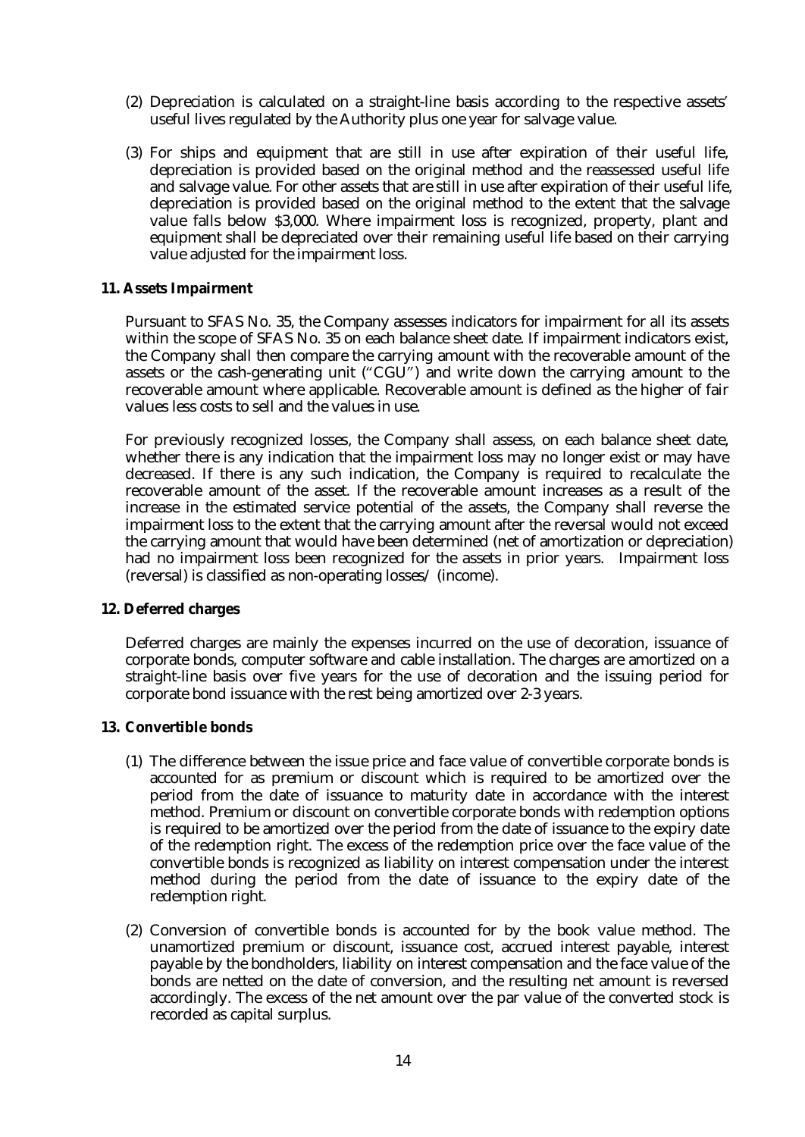- (2) Depreciation is calculated on a straight-line basis according to the respective assets' useful lives regulated by the Authority plus one year for salvage value.
- (3) For ships and equipment that are still in use after expiration of their useful life, depreciation is provided based on the original method and the reassessed useful life and salvage value. For other assets that are still in use after expiration of their useful life, depreciation is provided based on the original method to the extent that the salvage value falls below \$3,000. Where impairment loss is recognized, property, plant and equipment shall be depreciated over their remaining useful life based on their carrying value adjusted for the impairment loss.

#### **11. Assets Impairment**

Pursuant to SFAS No. 35, the Company assesses indicators for impairment for all its assets within the scope of SFAS No. 35 on each balance sheet date. If impairment indicators exist, the Company shall then compare the carrying amount with the recoverable amount of the assets or the cash-generating unit ("CGU") and write down the carrying amount to the recoverable amount where applicable. Recoverable amount is defined as the higher of fair values less costs to sell and the values in use.

For previously recognized losses, the Company shall assess, on each balance sheet date, whether there is any indication that the impairment loss may no longer exist or may have decreased. If there is any such indication, the Company is required to recalculate the recoverable amount of the asset. If the recoverable amount increases as a result of the increase in the estimated service potential of the assets, the Company shall reverse the impairment loss to the extent that the carrying amount after the reversal would not exceed the carrying amount that would have been determined (net of amortization or depreciation) had no impairment loss been recognized for the assets in prior years. Impairment loss (reversal) is classified as non-operating losses/ (income).

#### **12. Deferred charges**

Deferred charges are mainly the expenses incurred on the use of decoration, issuance of corporate bonds, computer software and cable installation. The charges are amortized on a straight-line basis over five years for the use of decoration and the issuing period for corporate bond issuance with the rest being amortized over 2-3 years.

#### **13. Convertible bonds**

- (1) The difference between the issue price and face value of convertible corporate bonds is accounted for as premium or discount which is required to be amortized over the period from the date of issuance to maturity date in accordance with the interest method. Premium or discount on convertible corporate bonds with redemption options is required to be amortized over the period from the date of issuance to the expiry date of the redemption right. The excess of the redemption price over the face value of the convertible bonds is recognized as liability on interest compensation under the interest method during the period from the date of issuance to the expiry date of the redemption right.
- (2) Conversion of convertible bonds is accounted for by the book value method. The unamortized premium or discount, issuance cost, accrued interest payable, interest payable by the bondholders, liability on interest compensation and the face value of the bonds are netted on the date of conversion, and the resulting net amount is reversed accordingly. The excess of the net amount over the par value of the converted stock is recorded as capital surplus.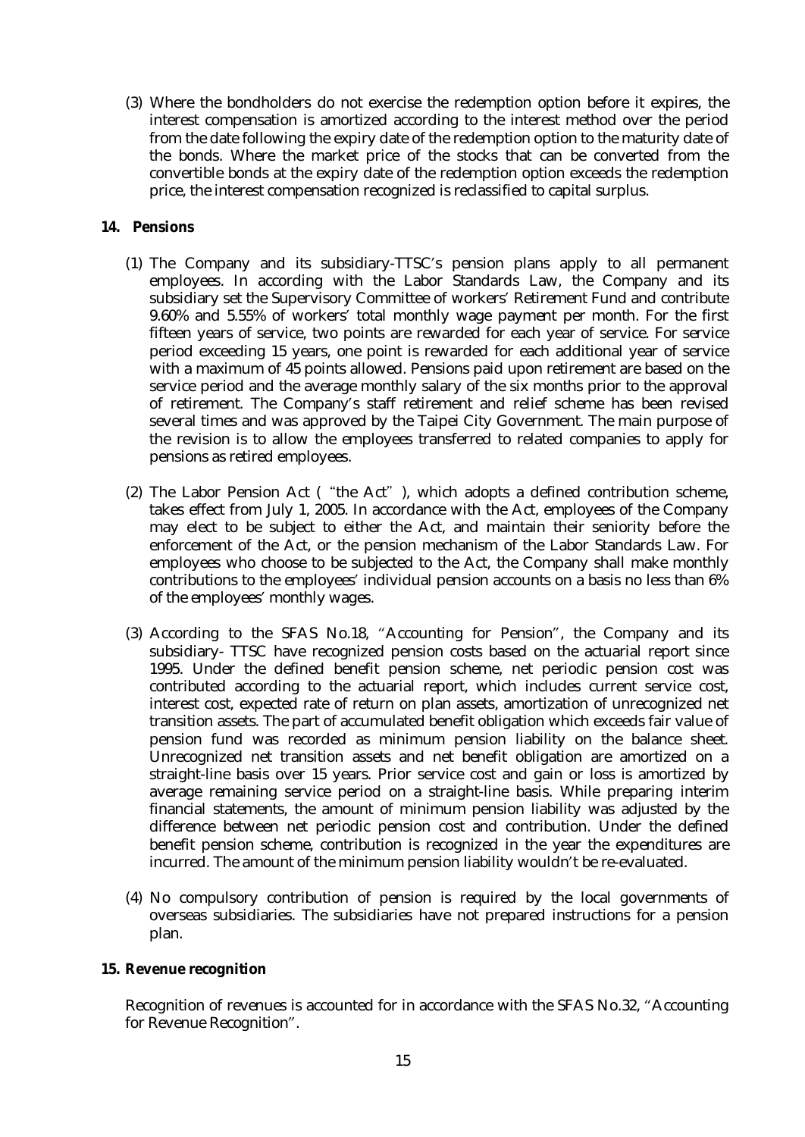(3) Where the bondholders do not exercise the redemption option before it expires, the interest compensation is amortized according to the interest method over the period from the date following the expiry date of the redemption option to the maturity date of the bonds. Where the market price of the stocks that can be converted from the convertible bonds at the expiry date of the redemption option exceeds the redemption price, the interest compensation recognized is reclassified to capital surplus.

#### **14. Pensions**

- (1) The Company and its subsidiary-TTSC's pension plans apply to all permanent employees. In according with the Labor Standards Law, the Company and its subsidiary set the Supervisory Committee of workers' Retirement Fund and contribute 9.60% and 5.55% of workers' total monthly wage payment per month. For the first fifteen years of service, two points are rewarded for each year of service. For service period exceeding 15 years, one point is rewarded for each additional year of service with a maximum of 45 points allowed. Pensions paid upon retirement are based on the service period and the average monthly salary of the six months prior to the approval of retirement. The Company's staff retirement and relief scheme has been revised several times and was approved by the Taipei City Government. The main purpose of the revision is to allow the employees transferred to related companies to apply for pensions as retired employees.
- (2) The Labor Pension Act ("the Act"), which adopts a defined contribution scheme, takes effect from July 1, 2005. In accordance with the Act, employees of the Company may elect to be subject to either the Act, and maintain their seniority before the enforcement of the Act, or the pension mechanism of the Labor Standards Law. For employees who choose to be subjected to the Act, the Company shall make monthly contributions to the employees' individual pension accounts on a basis no less than 6% of the employees' monthly wages.
- (3) According to the SFAS No.18, "Accounting for Pension", the Company and its subsidiary- TTSC have recognized pension costs based on the actuarial report since 1995. Under the defined benefit pension scheme, net periodic pension cost was contributed according to the actuarial report, which includes current service cost, interest cost, expected rate of return on plan assets, amortization of unrecognized net transition assets. The part of accumulated benefit obligation which exceeds fair value of pension fund was recorded as minimum pension liability on the balance sheet. Unrecognized net transition assets and net benefit obligation are amortized on a straight-line basis over 15 years. Prior service cost and gain or loss is amortized by average remaining service period on a straight-line basis. While preparing interim financial statements, the amount of minimum pension liability was adjusted by the difference between net periodic pension cost and contribution. Under the defined benefit pension scheme, contribution is recognized in the year the expenditures are incurred. The amount of the minimum pension liability wouldn't be re-evaluated.
- (4) No compulsory contribution of pension is required by the local governments of overseas subsidiaries. The subsidiaries have not prepared instructions for a pension plan.

#### **15. Revenue recognition**

Recognition of revenues is accounted for in accordance with the SFAS No.32, "Accounting for Revenue Recognition".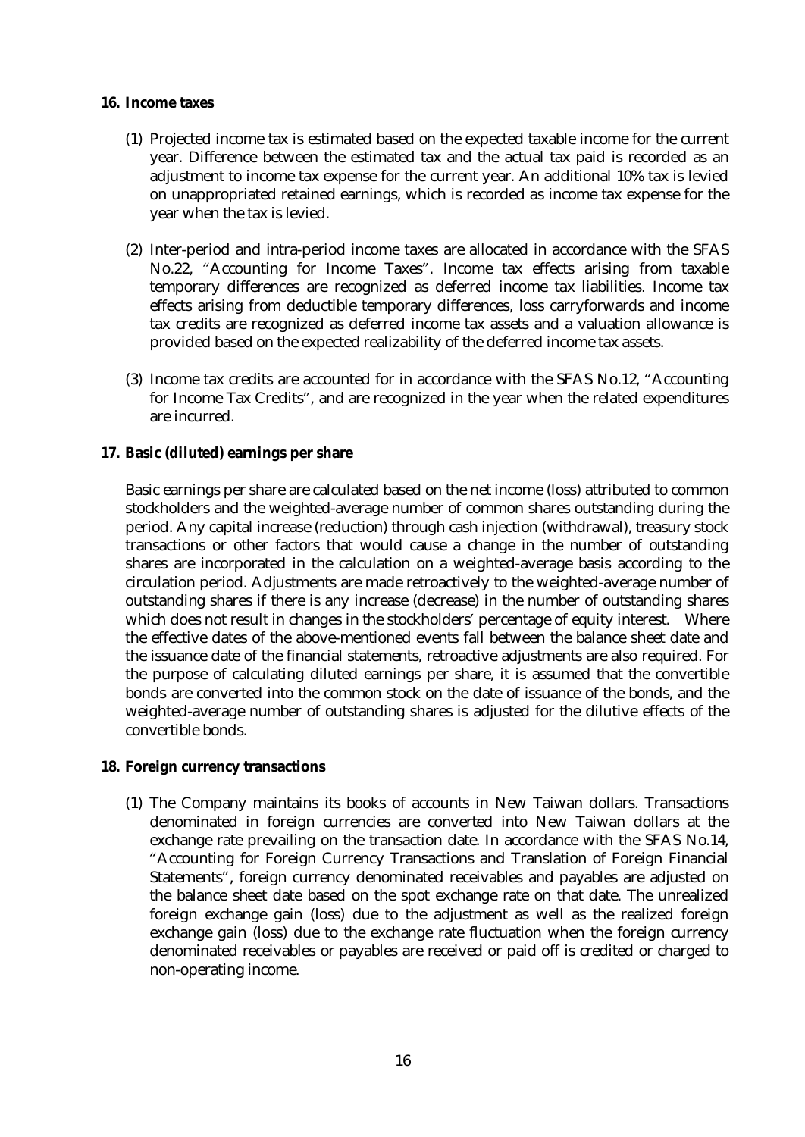#### **16. Income taxes**

- (1) Projected income tax is estimated based on the expected taxable income for the current year. Difference between the estimated tax and the actual tax paid is recorded as an adjustment to income tax expense for the current year. An additional 10% tax is levied on unappropriated retained earnings, which is recorded as income tax expense for the year when the tax is levied.
- (2) Inter-period and intra-period income taxes are allocated in accordance with the SFAS No.22, "Accounting for Income Taxes". Income tax effects arising from taxable temporary differences are recognized as deferred income tax liabilities. Income tax effects arising from deductible temporary differences, loss carryforwards and income tax credits are recognized as deferred income tax assets and a valuation allowance is provided based on the expected realizability of the deferred income tax assets.
- (3) Income tax credits are accounted for in accordance with the SFAS No.12, "Accounting for Income Tax Credits", and are recognized in the year when the related expenditures are incurred.
- **17. Basic (diluted) earnings per share**

Basic earnings per share are calculated based on the net income (loss) attributed to common stockholders and the weighted-average number of common shares outstanding during the period. Any capital increase (reduction) through cash injection (withdrawal), treasury stock transactions or other factors that would cause a change in the number of outstanding shares are incorporated in the calculation on a weighted-average basis according to the circulation period. Adjustments are made retroactively to the weighted-average number of outstanding shares if there is any increase (decrease) in the number of outstanding shares which does not result in changes in the stockholders' percentage of equity interest. Where the effective dates of the above-mentioned events fall between the balance sheet date and the issuance date of the financial statements, retroactive adjustments are also required. For the purpose of calculating diluted earnings per share, it is assumed that the convertible bonds are converted into the common stock on the date of issuance of the bonds, and the weighted-average number of outstanding shares is adjusted for the dilutive effects of the convertible bonds.

- **18. Foreign currency transactions** 
	- (1) The Company maintains its books of accounts in New Taiwan dollars. Transactions denominated in foreign currencies are converted into New Taiwan dollars at the exchange rate prevailing on the transaction date. In accordance with the SFAS No.14, "Accounting for Foreign Currency Transactions and Translation of Foreign Financial Statements", foreign currency denominated receivables and payables are adjusted on the balance sheet date based on the spot exchange rate on that date. The unrealized foreign exchange gain (loss) due to the adjustment as well as the realized foreign exchange gain (loss) due to the exchange rate fluctuation when the foreign currency denominated receivables or payables are received or paid off is credited or charged to non-operating income.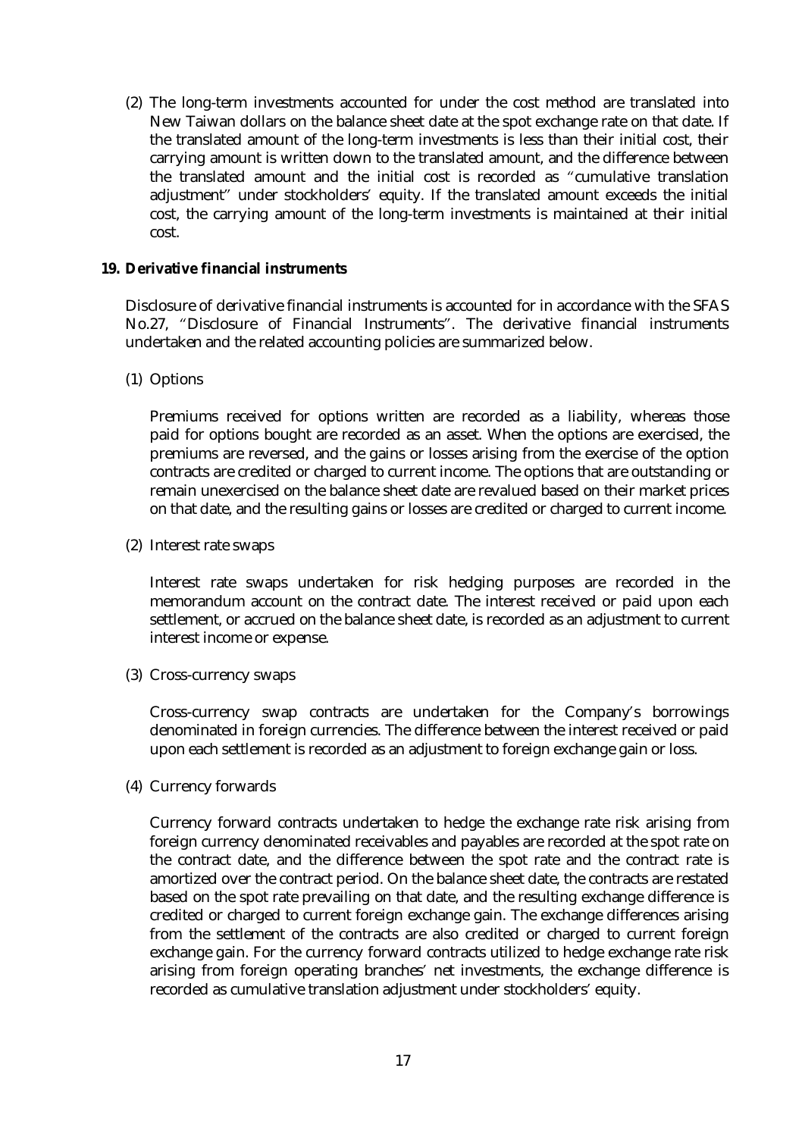(2) The long-term investments accounted for under the cost method are translated into New Taiwan dollars on the balance sheet date at the spot exchange rate on that date. If the translated amount of the long-term investments is less than their initial cost, their carrying amount is written down to the translated amount, and the difference between the translated amount and the initial cost is recorded as "cumulative translation adjustment" under stockholders' equity. If the translated amount exceeds the initial cost, the carrying amount of the long-term investments is maintained at their initial cost.

#### **19. Derivative financial instruments**

Disclosure of derivative financial instruments is accounted for in accordance with the SFAS No.27, "Disclosure of Financial Instruments". The derivative financial instruments undertaken and the related accounting policies are summarized below.

(1) Options

Premiums received for options written are recorded as a liability, whereas those paid for options bought are recorded as an asset. When the options are exercised, the premiums are reversed, and the gains or losses arising from the exercise of the option contracts are credited or charged to current income. The options that are outstanding or remain unexercised on the balance sheet date are revalued based on their market prices on that date, and the resulting gains or losses are credited or charged to current income.

(2) Interest rate swaps

Interest rate swaps undertaken for risk hedging purposes are recorded in the memorandum account on the contract date. The interest received or paid upon each settlement, or accrued on the balance sheet date, is recorded as an adjustment to current interest income or expense.

(3) Cross-currency swaps

Cross-currency swap contracts are undertaken for the Company's borrowings denominated in foreign currencies. The difference between the interest received or paid upon each settlement is recorded as an adjustment to foreign exchange gain or loss.

(4) Currency forwards

Currency forward contracts undertaken to hedge the exchange rate risk arising from foreign currency denominated receivables and payables are recorded at the spot rate on the contract date, and the difference between the spot rate and the contract rate is amortized over the contract period. On the balance sheet date, the contracts are restated based on the spot rate prevailing on that date, and the resulting exchange difference is credited or charged to current foreign exchange gain. The exchange differences arising from the settlement of the contracts are also credited or charged to current foreign exchange gain. For the currency forward contracts utilized to hedge exchange rate risk arising from foreign operating branches' net investments, the exchange difference is recorded as cumulative translation adjustment under stockholders' equity.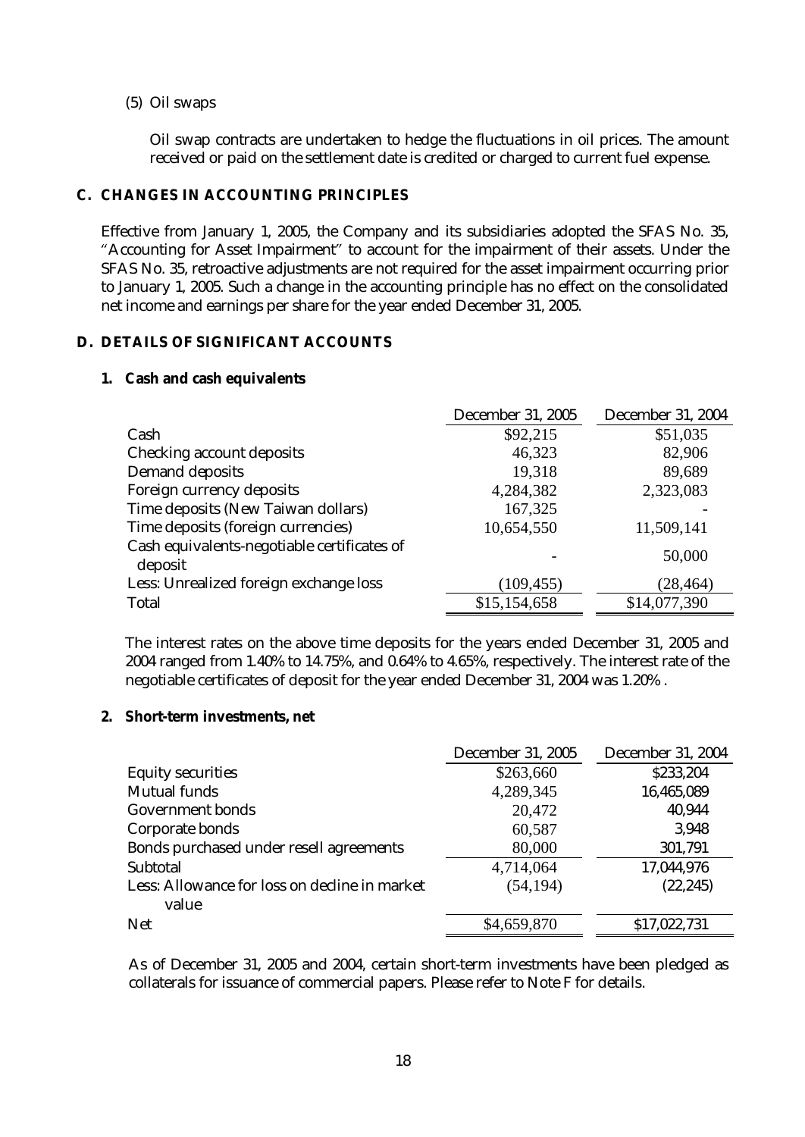#### (5) Oil swaps

Oil swap contracts are undertaken to hedge the fluctuations in oil prices. The amount received or paid on the settlement date is credited or charged to current fuel expense.

#### **C. CHANGES IN ACCOUNTING PRINCIPLES**

Effective from January 1, 2005, the Company and its subsidiaries adopted the SFAS No. 35, "Accounting for Asset Impairment" to account for the impairment of their assets. Under the SFAS No. 35, retroactive adjustments are not required for the asset impairment occurring prior to January 1, 2005. Such a change in the accounting principle has no effect on the consolidated net income and earnings per share for the year ended December 31, 2005.

## **D. DETAILS OF SIGNIFICANT ACCOUNTS**

#### **1. Cash and cash equivalents**

|                                                        | <b>December 31, 2005</b> | <b>December 31, 2004</b> |
|--------------------------------------------------------|--------------------------|--------------------------|
| Cash                                                   | \$92,215                 | \$51,035                 |
| <b>Checking account deposits</b>                       | 46,323                   | 82,906                   |
| <b>Demand deposits</b>                                 | 19,318                   | 89,689                   |
| Foreign currency deposits                              | 4,284,382                | 2,323,083                |
| Time deposits (New Taiwan dollars)                     | 167,325                  |                          |
| Time deposits (foreign currencies)                     | 10,654,550               | 11,509,141               |
| Cash equivalents-negotiable certificates of<br>deposit |                          | 50,000                   |
| Less: Unrealized foreign exchange loss                 | (109, 455)               | (28, 464)                |
| <b>Total</b>                                           | \$15,154,658             | \$14,077,390             |

The interest rates on the above time deposits for the years ended December 31, 2005 and 2004 ranged from 1.40% to 14.75%, and 0.64% to 4.65%, respectively. The interest rate of the negotiable certificates of deposit for the year ended December 31, 2004 was 1.20% .

**2. Short-term investments, net** 

|                                                        | <b>December 31, 2005</b> | <b>December 31, 2004</b> |
|--------------------------------------------------------|--------------------------|--------------------------|
| <b>Equity securities</b>                               | \$263,660                | \$233,204                |
| <b>Mutual funds</b>                                    | 4,289,345                | 16,465,089               |
| <b>Government bonds</b>                                | 20,472                   | 40,944                   |
| Corporate bonds                                        | 60,587                   | 3,948                    |
| Bonds purchased under resell agreements                | 80,000                   | 301,791                  |
| <b>Subtotal</b>                                        | 4,714,064                | 17,044,976               |
| Less: Allowance for loss on decline in market<br>value | (54, 194)                | (22, 245)                |
| <b>Net</b>                                             | \$4,659,870              | \$17,022,731             |

As of December 31, 2005 and 2004, certain short-term investments have been pledged as collaterals for issuance of commercial papers. Please refer to Note F for details.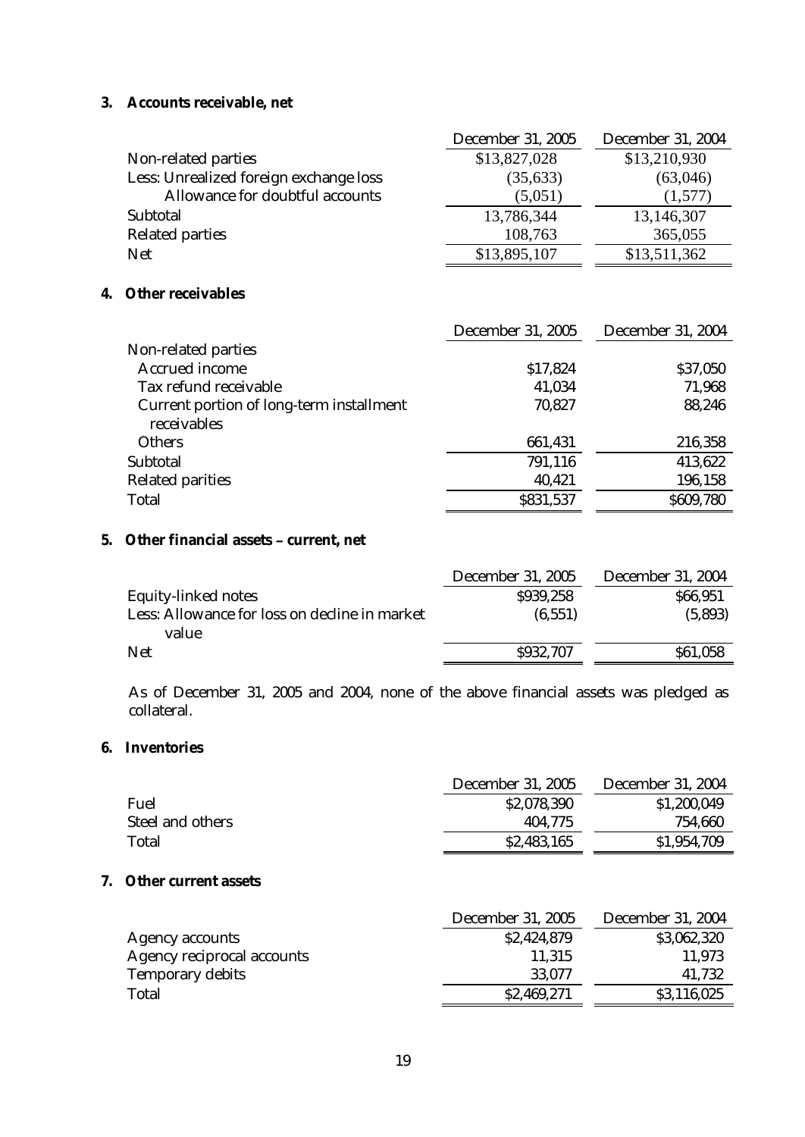## **3. Accounts receivable, net**

|                                        | <b>December 31, 2005</b> | <b>December 31, 2004</b> |
|----------------------------------------|--------------------------|--------------------------|
| Non-related parties                    | \$13,827,028             | \$13,210,930             |
| Less: Unrealized foreign exchange loss | (35, 633)                | (63,046)                 |
| Allowance for doubtful accounts        | (5,051)                  | (1,577)                  |
| Subtotal                               | 13,786,344               | 13,146,307               |
| <b>Related parties</b>                 | 108,763                  | 365,055                  |
| <b>Net</b>                             | \$13,895,107             | \$13,511,362             |

# **4. Other receivables**

|                                                                | <b>December 31, 2005</b> | <b>December 31, 2004</b> |
|----------------------------------------------------------------|--------------------------|--------------------------|
| Non-related parties                                            |                          |                          |
| <b>Accrued income</b>                                          | \$17,824                 | \$37,050                 |
| Tax refund receivable                                          | 41,034                   | 71,968                   |
| <b>Current portion of long-term installment</b><br>receivables | 70,827                   | 88,246                   |
| <b>Others</b>                                                  | 661,431                  | 216,358                  |
| <b>Subtotal</b>                                                | 791,116                  | 413,622                  |
| <b>Related parities</b>                                        | 40,421                   | 196,158                  |
| <b>Total</b>                                                   | \$831,537                | \$609,780                |

#### **5. Other financial assets – current, net**

|                                                        | <b>December 31, 2005</b> | <b>December 31, 2004</b> |
|--------------------------------------------------------|--------------------------|--------------------------|
| <b>Equity-linked notes</b>                             | \$939,258                | \$66,951                 |
| Less: Allowance for loss on decline in market<br>value | (6.551)                  | (5,893)                  |
| <b>Net</b>                                             | \$932,707                | \$61,058                 |

As of December 31, 2005 and 2004, none of the above financial assets was pledged as collateral.

## **6. Inventories**

|                         | <b>December 31, 2005</b> | <b>December 31, 2004</b> |
|-------------------------|--------------------------|--------------------------|
| <b>Fuel</b>             | \$2,078,390              | \$1,200,049              |
| <b>Steel and others</b> | 404,775                  | 754,660                  |
| <b>Total</b>            | \$2,483,165              | \$1,954,709              |

## **7. Other current assets**

|                                   | <b>December 31, 2005</b> | <b>December 31, 2004</b> |
|-----------------------------------|--------------------------|--------------------------|
| <b>Agency accounts</b>            | \$2,424,879              | \$3,062,320              |
| <b>Agency reciprocal accounts</b> | 11,315                   | 11,973                   |
| <b>Temporary debits</b>           | 33,077                   | 41,732                   |
| Total                             | \$2,469,271              | \$3,116,025              |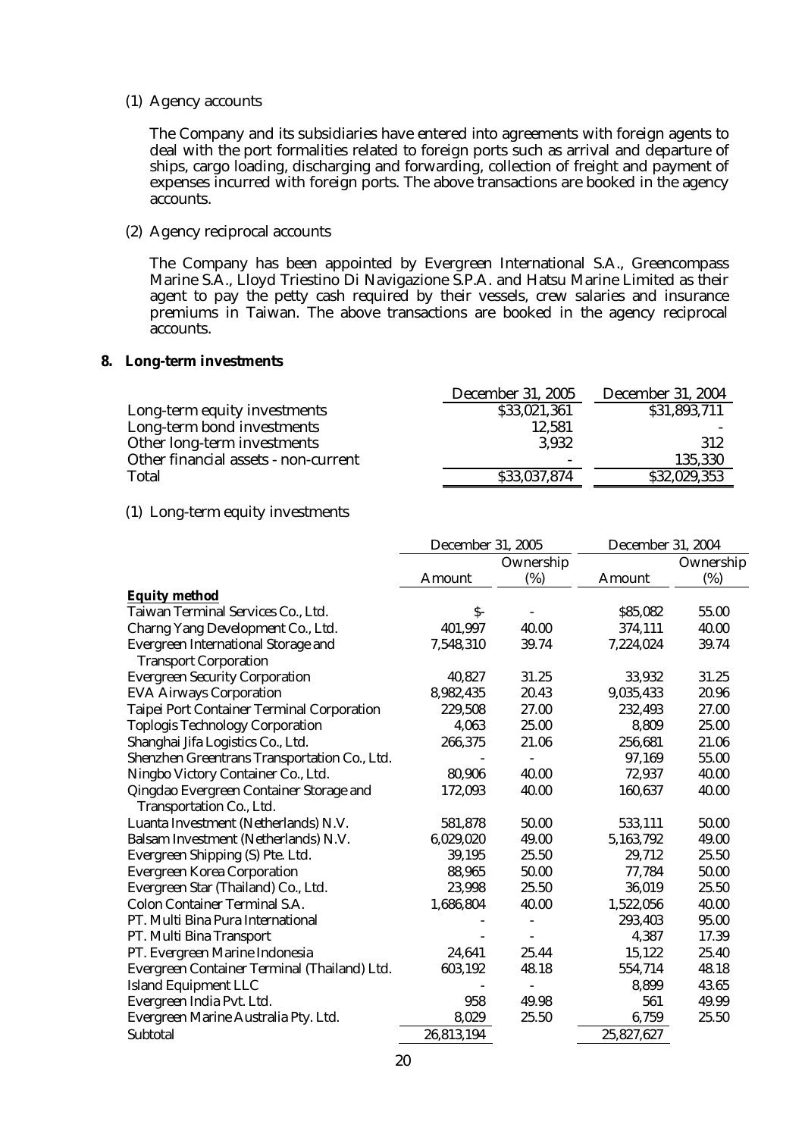(1) Agency accounts

The Company and its subsidiaries have entered into agreements with foreign agents to deal with the port formalities related to foreign ports such as arrival and departure of ships, cargo loading, discharging and forwarding, collection of freight and payment of expenses incurred with foreign ports. The above transactions are booked in the agency accounts.

#### (2) Agency reciprocal accounts

The Company has been appointed by Evergreen International S.A., Greencompass Marine S.A., Lloyd Triestino Di Navigazione S.P.A. and Hatsu Marine Limited as their agent to pay the petty cash required by their vessels, crew salaries and insurance premiums in Taiwan. The above transactions are booked in the agency reciprocal accounts.

#### **8. Long-term investments**

|                                      | <b>December 31, 2005</b> | <b>December 31, 2004</b> |
|--------------------------------------|--------------------------|--------------------------|
| Long-term equity investments         | \$33,021,361             | \$31,893,711             |
| Long-term bond investments           | 12,581                   |                          |
| Other long-term investments          | 3,932                    | 312                      |
| Other financial assets - non-current | $\overline{\phantom{a}}$ | 135,330                  |
| <b>Total</b>                         | \$33,037,874             | \$32,029,353             |

#### (1) Long-term equity investments

|                                                                            | <b>December 31, 2005</b> |                | <b>December 31, 2004</b> |           |
|----------------------------------------------------------------------------|--------------------------|----------------|--------------------------|-----------|
|                                                                            | Ownership                |                |                          | Ownership |
|                                                                            | <b>Amount</b>            | (%)            | <b>Amount</b>            | (%)       |
| <b>Equity method</b>                                                       |                          |                |                          |           |
| Taiwan Terminal Services Co., Ltd.                                         | $S-$                     |                | \$85,082                 | 55.00     |
| Charng Yang Development Co., Ltd.                                          | 401,997                  | 40.00          | 374,111                  | 40.00     |
| <b>Evergreen International Storage and</b><br><b>Transport Corporation</b> | 7,548,310                | 39.74          | 7,224,024                | 39.74     |
| <b>Evergreen Security Corporation</b>                                      | 40,827                   | 31.25          | 33,932                   | 31.25     |
| <b>EVA Airways Corporation</b>                                             | 8,982,435                | 20.43          | 9,035,433                | 20.96     |
| <b>Taipei Port Container Terminal Corporation</b>                          | 229,508                  | 27.00          | 232,493                  | 27.00     |
| <b>Toplogis Technology Corporation</b>                                     | 4,063                    | 25.00          | 8,809                    | 25.00     |
| Shanghai Jifa Logistics Co., Ltd.                                          | 266,375                  | 21.06          | 256,681                  | 21.06     |
| Shenzhen Greentrans Transportation Co., Ltd.                               |                          |                | 97,169                   | 55.00     |
| Ningbo Victory Container Co., Ltd.                                         | 80,906                   | 40.00          | 72,937                   | 40.00     |
| Qingdao Evergreen Container Storage and                                    | 172,093                  | 40.00          | 160,637                  | 40.00     |
| Transportation Co., Ltd.                                                   |                          |                |                          |           |
| Luanta Investment (Netherlands) N.V.                                       | 581,878                  | 50.00          | 533,111                  | 50.00     |
| Balsam Investment (Netherlands) N.V.                                       | 6,029,020                | 49.00          | 5,163,792                | 49.00     |
| Evergreen Shipping (S) Pte. Ltd.                                           | 39,195                   | 25.50          | 29,712                   | 25.50     |
| <b>Evergreen Korea Corporation</b>                                         | 88,965                   | 50.00          | 77,784                   | 50.00     |
| Evergreen Star (Thailand) Co., Ltd.                                        | 23,998                   | 25.50          | 36,019                   | 25.50     |
| <b>Colon Container Terminal S.A.</b>                                       | 1,686,804                | 40.00          | 1,522,056                | 40.00     |
| PT. Multi Bina Pura International                                          |                          |                | 293,403                  | 95.00     |
| PT. Multi Bina Transport                                                   |                          |                | 4,387                    | 17.39     |
| PT. Evergreen Marine Indonesia                                             | 24,641                   | 25.44          | 15,122                   | 25.40     |
| Evergreen Container Terminal (Thailand) Ltd.                               | 603,192                  | 48.18          | 554,714                  | 48.18     |
| <b>Island Equipment LLC</b>                                                |                          | $\blacksquare$ | 8,899                    | 43.65     |
| Evergreen India Pvt. Ltd.                                                  | 958                      | 49.98          | 561                      | 49.99     |
| Evergreen Marine Australia Pty. Ltd.                                       | 8,029                    | 25.50          | 6,759                    | 25.50     |
| <b>Subtotal</b>                                                            | 26,813,194               |                | 25,827,627               |           |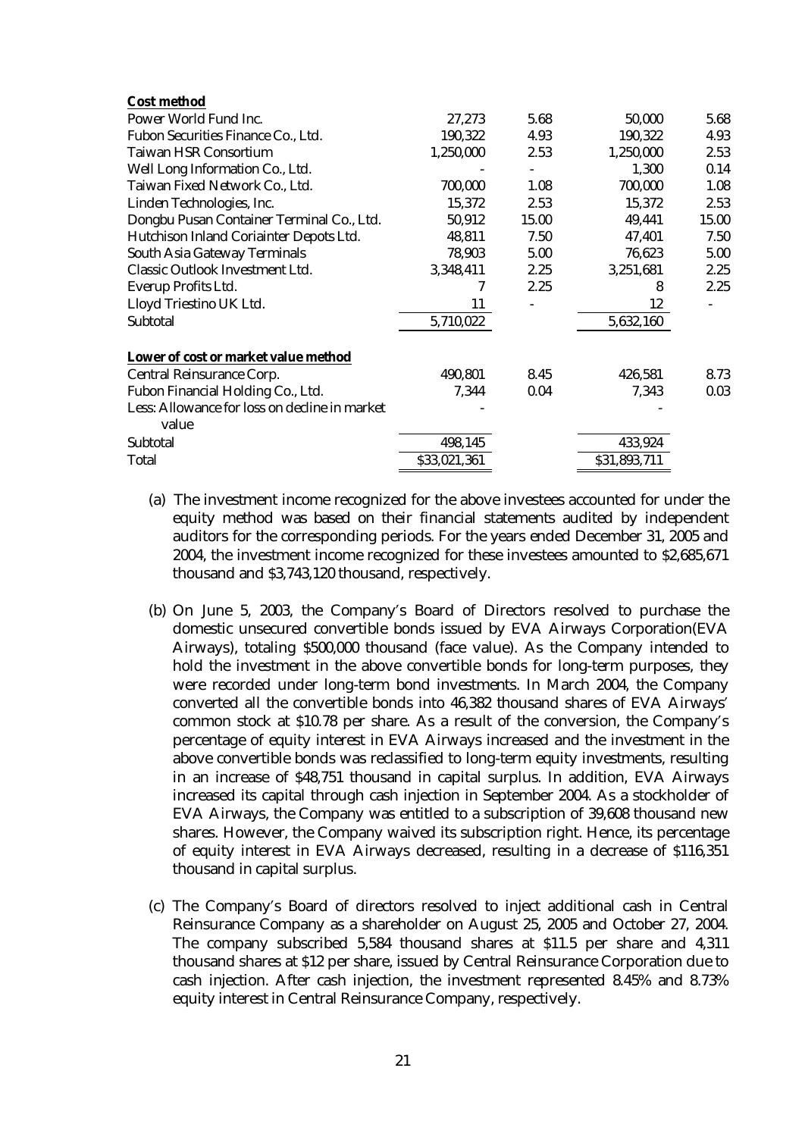| <b>Cost method</b>                            |              |       |              |       |
|-----------------------------------------------|--------------|-------|--------------|-------|
| Power World Fund Inc.                         | 27,273       | 5.68  | 50,000       | 5.68  |
| Fubon Securities Finance Co., Ltd.            | 190,322      | 4.93  | 190,322      | 4.93  |
| <b>Taiwan HSR Consortium</b>                  | 1,250,000    | 2.53  | 1,250,000    | 2.53  |
| Well Long Information Co., Ltd.               |              |       | 1,300        | 0.14  |
| Taiwan Fixed Network Co., Ltd.                | 700,000      | 1.08  | 700,000      | 1.08  |
| Linden Technologies, Inc.                     | 15,372       | 2.53  | 15,372       | 2.53  |
| Dongbu Pusan Container Terminal Co., Ltd.     | 50,912       | 15.00 | 49,441       | 15.00 |
| Hutchison Inland Coriainter Depots Ltd.       | 48,811       | 7.50  | 47,401       | 7.50  |
| <b>South Asia Gateway Terminals</b>           | 78,903       | 5.00  | 76,623       | 5.00  |
| <b>Classic Outlook Investment Ltd.</b>        | 3,348,411    | 2.25  | 3,251,681    | 2.25  |
| <b>Everup Profits Ltd.</b>                    |              | 2.25  | 8            | 2.25  |
| Lloyd Triestino UK Ltd.                       | 11           |       | 12           |       |
| <b>Subtotal</b>                               | 5,710,022    |       | 5,632,160    |       |
| Lower of cost or market value method          |              |       |              |       |
| <b>Central Reinsurance Corp.</b>              | 490,801      | 8.45  | 426,581      | 8.73  |
| Fubon Financial Holding Co., Ltd.             | 7,344        | 0.04  | 7,343        | 0.03  |
| Less: Allowance for loss on decline in market |              |       |              |       |
| value                                         |              |       |              |       |
| <b>Subtotal</b>                               | 498,145      |       | 433,924      |       |
| <b>Total</b>                                  | \$33,021,361 |       | \$31,893,711 |       |
|                                               |              |       |              |       |

- (a) The investment income recognized for the above investees accounted for under the equity method was based on their financial statements audited by independent auditors for the corresponding periods. For the years ended December 31, 2005 and 2004, the investment income recognized for these investees amounted to \$2,685,671 thousand and \$3,743,120 thousand, respectively.
- (b) On June 5, 2003, the Company's Board of Directors resolved to purchase the domestic unsecured convertible bonds issued by EVA Airways Corporation(EVA Airways), totaling \$500,000 thousand (face value). As the Company intended to hold the investment in the above convertible bonds for long-term purposes, they were recorded under long-term bond investments. In March 2004, the Company converted all the convertible bonds into 46,382 thousand shares of EVA Airways' common stock at \$10.78 per share. As a result of the conversion, the Company's percentage of equity interest in EVA Airways increased and the investment in the above convertible bonds was reclassified to long-term equity investments, resulting in an increase of \$48,751 thousand in capital surplus. In addition, EVA Airways increased its capital through cash injection in September 2004. As a stockholder of EVA Airways, the Company was entitled to a subscription of 39,608 thousand new shares. However, the Company waived its subscription right. Hence, its percentage of equity interest in EVA Airways decreased, resulting in a decrease of \$116,351 thousand in capital surplus.
- (c) The Company's Board of directors resolved to inject additional cash in Central Reinsurance Company as a shareholder on August 25, 2005 and October 27, 2004. The company subscribed 5,584 thousand shares at \$11.5 per share and 4,311 thousand shares at \$12 per share, issued by Central Reinsurance Corporation due to cash injection. After cash injection, the investment represented 8.45% and 8.73% equity interest in Central Reinsurance Company, respectively.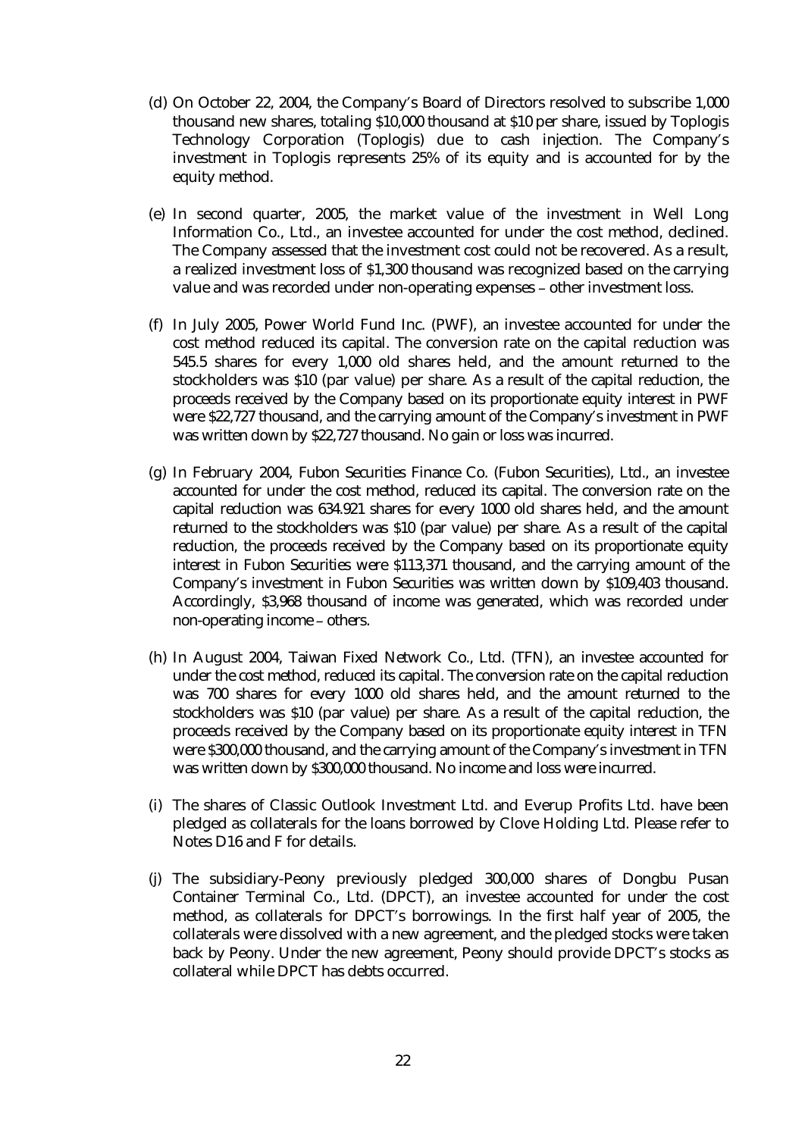- (d) On October 22, 2004, the Company's Board of Directors resolved to subscribe 1,000 thousand new shares, totaling \$10,000 thousand at \$10 per share, issued by Toplogis Technology Corporation (Toplogis) due to cash injection. The Company's investment in Toplogis represents 25% of its equity and is accounted for by the equity method.
- (e) In second quarter, 2005, the market value of the investment in Well Long Information Co., Ltd., an investee accounted for under the cost method, declined. The Company assessed that the investment cost could not be recovered. As a result, a realized investment loss of \$1,300 thousand was recognized based on the carrying value and was recorded under non-operating expenses – other investment loss.
- (f) In July 2005, Power World Fund Inc. (PWF), an investee accounted for under the cost method reduced its capital. The conversion rate on the capital reduction was 545.5 shares for every 1,000 old shares held, and the amount returned to the stockholders was \$10 (par value) per share. As a result of the capital reduction, the proceeds received by the Company based on its proportionate equity interest in PWF were \$22,727 thousand, and the carrying amount of the Company's investment in PWF was written down by \$22,727 thousand. No gain or loss was incurred.
- (g) In February 2004, Fubon Securities Finance Co. (Fubon Securities), Ltd., an investee accounted for under the cost method, reduced its capital. The conversion rate on the capital reduction was 634.921 shares for every 1000 old shares held, and the amount returned to the stockholders was \$10 (par value) per share. As a result of the capital reduction, the proceeds received by the Company based on its proportionate equity interest in Fubon Securities were \$113,371 thousand, and the carrying amount of the Company's investment in Fubon Securities was written down by \$109,403 thousand. Accordingly, \$3,968 thousand of income was generated, which was recorded under non-operating income – others.
- (h) In August 2004, Taiwan Fixed Network Co., Ltd. (TFN), an investee accounted for under the cost method, reduced its capital. The conversion rate on the capital reduction was 700 shares for every 1000 old shares held, and the amount returned to the stockholders was \$10 (par value) per share. As a result of the capital reduction, the proceeds received by the Company based on its proportionate equity interest in TFN were \$300,000 thousand, and the carrying amount of the Company's investment in TFN was written down by \$300,000 thousand. No income and loss were incurred.
- (i) The shares of Classic Outlook Investment Ltd. and Everup Profits Ltd. have been pledged as collaterals for the loans borrowed by Clove Holding Ltd. Please refer to Notes D16 and F for details.
- (j) The subsidiary-Peony previously pledged 300,000 shares of Dongbu Pusan Container Terminal Co., Ltd. (DPCT), an investee accounted for under the cost method, as collaterals for DPCT's borrowings. In the first half year of 2005, the collaterals were dissolved with a new agreement, and the pledged stocks were taken back by Peony. Under the new agreement, Peony should provide DPCT's stocks as collateral while DPCT has debts occurred.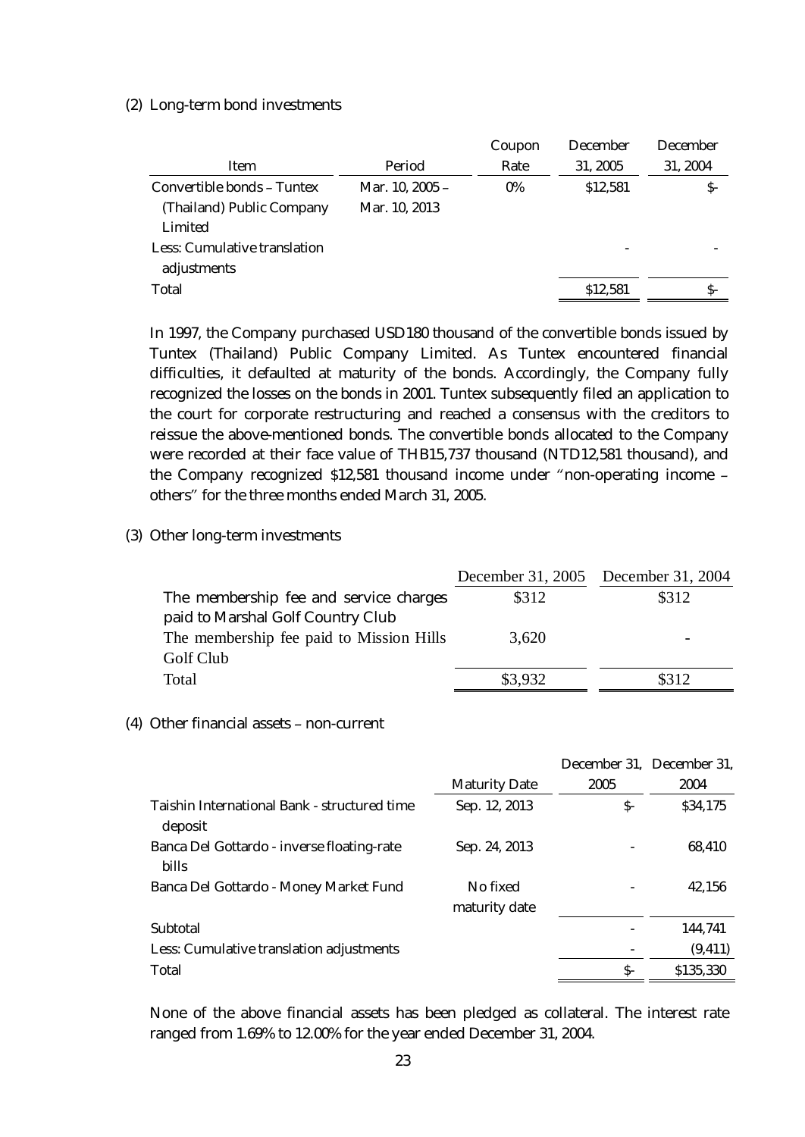#### (2) Long-term bond investments

|                                     |                 | Coupon | <b>December</b> | <b>December</b> |
|-------------------------------------|-----------------|--------|-----------------|-----------------|
| Item                                | Period          | Rate   | 31, 2005        | 31, 2004        |
| <b>Convertible bonds - Tuntex</b>   | Mar. 10, 2005 - | $0\%$  | \$12,581        | S-              |
| (Thailand) Public Company           | Mar. 10, 2013   |        |                 |                 |
| Limited                             |                 |        |                 |                 |
| <b>Less: Cumulative translation</b> |                 |        |                 |                 |
| adjustments                         |                 |        |                 |                 |
| <b>Total</b>                        |                 |        | \$12,581        | S-              |

In 1997, the Company purchased USD180 thousand of the convertible bonds issued by Tuntex (Thailand) Public Company Limited. As Tuntex encountered financial difficulties, it defaulted at maturity of the bonds. Accordingly, the Company fully recognized the losses on the bonds in 2001. Tuntex subsequently filed an application to the court for corporate restructuring and reached a consensus with the creditors to reissue the above-mentioned bonds. The convertible bonds allocated to the Company were recorded at their face value of THB15,737 thousand (NTD12,581 thousand), and the Company recognized \$12,581 thousand income under "non-operating income – others" for the three months ended March 31, 2005.

#### (3) Other long-term investments

|                                          |         | December 31, 2005 December 31, 2004 |
|------------------------------------------|---------|-------------------------------------|
| The membership fee and service charges   | \$312   | \$312                               |
| paid to Marshal Golf Country Club        |         |                                     |
| The membership fee paid to Mission Hills | 3,620   | $\overline{\phantom{0}}$            |
| Golf Club                                |         |                                     |
| Total                                    | \$3,932 | \$312                               |
|                                          |         |                                     |

#### (4) Other financial assets – non-current

|                                                                |                           |      | December 31, December 31, |
|----------------------------------------------------------------|---------------------------|------|---------------------------|
|                                                                | <b>Maturity Date</b>      | 2005 | 2004                      |
| <b>Taishin International Bank - structured time</b><br>deposit | Sep. 12, 2013             | S-   | \$34,175                  |
| Banca Del Gottardo - inverse floating-rate<br><b>bills</b>     | Sep. 24, 2013             |      | 68,410                    |
| <b>Banca Del Gottardo - Money Market Fund</b>                  | No fixed<br>maturity date |      | 42,156                    |
| <b>Subtotal</b>                                                |                           |      | 144,741                   |
| Less: Cumulative translation adjustments                       |                           |      | (9, 411)                  |
| <b>Total</b>                                                   |                           | $S-$ | \$135,330                 |

None of the above financial assets has been pledged as collateral. The interest rate ranged from 1.69% to 12.00% for the year ended December 31, 2004.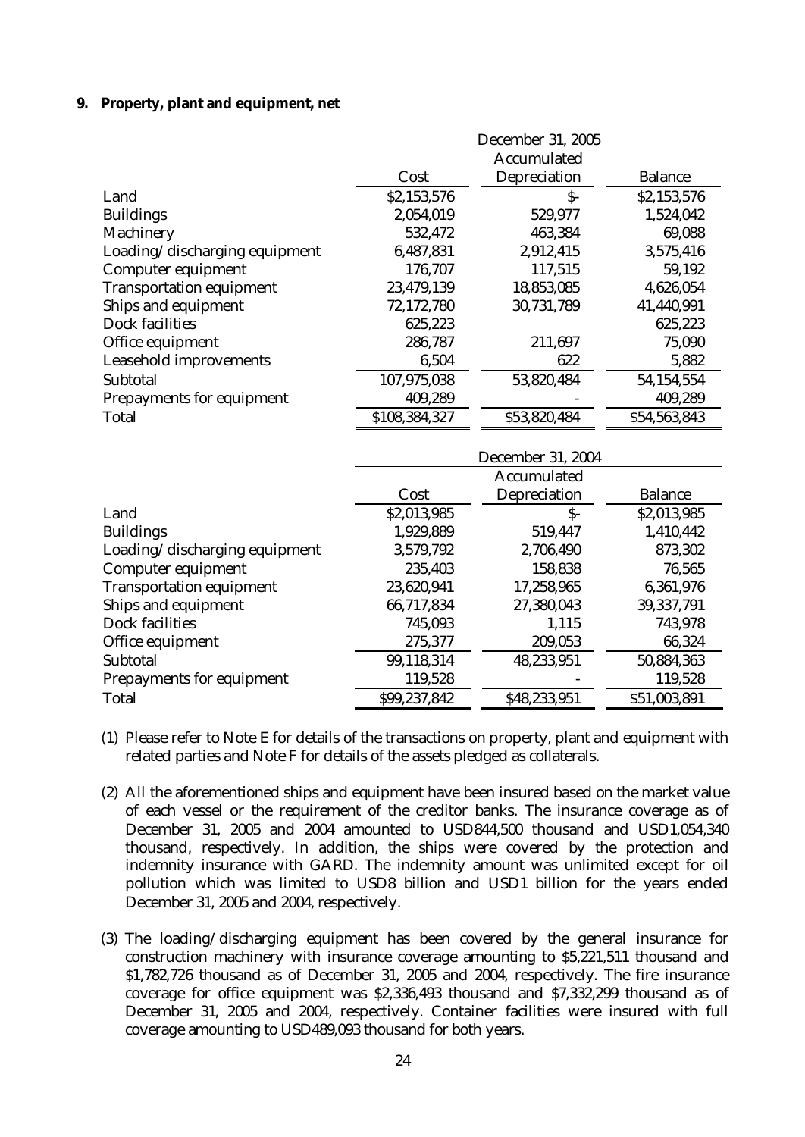#### **9. Property, plant and equipment, net**

|                                  | <b>December 31, 2005</b> |                          |                |  |
|----------------------------------|--------------------------|--------------------------|----------------|--|
|                                  |                          | <b>Accumulated</b>       |                |  |
|                                  | Cost                     | <b>Depreciation</b>      | <b>Balance</b> |  |
| Land                             | \$2,153,576              | $S-$                     | \$2,153,576    |  |
| <b>Buildings</b>                 | 2,054,019                | 529,977                  | 1,524,042      |  |
| <b>Machinery</b>                 | 532,472                  | 463,384                  | 69,088         |  |
| Loading/discharging equipment    | 6,487,831                | 2,912,415                | 3,575,416      |  |
| <b>Computer equipment</b>        | 176,707                  | 117,515                  | 59,192         |  |
| <b>Transportation equipment</b>  | 23,479,139               | 18,853,085               | 4,626,054      |  |
| <b>Ships and equipment</b>       | 72,172,780               | 30,731,789               | 41,440,991     |  |
| <b>Dock facilities</b>           | 625,223                  |                          | 625,223        |  |
| Office equipment                 | 286,787                  | 211,697                  | 75,090         |  |
| <b>Leasehold improvements</b>    | 6,504                    | 622                      | 5,882          |  |
| <b>Subtotal</b>                  | 107,975,038              | 53,820,484               | 54,154,554     |  |
| <b>Prepayments for equipment</b> | 409,289                  |                          | 409,289        |  |
| <b>Total</b>                     | \$108,384,327            | \$53,820,484             | \$54,563,843   |  |
|                                  |                          | <b>December 31, 2004</b> |                |  |
|                                  |                          | <b>Accumulated</b>       |                |  |
|                                  | Cost                     | <b>Depreciation</b>      | <b>Balance</b> |  |
| Land                             | \$2,013,985              | $\mathsf{S}$ -           | \$2,013,985    |  |
| <b>Buildings</b>                 | 1,929,889                | 519,447                  | 1,410,442      |  |
| Loading/discharging equipment    | 3,579,792                | 2,706,490                | 873,302        |  |
| <b>Computer equipment</b>        | 235,403                  | 158,838                  | 76,565         |  |
| <b>Transportation equipment</b>  | 23,620,941               | 17,258,965               | 6,361,976      |  |
| <b>Ships and equipment</b>       | 66,717,834               | 27,380,043               | 39,337,791     |  |
| <b>Dock facilities</b>           | 745,093                  | 1,115                    | 743,978        |  |
| Office equipment                 | 275,377                  | 209,053                  | 66,324         |  |
| <b>Subtotal</b>                  | 99,118,314               | 48,233,951               | 50,884,363     |  |
| <b>Prepayments for equipment</b> | 119,528                  |                          | 119,528        |  |

(1) Please refer to Note E for details of the transactions on property, plant and equipment with related parties and Note F for details of the assets pledged as collaterals.

Total \$99,237,842 \$48,233,951 \$51,003,891

- (2) All the aforementioned ships and equipment have been insured based on the market value of each vessel or the requirement of the creditor banks. The insurance coverage as of December 31, 2005 and 2004 amounted to USD844,500 thousand and USD1,054,340 thousand, respectively. In addition, the ships were covered by the protection and indemnity insurance with GARD. The indemnity amount was unlimited except for oil pollution which was limited to USD8 billion and USD1 billion for the years ended December 31, 2005 and 2004, respectively.
- (3) The loading/discharging equipment has been covered by the general insurance for construction machinery with insurance coverage amounting to \$5,221,511 thousand and \$1,782,726 thousand as of December 31, 2005 and 2004, respectively. The fire insurance coverage for office equipment was \$2,336,493 thousand and \$7,332,299 thousand as of December 31, 2005 and 2004, respectively. Container facilities were insured with full coverage amounting to USD489,093 thousand for both years.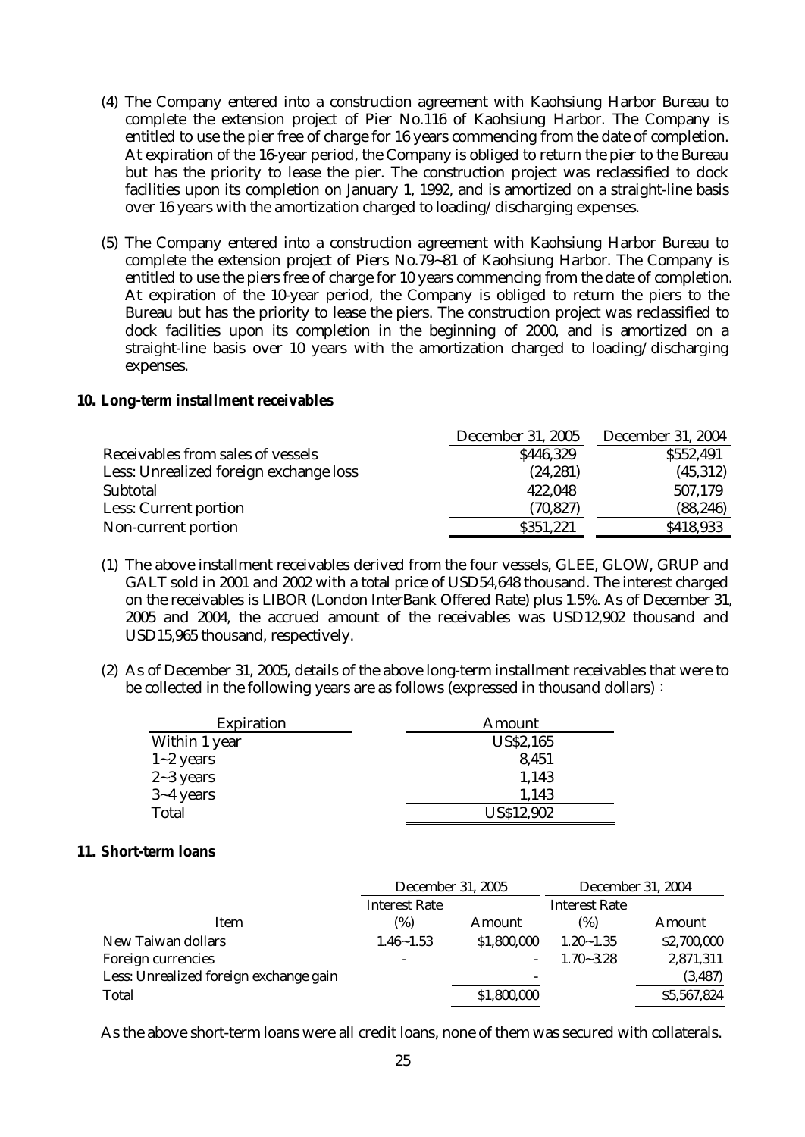- (4) The Company entered into a construction agreement with Kaohsiung Harbor Bureau to complete the extension project of Pier No.116 of Kaohsiung Harbor. The Company is entitled to use the pier free of charge for 16 years commencing from the date of completion. At expiration of the 16-year period, the Company is obliged to return the pier to the Bureau but has the priority to lease the pier. The construction project was reclassified to dock facilities upon its completion on January 1, 1992, and is amortized on a straight-line basis over 16 years with the amortization charged to loading/discharging expenses.
- (5) The Company entered into a construction agreement with Kaohsiung Harbor Bureau to complete the extension project of Piers No.79~81 of Kaohsiung Harbor. The Company is entitled to use the piers free of charge for 10 years commencing from the date of completion. At expiration of the 10-year period, the Company is obliged to return the piers to the Bureau but has the priority to lease the piers. The construction project was reclassified to dock facilities upon its completion in the beginning of 2000, and is amortized on a straight-line basis over 10 years with the amortization charged to loading/discharging expenses.

#### **10. Long-term installment receivables**

|                                        | <b>December 31, 2005</b> | <b>December 31, 2004</b> |
|----------------------------------------|--------------------------|--------------------------|
| Receivables from sales of vessels      | \$446,329                | \$552,491                |
| Less: Unrealized foreign exchange loss | (24, 281)                | (45, 312)                |
| <b>Subtotal</b>                        | 422,048                  | 507,179                  |
| <b>Less: Current portion</b>           | (70, 827)                | (88, 246)                |
| Non-current portion                    | \$351,221                | \$418,933                |

- (1) The above installment receivables derived from the four vessels, GLEE, GLOW, GRUP and GALT sold in 2001 and 2002 with a total price of USD54,648 thousand. The interest charged on the receivables is LIBOR (London InterBank Offered Rate) plus 1.5%. As of December 31, 2005 and 2004, the accrued amount of the receivables was USD12,902 thousand and USD15,965 thousand, respectively.
- (2) As of December 31, 2005, details of the above long-term installment receivables that were to be collected in the following years are as follows (expressed in thousand dollars):

| <b>Expiration</b> | Amount            |
|-------------------|-------------------|
| Within 1 year     | <b>US\$2,165</b>  |
| $1 - 2$ years     | 8,451             |
| $2 - 3$ years     | 1,143             |
| $3 - 4$ years     | 1,143             |
| <b>Total</b>      | <b>US\$12,902</b> |

#### **11. Short-term loans**

|                                        | <b>December 31, 2005</b> |                          | <b>December 31, 2004</b> |             |
|----------------------------------------|--------------------------|--------------------------|--------------------------|-------------|
|                                        | <b>Interest Rate</b>     |                          | <b>Interest Rate</b>     |             |
| Item                                   | (%)                      | Amount                   | (%)                      | Amount      |
| <b>New Taiwan dollars</b>              | $1.46 - 1.53$            | \$1,800,000              | $1.20 - 1.35$            | \$2,700,000 |
| <b>Foreign currencies</b>              | $\overline{\phantom{a}}$ |                          | $1.70 - 3.28$            | 2,871,311   |
| Less: Unrealized foreign exchange gain |                          | $\overline{\phantom{a}}$ |                          | (3, 487)    |
| <b>Total</b>                           |                          | \$1,800,000              |                          | \$5,567,824 |

As the above short-term loans were all credit loans, none of them was secured with collaterals.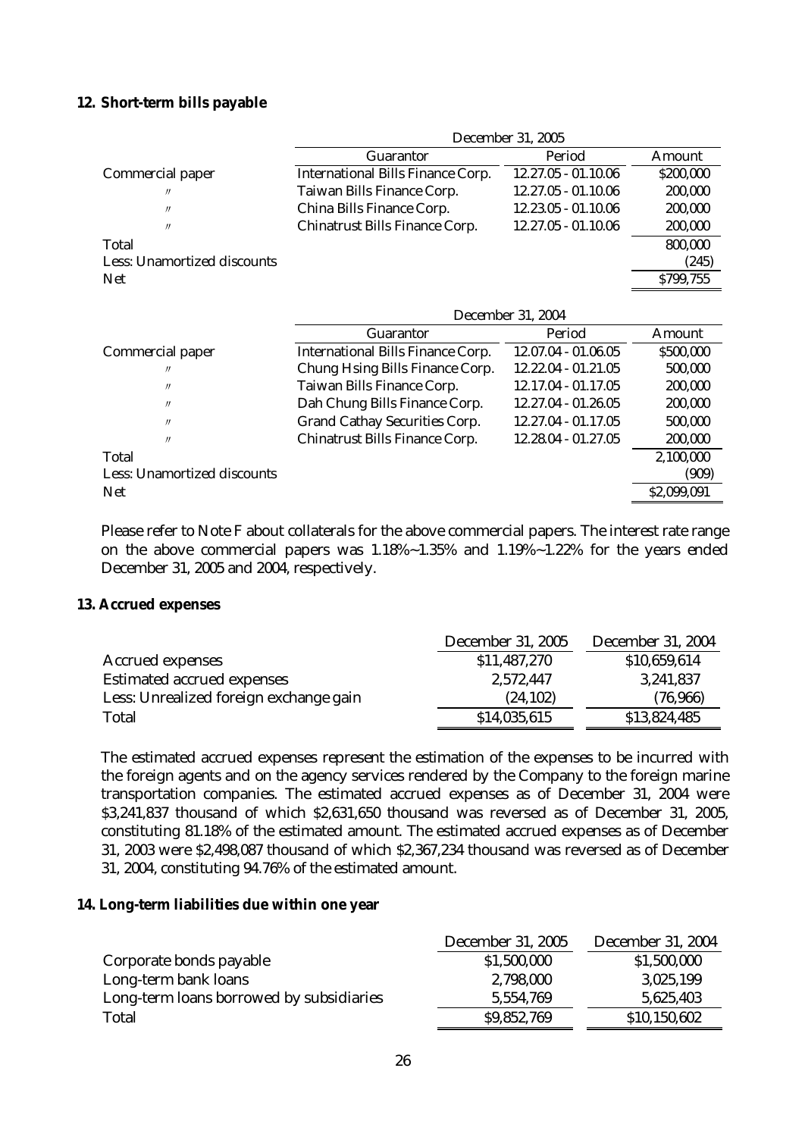## **12. Short-term bills payable**

|                                    | <b>December 31, 2005</b>                 |                       |               |  |
|------------------------------------|------------------------------------------|-----------------------|---------------|--|
|                                    | <b>Guarantor</b>                         | Period                | <b>Amount</b> |  |
| <b>Commercial paper</b>            | <b>International Bills Finance Corp.</b> | $12.27.05 - 01.10.06$ | \$200,000     |  |
| $^{\prime\prime}$                  | <b>Taiwan Bills Finance Corp.</b>        | $12.27.05 - 01.10.06$ | 200,000       |  |
| $^{\prime\prime}$                  | China Bills Finance Corp.                | $12.23.05 - 01.10.06$ | 200,000       |  |
| $^{\prime\prime}$                  | <b>Chinatrust Bills Finance Corp.</b>    | $12.27.05 - 01.10.06$ | 200,000       |  |
| <b>Total</b>                       |                                          |                       | 800,000       |  |
| <b>Less: Unamortized discounts</b> |                                          |                       | (245)         |  |
| <b>Net</b>                         |                                          |                       | \$799,755     |  |
|                                    |                                          |                       |               |  |

|                                    | <b>December 31, 2004</b>                 |                       |               |  |
|------------------------------------|------------------------------------------|-----------------------|---------------|--|
|                                    | <b>Guarantor</b>                         | Period                | <b>Amount</b> |  |
| <b>Commercial paper</b>            | <b>International Bills Finance Corp.</b> | $12.07.04 - 01.06.05$ | \$500,000     |  |
| $^{\prime\prime}$                  | <b>Chung Hsing Bills Finance Corp.</b>   | $12.22.04 - 01.21.05$ | 500,000       |  |
| $^{\prime\prime}$                  | <b>Taiwan Bills Finance Corp.</b>        | 12.17.04 - 01.17.05   | 200,000       |  |
| $^{\prime\prime}$                  | Dah Chung Bills Finance Corp.            | 12.27.04 - 01.26.05   | 200,000       |  |
| $^{\prime\prime}$                  | <b>Grand Cathay Securities Corp.</b>     | 12.27.04 - 01.17.05   | 500,000       |  |
| $^{\prime\prime}$                  | <b>Chinatrust Bills Finance Corp.</b>    | 12.28.04 - 01.27.05   | 200,000       |  |
| Total                              |                                          |                       | 2,100,000     |  |
| <b>Less: Unamortized discounts</b> |                                          |                       | (909)         |  |
| <b>Net</b>                         |                                          |                       | \$2,099,091   |  |

Please refer to Note F about collaterals for the above commercial papers. The interest rate range on the above commercial papers was 1.18%~1.35% and 1.19%~1.22% for the years ended December 31, 2005 and 2004, respectively.

#### **13. Accrued expenses**

|                                        | <b>December 31, 2005</b> | <b>December 31, 2004</b> |
|----------------------------------------|--------------------------|--------------------------|
| <b>Accrued expenses</b>                | \$11,487,270             | \$10,659,614             |
| <b>Estimated accrued expenses</b>      | 2,572,447                | 3,241,837                |
| Less: Unrealized foreign exchange gain | (24, 102)                | (76,966)                 |
| <b>Total</b>                           | \$14,035,615             | \$13,824,485             |

The estimated accrued expenses represent the estimation of the expenses to be incurred with the foreign agents and on the agency services rendered by the Company to the foreign marine transportation companies. The estimated accrued expenses as of December 31, 2004 were \$3,241,837 thousand of which \$2,631,650 thousand was reversed as of December 31, 2005, constituting 81.18% of the estimated amount. The estimated accrued expenses as of December 31, 2003 were \$2,498,087 thousand of which \$2,367,234 thousand was reversed as of December 31, 2004, constituting 94.76% of the estimated amount.

#### **14. Long-term liabilities due within one year**

|                                          | <b>December 31, 2005</b> | <b>December 31, 2004</b> |
|------------------------------------------|--------------------------|--------------------------|
| Corporate bonds payable                  | \$1,500,000              | \$1,500,000              |
| Long-term bank loans                     | 2,798,000                | 3,025,199                |
| Long-term loans borrowed by subsidiaries | 5,554,769                | 5,625,403                |
| <b>Total</b>                             | \$9,852,769              | \$10,150,602             |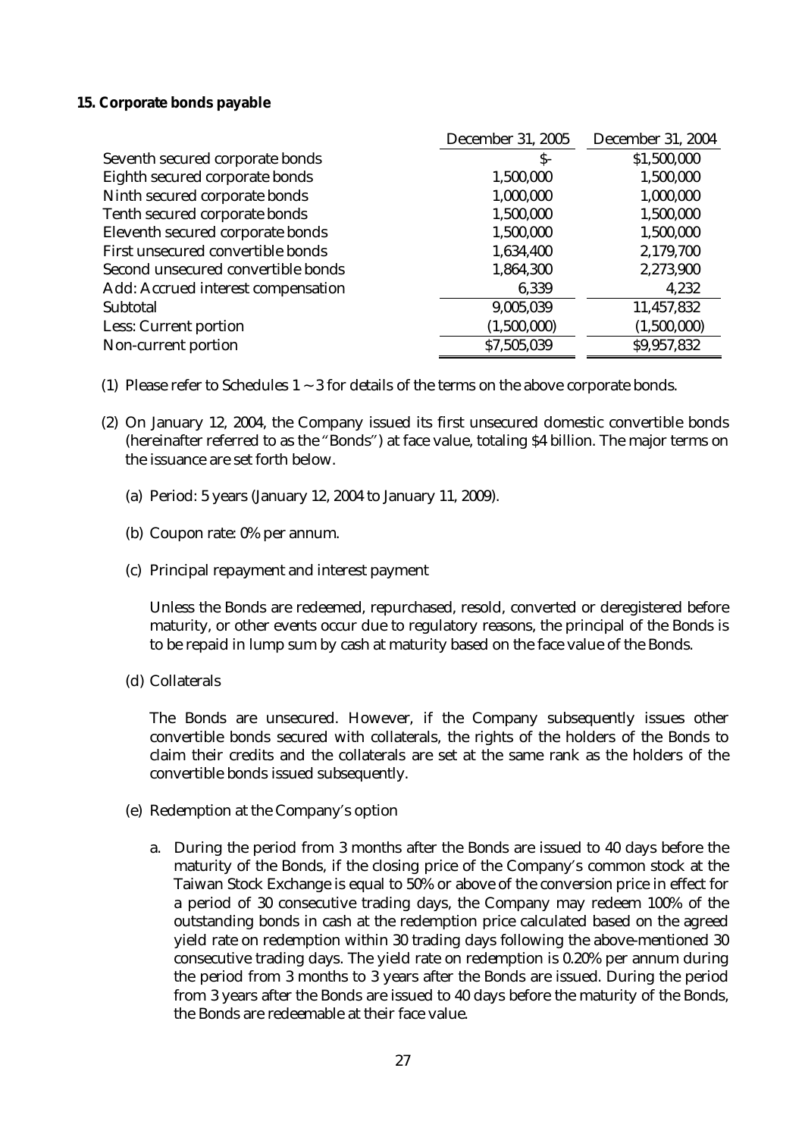## **15. Corporate bonds payable**

|                                    | <b>December 31, 2005</b> | <b>December 31, 2004</b> |
|------------------------------------|--------------------------|--------------------------|
| Seventh secured corporate bonds    | S-                       | \$1,500,000              |
| Eighth secured corporate bonds     | 1,500,000                | 1,500,000                |
| Ninth secured corporate bonds      | 1,000,000                | 1,000,000                |
| Tenth secured corporate bonds      | 1,500,000                | 1,500,000                |
| Eleventh secured corporate bonds   | 1,500,000                | 1,500,000                |
| First unsecured convertible bonds  | 1,634,400                | 2,179,700                |
| Second unsecured convertible bonds | 1,864,300                | 2,273,900                |
| Add: Accrued interest compensation | 6,339                    | 4,232                    |
| <b>Subtotal</b>                    | 9,005,039                | 11,457,832               |
| <b>Less: Current portion</b>       | (1,500,000)              | (1,500,000)              |
| Non-current portion                | \$7,505,039              | \$9,957,832              |

- (1) Please refer to Schedules  $1 \sim 3$  for details of the terms on the above corporate bonds.
- (2) On January 12, 2004, the Company issued its first unsecured domestic convertible bonds (hereinafter referred to as the "Bonds") at face value, totaling \$4 billion. The major terms on the issuance are set forth below.
	- (a) Period: 5 years (January 12, 2004 to January 11, 2009).
	- (b) Coupon rate: 0% per annum.
	- (c) Principal repayment and interest payment

Unless the Bonds are redeemed, repurchased, resold, converted or deregistered before maturity, or other events occur due to regulatory reasons, the principal of the Bonds is to be repaid in lump sum by cash at maturity based on the face value of the Bonds.

(d) Collaterals

The Bonds are unsecured. However, if the Company subsequently issues other convertible bonds secured with collaterals, the rights of the holders of the Bonds to claim their credits and the collaterals are set at the same rank as the holders of the convertible bonds issued subsequently.

- (e) Redemption at the Company's option
	- a. During the period from 3 months after the Bonds are issued to 40 days before the maturity of the Bonds, if the closing price of the Company's common stock at the Taiwan Stock Exchange is equal to 50% or above of the conversion price in effect for a period of 30 consecutive trading days, the Company may redeem 100% of the outstanding bonds in cash at the redemption price calculated based on the agreed yield rate on redemption within 30 trading days following the above-mentioned 30 consecutive trading days. The yield rate on redemption is 0.20% per annum during the period from 3 months to 3 years after the Bonds are issued. During the period from 3 years after the Bonds are issued to 40 days before the maturity of the Bonds, the Bonds are redeemable at their face value.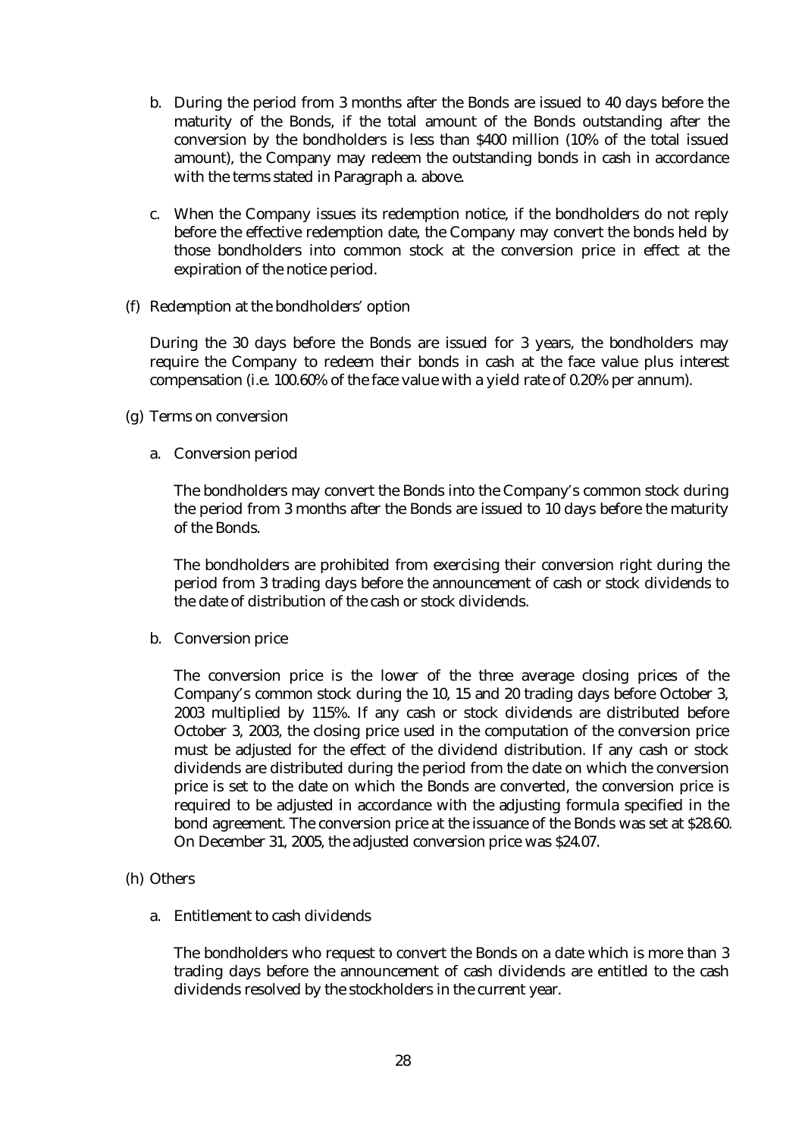- b. During the period from 3 months after the Bonds are issued to 40 days before the maturity of the Bonds, if the total amount of the Bonds outstanding after the conversion by the bondholders is less than \$400 million (10% of the total issued amount), the Company may redeem the outstanding bonds in cash in accordance with the terms stated in Paragraph a. above.
- c. When the Company issues its redemption notice, if the bondholders do not reply before the effective redemption date, the Company may convert the bonds held by those bondholders into common stock at the conversion price in effect at the expiration of the notice period.
- (f) Redemption at the bondholders' option

During the 30 days before the Bonds are issued for 3 years, the bondholders may require the Company to redeem their bonds in cash at the face value plus interest compensation (i.e. 100.60% of the face value with a yield rate of 0.20% per annum).

- (g) Terms on conversion
	- a. Conversion period

The bondholders may convert the Bonds into the Company's common stock during the period from 3 months after the Bonds are issued to 10 days before the maturity of the Bonds.

The bondholders are prohibited from exercising their conversion right during the period from 3 trading days before the announcement of cash or stock dividends to the date of distribution of the cash or stock dividends.

b. Conversion price

The conversion price is the lower of the three average closing prices of the Company's common stock during the 10, 15 and 20 trading days before October 3, 2003 multiplied by 115%. If any cash or stock dividends are distributed before October 3, 2003, the closing price used in the computation of the conversion price must be adjusted for the effect of the dividend distribution. If any cash or stock dividends are distributed during the period from the date on which the conversion price is set to the date on which the Bonds are converted, the conversion price is required to be adjusted in accordance with the adjusting formula specified in the bond agreement. The conversion price at the issuance of the Bonds was set at \$28.60. On December 31, 2005, the adjusted conversion price was \$24.07.

- (h) Others
	- a. Entitlement to cash dividends

The bondholders who request to convert the Bonds on a date which is more than 3 trading days before the announcement of cash dividends are entitled to the cash dividends resolved by the stockholders in the current year.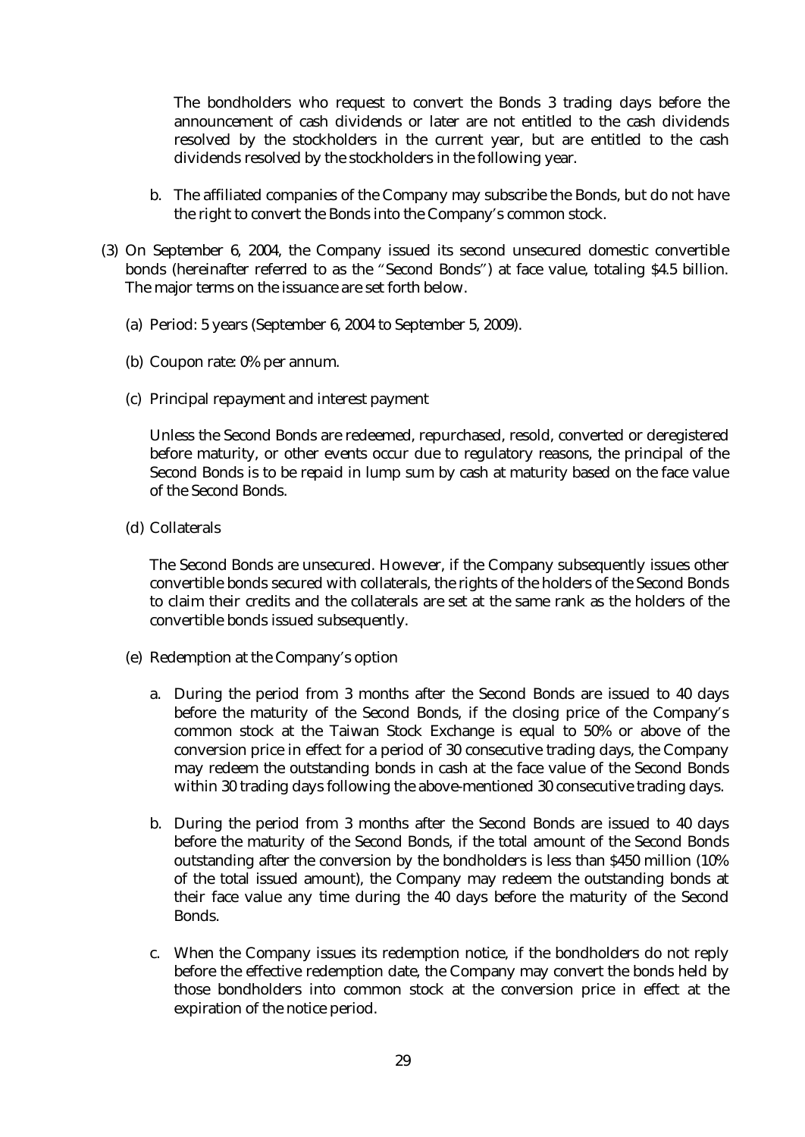The bondholders who request to convert the Bonds 3 trading days before the announcement of cash dividends or later are not entitled to the cash dividends resolved by the stockholders in the current year, but are entitled to the cash dividends resolved by the stockholders in the following year.

- b. The affiliated companies of the Company may subscribe the Bonds, but do not have the right to convert the Bonds into the Company's common stock.
- (3) On September 6, 2004, the Company issued its second unsecured domestic convertible bonds (hereinafter referred to as the "Second Bonds") at face value, totaling \$4.5 billion. The major terms on the issuance are set forth below.
	- (a) Period: 5 years (September 6, 2004 to September 5, 2009).
	- (b) Coupon rate: 0% per annum.
	- (c) Principal repayment and interest payment

Unless the Second Bonds are redeemed, repurchased, resold, converted or deregistered before maturity, or other events occur due to regulatory reasons, the principal of the Second Bonds is to be repaid in lump sum by cash at maturity based on the face value of the Second Bonds.

(d) Collaterals

The Second Bonds are unsecured. However, if the Company subsequently issues other convertible bonds secured with collaterals, the rights of the holders of the Second Bonds to claim their credits and the collaterals are set at the same rank as the holders of the convertible bonds issued subsequently.

- (e) Redemption at the Company's option
	- a. During the period from 3 months after the Second Bonds are issued to 40 days before the maturity of the Second Bonds, if the closing price of the Company's common stock at the Taiwan Stock Exchange is equal to 50% or above of the conversion price in effect for a period of 30 consecutive trading days, the Company may redeem the outstanding bonds in cash at the face value of the Second Bonds within 30 trading days following the above-mentioned 30 consecutive trading days.
	- b. During the period from 3 months after the Second Bonds are issued to 40 days before the maturity of the Second Bonds, if the total amount of the Second Bonds outstanding after the conversion by the bondholders is less than \$450 million (10% of the total issued amount), the Company may redeem the outstanding bonds at their face value any time during the 40 days before the maturity of the Second Bonds.
	- c. When the Company issues its redemption notice, if the bondholders do not reply before the effective redemption date, the Company may convert the bonds held by those bondholders into common stock at the conversion price in effect at the expiration of the notice period.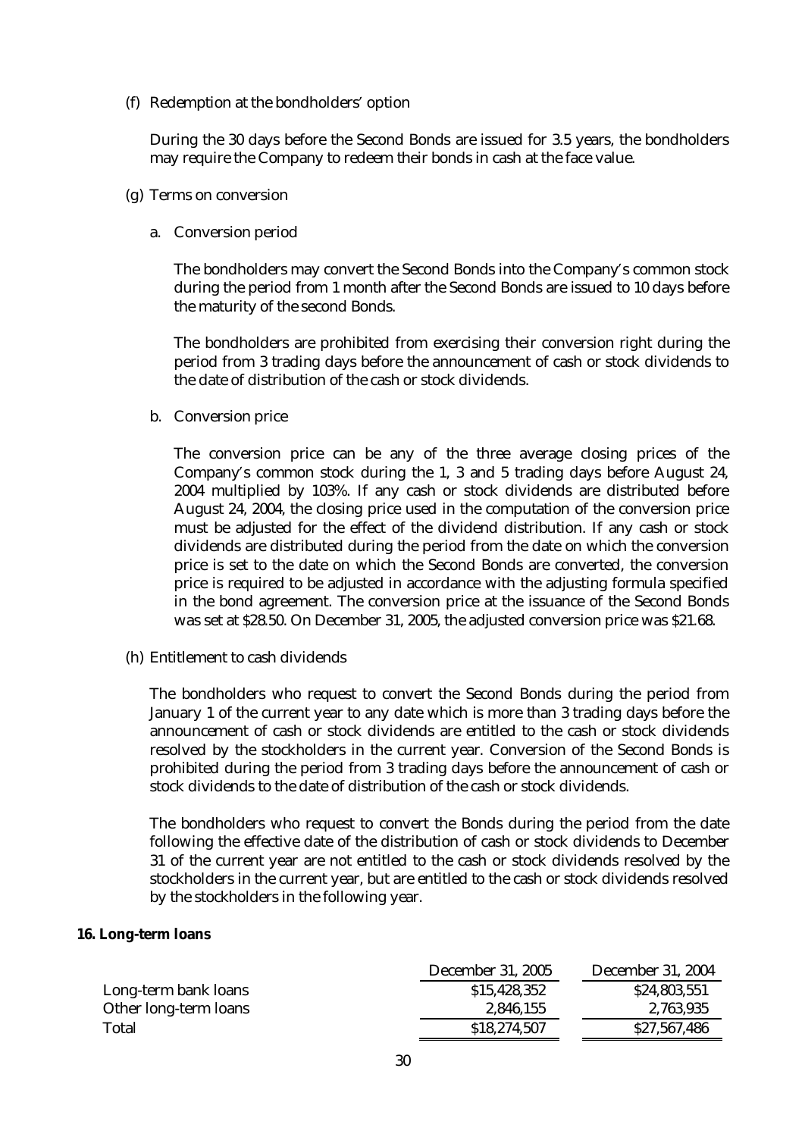(f) Redemption at the bondholders' option

During the 30 days before the Second Bonds are issued for 3.5 years, the bondholders may require the Company to redeem their bonds in cash at the face value.

- (g) Terms on conversion
	- a. Conversion period

The bondholders may convert the Second Bonds into the Company's common stock during the period from 1 month after the Second Bonds are issued to 10 days before the maturity of the second Bonds.

The bondholders are prohibited from exercising their conversion right during the period from 3 trading days before the announcement of cash or stock dividends to the date of distribution of the cash or stock dividends.

b. Conversion price

The conversion price can be any of the three average closing prices of the Company's common stock during the 1, 3 and 5 trading days before August 24, 2004 multiplied by 103%. If any cash or stock dividends are distributed before August 24, 2004, the closing price used in the computation of the conversion price must be adjusted for the effect of the dividend distribution. If any cash or stock dividends are distributed during the period from the date on which the conversion price is set to the date on which the Second Bonds are converted, the conversion price is required to be adjusted in accordance with the adjusting formula specified in the bond agreement. The conversion price at the issuance of the Second Bonds was set at \$28.50. On December 31, 2005, the adjusted conversion price was \$21.68.

(h) Entitlement to cash dividends

The bondholders who request to convert the Second Bonds during the period from January 1 of the current year to any date which is more than 3 trading days before the announcement of cash or stock dividends are entitled to the cash or stock dividends resolved by the stockholders in the current year. Conversion of the Second Bonds is prohibited during the period from 3 trading days before the announcement of cash or stock dividends to the date of distribution of the cash or stock dividends.

The bondholders who request to convert the Bonds during the period from the date following the effective date of the distribution of cash or stock dividends to December 31 of the current year are not entitled to the cash or stock dividends resolved by the stockholders in the current year, but are entitled to the cash or stock dividends resolved by the stockholders in the following year.

#### **16. Long-term loans**

|                       | <b>December 31, 2005</b> | <b>December 31, 2004</b> |
|-----------------------|--------------------------|--------------------------|
| Long-term bank loans  | \$15,428,352             | \$24,803,551             |
| Other long-term loans | 2,846,155                | 2,763,935                |
| <b>Total</b>          | \$18,274,507             | \$27,567,486             |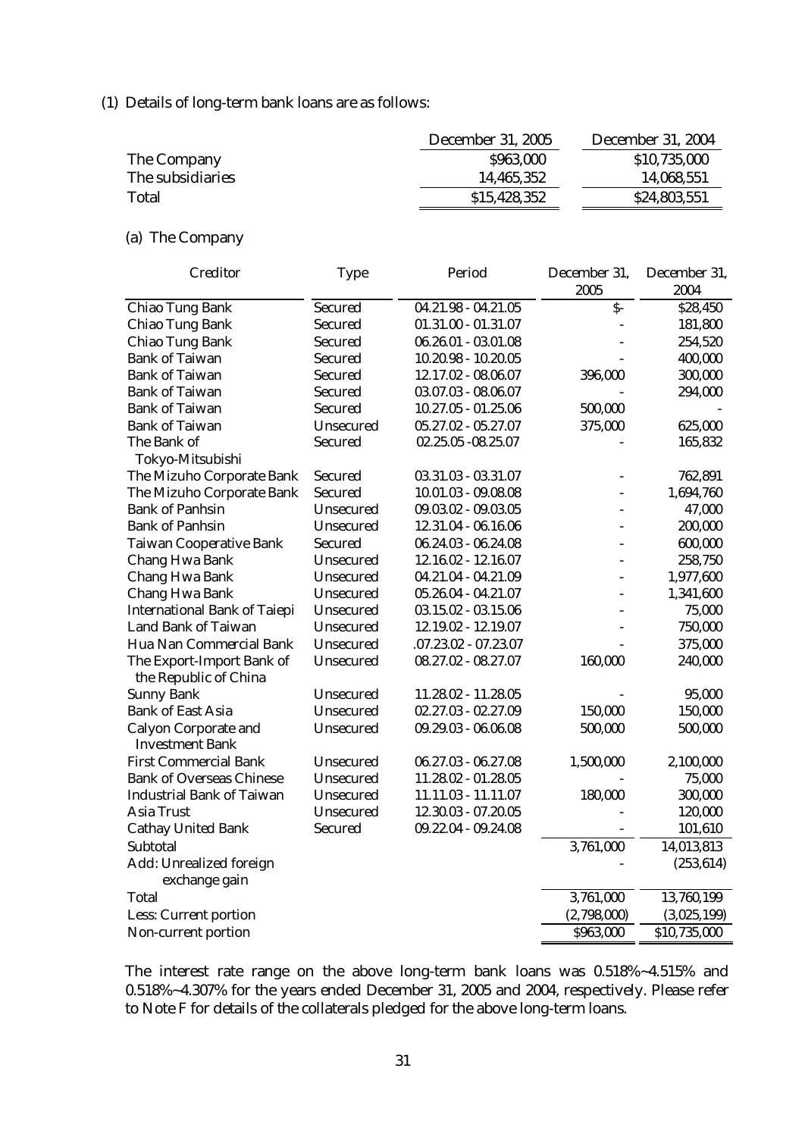(1) Details of long-term bank loans are as follows:

|                  | <b>December 31, 2005</b> | <b>December 31, 2004</b> |
|------------------|--------------------------|--------------------------|
| The Company      | \$963,000                | \$10,735,000             |
| The subsidiaries | 14,465,352               | 14,068,551               |
| <b>Total</b>     | \$15,428,352             | \$24,803,551             |

# (a) The Company

| <b>Creditor</b>                     | <b>Type</b>      | Period                 | December 31,   | December 31, |
|-------------------------------------|------------------|------------------------|----------------|--------------|
|                                     |                  |                        | 2005           | 2004         |
| <b>Chiao Tung Bank</b>              | <b>Secured</b>   | $04.21.98 - 04.21.05$  | $\mathsf{S}$ - | \$28,450     |
| <b>Chiao Tung Bank</b>              | <b>Secured</b>   | $01.31.00 - 01.31.07$  |                | 181,800      |
| <b>Chiao Tung Bank</b>              | <b>Secured</b>   | $06.26.01 - 03.01.08$  |                | 254,520      |
| <b>Bank of Taiwan</b>               | <b>Secured</b>   | $10.20.98 - 10.20.05$  |                | 400,000      |
| <b>Bank of Taiwan</b>               | <b>Secured</b>   | 12.17.02 - 08.06.07    | 396,000        | 300,000      |
| <b>Bank of Taiwan</b>               | <b>Secured</b>   | $03.07.03 - 08.06.07$  |                | 294,000      |
| <b>Bank of Taiwan</b>               | <b>Secured</b>   | $10.27.05 - 01.25.06$  | 500,000        |              |
| <b>Bank of Taiwan</b>               | <b>Unsecured</b> | $05.27.02 - 05.27.07$  | 375,000        | 625,000      |
| The Bank of                         | <b>Secured</b>   | 02.25.05 - 08.25.07    |                | 165,832      |
| Tokyo-Mitsubishi                    |                  |                        |                |              |
| The Mizuho Corporate Bank           | <b>Secured</b>   | $03.31.03 - 03.31.07$  | L,             | 762,891      |
| The Mizuho Corporate Bank           | <b>Secured</b>   | $10.01.03 - 09.08.08$  |                | 1,694,760    |
| <b>Bank of Panhsin</b>              | <b>Unsecured</b> | $09.03.02 - 09.03.05$  |                | 47,000       |
| <b>Bank of Panhsin</b>              | <b>Unsecured</b> | 12.31.04 - 06.16.06    |                | 200,000      |
| <b>Taiwan Cooperative Bank</b>      | <b>Secured</b>   | $06.24.03 - 06.24.08$  |                | 600,000      |
| <b>Chang Hwa Bank</b>               | <b>Unsecured</b> | 12.16.02 - 12.16.07    | ٠              | 258,750      |
| <b>Chang Hwa Bank</b>               | <b>Unsecured</b> | 04.21.04 - 04.21.09    |                | 1,977,600    |
| <b>Chang Hwa Bank</b>               | <b>Unsecured</b> | 05.26.04 - 04.21.07    |                | 1,341,600    |
| <b>International Bank of Taiepi</b> | <b>Unsecured</b> | $03.15.02 - 03.15.06$  |                | 75,000       |
| <b>Land Bank of Taiwan</b>          | <b>Unsecured</b> | 12.19.02 - 12.19.07    |                | 750,000      |
| Hua Nan Commercial Bank             | <b>Unsecured</b> | $.07.23.02 - 07.23.07$ |                | 375,000      |
| The Export-Import Bank of           | <b>Unsecured</b> | 08.27.02 - 08.27.07    | 160,000        | 240,000      |
| the Republic of China               |                  |                        |                |              |
| <b>Sunny Bank</b>                   | <b>Unsecured</b> | 11.28.02 - 11.28.05    |                | 95,000       |
| <b>Bank of East Asia</b>            | <b>Unsecured</b> | $02.27.03 - 02.27.09$  | 150,000        | 150,000      |
| <b>Calyon Corporate and</b>         | <b>Unsecured</b> | $09.29.03 - 06.06.08$  | 500,000        | 500,000      |
| <b>Investment Bank</b>              |                  |                        |                |              |
| <b>First Commercial Bank</b>        | <b>Unsecured</b> | $06.27.03 - 06.27.08$  | 1,500,000      | 2,100,000    |
| <b>Bank of Overseas Chinese</b>     | <b>Unsecured</b> | 11.28.02 - 01.28.05    |                | 75,000       |
| <b>Industrial Bank of Taiwan</b>    | <b>Unsecured</b> | 11.11.03 - 11.11.07    | 180,000        | 300,000      |
| <b>Asia Trust</b>                   | <b>Unsecured</b> | 12.30.03 - 07.20.05    |                | 120,000      |
| <b>Cathay United Bank</b>           | <b>Secured</b>   | 09.22.04 - 09.24.08    |                | 101,610      |
| Subtotal                            |                  |                        | 3,761,000      | 14,013,813   |
| <b>Add: Unrealized foreign</b>      |                  |                        |                | (253, 614)   |
| exchange gain                       |                  |                        |                |              |
| <b>Total</b>                        |                  |                        | 3,761,000      | 13,760,199   |
| <b>Less: Current portion</b>        |                  |                        | (2,798,000)    | (3,025,199)  |
| Non-current portion                 |                  |                        | \$963,000      | \$10,735,000 |

The interest rate range on the above long-term bank loans was 0.518%~4.515% and 0.518%~4.307% for the years ended December 31, 2005 and 2004, respectively. Please refer to Note F for details of the collaterals pledged for the above long-term loans.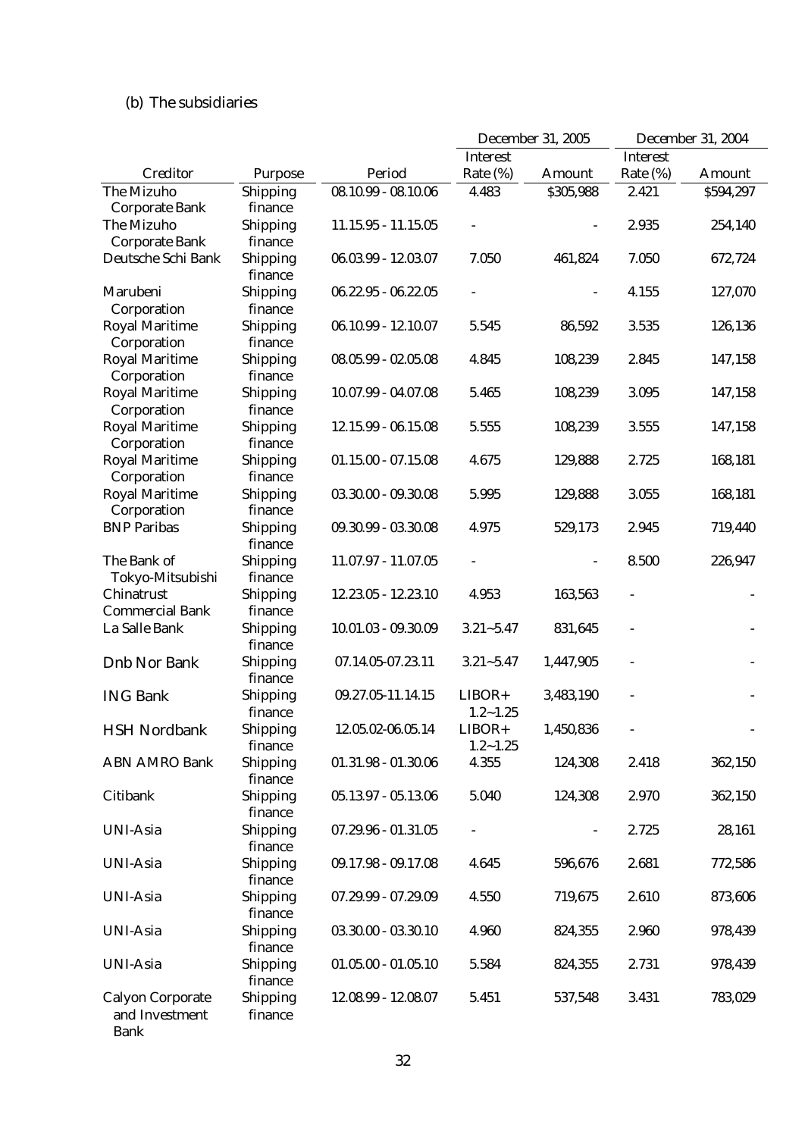# (b) The subsidiaries

|                                       |                            |                       | <b>December 31, 2005</b> |               | <b>December 31, 2004</b> |               |
|---------------------------------------|----------------------------|-----------------------|--------------------------|---------------|--------------------------|---------------|
|                                       |                            |                       | <b>Interest</b>          |               | <b>Interest</b>          |               |
| <b>Creditor</b>                       | <b>Purpose</b>             | Period                | Rate (%)                 | <b>Amount</b> | Rate (%)                 | <b>Amount</b> |
| <b>The Mizuho</b>                     | Shipping                   | $08.10.99 - 08.10.06$ | 4.483                    | \$305,988     | 2.421                    | \$594,297     |
| <b>Corporate Bank</b>                 | finance                    |                       |                          |               |                          |               |
| The Mizuho                            | <b>Shipping</b>            | $11.15.95 - 11.15.05$ |                          |               | 2.935                    | 254,140       |
| <b>Corporate Bank</b>                 | finance                    |                       |                          |               |                          |               |
| Deutsche Schi Bank                    | <b>Shipping</b>            | $06.03.99 - 12.03.07$ | 7.050                    | 461,824       | 7.050                    | 672,724       |
|                                       | finance                    |                       |                          |               |                          |               |
| Marubeni                              | <b>Shipping</b>            | $06.22.95 - 06.22.05$ |                          |               | 4.155                    | 127,070       |
| Corporation                           | finance                    |                       |                          |               |                          |               |
| <b>Royal Maritime</b>                 | <b>Shipping</b>            | $06.10.99 - 12.10.07$ | 5.545                    | 86,592        | 3.535                    | 126,136       |
| Corporation                           | finance                    |                       |                          |               |                          |               |
| <b>Royal Maritime</b>                 | <b>Shipping</b>            | $08.05.99 - 02.05.08$ | 4.845                    | 108,239       | 2.845                    | 147,158       |
| Corporation                           | finance                    |                       |                          |               |                          |               |
| <b>Royal Maritime</b>                 | <b>Shipping</b>            | 10.07.99 - 04.07.08   | 5.465                    | 108,239       | 3.095                    | 147,158       |
| Corporation                           | finance                    |                       |                          |               |                          |               |
| <b>Royal Maritime</b>                 | <b>Shipping</b>            | 12.15.99 - 06.15.08   | 5.555                    | 108,239       | 3.555                    | 147,158       |
| Corporation                           | finance                    |                       |                          |               |                          |               |
| <b>Royal Maritime</b>                 | <b>Shipping</b>            | $01.15.00 - 07.15.08$ | 4.675                    | 129,888       | 2.725                    | 168,181       |
| Corporation                           | finance                    |                       |                          |               |                          |               |
| <b>Royal Maritime</b>                 | <b>Shipping</b>            | $03.30.00 - 09.30.08$ | 5.995                    | 129,888       | 3.055                    | 168,181       |
| Corporation                           | finance                    |                       |                          |               |                          |               |
| <b>BNP Paribas</b>                    | <b>Shipping</b>            | 09.30.99 - 03.30.08   | 4.975                    | 529,173       | 2.945                    | 719,440       |
|                                       | finance                    |                       |                          |               |                          |               |
| The Bank of                           | <b>Shipping</b>            | $11.07.97 - 11.07.05$ |                          |               | 8.500                    | 226,947       |
| Tokyo-Mitsubishi<br><b>Chinatrust</b> | finance                    | 12.23.05 - 12.23.10   | 4.953                    | 163,563       |                          |               |
| <b>Commercial Bank</b>                | <b>Shipping</b><br>finance |                       |                          |               |                          |               |
| La Salle Bank                         | <b>Shipping</b>            | $10.01.03 - 09.30.09$ | $3.21 - 5.47$            | 831,645       |                          |               |
|                                       | finance                    |                       |                          |               |                          |               |
| <b>Dnb Nor Bank</b>                   | <b>Shipping</b>            | 07.14.05-07.23.11     | $3.21 - 5.47$            | 1,447,905     |                          |               |
|                                       | finance                    |                       |                          |               |                          |               |
| <b>ING Bank</b>                       | <b>Shipping</b>            | 09.27.05-11.14.15     | $LIBOR+$                 | 3,483,190     |                          |               |
|                                       | finance                    |                       | $1.2 - 1.25$             |               |                          |               |
| <b>HSH Nordbank</b>                   | <b>Shipping</b>            | 12.05.02-06.05.14     | $LIBOR+$                 | 1,450,836     |                          |               |
|                                       | finance                    |                       | $1.2 - 1.25$             |               |                          |               |
| <b>ABN AMRO Bank</b>                  | <b>Shipping</b>            | $01.31.98 - 01.30.06$ | 4.355                    | 124,308       | 2.418                    | 362,150       |
|                                       | finance                    |                       |                          |               |                          |               |
| <b>Citibank</b>                       | Shipping                   | $05.13.97 - 05.13.06$ | 5.040                    | 124,308       | 2.970                    | 362,150       |
|                                       | finance                    |                       |                          |               |                          |               |
| <b>UNI-Asia</b>                       | Shipping                   | $07.29.96 - 01.31.05$ |                          |               | 2.725                    | 28,161        |
|                                       | finance                    |                       |                          |               |                          |               |
| <b>UNI-Asia</b>                       | <b>Shipping</b>            | 09.17.98 - 09.17.08   | 4.645                    | 596,676       | 2.681                    | 772,586       |
|                                       | finance                    |                       |                          |               |                          |               |
| <b>UNI-Asia</b>                       | <b>Shipping</b>            | 07.29.99 - 07.29.09   | 4.550                    | 719,675       | 2.610                    | 873,606       |
|                                       | finance                    |                       |                          |               |                          |               |
| <b>UNI-Asia</b>                       | <b>Shipping</b>            | $03.30.00 - 03.30.10$ | 4.960                    | 824,355       | 2.960                    | 978,439       |
|                                       | finance                    |                       |                          |               |                          |               |
| <b>UNI-Asia</b>                       | <b>Shipping</b>            | $01.05.00 - 01.05.10$ | 5.584                    | 824,355       | 2.731                    | 978,439       |
|                                       | finance                    |                       |                          |               |                          |               |
| <b>Calyon Corporate</b>               | <b>Shipping</b>            | 12.08.99 - 12.08.07   | 5.451                    | 537,548       | 3.431                    | 783,029       |
| and Investment                        | finance                    |                       |                          |               |                          |               |
| <b>Bank</b>                           |                            |                       |                          |               |                          |               |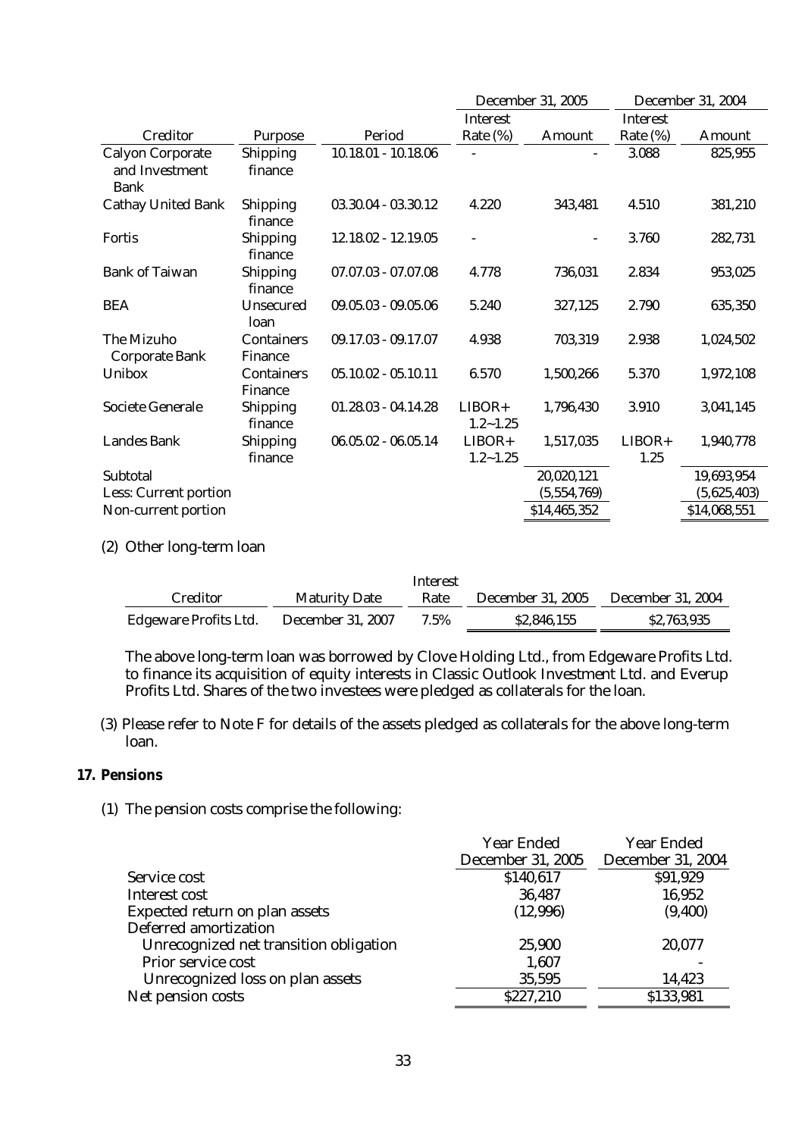|                                                          |                                     |                       | <b>December 31, 2005</b> |              | <b>December 31, 2004</b> |               |
|----------------------------------------------------------|-------------------------------------|-----------------------|--------------------------|--------------|--------------------------|---------------|
|                                                          |                                     |                       | <b>Interest</b>          |              | <b>Interest</b>          |               |
| <b>Creditor</b>                                          | <b>Purpose</b>                      | Period                | Rate (%)                 | Amount       | Rate $(\%)$              | <b>Amount</b> |
| <b>Calyon Corporate</b><br>and Investment<br><b>Bank</b> | <b>Shipping</b><br>finance          | $10.18.01 - 10.18.06$ |                          |              | 3.088                    | 825,955       |
| <b>Cathay United Bank</b>                                | <b>Shipping</b><br>finance          | 03.30.04 - 03.30.12   | 4.220                    | 343,481      | 4.510                    | 381,210       |
| <b>Fortis</b>                                            | <b>Shipping</b><br>finance          | 12.18.02 - 12.19.05   |                          |              | 3.760                    | 282,731       |
| <b>Bank of Taiwan</b>                                    | <b>Shipping</b><br>finance          | $07.07.03 - 07.07.08$ | 4.778                    | 736,031      | 2.834                    | 953,025       |
| <b>BEA</b>                                               | <b>Unsecured</b><br>loan            | $09.05.03 - 09.05.06$ | 5.240                    | 327,125      | 2.790                    | 635,350       |
| <b>The Mizuho</b><br><b>Corporate Bank</b>               | <b>Containers</b><br><b>Finance</b> | $09.17.03 - 09.17.07$ | 4.938                    | 703,319      | 2.938                    | 1,024,502     |
| <b>Unibox</b>                                            | <b>Containers</b><br><b>Finance</b> | $05.10.02 - 05.10.11$ | 6.570                    | 1,500,266    | 5.370                    | 1,972,108     |
| <b>Societe Generale</b>                                  | <b>Shipping</b><br>finance          | $01.28.03 - 04.14.28$ | $LIBOR+$<br>$1.2 - 1.25$ | 1,796,430    | 3.910                    | 3,041,145     |
| <b>Landes Bank</b>                                       | <b>Shipping</b><br>finance          | $06.05.02 - 06.05.14$ | $LIBOR+$<br>$1.2 - 1.25$ | 1,517,035    | $LIBOR+$<br>1.25         | 1,940,778     |
| <b>Subtotal</b>                                          |                                     |                       |                          | 20,020,121   |                          | 19,693,954    |
| <b>Less: Current portion</b>                             |                                     |                       |                          | (5,554,769)  |                          | (5,625,403)   |
| <b>Non-current portion</b>                               |                                     |                       |                          | \$14,465,352 |                          | \$14,068,551  |

## (2) Other long-term loan

|                              |                          | Interest |                          |                          |
|------------------------------|--------------------------|----------|--------------------------|--------------------------|
| <b>Creditor</b>              | <b>Maturity Date</b>     | Rate     | <b>December 31, 2005</b> | <b>December 31, 2004</b> |
| <b>Edgeware Profits Ltd.</b> | <b>December 31, 2007</b> | 7.5%     | \$2,846,155              | \$2,763,935              |

The above long-term loan was borrowed by Clove Holding Ltd., from Edgeware Profits Ltd. to finance its acquisition of equity interests in Classic Outlook Investment Ltd. and Everup Profits Ltd. Shares of the two investees were pledged as collaterals for the loan.

(3) Please refer to Note F for details of the assets pledged as collaterals for the above long-term loan.

# **17. Pensions**

## (1) The pension costs comprise the following:

|                                        | <b>Year Ended</b>        | <b>Year Ended</b>        |
|----------------------------------------|--------------------------|--------------------------|
|                                        | <b>December 31, 2005</b> | <b>December 31, 2004</b> |
| Service cost                           | \$140,617                | \$91,929                 |
| Interest cost                          | 36,487                   | 16,952                   |
| <b>Expected return on plan assets</b>  | (12,996)                 | (9,400)                  |
| <b>Deferred amortization</b>           |                          |                          |
| Unrecognized net transition obligation | 25,900                   | 20,077                   |
| <b>Prior service cost</b>              | 1,607                    |                          |
| Unrecognized loss on plan assets       | 35,595                   | 14,423                   |
| Net pension costs                      | \$227,210                | \$133,981                |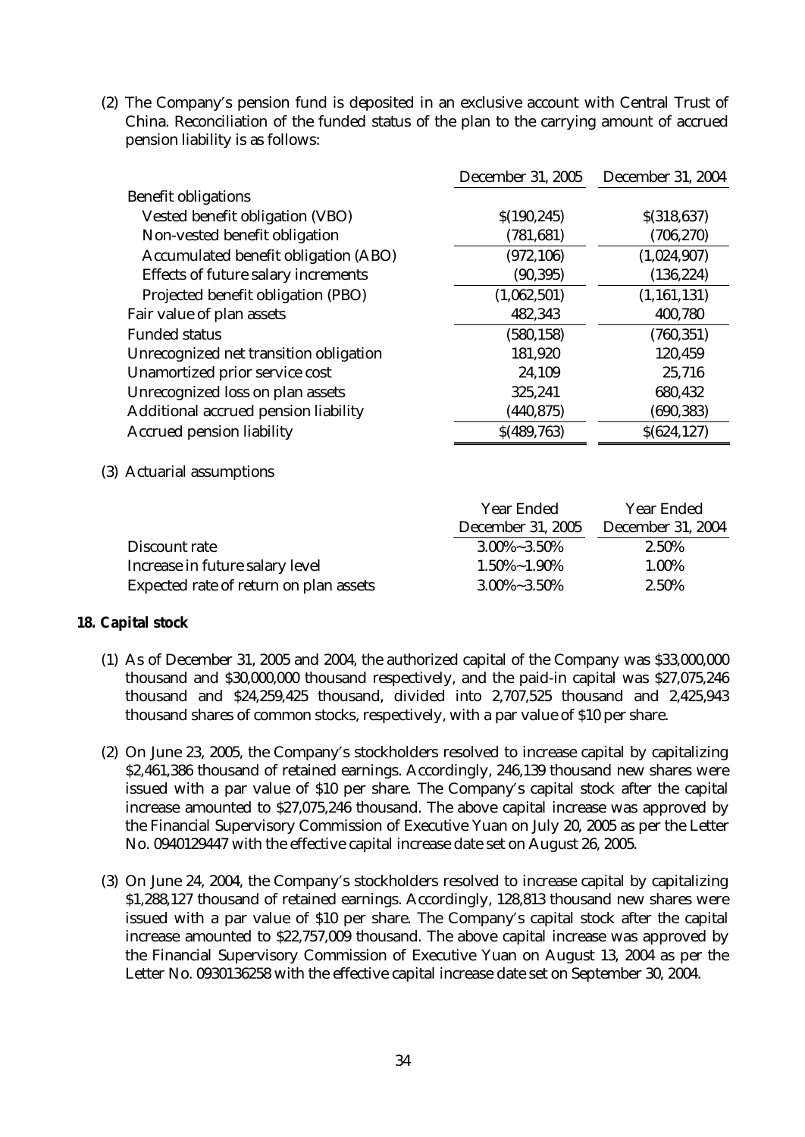(2) The Company's pension fund is deposited in an exclusive account with Central Trust of China. Reconciliation of the funded status of the plan to the carrying amount of accrued pension liability is as follows:

|                                             | <b>December 31, 2005</b> | <b>December 31, 2004</b> |
|---------------------------------------------|--------------------------|--------------------------|
| <b>Benefit obligations</b>                  |                          |                          |
| <b>Vested benefit obligation (VBO)</b>      | \$(190, 245)             | \$(318, 637)             |
| Non-vested benefit obligation               | (781, 681)               | (706, 270)               |
| <b>Accumulated benefit obligation (ABO)</b> | (972, 106)               | (1,024,907)              |
| <b>Effects of future salary increments</b>  | (90, 395)                | (136, 224)               |
| Projected benefit obligation (PBO)          | (1,062,501)              | (1, 161, 131)            |
| Fair value of plan assets                   | 482,343                  | 400,780                  |
| <b>Funded status</b>                        | (580, 158)               | (760, 351)               |
| Unrecognized net transition obligation      | 181,920                  | 120,459                  |
| <b>Unamortized prior service cost</b>       | 24,109                   | 25,716                   |
| Unrecognized loss on plan assets            | 325,241                  | 680,432                  |
| <b>Additional accrued pension liability</b> | (440, 875)               | (690, 383)               |
| <b>Accrued pension liability</b>            | \$(489,763)              | \$(624, 127)             |

(3) Actuarial assumptions

|                                        | <b>Year Ended</b>        | <b>Year Ended</b>        |  |
|----------------------------------------|--------------------------|--------------------------|--|
|                                        | <b>December 31, 2005</b> | <b>December 31, 2004</b> |  |
| Discount rate                          | $3.00\% - 3.50\%$        | 2.50%                    |  |
| Increase in future salary level        | $1.50\%$ ~ $1.90\%$      | 1.00%                    |  |
| Expected rate of return on plan assets | $3.00\% - 3.50\%$        | 2.50%                    |  |

## **18. Capital stock**

- (1) As of December 31, 2005 and 2004, the authorized capital of the Company was \$33,000,000 thousand and \$30,000,000 thousand respectively, and the paid-in capital was \$27,075,246 thousand and \$24,259,425 thousand, divided into 2,707,525 thousand and 2,425,943 thousand shares of common stocks, respectively, with a par value of \$10 per share.
- (2) On June 23, 2005, the Company's stockholders resolved to increase capital by capitalizing \$2,461,386 thousand of retained earnings. Accordingly, 246,139 thousand new shares were issued with a par value of \$10 per share. The Company's capital stock after the capital increase amounted to \$27,075,246 thousand. The above capital increase was approved by the Financial Supervisory Commission of Executive Yuan on July 20, 2005 as per the Letter No. 0940129447 with the effective capital increase date set on August 26, 2005.
- (3) On June 24, 2004, the Company's stockholders resolved to increase capital by capitalizing \$1,288,127 thousand of retained earnings. Accordingly, 128,813 thousand new shares were issued with a par value of \$10 per share. The Company's capital stock after the capital increase amounted to \$22,757,009 thousand. The above capital increase was approved by the Financial Supervisory Commission of Executive Yuan on August 13, 2004 as per the Letter No. 0930136258 with the effective capital increase date set on September 30, 2004.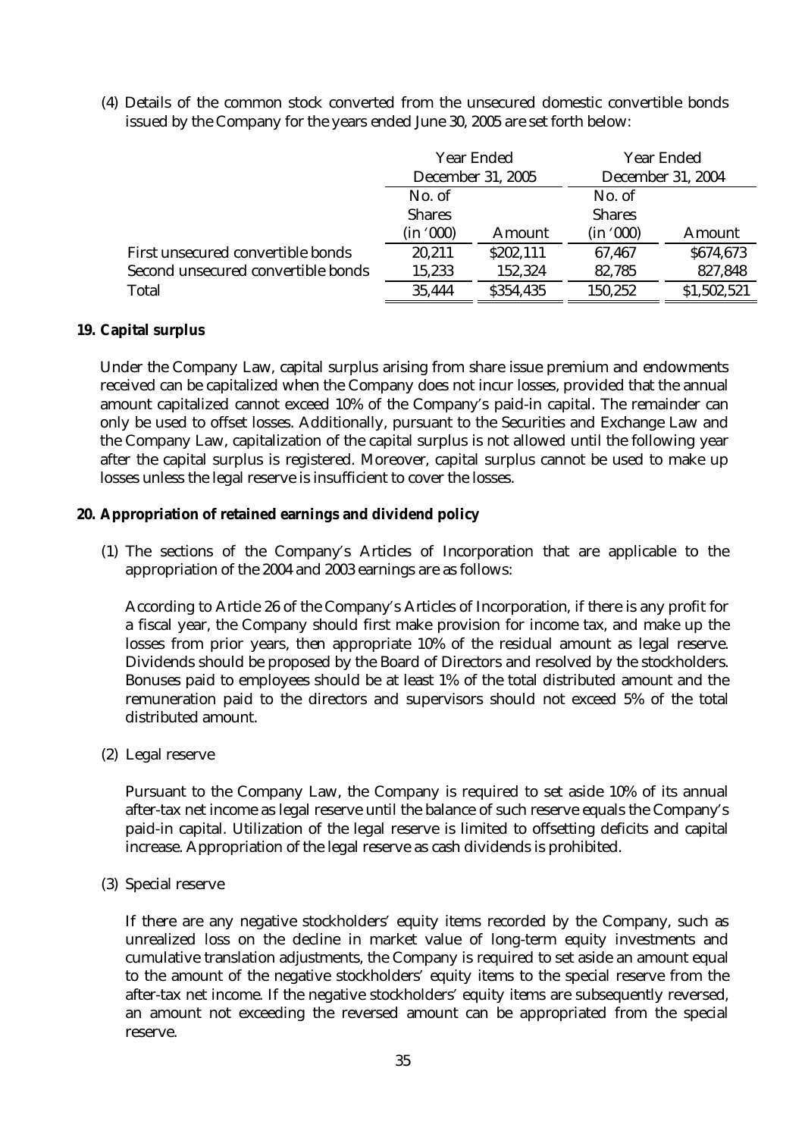(4) Details of the common stock converted from the unsecured domestic convertible bonds issued by the Company for the years ended June 30, 2005 are set forth below:

|                                    | <b>Year Ended</b><br><b>December 31, 2005</b> |               | <b>Year Ended</b><br><b>December 31, 2004</b> |               |
|------------------------------------|-----------------------------------------------|---------------|-----------------------------------------------|---------------|
|                                    | No. of                                        |               | No. of                                        |               |
|                                    | <b>Shares</b>                                 |               | <b>Shares</b>                                 |               |
|                                    | (in '000)                                     | <b>Amount</b> | (in '000)                                     | <b>Amount</b> |
| First unsecured convertible bonds  | 20,211                                        | \$202,111     | 67,467                                        | \$674,673     |
| Second unsecured convertible bonds | 15,233                                        | 152,324       | 82,785                                        | 827,848       |
| <b>Total</b>                       | 35,444                                        | \$354,435     | 150,252                                       | \$1,502,521   |

## **19. Capital surplus**

Under the Company Law, capital surplus arising from share issue premium and endowments received can be capitalized when the Company does not incur losses, provided that the annual amount capitalized cannot exceed 10% of the Company's paid-in capital. The remainder can only be used to offset losses. Additionally, pursuant to the Securities and Exchange Law and the Company Law, capitalization of the capital surplus is not allowed until the following year after the capital surplus is registered. Moreover, capital surplus cannot be used to make up losses unless the legal reserve is insufficient to cover the losses.

## **20. Appropriation of retained earnings and dividend policy**

(1) The sections of the Company's Articles of Incorporation that are applicable to the appropriation of the 2004 and 2003 earnings are as follows:

According to Article 26 of the Company's Articles of Incorporation, if there is any profit for a fiscal year, the Company should first make provision for income tax, and make up the losses from prior years, then appropriate 10% of the residual amount as legal reserve. Dividends should be proposed by the Board of Directors and resolved by the stockholders. Bonuses paid to employees should be at least 1% of the total distributed amount and the remuneration paid to the directors and supervisors should not exceed 5% of the total distributed amount.

(2) Legal reserve

Pursuant to the Company Law, the Company is required to set aside 10% of its annual after-tax net income as legal reserve until the balance of such reserve equals the Company's paid-in capital. Utilization of the legal reserve is limited to offsetting deficits and capital increase. Appropriation of the legal reserve as cash dividends is prohibited.

(3) Special reserve

If there are any negative stockholders' equity items recorded by the Company, such as unrealized loss on the decline in market value of long-term equity investments and cumulative translation adjustments, the Company is required to set aside an amount equal to the amount of the negative stockholders' equity items to the special reserve from the after-tax net income. If the negative stockholders' equity items are subsequently reversed, an amount not exceeding the reversed amount can be appropriated from the special reserve.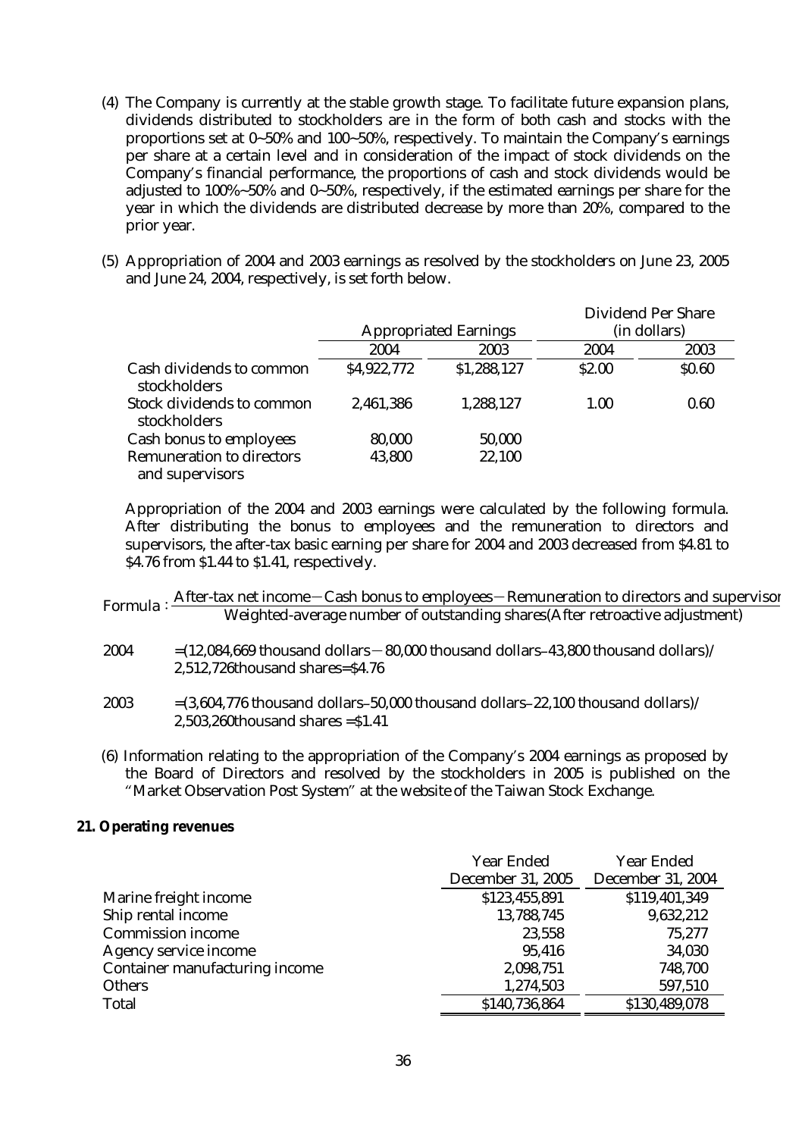- (4) The Company is currently at the stable growth stage. To facilitate future expansion plans, dividends distributed to stockholders are in the form of both cash and stocks with the proportions set at 0~50% and 100~50%, respectively. To maintain the Company's earnings per share at a certain level and in consideration of the impact of stock dividends on the Company's financial performance, the proportions of cash and stock dividends would be adjusted to 100%~50% and 0~50%, respectively, if the estimated earnings per share for the year in which the dividends are distributed decrease by more than 20%, compared to the prior year.
- (5) Appropriation of 2004 and 2003 earnings as resolved by the stockholders on June 23, 2005 and June 24, 2004, respectively, is set forth below.

|                                                     |             | <b>Appropriated Earnings</b> |        | <b>Dividend Per Share</b><br>(in dollars) |
|-----------------------------------------------------|-------------|------------------------------|--------|-------------------------------------------|
|                                                     | 2004        | 2003                         | 2004   | 2003                                      |
| <b>Cash dividends to common</b><br>stockholders     | \$4,922,772 | \$1,288,127                  | \$2.00 | \$0.60                                    |
| <b>Stock dividends to common</b><br>stockholders    | 2,461,386   | 1,288,127                    | 1.00   | 0.60                                      |
| <b>Cash bonus to employees</b>                      | 80,000      | 50,000                       |        |                                           |
| <b>Remuneration to directors</b><br>and supervisors | 43,800      | 22,100                       |        |                                           |

Appropriation of the 2004 and 2003 earnings were calculated by the following formula. After distributing the bonus to employees and the remuneration to directors and supervisors, the after-tax basic earning per share for 2004 and 2003 decreased from \$4.81 to \$4.76 from \$1.44 to \$1.41, respectively.

| Formula: $\frac{E}{2}$ | After-tax net income – Cash bonus to employees – Remuneration to directors and supervisor |
|------------------------|-------------------------------------------------------------------------------------------|
|                        | Weighted-average number of outstanding shares (After retroactive adjustment)              |

- $2004 = (12,084,669$  thousand dollars 80,000 thousand dollars–43,800 thousand dollars) 2,512,726thousand shares=\$4.76
- 2003  $=(3,604,776 \text{ thousand dollars}-50,000 \text{ thousand dollars}-22,100 \text{ thousand dollars})$ 2,503,260thousand shares =\$1.41
- (6) Information relating to the appropriation of the Company's 2004 earnings as proposed by the Board of Directors and resolved by the stockholders in 2005 is published on the "Market Observation Post System" at the website of the Taiwan Stock Exchange.

## **21. Operating revenues**

|                                       | <b>Year Ended</b>        | <b>Year Ended</b>        |
|---------------------------------------|--------------------------|--------------------------|
|                                       | <b>December 31, 2005</b> | <b>December 31, 2004</b> |
| Marine freight income                 | \$123,455,891            | \$119,401,349            |
| Ship rental income                    | 13,788,745               | 9,632,212                |
| <b>Commission income</b>              | 23,558                   | 75,277                   |
| <b>Agency service income</b>          | 95,416                   | 34,030                   |
| <b>Container manufacturing income</b> | 2,098,751                | 748,700                  |
| <b>Others</b>                         | 1,274,503                | 597,510                  |
| <b>Total</b>                          | \$140,736,864            | \$130,489,078            |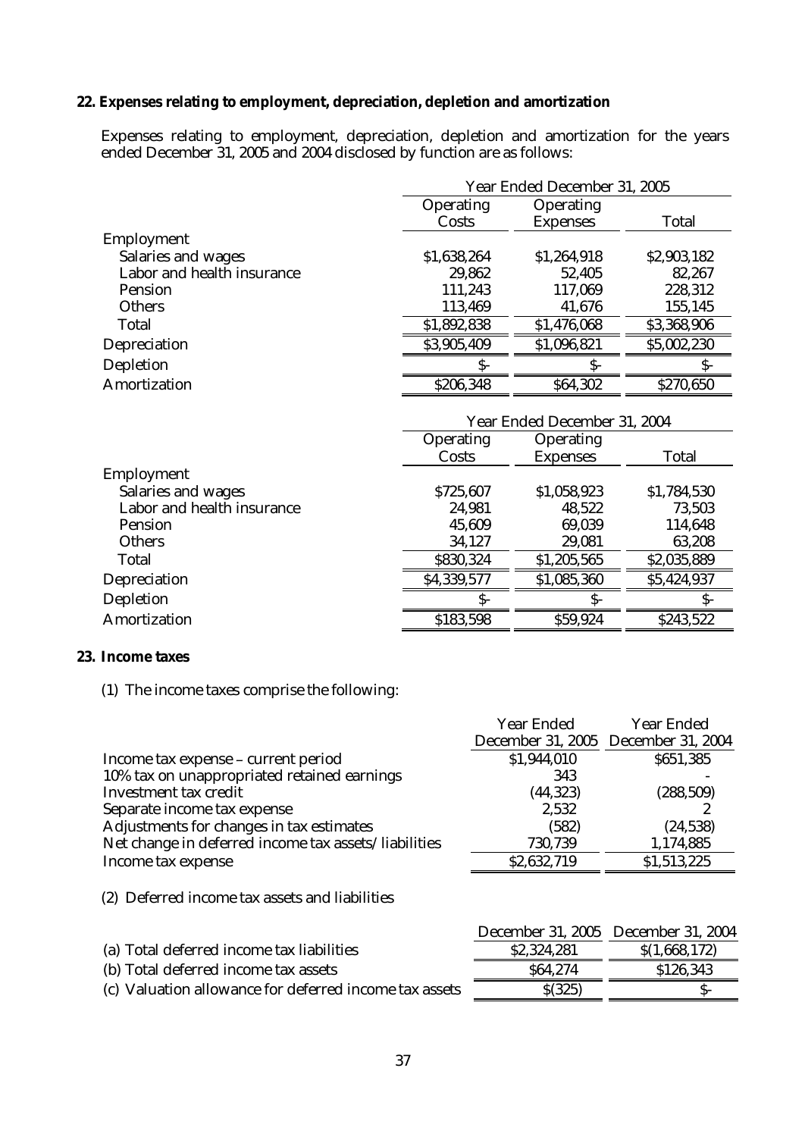## **22. Expenses relating to employment, depreciation, depletion and amortization**

Expenses relating to employment, depreciation, depletion and amortization for the years ended December 31, 2005 and 2004 disclosed by function are as follows:

|                            |                  | Year Ended December 31, 2005 |              |  |  |  |
|----------------------------|------------------|------------------------------|--------------|--|--|--|
|                            | <b>Operating</b> | <b>Operating</b>             |              |  |  |  |
|                            | Costs            | <b>Expenses</b>              | <b>Total</b> |  |  |  |
| <b>Employment</b>          |                  |                              |              |  |  |  |
| <b>Salaries and wages</b>  | \$1,638,264      | \$1,264,918                  | \$2,903,182  |  |  |  |
| Labor and health insurance | 29,862           | 52,405                       | 82,267       |  |  |  |
| <b>Pension</b>             | 111,243          | 117,069                      | 228,312      |  |  |  |
| <b>Others</b>              | 113,469          | 41,676                       | 155,145      |  |  |  |
| <b>Total</b>               | \$1,892,838      | \$1,476,068                  | \$3,368,906  |  |  |  |
| Depreciation               | \$3,905,409      | \$1,096,821                  | \$5,002,230  |  |  |  |
| <b>Depletion</b>           |                  | S-                           |              |  |  |  |
| <b>Amortization</b>        | \$206,348        | \$64,302                     | \$270,650    |  |  |  |
|                            |                  |                              |              |  |  |  |

|                            | Year Ended December 31, 2004 |                                     |              |  |
|----------------------------|------------------------------|-------------------------------------|--------------|--|
|                            | <b>Operating</b><br>Costs    | <b>Operating</b><br><b>Expenses</b> | <b>Total</b> |  |
| <b>Employment</b>          |                              |                                     |              |  |
| <b>Salaries and wages</b>  | \$725,607                    | \$1,058,923                         | \$1,784,530  |  |
| Labor and health insurance | 24,981                       | 48,522                              | 73,503       |  |
| <b>Pension</b>             | 45,609                       | 69,039                              | 114,648      |  |
| <b>Others</b>              | 34,127                       | 29,081                              | 63,208       |  |
| <b>Total</b>               | \$830,324                    | \$1,205,565                         | \$2,035,889  |  |
| <b>Depreciation</b>        | \$4,339,577                  | \$1,085,360                         | \$5,424,937  |  |
| <b>Depletion</b>           | ς.                           | S-                                  |              |  |
| <b>Amortization</b>        | \$183,598                    | \$59,924                            | \$243,522    |  |

#### **23. Income taxes**

(1) The income taxes comprise the following:

|                                                      | <b>Year Ended</b> | <b>Year Ended</b>                   |
|------------------------------------------------------|-------------------|-------------------------------------|
|                                                      |                   | December 31, 2005 December 31, 2004 |
| Income tax expense - current period                  | \$1,944,010       | \$651,385                           |
| 10% tax on unappropriated retained earnings          | 343               |                                     |
| <b>Investment tax credit</b>                         | (44, 323)         | (288, 509)                          |
| Separate income tax expense                          | 2,532             |                                     |
| Adjustments for changes in tax estimates             | (582)             | (24, 538)                           |
| Net change in deferred income tax assets/liabilities | 730,739           | 1,174,885                           |
| Income tax expense                                   | \$2,632,719       | \$1,513,225                         |
|                                                      |                   |                                     |

(2) Deferred income tax assets and liabilities

|             | December 31, 2005 December 31, 2004 |
|-------------|-------------------------------------|
| \$2,324,281 | \$(1,668,172)                       |
| \$64.274    | \$126,343                           |
| \$(325)     |                                     |
|             |                                     |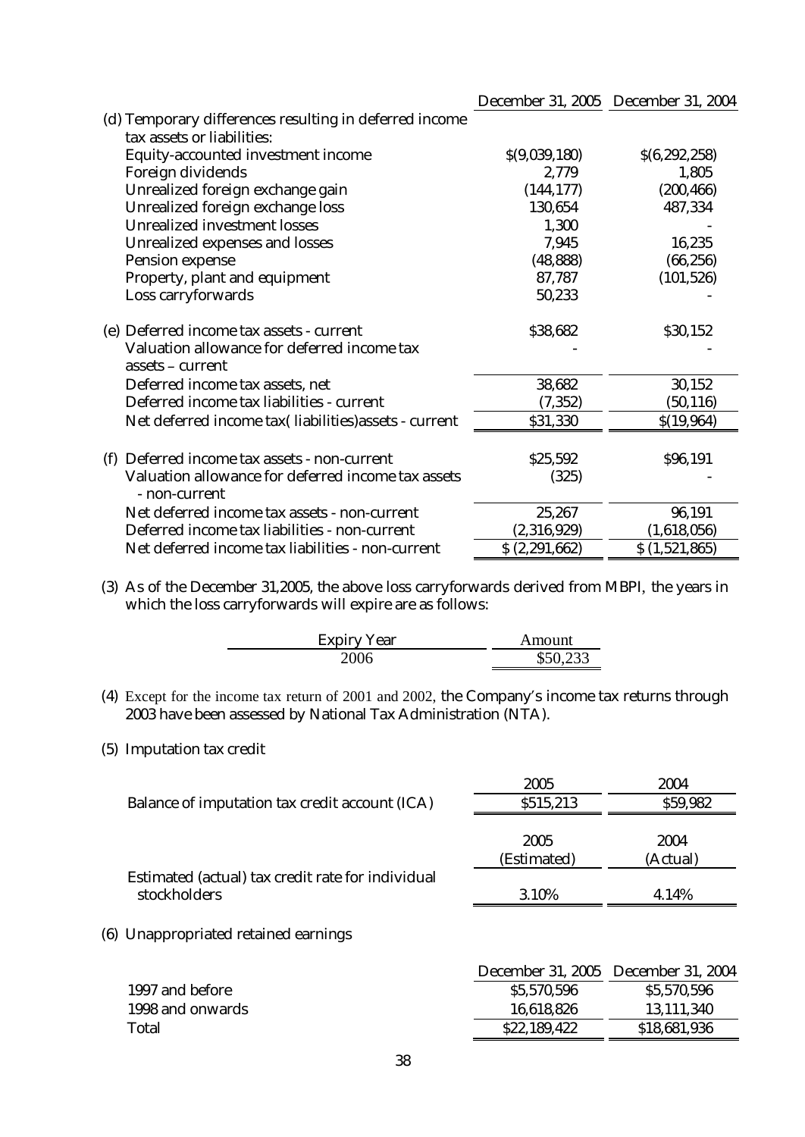|     |                                                                     |               | December 31, 2005 December 31, 2004 |
|-----|---------------------------------------------------------------------|---------------|-------------------------------------|
|     | (d) Temporary differences resulting in deferred income              |               |                                     |
|     | tax assets or liabilities:                                          |               |                                     |
|     | Equity-accounted investment income                                  | \$(9,039,180) | \$(6, 292, 258)                     |
|     | Foreign dividends                                                   | 2,779         | 1,805                               |
|     | Unrealized foreign exchange gain                                    | (144, 177)    | (200, 466)                          |
|     | Unrealized foreign exchange loss                                    | 130,654       | 487,334                             |
|     | <b>Unrealized investment losses</b>                                 | 1,300         |                                     |
|     | <b>Unrealized expenses and losses</b>                               | 7,945         | 16,235                              |
|     | <b>Pension expense</b>                                              | (48, 888)     | (66, 256)                           |
|     | Property, plant and equipment                                       | 87,787        | (101, 526)                          |
|     | Loss carryforwards                                                  | 50,233        |                                     |
|     | (e) Deferred income tax assets - current                            | \$38,682      | \$30,152                            |
|     | Valuation allowance for deferred income tax<br>assets – current     |               |                                     |
|     | Deferred income tax assets, net                                     | 38,682        | 30,152                              |
|     | Deferred income tax liabilities - current                           | (7, 352)      | (50, 116)                           |
|     | Net deferred income tax(liabilities)assets - current                | \$31,330      | \$(19,964)                          |
| (f) | Deferred income tax assets - non-current                            | \$25,592      | \$96,191                            |
|     | Valuation allowance for deferred income tax assets<br>- non-current | (325)         |                                     |
|     | Net deferred income tax assets - non-current                        | 25,267        | 96,191                              |
|     | Deferred income tax liabilities - non-current                       | (2,316,929)   | (1,618,056)                         |
|     | Net deferred income tax liabilities - non-current                   | \$(2,291,662) | \$(1,521,865)                       |

(3) As of the December 31,2005, the above loss carryforwards derived from MBPI, the years in which the loss carryforwards will expire are as follows:

| <b>Expiry Year</b> | Amount   |
|--------------------|----------|
| 2006               | \$50,233 |

(4) Except for the income tax return of 2001 and 2002, the Company's income tax returns through 2003 have been assessed by National Tax Administration (NTA).

#### (5) Imputation tax credit

|                                                   | 2005        | 2004     |
|---------------------------------------------------|-------------|----------|
| Balance of imputation tax credit account (ICA)    | \$515,213   | \$59,982 |
|                                                   | 2005        | 2004     |
|                                                   | (Estimated) | (Actual) |
| Estimated (actual) tax credit rate for individual |             |          |
| stockholders                                      | 3.10%       | 4.14%    |
|                                                   |             |          |

## (6) Unappropriated retained earnings

| December 31, 2005 December 31, 2004 |              |
|-------------------------------------|--------------|
| \$5,570,596                         | \$5,570,596  |
| 16,618,826                          | 13,111,340   |
| \$22,189,422                        | \$18,681,936 |
|                                     |              |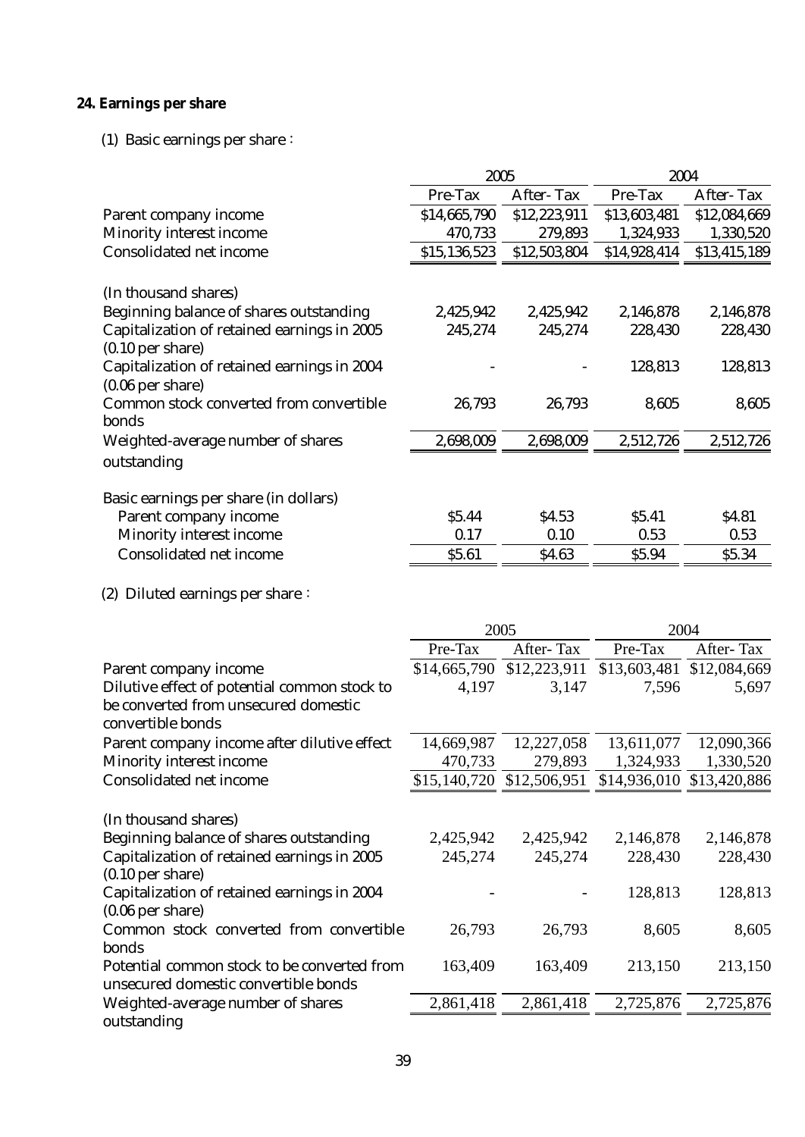# **24. Earnings per share**

(1) Basic earnings per share:

|                                                                   | 2005         |                  | 2004                                                |                      |
|-------------------------------------------------------------------|--------------|------------------|-----------------------------------------------------|----------------------|
|                                                                   | Pre-Tax      | <b>After-Tax</b> | Pre-Tax                                             | <b>After-Tax</b>     |
| Parent company income                                             | \$14,665,790 | \$12,223,911     | \$13,603,481                                        | \$12,084,669         |
| <b>Minority interest income</b>                                   | 470,733      | 279,893          | 1,324,933                                           | 1,330,520            |
| <b>Consolidated net income</b>                                    | \$15,136,523 | \$12,503,804     | \$14,928,414                                        | \$13,415,189         |
| (In thousand shares)                                              |              |                  |                                                     |                      |
| Beginning balance of shares outstanding                           | 2,425,942    | 2,425,942        | 2,146,878                                           | 2,146,878            |
| <b>Capitalization of retained earnings in 2005</b>                | 245,274      | 245,274          | 228,430                                             | 228,430              |
| $(0.10$ per share)                                                |              |                  |                                                     |                      |
| Capitalization of retained earnings in 2004                       |              |                  | 128,813                                             | 128,813              |
| $(0.06$ per share)                                                |              |                  |                                                     |                      |
| Common stock converted from convertible                           | 26,793       | 26,793           | 8,605                                               | 8,605                |
| bonds                                                             |              |                  |                                                     |                      |
| Weighted-average number of shares                                 | 2,698,009    | 2,698,009        | 2,512,726                                           | 2,512,726            |
| outstanding                                                       |              |                  |                                                     |                      |
|                                                                   |              |                  |                                                     |                      |
| Basic earnings per share (in dollars)                             | \$5.44       | \$4.53           | \$5.41                                              |                      |
| Parent company income                                             | 0.17         | 0.10             | 0.53                                                | \$4.81<br>0.53       |
| <b>Minority interest income</b><br><b>Consolidated net income</b> | \$5.61       | \$4.63           | \$5.94                                              | \$5.34               |
|                                                                   |              |                  |                                                     |                      |
| (2) Diluted earnings per share:                                   |              |                  |                                                     |                      |
|                                                                   | 2005         |                  | 2004                                                |                      |
|                                                                   | Pre-Tax      | After-Tax        | Pre-Tax                                             | After-Tax            |
|                                                                   |              |                  |                                                     |                      |
| Parent company income                                             | \$14,665,790 | \$12,223,911     | \$13,603,481                                        | \$12,084,669         |
| Dilutive effect of potential common stock to                      | 4,197        | 3,147            | 7,596                                               | 5,697                |
| be converted from unsecured domestic                              |              |                  |                                                     |                      |
| convertible bonds                                                 |              |                  |                                                     |                      |
| Parent company income after dilutive effect                       | 14,669,987   | 12,227,058       | 13,611,077                                          | 12,090,366           |
| <b>Minority interest income</b>                                   | 470,733      | 279,893          | 1,324,933                                           | 1,330,520            |
| <b>Consolidated net income</b>                                    |              |                  | \$15,140,720 \$12,506,951 \$14,936,010 \$13,420,886 |                      |
|                                                                   |              |                  |                                                     |                      |
| (In thousand shares)                                              |              |                  |                                                     |                      |
| Beginning balance of shares outstanding                           | 2,425,942    | 2,425,942        | 2,146,878                                           |                      |
| <b>Capitalization of retained earnings in 2005</b>                | 245,274      | 245,274          | 228,430                                             | 2,146,878<br>228,430 |
| $(0.10$ per share)                                                |              |                  |                                                     |                      |
| Capitalization of retained earnings in 2004                       |              |                  | 128,813                                             | 128,813              |
| $(0.06$ per share)                                                |              |                  |                                                     |                      |
| Common stock converted from convertible<br>bonds                  | 26,793       | 26,793           | 8,605                                               | 8,605                |
| Potential common stock to be converted from                       | 163,409      | 163,409          | 213,150                                             |                      |
| unsecured domestic convertible bonds                              |              |                  |                                                     | 213,150              |
| Weighted-average number of shares                                 | 2,861,418    | 2,861,418        | 2,725,876                                           | 2,725,876            |
| outstanding                                                       |              |                  |                                                     |                      |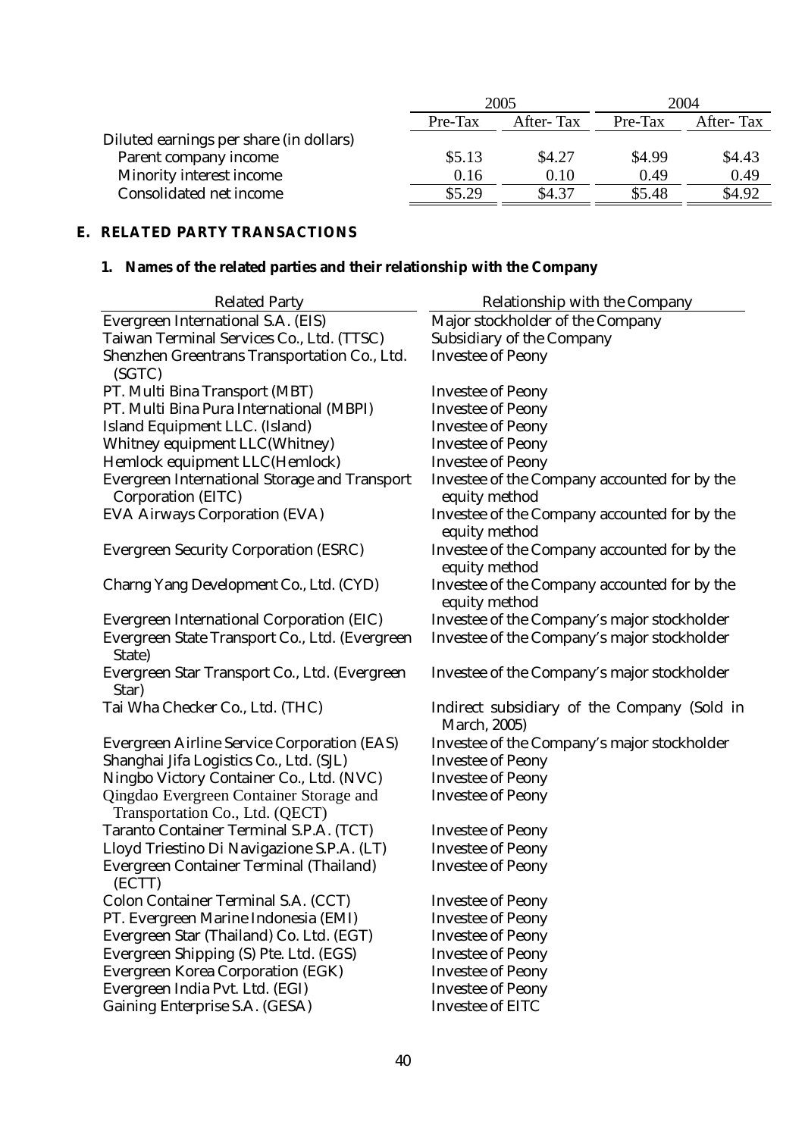|                                         | 2005      |           | 2004    |           |
|-----------------------------------------|-----------|-----------|---------|-----------|
|                                         | $Pre-Tax$ | After-Tax | Pre-Tax | After-Tax |
| Diluted earnings per share (in dollars) |           |           |         |           |
| <b>Parent company income</b>            | \$5.13    | \$4.27    | \$4.99  | \$4.43    |
| <b>Minority interest income</b>         | 0.16      | 0.10      | 0.49    | 0.49      |
| <b>Consolidated net income</b>          | \$5.29    | \$4.37    | \$5.48  | \$4.92    |

# **E. RELATED PARTY TRANSACTIONS**

# **1. Names of the related parties and their relationship with the Company**

| <b>Related Party</b>                                                              | <b>Relationship with the Company</b>                               |
|-----------------------------------------------------------------------------------|--------------------------------------------------------------------|
| <b>Evergreen International S.A. (EIS)</b>                                         | Major stockholder of the Company                                   |
| Taiwan Terminal Services Co., Ltd. (TTSC)                                         | <b>Subsidiary of the Company</b>                                   |
| Shenzhen Greentrans Transportation Co., Ltd.<br>(SGTC)                            | <b>Investee of Peony</b>                                           |
| PT. Multi Bina Transport (MBT)                                                    | <b>Investee of Peony</b>                                           |
| PT. Multi Bina Pura International (MBPI)                                          | <b>Investee of Peony</b>                                           |
| Island Equipment LLC. (Island)                                                    | <b>Investee of Peony</b>                                           |
| <b>Whitney equipment LLC(Whitney)</b>                                             | <b>Investee of Peony</b>                                           |
| Hemlock equipment LLC(Hemlock)                                                    | <b>Investee of Peony</b>                                           |
| <b>Evergreen International Storage and Transport</b><br><b>Corporation (EITC)</b> | Investee of the Company accounted for by the<br>equity method      |
| <b>EVA Airways Corporation (EVA)</b>                                              | Investee of the Company accounted for by the<br>equity method      |
| <b>Evergreen Security Corporation (ESRC)</b>                                      | Investee of the Company accounted for by the<br>equity method      |
| Charng Yang Development Co., Ltd. (CYD)                                           | Investee of the Company accounted for by the<br>equity method      |
| <b>Evergreen International Corporation (EIC)</b>                                  | Investee of the Company's major stockholder                        |
| Evergreen State Transport Co., Ltd. (Evergreen<br>State)                          | Investee of the Company's major stockholder                        |
| Evergreen Star Transport Co., Ltd. (Evergreen<br>Star)                            | Investee of the Company's major stockholder                        |
| Tai Wha Checker Co., Ltd. (THC)                                                   | Indirect subsidiary of the Company (Sold in<br><b>March, 2005)</b> |
| <b>Evergreen Airline Service Corporation (EAS)</b>                                | Investee of the Company's major stockholder                        |
| Shanghai Jifa Logistics Co., Ltd. (SJL)                                           | <b>Investee of Peony</b>                                           |
| Ningbo Victory Container Co., Ltd. (NVC)                                          | <b>Investee of Peony</b>                                           |
| Qingdao Evergreen Container Storage and<br>Transportation Co., Ltd. (QECT)        | <b>Investee of Peony</b>                                           |
| Taranto Container Terminal S.P.A. (TCT)                                           | <b>Investee of Peony</b>                                           |
| Lloyd Triestino Di Navigazione S.P.A. (LT)                                        | <b>Investee of Peony</b>                                           |
| <b>Evergreen Container Terminal (Thailand)</b><br>(ECTT)                          | <b>Investee of Peony</b>                                           |
| <b>Colon Container Terminal S.A. (CCT)</b>                                        | <b>Investee of Peony</b>                                           |
| PT. Evergreen Marine Indonesia (EMI)                                              | <b>Investee of Peony</b>                                           |
| Evergreen Star (Thailand) Co. Ltd. (EGT)                                          | <b>Investee of Peony</b>                                           |
| Evergreen Shipping (S) Pte. Ltd. (EGS)                                            | <b>Investee of Peony</b>                                           |
| <b>Evergreen Korea Corporation (EGK)</b>                                          | <b>Investee of Peony</b>                                           |
| Evergreen India Pvt. Ltd. (EGI)                                                   | <b>Investee of Peony</b>                                           |
| <b>Gaining Enterprise S.A. (GESA)</b>                                             | <b>Investee of EITC</b>                                            |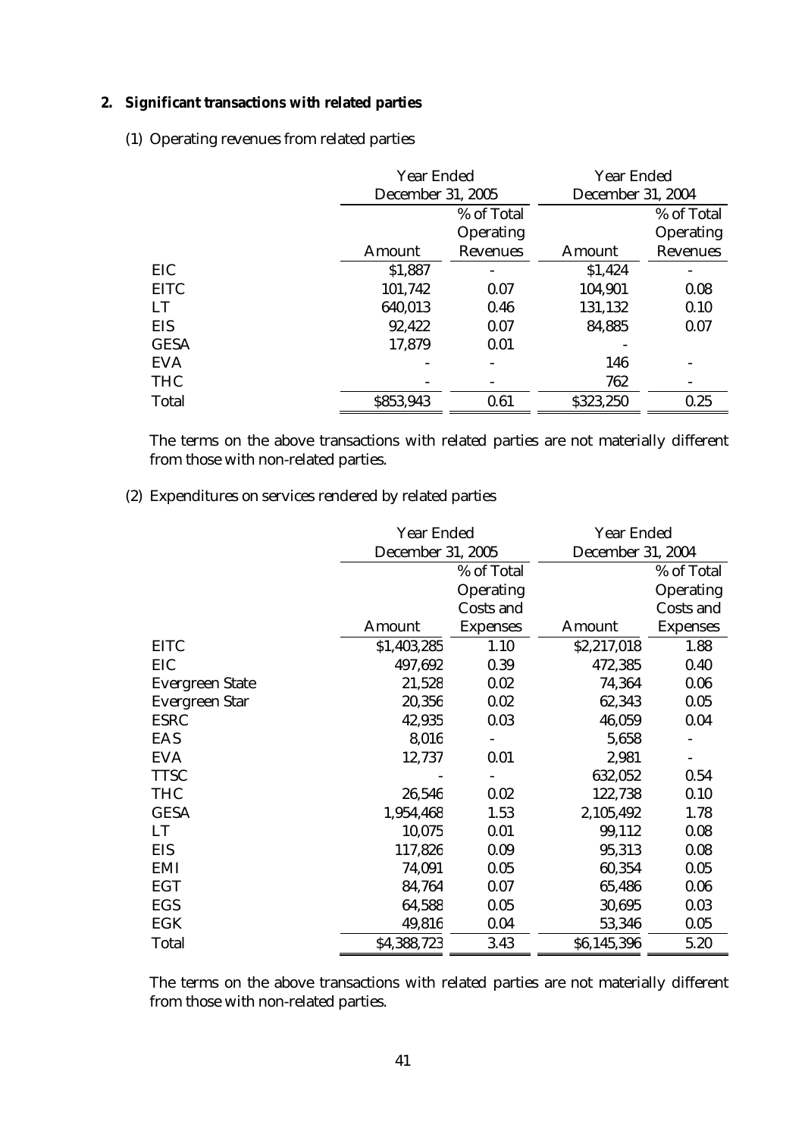## **2. Significant transactions with related parties**

(1) Operating revenues from related parties

|              |               | <b>Year Ended</b><br><b>December 31, 2005</b> |               | <b>Year Ended</b><br><b>December 31, 2004</b> |  |
|--------------|---------------|-----------------------------------------------|---------------|-----------------------------------------------|--|
|              |               | % of Total<br><b>Operating</b>                |               | % of Total<br><b>Operating</b>                |  |
|              | <b>Amount</b> | <b>Revenues</b>                               | <b>Amount</b> | <b>Revenues</b>                               |  |
| <b>EIC</b>   | \$1,887       |                                               | \$1,424       |                                               |  |
| <b>EITC</b>  | 101,742       | 0.07                                          | 104,901       | 0.08                                          |  |
| <b>LT</b>    | 640,013       | 0.46                                          | 131,132       | 0.10                                          |  |
| <b>EIS</b>   | 92,422        | 0.07                                          | 84,885        | 0.07                                          |  |
| <b>GESA</b>  | 17,879        | 0.01                                          |               |                                               |  |
| <b>EVA</b>   |               |                                               | 146           |                                               |  |
| <b>THC</b>   |               |                                               | 762           |                                               |  |
| <b>Total</b> | \$853,943     | 0.61                                          | \$323,250     | 0.25                                          |  |

The terms on the above transactions with related parties are not materially different from those with non-related parties.

## (2) Expenditures on services rendered by related parties

|                        | <b>Year Ended</b>        |                  | <b>Year Ended</b>        |                  |
|------------------------|--------------------------|------------------|--------------------------|------------------|
|                        | <b>December 31, 2005</b> |                  | <b>December 31, 2004</b> |                  |
|                        |                          | % of Total       |                          | % of Total       |
|                        |                          | Operating        |                          | <b>Operating</b> |
|                        |                          | <b>Costs and</b> |                          | <b>Costs and</b> |
|                        | <b>Amount</b>            | <b>Expenses</b>  | Amount                   | <b>Expenses</b>  |
| <b>EITC</b>            | \$1,403,285              | 1.10             | \$2,217,018              | 1.88             |
| EIC                    | 497,692                  | 0.39             | 472,385                  | 0.40             |
| <b>Evergreen State</b> | 21,528                   | 0.02             | 74,364                   | 0.06             |
| <b>Evergreen Star</b>  | 20,356                   | 0.02             | 62,343                   | 0.05             |
| <b>ESRC</b>            | 42,935                   | 0.03             | 46,059                   | 0.04             |
| <b>EAS</b>             | 8,016                    |                  | 5,658                    |                  |
| <b>EVA</b>             | 12,737                   | 0.01             | 2,981                    |                  |
| <b>TTSC</b>            |                          |                  | 632,052                  | 0.54             |
| <b>THC</b>             | 26,546                   | 0.02             | 122,738                  | 0.10             |
| <b>GESA</b>            | 1,954,468                | 1.53             | 2,105,492                | 1.78             |
| LT                     | 10,075                   | 0.01             | 99,112                   | 0.08             |
| <b>EIS</b>             | 117,826                  | 0.09             | 95,313                   | 0.08             |
| <b>EMI</b>             | 74,091                   | 0.05             | 60,354                   | 0.05             |
| <b>EGT</b>             | 84,764                   | 0.07             | 65,486                   | 0.06             |
| <b>EGS</b>             | 64,588                   | 0.05             | 30,695                   | 0.03             |
| <b>EGK</b>             | 49,816                   | 0.04             | 53,346                   | 0.05             |
| <b>Total</b>           | \$4,388,723              | 3.43             | \$6,145,396              | 5.20             |

The terms on the above transactions with related parties are not materially different from those with non-related parties.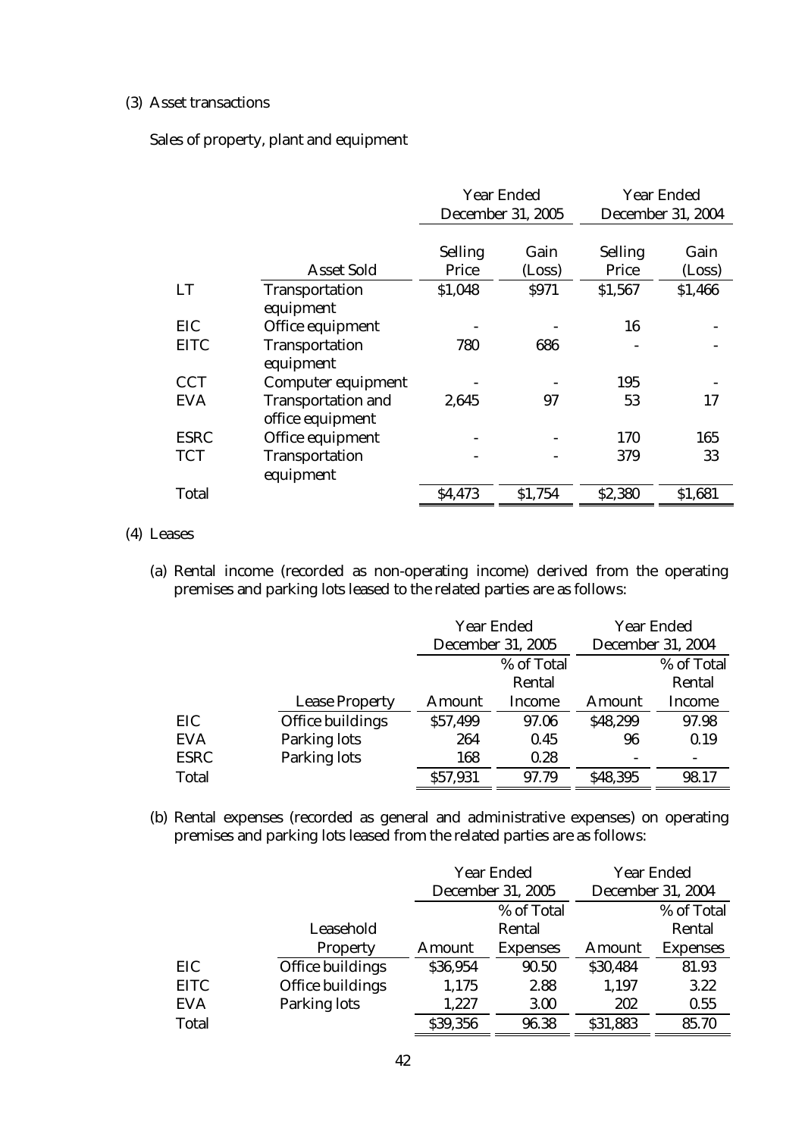#### (3) Asset transactions

Sales of property, plant and equipment

|              |                                               | <b>Year Ended</b><br><b>December 31, 2005</b> |                | <b>Year Ended</b><br><b>December 31, 2004</b> |                |
|--------------|-----------------------------------------------|-----------------------------------------------|----------------|-----------------------------------------------|----------------|
|              | <b>Asset Sold</b>                             | <b>Selling</b><br><b>Price</b>                | Gain<br>(Loss) | <b>Selling</b><br><b>Price</b>                | Gain<br>(Loss) |
| <b>LT</b>    | <b>Transportation</b><br>equipment            | \$1,048                                       | <b>\$971</b>   | \$1,567                                       | \$1,466        |
| EIC          | Office equipment                              |                                               |                | 16                                            |                |
| <b>EITC</b>  | <b>Transportation</b><br>equipment            | 780                                           | 686            |                                               |                |
| <b>CCT</b>   | <b>Computer equipment</b>                     |                                               |                | 195                                           |                |
| <b>EVA</b>   | <b>Transportation and</b><br>office equipment | 2,645                                         | 97             | 53                                            | 17             |
| <b>ESRC</b>  | Office equipment                              |                                               |                | 170                                           | 165            |
| <b>TCT</b>   | <b>Transportation</b><br>equipment            |                                               |                | 379                                           | 33             |
| <b>Total</b> |                                               | \$4,473                                       | \$1,754        | \$2,380                                       | \$1,681        |

#### (4) Leases

(a) Rental income (recorded as non-operating income) derived from the operating premises and parking lots leased to the related parties are as follows:

|              |                         |               | <b>Year Ended</b>        |               | <b>Year Ended</b>        |  |
|--------------|-------------------------|---------------|--------------------------|---------------|--------------------------|--|
|              |                         |               | <b>December 31, 2005</b> |               | <b>December 31, 2004</b> |  |
|              |                         |               | % of Total               |               | % of Total               |  |
|              |                         |               | Rental                   |               | Rental                   |  |
|              | <b>Lease Property</b>   | <b>Amount</b> | Income                   | <b>Amount</b> | Income                   |  |
| EIC          | <b>Office buildings</b> | \$57,499      | 97.06                    | \$48,299      | 97.98                    |  |
| <b>EVA</b>   | <b>Parking lots</b>     | 264           | 0.45                     | 96            | 0.19                     |  |
| <b>ESRC</b>  | <b>Parking lots</b>     | 168           | 0.28                     |               |                          |  |
| <b>Total</b> |                         | \$57,931      | 97.79                    | \$48,395      | 98.17                    |  |

(b) Rental expenses (recorded as general and administrative expenses) on operating premises and parking lots leased from the related parties are as follows:

|              |                         |               | <b>Year Ended</b><br><b>December 31, 2005</b> |          | <b>Year Ended</b><br><b>December 31, 2004</b> |
|--------------|-------------------------|---------------|-----------------------------------------------|----------|-----------------------------------------------|
|              |                         |               | % of Total                                    |          | % of Total                                    |
|              | Leasehold               |               | Rental                                        |          | Rental                                        |
|              | <b>Property</b>         | <b>Amount</b> | <b>Expenses</b>                               | Amount   | <b>Expenses</b>                               |
| EIC          | <b>Office buildings</b> | \$36,954      | 90.50                                         | \$30,484 | 81.93                                         |
| <b>EITC</b>  | <b>Office buildings</b> | 1,175         | 2.88                                          | 1,197    | 3.22                                          |
| <b>EVA</b>   | <b>Parking lots</b>     | 1,227         | 3.00                                          | 202      | 0.55                                          |
| <b>Total</b> |                         | \$39,356      | 96.38                                         | \$31,883 | 85.70                                         |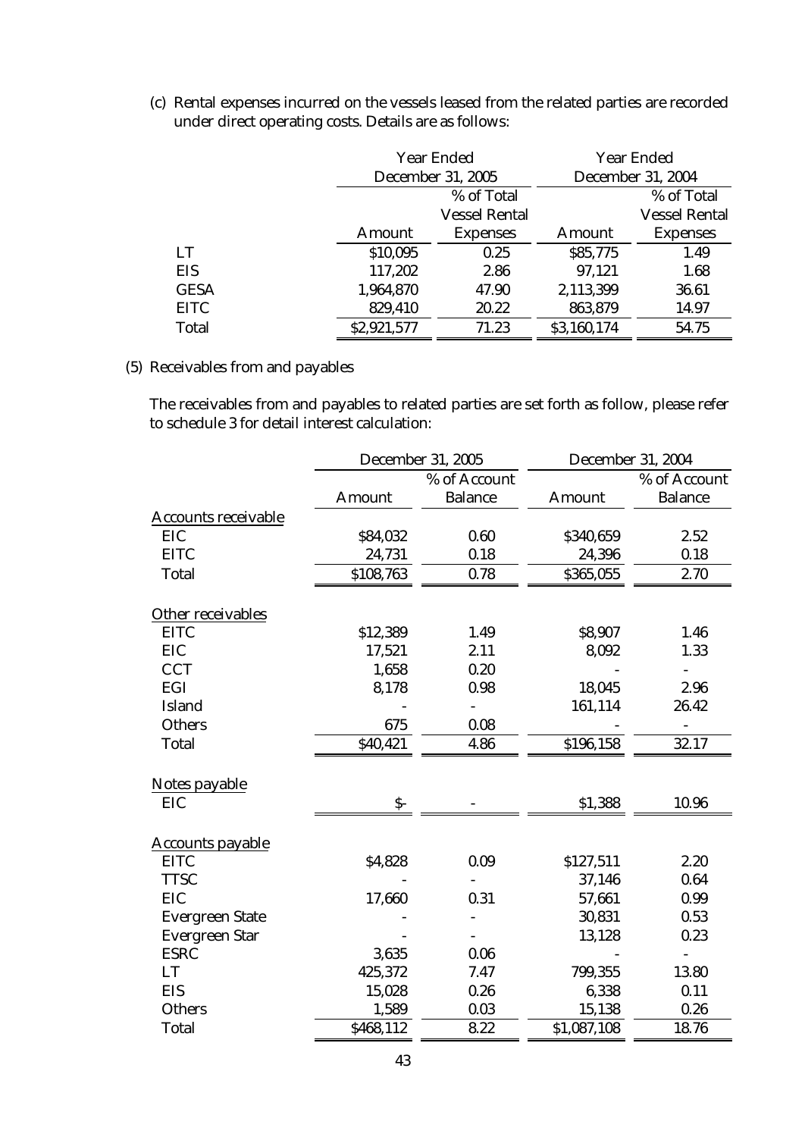(c) Rental expenses incurred on the vessels leased from the related parties are recorded under direct operating costs. Details are as follows:

|              |               | <b>Year Ended</b><br><b>December 31, 2005</b> |             | <b>Year Ended</b>        |  |
|--------------|---------------|-----------------------------------------------|-------------|--------------------------|--|
|              |               |                                               |             | <b>December 31, 2004</b> |  |
|              |               | % of Total                                    |             | % of Total               |  |
|              |               | <b>Vessel Rental</b>                          |             | <b>Vessel Rental</b>     |  |
|              | <b>Amount</b> | <b>Expenses</b>                               | Amount      | <b>Expenses</b>          |  |
| LT           | \$10,095      | 0.25                                          | \$85,775    | 1.49                     |  |
| <b>EIS</b>   | 117,202       | 2.86                                          | 97,121      | 1.68                     |  |
| <b>GESA</b>  | 1,964,870     | 47.90                                         | 2,113,399   | 36.61                    |  |
| <b>EITC</b>  | 829,410       | 20.22                                         | 863,879     | 14.97                    |  |
| <b>Total</b> | \$2,921,577   | 71.23                                         | \$3,160,174 | 54.75                    |  |

#### (5) Receivables from and payables

The receivables from and payables to related parties are set forth as follow, please refer to schedule 3 for detail interest calculation:

|                            | <b>December 31, 2005</b> |                | <b>December 31, 2004</b> |                          |
|----------------------------|--------------------------|----------------|--------------------------|--------------------------|
|                            |                          | % of Account   |                          | % of Account             |
|                            | <b>Amount</b>            | <b>Balance</b> | <b>Amount</b>            | <b>Balance</b>           |
| <b>Accounts receivable</b> |                          |                |                          |                          |
| <b>EIC</b>                 | \$84,032                 | 0.60           | \$340,659                | 2.52                     |
| <b>EITC</b>                | 24,731                   | 0.18           | 24,396                   | 0.18                     |
| <b>Total</b>               | \$108,763                | 0.78           | \$365,055                | 2.70                     |
| <b>Other receivables</b>   |                          |                |                          |                          |
| <b>EITC</b>                | \$12,389                 | 1.49           | \$8,907                  | 1.46                     |
| <b>EIC</b>                 | 17,521                   | 2.11           | 8,092                    | 1.33                     |
| <b>CCT</b>                 | 1,658                    | 0.20           |                          |                          |
| EGI                        | 8,178                    | 0.98           | 18,045                   | 2.96                     |
| <b>Island</b>              |                          |                | 161,114                  | 26.42                    |
| <b>Others</b>              | 675                      | 0.08           |                          |                          |
| <b>Total</b>               | \$40,421                 | 4.86           | \$196,158                | 32.17                    |
| Notes payable              |                          |                |                          |                          |
| <b>EIC</b>                 | $S-$                     |                | \$1,388                  | 10.96                    |
| <b>Accounts payable</b>    |                          |                |                          |                          |
| <b>EITC</b>                | \$4,828                  | 0.09           | \$127,511                | 2.20                     |
| <b>TTSC</b>                |                          |                | 37,146                   | 0.64                     |
| <b>EIC</b>                 | 17,660                   | 0.31           | 57,661                   | 0.99                     |
| <b>Evergreen State</b>     |                          |                | 30,831                   | 0.53                     |
| <b>Evergreen Star</b>      |                          |                | 13,128                   | 0.23                     |
| <b>ESRC</b>                | 3,635                    | 0.06           |                          | $\overline{\phantom{0}}$ |
| LT                         | 425,372                  | 7.47           | 799,355                  | 13.80                    |
| <b>EIS</b>                 | 15,028                   | 0.26           | 6,338                    | 0.11                     |
| <b>Others</b>              | 1,589                    | 0.03           | 15,138                   | 0.26                     |
| <b>Total</b>               | \$468,112                | 8.22           | \$1,087,108              | 18.76                    |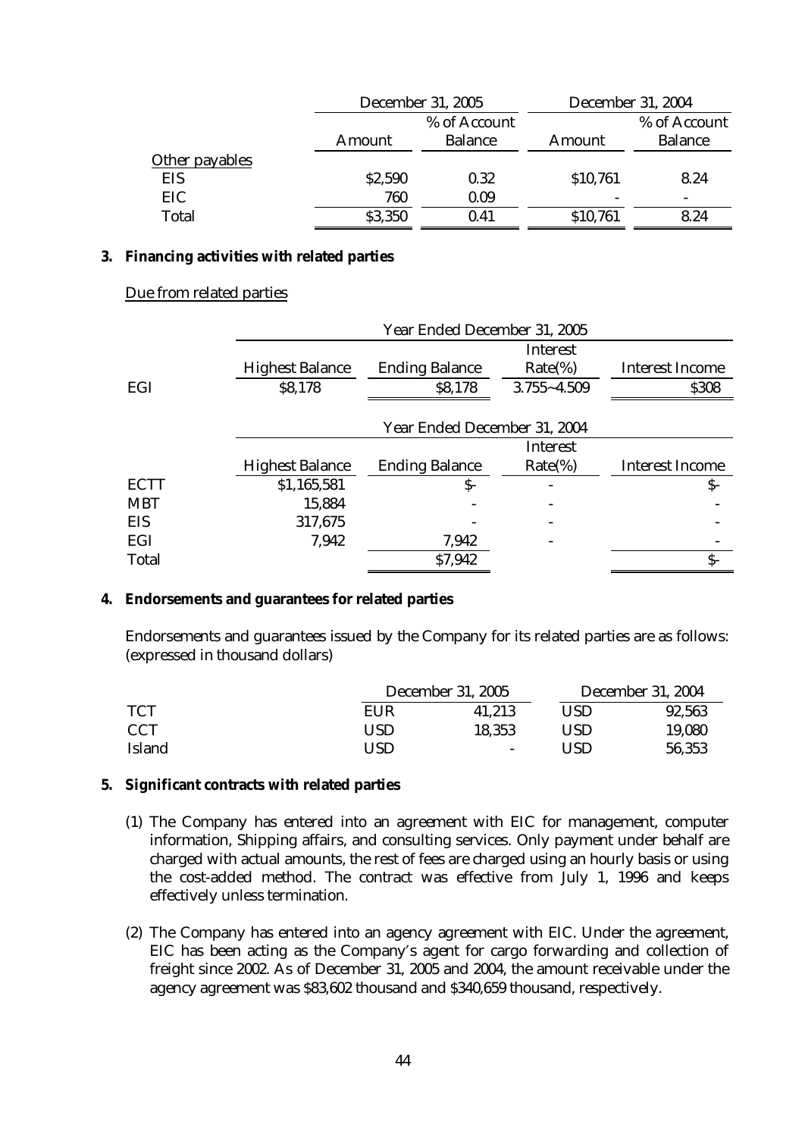|                |               | <b>December 31, 2005</b> |          | <b>December 31, 2004</b> |
|----------------|---------------|--------------------------|----------|--------------------------|
|                |               | % of Account             |          | % of Account             |
|                | <b>Amount</b> | <b>Balance</b>           | Amount   | <b>Balance</b>           |
| Other payables |               |                          |          |                          |
| EIS            | \$2,590       | 0.32                     | \$10,761 | 8.24                     |
| <b>EIC</b>     | 760           | 0.09                     |          |                          |
| <b>Total</b>   | \$3,350       | 0.41                     | \$10,761 | 8.24                     |

#### **3. Financing activities with related parties**

## Due from related parties

|              | Year Ended December 31, 2005 |                       |                          |                        |  |  |
|--------------|------------------------------|-----------------------|--------------------------|------------------------|--|--|
|              |                              |                       | <b>Interest</b>          |                        |  |  |
|              | <b>Highest Balance</b>       | <b>Ending Balance</b> | $Rate\%)$                | <b>Interest Income</b> |  |  |
| EGI          | \$8,178                      | \$8,178               | $3.755 - 4.509$          | \$308                  |  |  |
|              |                              |                       |                          |                        |  |  |
|              | Year Ended December 31, 2004 |                       |                          |                        |  |  |
|              |                              |                       | <b>Interest</b>          |                        |  |  |
|              | <b>Highest Balance</b>       | <b>Ending Balance</b> | $Rate\%)$                | <b>Interest Income</b> |  |  |
| <b>ECTT</b>  | \$1,165,581                  | \$-                   | $\overline{\phantom{a}}$ | \$-                    |  |  |
| <b>MBT</b>   | 15,884                       |                       |                          |                        |  |  |
| <b>EIS</b>   | 317,675                      |                       |                          |                        |  |  |
| EGI          | 7,942                        | 7,942                 |                          |                        |  |  |
| <b>Total</b> |                              | \$7,942               |                          | $S-$                   |  |  |

## **4. Endorsements and guarantees for related parties**

Endorsements and guarantees issued by the Company for its related parties are as follows: (expressed in thousand dollars)

|               |            | <b>December 31, 2005</b> | <b>December 31, 2004</b> |        |
|---------------|------------|--------------------------|--------------------------|--------|
| <b>TCT</b>    | <b>EUR</b> | 41,213                   | USD                      | 92,563 |
| <b>CCT</b>    | USD        | 18,353                   | USD                      | 19,080 |
| <b>Island</b> | USD        | $\blacksquare$           | USD                      | 56,353 |

- **5. Significant contracts with related parties** 
	- (1) The Company has entered into an agreement with EIC for management, computer information, Shipping affairs, and consulting services. Only payment under behalf are charged with actual amounts, the rest of fees are charged using an hourly basis or using the cost-added method. The contract was effective from July 1, 1996 and keeps effectively unless termination.
	- (2) The Company has entered into an agency agreement with EIC. Under the agreement, EIC has been acting as the Company's agent for cargo forwarding and collection of freight since 2002. As of December 31, 2005 and 2004, the amount receivable under the agency agreement was \$83,602 thousand and \$340,659 thousand, respectively.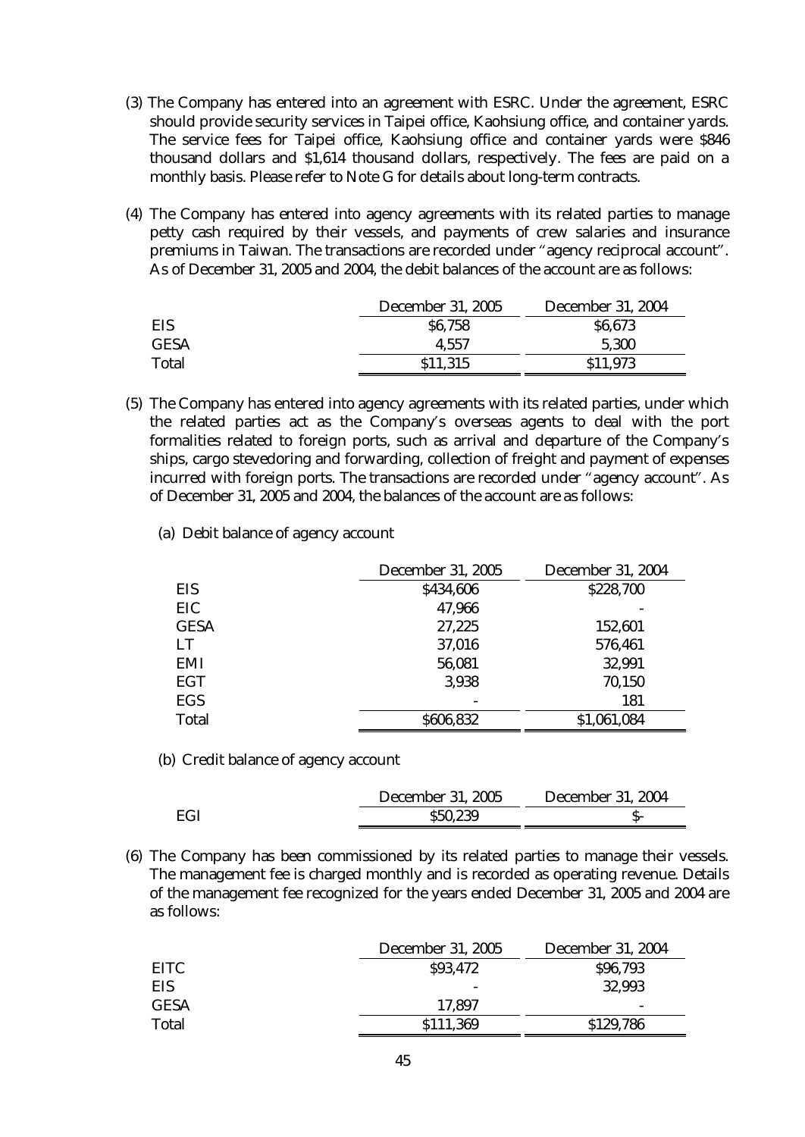- (3) The Company has entered into an agreement with ESRC. Under the agreement, ESRC should provide security services in Taipei office, Kaohsiung office, and container yards. The service fees for Taipei office, Kaohsiung office and container yards were \$846 thousand dollars and \$1,614 thousand dollars, respectively. The fees are paid on a monthly basis. Please refer to Note G for details about long-term contracts.
- (4) The Company has entered into agency agreements with its related parties to manage petty cash required by their vessels, and payments of crew salaries and insurance premiums in Taiwan. The transactions are recorded under "agency reciprocal account". As of December 31, 2005 and 2004, the debit balances of the account are as follows:

|              | <b>December 31, 2005</b> | <b>December 31, 2004</b> |
|--------------|--------------------------|--------------------------|
| EIS          | \$6,758                  | \$6,673                  |
| <b>GESA</b>  | 4,557                    | 5,300                    |
| <b>Total</b> | \$11,315                 | \$11,973                 |

- (5) The Company has entered into agency agreements with its related parties, under which the related parties act as the Company's overseas agents to deal with the port formalities related to foreign ports, such as arrival and departure of the Company's ships, cargo stevedoring and forwarding, collection of freight and payment of expenses incurred with foreign ports. The transactions are recorded under "agency account". As of December 31, 2005 and 2004, the balances of the account are as follows:
	- (a) Debit balance of agency account

|              | <b>December 31, 2005</b> | <b>December 31, 2004</b> |
|--------------|--------------------------|--------------------------|
| <b>EIS</b>   | \$434,606                | \$228,700                |
| EIC          | 47,966                   |                          |
| <b>GESA</b>  | 27,225                   | 152,601                  |
| LT           | 37,016                   | 576,461                  |
| <b>EMI</b>   | 56,081                   | 32,991                   |
| <b>EGT</b>   | 3,938                    | 70,150                   |
| <b>EGS</b>   |                          | 181                      |
| <b>Total</b> | \$606,832                | \$1,061,084              |

(b) Credit balance of agency account

|     | <b>December 31, 2005</b> | <b>December 31, 2004</b> |
|-----|--------------------------|--------------------------|
| EGI | \$50,239                 |                          |

(6) The Company has been commissioned by its related parties to manage their vessels. The management fee is charged monthly and is recorded as operating revenue. Details of the management fee recognized for the years ended December 31, 2005 and 2004 are as follows:

|              | <b>December 31, 2005</b> | <b>December 31, 2004</b> |
|--------------|--------------------------|--------------------------|
| <b>EITC</b>  | \$93,472                 | \$96,793                 |
| EIS          | $\overline{\phantom{0}}$ | 32,993                   |
| <b>GESA</b>  | 17,897                   | $\overline{\phantom{0}}$ |
| <b>Total</b> | \$111,369                | \$129,786                |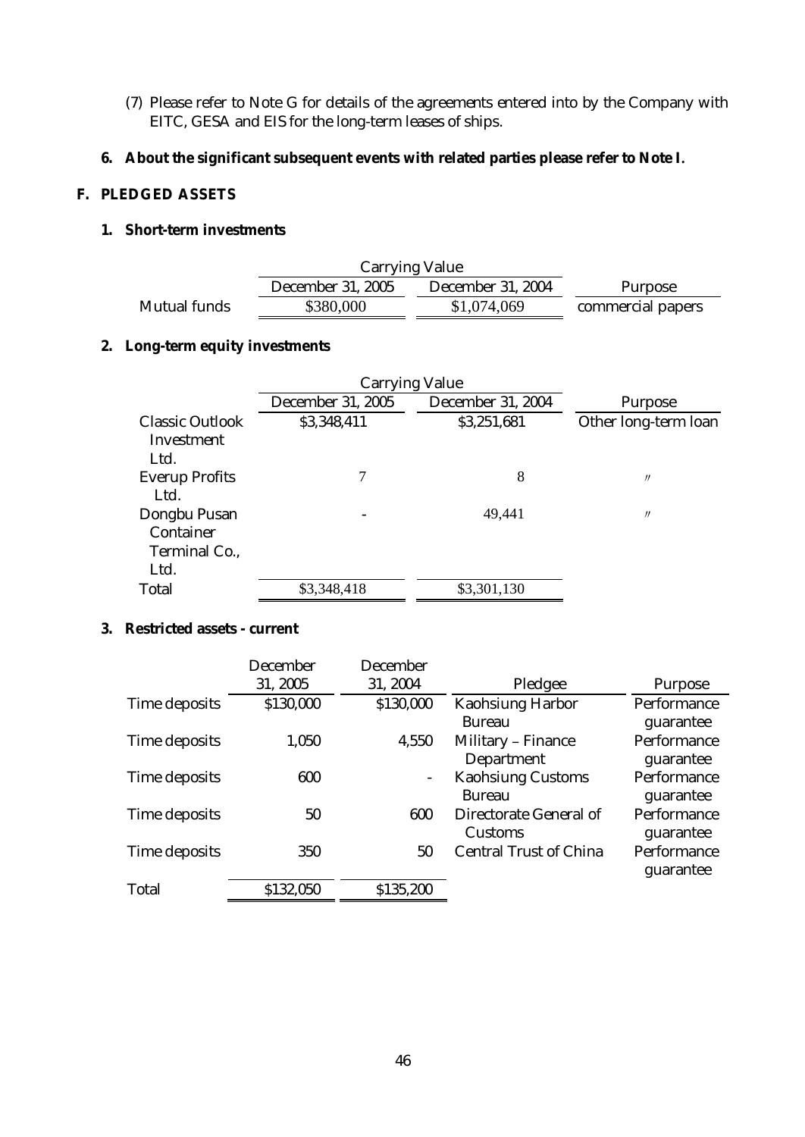- (7) Please refer to Note G for details of the agreements entered into by the Company with EITC, GESA and EIS for the long-term leases of ships.
- **6. About the significant subsequent events with related parties please refer to Note I.**

#### **F. PLEDGED ASSETS**

## **1. Short-term investments**

|                     | <b>Carrying Value</b>    |                          |                   |
|---------------------|--------------------------|--------------------------|-------------------|
|                     | <b>December 31, 2005</b> | <b>December 31, 2004</b> | Purpose           |
| <b>Mutual funds</b> | \$380,000                | \$1,074,069              | commercial papers |

## **2. Long-term equity investments**

|                        | <b>Carrying Value</b>    |                          |                      |
|------------------------|--------------------------|--------------------------|----------------------|
|                        | <b>December 31, 2005</b> | <b>December 31, 2004</b> | <b>Purpose</b>       |
| <b>Classic Outlook</b> | \$3,348,411              | \$3,251,681              | Other long-term loan |
| Investment             |                          |                          |                      |
| Ltd.                   |                          |                          |                      |
| <b>Everup Profits</b>  | 7                        | 8                        | $^{\prime\prime}$    |
| Ltd.                   |                          |                          |                      |
| Dongbu Pusan           |                          | 49,441                   | $^{\prime\prime}$    |
| <b>Container</b>       |                          |                          |                      |
| Terminal Co.,          |                          |                          |                      |
| Ltd.                   |                          |                          |                      |
| <b>Total</b>           | \$3,348,418              | \$3,301,130              |                      |

## **3. Restricted assets - current**

|                      | <b>December</b> | <b>December</b>          |                                                 |                          |
|----------------------|-----------------|--------------------------|-------------------------------------------------|--------------------------|
|                      | 31, 2005        | 31, 2004                 | Pledgee                                         | <b>Purpose</b>           |
| <b>Time deposits</b> | \$130,000       | \$130,000                | <b>Kaohsiung Harbor</b><br><b>Bureau</b>        | Performance<br>guarantee |
| Time deposits        | 1,050           | 4,550                    | <b>Military - Finance</b><br><b>Department</b>  | Performance<br>guarantee |
| Time deposits        | 600             | $\overline{\phantom{a}}$ | <b>Kaohsiung Customs</b><br><b>Bureau</b>       | Performance<br>guarantee |
| <b>Time deposits</b> | 50              | 600                      | <b>Directorate General of</b><br><b>Customs</b> | Performance<br>guarantee |
| Time deposits        | 350             | 50                       | <b>Central Trust of China</b>                   | Performance<br>guarantee |
| <b>Total</b>         | \$132,050       | \$135,200                |                                                 |                          |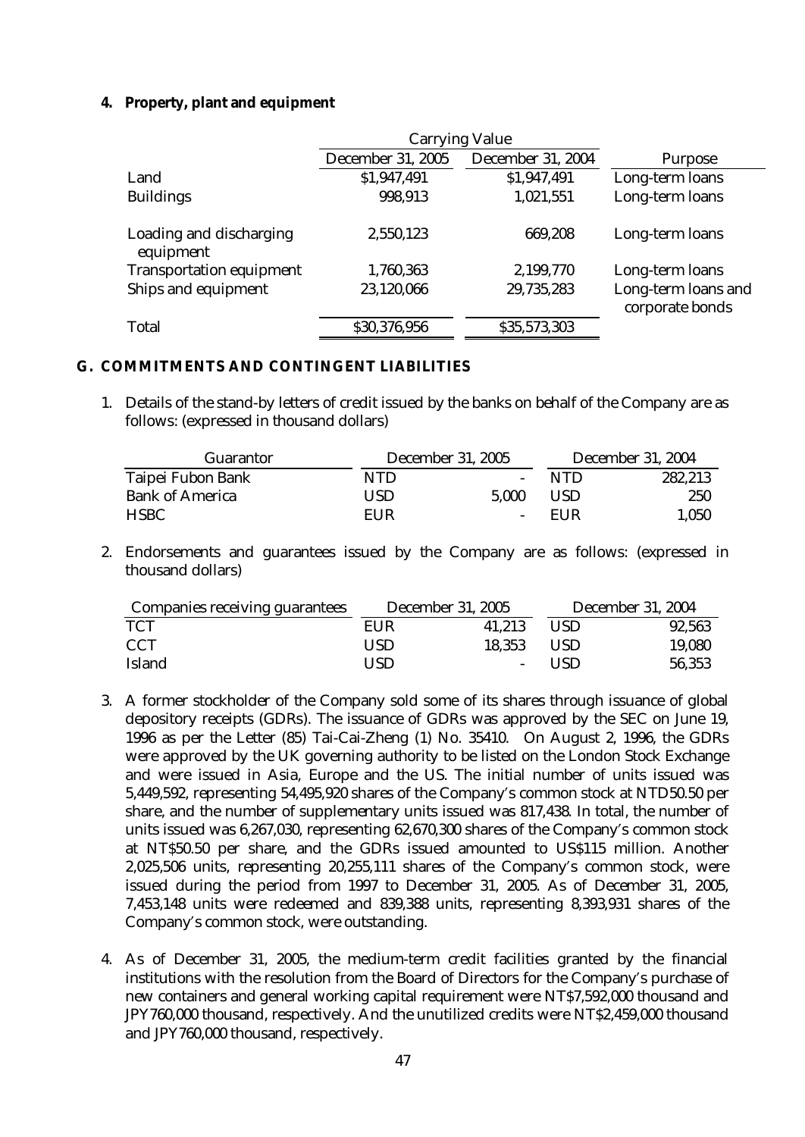## **4. Property, plant and equipment**

|                                      | <b>Carrying Value</b>    |                          |                                        |
|--------------------------------------|--------------------------|--------------------------|----------------------------------------|
|                                      | <b>December 31, 2005</b> | <b>December 31, 2004</b> | <b>Purpose</b>                         |
| Land                                 | \$1,947,491              | \$1,947,491              | Long-term loans                        |
| <b>Buildings</b>                     | 998,913                  | 1,021,551                | Long-term loans                        |
| Loading and discharging<br>equipment | 2,550,123                | 669,208                  | Long-term loans                        |
| <b>Transportation equipment</b>      | 1,760,363                | 2,199,770                | Long-term loans                        |
| Ships and equipment                  | 23,120,066               | 29,735,283               | Long-term loans and<br>corporate bonds |
| <b>Total</b>                         | \$30,376,956             | \$35,573,303             |                                        |

#### **G. COMMITMENTS AND CONTINGENT LIABILITIES**

1. Details of the stand-by letters of credit issued by the banks on behalf of the Company are as follows: (expressed in thousand dollars)

| Guarantor              |      | <b>December 31, 2005</b>     |            | <b>December 31, 2004</b> |
|------------------------|------|------------------------------|------------|--------------------------|
| Taipei Fubon Bank      | NTD  | $\qquad \qquad \blacksquare$ | <b>NTD</b> | 282,213                  |
| <b>Bank of America</b> | USD. | 5.000                        | <b>USD</b> | 250                      |
| <b>HSBC</b>            | EUR  | $\overline{\phantom{a}}$     | <b>FUR</b> | 1,050                    |

2. Endorsements and guarantees issued by the Company are as follows: (expressed in thousand dollars)

| <b>Companies receiving guarantees</b> | <b>December 31, 2005</b> |                          | <b>December 31, 2004</b> |        |
|---------------------------------------|--------------------------|--------------------------|--------------------------|--------|
| <b>TCT</b>                            | EUR                      | 41.213                   | <b>USD</b>               | 92,563 |
| <b>CCT</b>                            | USD                      | 18,353                   | <b>USD</b>               | 19,080 |
| <b>Island</b>                         | USD                      | $\overline{\phantom{0}}$ | USD <sub>1</sub>         | 56,353 |

- 3. A former stockholder of the Company sold some of its shares through issuance of global depository receipts (GDRs). The issuance of GDRs was approved by the SEC on June 19, 1996 as per the Letter (85) Tai-Cai-Zheng (1) No. 35410. On August 2, 1996, the GDRs were approved by the UK governing authority to be listed on the London Stock Exchange and were issued in Asia, Europe and the US. The initial number of units issued was 5,449,592, representing 54,495,920 shares of the Company's common stock at NTD50.50 per share, and the number of supplementary units issued was 817,438. In total, the number of units issued was 6,267,030, representing 62,670,300 shares of the Company's common stock at NT\$50.50 per share, and the GDRs issued amounted to US\$115 million. Another 2,025,506 units, representing 20,255,111 shares of the Company's common stock, were issued during the period from 1997 to December 31, 2005. As of December 31, 2005, 7,453,148 units were redeemed and 839,388 units, representing 8,393,931 shares of the Company's common stock, were outstanding.
- 4. As of December 31, 2005, the medium-term credit facilities granted by the financial institutions with the resolution from the Board of Directors for the Company's purchase of new containers and general working capital requirement were NT\$7,592,000 thousand and JPY760,000 thousand, respectively. And the unutilized credits were NT\$2,459,000 thousand and JPY760,000 thousand, respectively.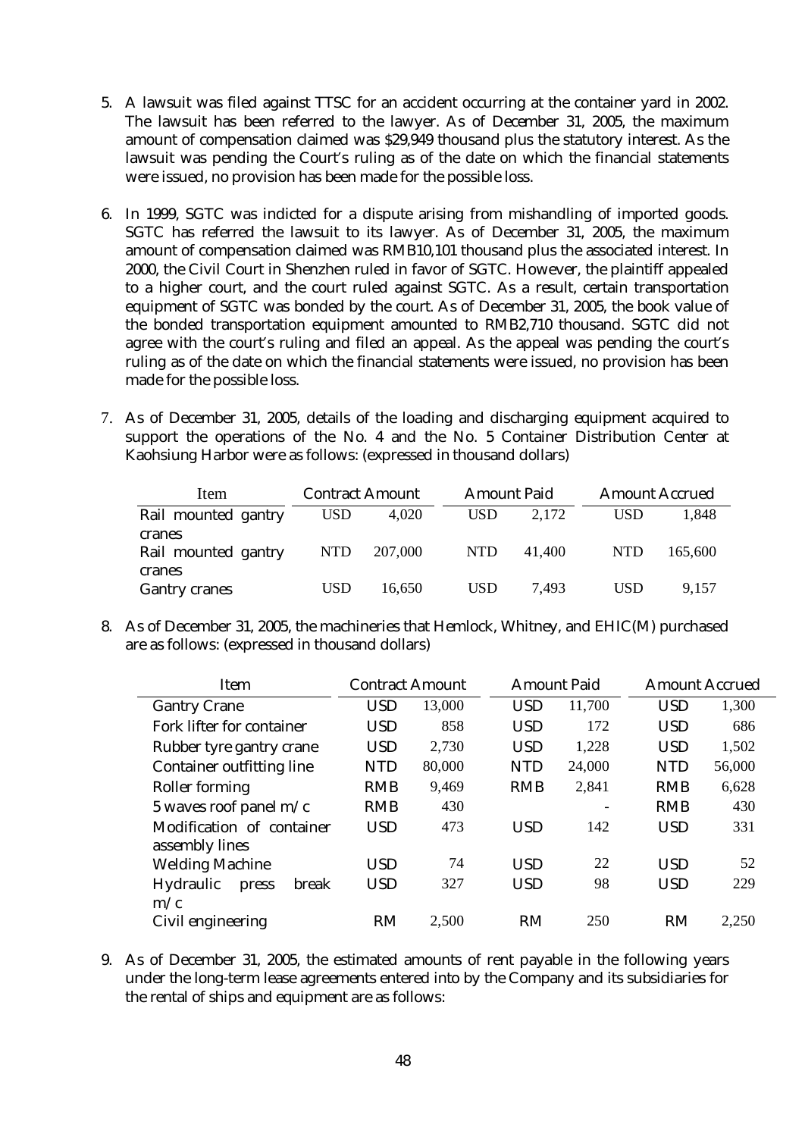- 5. A lawsuit was filed against TTSC for an accident occurring at the container yard in 2002. The lawsuit has been referred to the lawyer. As of December 31, 2005, the maximum amount of compensation claimed was \$29,949 thousand plus the statutory interest. As the lawsuit was pending the Court's ruling as of the date on which the financial statements were issued, no provision has been made for the possible loss.
- 6. In 1999, SGTC was indicted for a dispute arising from mishandling of imported goods. SGTC has referred the lawsuit to its lawyer. As of December 31, 2005, the maximum amount of compensation claimed was RMB10,101 thousand plus the associated interest. In 2000, the Civil Court in Shenzhen ruled in favor of SGTC. However, the plaintiff appealed to a higher court, and the court ruled against SGTC. As a result, certain transportation equipment of SGTC was bonded by the court. As of December 31, 2005, the book value of the bonded transportation equipment amounted to RMB2,710 thousand. SGTC did not agree with the court's ruling and filed an appeal. As the appeal was pending the court's ruling as of the date on which the financial statements were issued, no provision has been made for the possible loss.
- 7. As of December 31, 2005, details of the loading and discharging equipment acquired to support the operations of the No. 4 and the No. 5 Container Distribution Center at Kaohsiung Harbor were as follows: (expressed in thousand dollars)

| Item                                    | <b>Contract Amount</b> |         | <b>Amount Paid</b> |        | <b>Amount Accrued</b> |         |
|-----------------------------------------|------------------------|---------|--------------------|--------|-----------------------|---------|
| Rail mounted gantry                     | <b>USD</b>             | 4.020   | <b>USD</b>         | 2,172  | <b>USD</b>            | 1.848   |
| cranes<br>Rail mounted gantry<br>cranes | NTD                    | 207,000 | <b>NTD</b>         | 41,400 | <b>NTD</b>            | 165,600 |
| <b>Gantry cranes</b>                    | USD                    | 16.650  | <b>USD</b>         | 7.493  | USD                   | 9.157   |

8. As of December 31, 2005, the machineries that Hemlock, Whitney, and EHIC(M) purchased are as follows: (expressed in thousand dollars)

| <b>Item</b>                        | <b>Contract Amount</b> |        |            | <b>Amount Paid</b>       |            | <b>Amount Accrued</b> |
|------------------------------------|------------------------|--------|------------|--------------------------|------------|-----------------------|
| <b>Gantry Crane</b>                | <b>USD</b>             | 13,000 | <b>USD</b> | 11,700                   | <b>USD</b> | 1,300                 |
| <b>Fork lifter for container</b>   | <b>USD</b>             | 858    | <b>USD</b> | 172                      | <b>USD</b> | 686                   |
| Rubber tyre gantry crane           | <b>USD</b>             | 2,730  | <b>USD</b> | 1,228                    | <b>USD</b> | 1,502                 |
| <b>Container outfitting line</b>   | <b>NTD</b>             | 80,000 | <b>NTD</b> | 24,000                   | <b>NTD</b> | 56,000                |
| <b>Roller forming</b>              | <b>RMB</b>             | 9,469  | <b>RMB</b> | 2,841                    | <b>RMB</b> | 6,628                 |
| 5 waves roof panel $m/c$           | <b>RMB</b>             | 430    |            | $\overline{\phantom{a}}$ | <b>RMB</b> | 430                   |
| Modification of container          | <b>USD</b>             | 473    | <b>USD</b> | 142                      | <b>USD</b> | 331                   |
| assembly lines                     |                        |        |            |                          |            |                       |
| <b>Welding Machine</b>             | <b>USD</b>             | 74     | <b>USD</b> | 22                       | <b>USD</b> | 52                    |
| <b>Hydraulic</b><br>break<br>press | <b>USD</b>             | 327    | <b>USD</b> | 98                       | <b>USD</b> | 229                   |
| m/c                                |                        |        |            |                          |            |                       |
| Civil engineering                  | RM                     | 2,500  | RM         | 250                      | <b>RM</b>  | 2,250                 |

9. As of December 31, 2005, the estimated amounts of rent payable in the following years under the long-term lease agreements entered into by the Company and its subsidiaries for the rental of ships and equipment are as follows: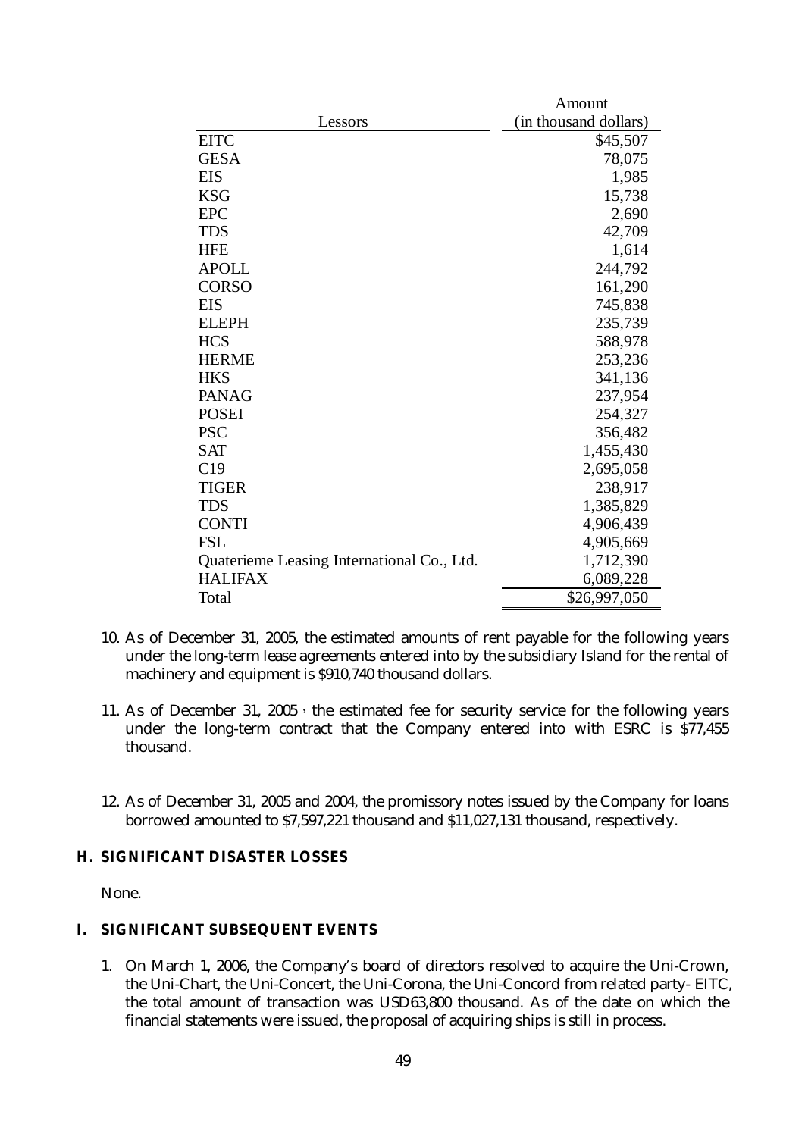|                                            | Amount                |  |  |  |
|--------------------------------------------|-----------------------|--|--|--|
| Lessors                                    | (in thousand dollars) |  |  |  |
| <b>EITC</b>                                | \$45,507              |  |  |  |
| <b>GESA</b>                                | 78,075                |  |  |  |
| <b>EIS</b>                                 | 1,985                 |  |  |  |
| <b>KSG</b>                                 | 15,738                |  |  |  |
| <b>EPC</b>                                 | 2,690                 |  |  |  |
| <b>TDS</b>                                 | 42,709                |  |  |  |
| <b>HFE</b>                                 | 1,614                 |  |  |  |
| <b>APOLL</b>                               | 244,792               |  |  |  |
| <b>CORSO</b>                               | 161,290               |  |  |  |
| <b>EIS</b>                                 | 745,838               |  |  |  |
| <b>ELEPH</b>                               | 235,739               |  |  |  |
| <b>HCS</b>                                 | 588,978               |  |  |  |
| <b>HERME</b>                               | 253,236               |  |  |  |
| <b>HKS</b>                                 | 341,136               |  |  |  |
| <b>PANAG</b>                               | 237,954               |  |  |  |
| <b>POSEI</b>                               | 254,327               |  |  |  |
| <b>PSC</b>                                 | 356,482               |  |  |  |
| <b>SAT</b>                                 | 1,455,430             |  |  |  |
| C19                                        | 2,695,058             |  |  |  |
| <b>TIGER</b>                               | 238,917               |  |  |  |
| <b>TDS</b>                                 | 1,385,829             |  |  |  |
| <b>CONTI</b>                               | 4,906,439             |  |  |  |
| <b>FSL</b>                                 | 4,905,669             |  |  |  |
| Quaterieme Leasing International Co., Ltd. | 1,712,390             |  |  |  |
| <b>HALIFAX</b>                             | 6,089,228             |  |  |  |
| Total                                      | \$26,997,050          |  |  |  |

- 10. As of December 31, 2005, the estimated amounts of rent payable for the following years under the long-term lease agreements entered into by the subsidiary Island for the rental of machinery and equipment is \$910,740 thousand dollars.
- 11. As of December 31, 2005, the estimated fee for security service for the following years under the long-term contract that the Company entered into with ESRC is \$77,455 thousand.
- 12. As of December 31, 2005 and 2004, the promissory notes issued by the Company for loans borrowed amounted to \$7,597,221 thousand and \$11,027,131 thousand, respectively.

## **H. SIGNIFICANT DISASTER LOSSES**

None.

## **I. SIGNIFICANT SUBSEQUENT EVENTS**

1. On March 1, 2006, the Company's board of directors resolved to acquire the Uni-Crown, the Uni-Chart, the Uni-Concert, the Uni-Corona, the Uni-Concord from related party- EITC, the total amount of transaction was USD63,800 thousand. As of the date on which the financial statements were issued, the proposal of acquiring ships is still in process.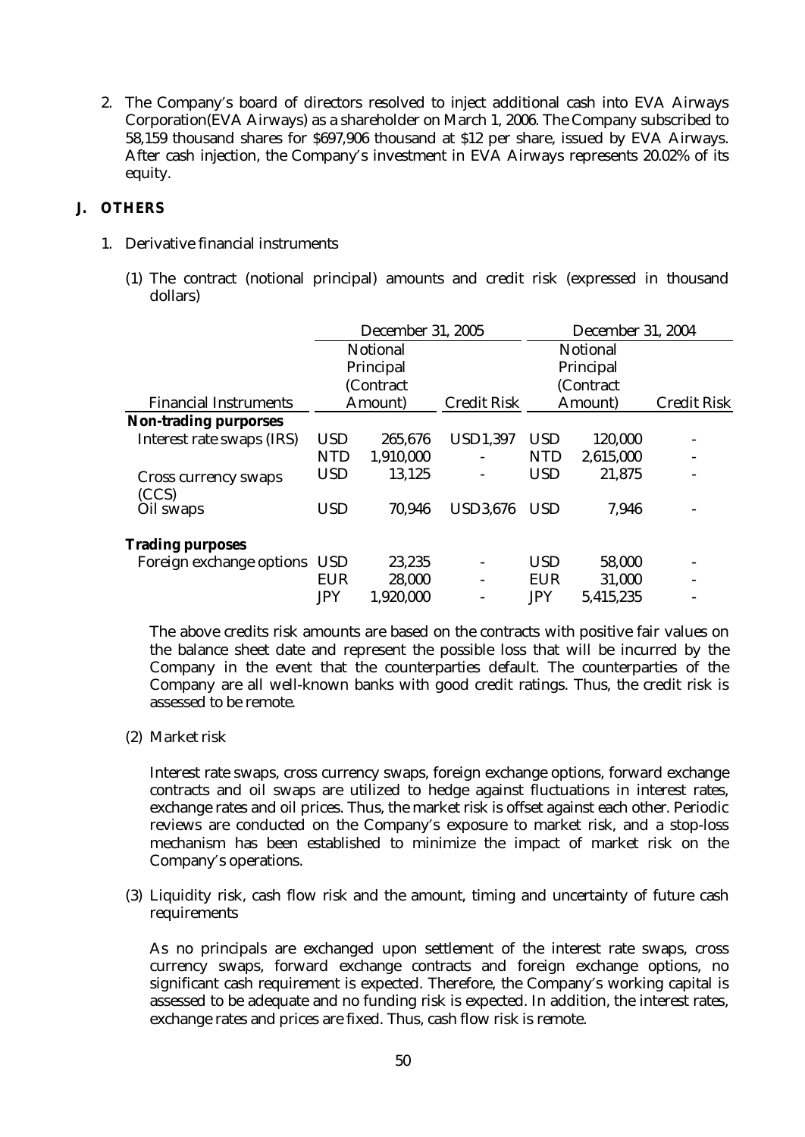2. The Company's board of directors resolved to inject additional cash into EVA Airways Corporation(EVA Airways) as a shareholder on March 1, 2006. The Company subscribed to 58,159 thousand shares for \$697,906 thousand at \$12 per share, issued by EVA Airways. After cash injection, the Company's investment in EVA Airways represents 20.02% of its equity.

## **J. OTHERS**

- 1. Derivative financial instruments
	- (1) The contract (notional principal) amounts and credit risk (expressed in thousand dollars)

|                                      | <b>December 31, 2005</b> |                 |                    | <b>December 31, 2004</b> |                 |                    |  |  |
|--------------------------------------|--------------------------|-----------------|--------------------|--------------------------|-----------------|--------------------|--|--|
|                                      |                          | <b>Notional</b> |                    |                          | <b>Notional</b> |                    |  |  |
|                                      |                          | Principal       |                    |                          | Principal       |                    |  |  |
|                                      |                          | (Contract       |                    |                          | (Contract       |                    |  |  |
| <b>Financial Instruments</b>         |                          | Amount)         | <b>Credit Risk</b> |                          | Amount)         | <b>Credit Risk</b> |  |  |
| <b>Non-trading purporses</b>         |                          |                 |                    |                          |                 |                    |  |  |
| Interest rate swaps (IRS)            | <b>USD</b>               | 265,676         | <b>USD1,397</b>    | <b>USD</b>               | 120,000         |                    |  |  |
|                                      | <b>NTD</b>               | 1,910,000       |                    | <b>NTD</b>               | 2,615,000       |                    |  |  |
| <b>Cross currency swaps</b><br>(CCS) | <b>USD</b>               | 13,125          | -                  | <b>USD</b>               | 21,875          |                    |  |  |
| Oil swaps                            | <b>USD</b>               | 70,946          | <b>USD3,676</b>    | <b>USD</b>               | 7,946           |                    |  |  |
| <b>Trading purposes</b>              |                          |                 |                    |                          |                 |                    |  |  |
| Foreign exchange options USD         |                          | 23,235          |                    | <b>USD</b>               | 58,000          |                    |  |  |
|                                      | <b>EUR</b>               | 28,000          |                    | <b>EUR</b>               | 31,000          |                    |  |  |
|                                      | <b>JPY</b>               | 1,920,000       |                    | <b>JPY</b>               | 5,415,235       |                    |  |  |

The above credits risk amounts are based on the contracts with positive fair values on the balance sheet date and represent the possible loss that will be incurred by the Company in the event that the counterparties default. The counterparties of the Company are all well-known banks with good credit ratings. Thus, the credit risk is assessed to be remote.

(2) Market risk

Interest rate swaps, cross currency swaps, foreign exchange options, forward exchange contracts and oil swaps are utilized to hedge against fluctuations in interest rates, exchange rates and oil prices. Thus, the market risk is offset against each other. Periodic reviews are conducted on the Company's exposure to market risk, and a stop-loss mechanism has been established to minimize the impact of market risk on the Company's operations.

(3) Liquidity risk, cash flow risk and the amount, timing and uncertainty of future cash requirements

As no principals are exchanged upon settlement of the interest rate swaps, cross currency swaps, forward exchange contracts and foreign exchange options, no significant cash requirement is expected. Therefore, the Company's working capital is assessed to be adequate and no funding risk is expected. In addition, the interest rates, exchange rates and prices are fixed. Thus, cash flow risk is remote.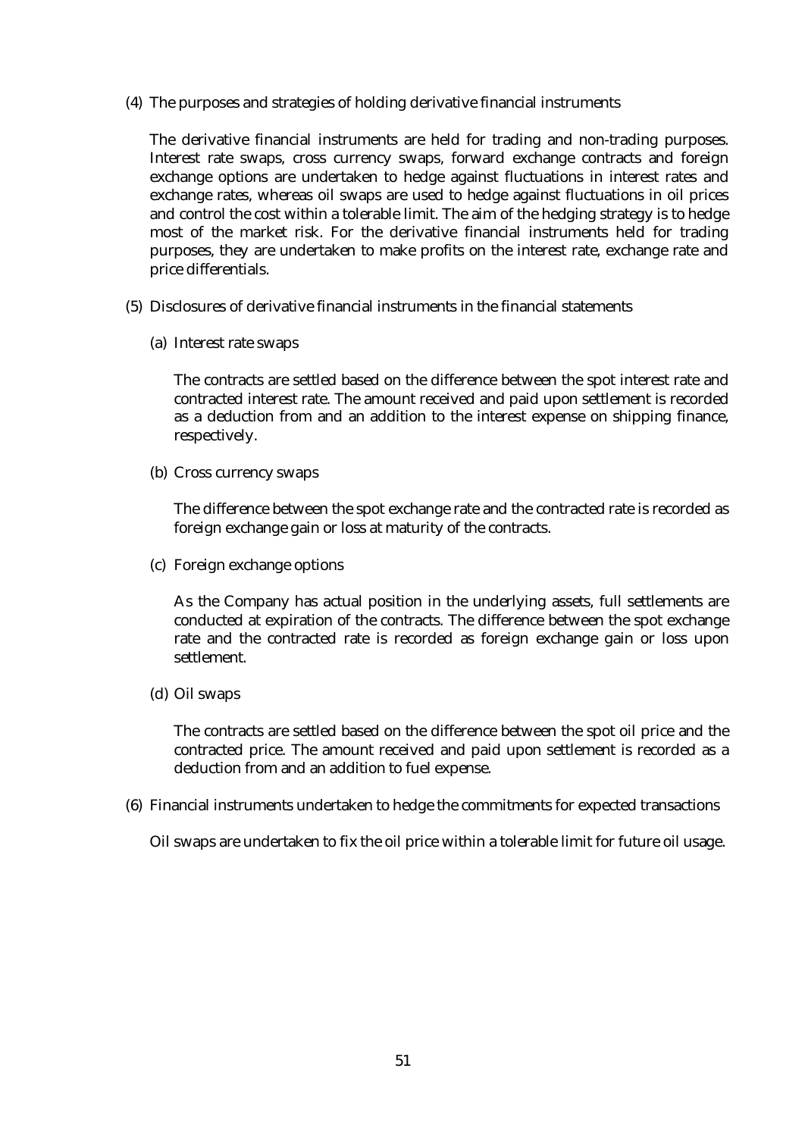(4) The purposes and strategies of holding derivative financial instruments

The derivative financial instruments are held for trading and non-trading purposes. Interest rate swaps, cross currency swaps, forward exchange contracts and foreign exchange options are undertaken to hedge against fluctuations in interest rates and exchange rates, whereas oil swaps are used to hedge against fluctuations in oil prices and control the cost within a tolerable limit. The aim of the hedging strategy is to hedge most of the market risk. For the derivative financial instruments held for trading purposes, they are undertaken to make profits on the interest rate, exchange rate and price differentials.

- (5) Disclosures of derivative financial instruments in the financial statements
	- (a) Interest rate swaps

The contracts are settled based on the difference between the spot interest rate and contracted interest rate. The amount received and paid upon settlement is recorded as a deduction from and an addition to the interest expense on shipping finance, respectively.

(b) Cross currency swaps

The difference between the spot exchange rate and the contracted rate is recorded as foreign exchange gain or loss at maturity of the contracts.

(c) Foreign exchange options

As the Company has actual position in the underlying assets, full settlements are conducted at expiration of the contracts. The difference between the spot exchange rate and the contracted rate is recorded as foreign exchange gain or loss upon settlement.

(d) Oil swaps

The contracts are settled based on the difference between the spot oil price and the contracted price. The amount received and paid upon settlement is recorded as a deduction from and an addition to fuel expense.

(6) Financial instruments undertaken to hedge the commitments for expected transactions

Oil swaps are undertaken to fix the oil price within a tolerable limit for future oil usage.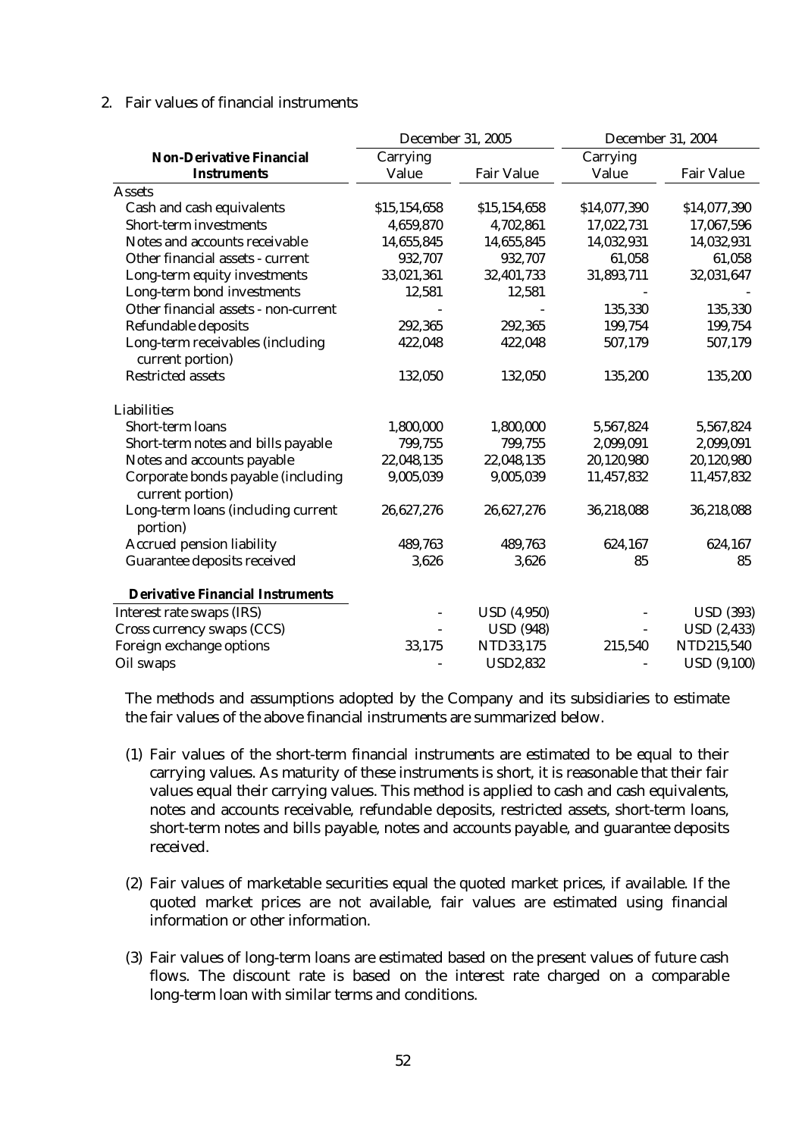#### 2. Fair values of financial instruments

|                                                        | December 31, 2005 |                    | December 31, 2004 |                    |
|--------------------------------------------------------|-------------------|--------------------|-------------------|--------------------|
| <b>Non-Derivative Financial</b>                        | Carrying          |                    | Carrying          |                    |
| <b>Instruments</b>                                     | Value             | <b>Fair Value</b>  | Value             | <b>Fair Value</b>  |
| <b>Assets</b>                                          |                   |                    |                   |                    |
| <b>Cash and cash equivalents</b>                       | \$15,154,658      | \$15,154,658       | \$14,077,390      | \$14,077,390       |
| <b>Short-term investments</b>                          | 4,659,870         | 4,702,861          | 17,022,731        | 17,067,596         |
| Notes and accounts receivable                          | 14,655,845        | 14,655,845         | 14,032,931        | 14,032,931         |
| Other financial assets - current                       | 932,707           | 932,707            | 61,058            | 61,058             |
| Long-term equity investments                           | 33,021,361        | 32,401,733         | 31,893,711        | 32,031,647         |
| Long-term bond investments                             | 12,581            | 12,581             |                   |                    |
| Other financial assets - non-current                   |                   |                    | 135,330           | 135,330            |
| <b>Refundable deposits</b>                             | 292,365           | 292,365            | 199,754           | 199,754            |
| Long-term receivables (including<br>current portion)   | 422,048           | 422,048            | 507,179           | 507,179            |
| <b>Restricted assets</b>                               | 132,050           | 132,050            | 135,200           | 135,200            |
| <b>Liabilities</b>                                     |                   |                    |                   |                    |
| <b>Short-term loans</b>                                | 1,800,000         | 1,800,000          | 5,567,824         | 5,567,824          |
| Short-term notes and bills payable                     | 799,755           | 799,755            | 2,099,091         | 2,099,091          |
| Notes and accounts payable                             | 22,048,135        | 22,048,135         | 20,120,980        | 20,120,980         |
| Corporate bonds payable (including<br>current portion) | 9,005,039         | 9,005,039          | 11,457,832        | 11,457,832         |
| Long-term loans (including current<br>portion)         | 26,627,276        | 26,627,276         | 36,218,088        | 36,218,088         |
| <b>Accrued pension liability</b>                       | 489,763           | 489,763            | 624,167           | 624,167            |
| Guarantee deposits received                            | 3,626             | 3,626              | 85                | 85                 |
| <b>Derivative Financial Instruments</b>                |                   |                    |                   |                    |
| Interest rate swaps (IRS)                              |                   | <b>USD</b> (4,950) |                   | <b>USD</b> (393)   |
| Cross currency swaps (CCS)                             |                   | <b>USD</b> (948)   |                   | <b>USD</b> (2,433) |
| Foreign exchange options                               | 33,175            | NTD33,175          | 215,540           | NTD215,540         |
| Oil swaps                                              |                   | <b>USD2,832</b>    |                   | <b>USD</b> (9,100) |

The methods and assumptions adopted by the Company and its subsidiaries to estimate the fair values of the above financial instruments are summarized below.

- (1) Fair values of the short-term financial instruments are estimated to be equal to their carrying values. As maturity of these instruments is short, it is reasonable that their fair values equal their carrying values. This method is applied to cash and cash equivalents, notes and accounts receivable, refundable deposits, restricted assets, short-term loans, short-term notes and bills payable, notes and accounts payable, and guarantee deposits received.
- (2) Fair values of marketable securities equal the quoted market prices, if available. If the quoted market prices are not available, fair values are estimated using financial information or other information.
- (3) Fair values of long-term loans are estimated based on the present values of future cash flows. The discount rate is based on the interest rate charged on a comparable long-term loan with similar terms and conditions.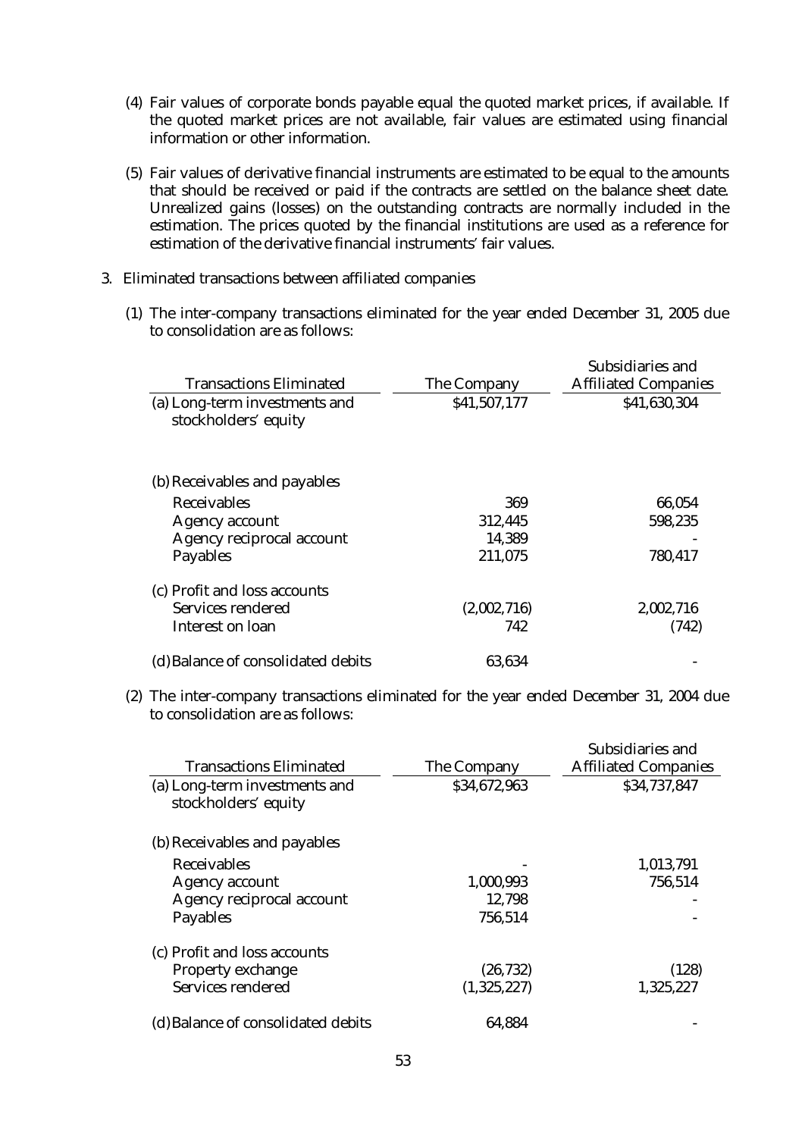- (4) Fair values of corporate bonds payable equal the quoted market prices, if available. If the quoted market prices are not available, fair values are estimated using financial information or other information.
- (5) Fair values of derivative financial instruments are estimated to be equal to the amounts that should be received or paid if the contracts are settled on the balance sheet date. Unrealized gains (losses) on the outstanding contracts are normally included in the estimation. The prices quoted by the financial institutions are used as a reference for estimation of the derivative financial instruments' fair values.
- 3. Eliminated transactions between affiliated companies
	- (1) The inter-company transactions eliminated for the year ended December 31, 2005 due to consolidation are as follows:

|                                                       |              | Subsidiaries and            |
|-------------------------------------------------------|--------------|-----------------------------|
| <b>Transactions Eliminated</b>                        | The Company  | <b>Affiliated Companies</b> |
| (a) Long-term investments and<br>stockholders' equity | \$41,507,177 | \$41,630,304                |
| (b) Receivables and payables                          |              |                             |
| <b>Receivables</b>                                    | 369          | 66,054                      |
| <b>Agency account</b>                                 | 312,445      | 598,235                     |
| <b>Agency reciprocal account</b>                      | 14,389       |                             |
| <b>Payables</b>                                       | 211,075      | 780,417                     |
| (c) Profit and loss accounts                          |              |                             |
| Services rendered                                     | (2,002,716)  | 2,002,716                   |
| Interest on loan                                      | 742          | (742)                       |
| (d) Balance of consolidated debits                    | 63,634       |                             |

(2) The inter-company transactions eliminated for the year ended December 31, 2004 due to consolidation are as follows:

|                                                       |              | Subsidiaries and            |
|-------------------------------------------------------|--------------|-----------------------------|
| <b>Transactions Eliminated</b>                        | The Company  | <b>Affiliated Companies</b> |
| (a) Long-term investments and<br>stockholders' equity | \$34,672,963 | \$34,737,847                |
| (b) Receivables and payables                          |              |                             |
| <b>Receivables</b>                                    |              | 1,013,791                   |
| <b>Agency account</b>                                 | 1,000,993    | 756,514                     |
| <b>Agency reciprocal account</b>                      | 12,798       |                             |
| <b>Payables</b>                                       | 756,514      |                             |
| (c) Profit and loss accounts                          |              |                             |
| <b>Property exchange</b>                              | (26, 732)    | (128)                       |
| <b>Services rendered</b>                              | (1,325,227)  | 1,325,227                   |
| (d) Balance of consolidated debits                    | 64,884       |                             |
|                                                       |              |                             |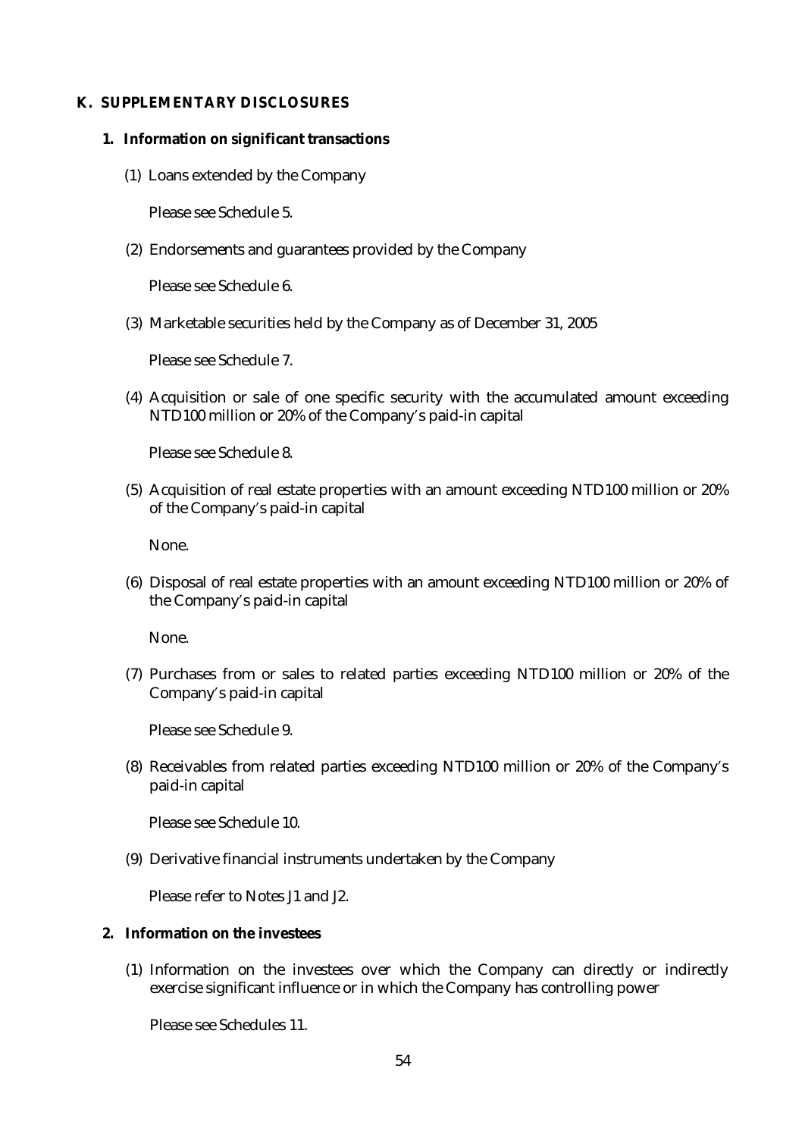#### **K. SUPPLEMENTARY DISCLOSURES**

- **1. Information on significant transactions** 
	- (1) Loans extended by the Company

Please see Schedule 5.

(2) Endorsements and guarantees provided by the Company

Please see Schedule 6.

(3) Marketable securities held by the Company as of December 31, 2005

Please see Schedule 7.

(4) Acquisition or sale of one specific security with the accumulated amount exceeding NTD100 million or 20% of the Company's paid-in capital

Please see Schedule 8.

(5) Acquisition of real estate properties with an amount exceeding NTD100 million or 20% of the Company's paid-in capital

None.

(6) Disposal of real estate properties with an amount exceeding NTD100 million or 20% of the Company's paid-in capital

None.

(7) Purchases from or sales to related parties exceeding NTD100 million or 20% of the Company's paid-in capital

Please see Schedule 9.

(8) Receivables from related parties exceeding NTD100 million or 20% of the Company's paid-in capital

Please see Schedule 10.

(9) Derivative financial instruments undertaken by the Company

Please refer to Notes J1 and J2.

#### **2. Information on the investees**

(1) Information on the investees over which the Company can directly or indirectly exercise significant influence or in which the Company has controlling power

Please see Schedules 11.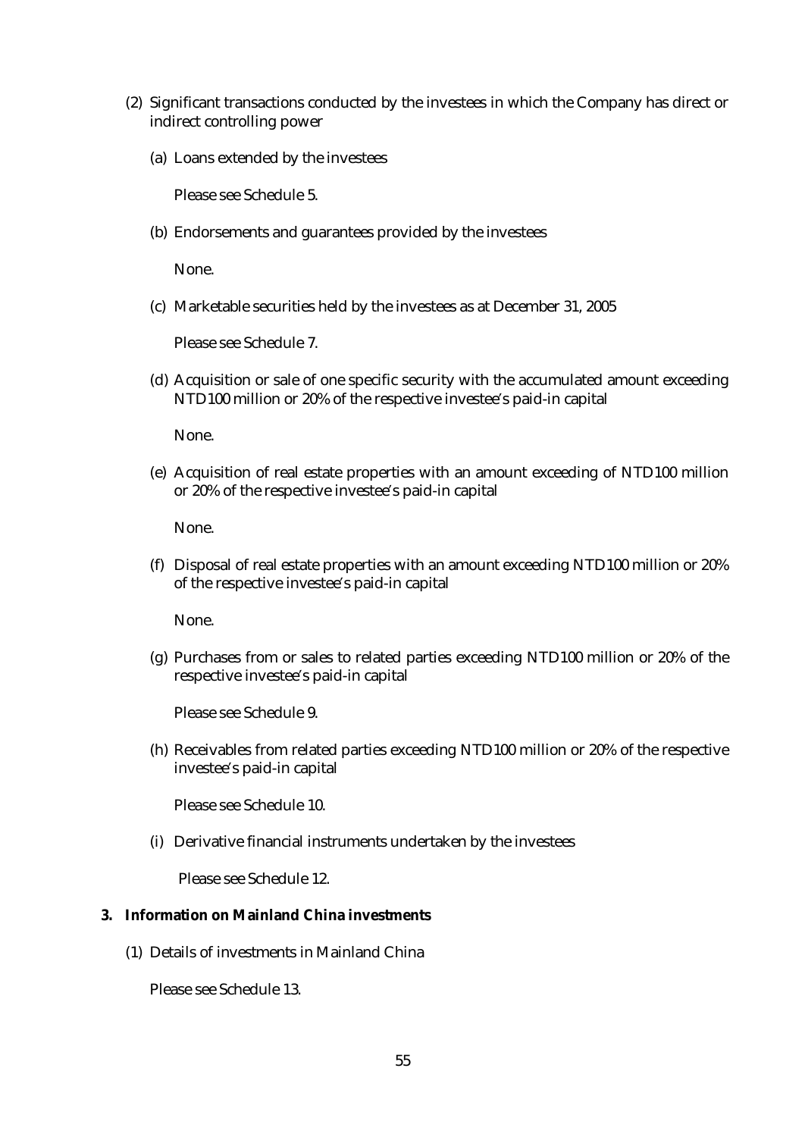- (2) Significant transactions conducted by the investees in which the Company has direct or indirect controlling power
	- (a) Loans extended by the investees

Please see Schedule 5.

(b) Endorsements and guarantees provided by the investees

None.

(c) Marketable securities held by the investees as at December 31, 2005

Please see Schedule 7.

(d) Acquisition or sale of one specific security with the accumulated amount exceeding NTD100 million or 20% of the respective investee's paid-in capital

None.

(e) Acquisition of real estate properties with an amount exceeding of NTD100 million or 20% of the respective investee's paid-in capital

None.

(f) Disposal of real estate properties with an amount exceeding NTD100 million or 20% of the respective investee's paid-in capital

None.

(g) Purchases from or sales to related parties exceeding NTD100 million or 20% of the respective investee's paid-in capital

Please see Schedule 9.

(h) Receivables from related parties exceeding NTD100 million or 20% of the respective investee's paid-in capital

Please see Schedule 10.

(i) Derivative financial instruments undertaken by the investees

Please see Schedule 12.

## **3. Information on Mainland China investments**

(1) Details of investments in Mainland China

Please see Schedule 13.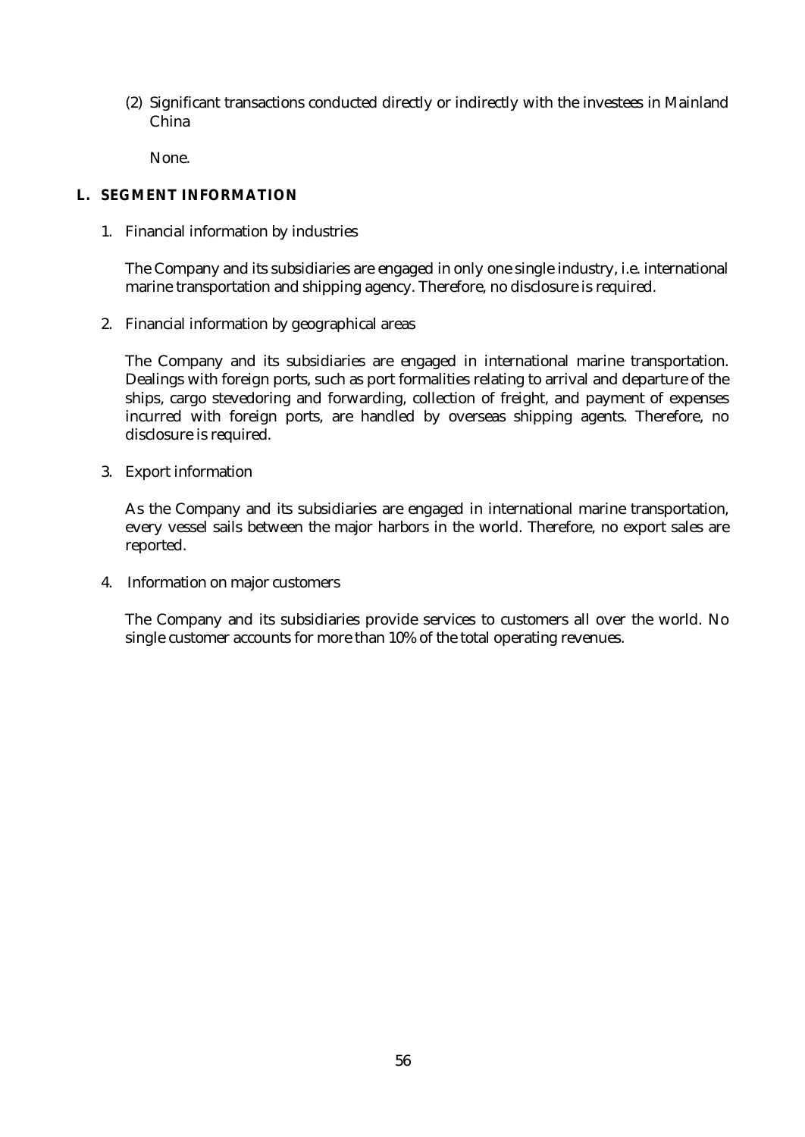(2) Significant transactions conducted directly or indirectly with the investees in Mainland China

None.

## **L. SEGMENT INFORMATION**

1. Financial information by industries

The Company and its subsidiaries are engaged in only one single industry, i.e. international marine transportation and shipping agency. Therefore, no disclosure is required.

2. Financial information by geographical areas

The Company and its subsidiaries are engaged in international marine transportation. Dealings with foreign ports, such as port formalities relating to arrival and departure of the ships, cargo stevedoring and forwarding, collection of freight, and payment of expenses incurred with foreign ports, are handled by overseas shipping agents. Therefore, no disclosure is required.

3. Export information

As the Company and its subsidiaries are engaged in international marine transportation, every vessel sails between the major harbors in the world. Therefore, no export sales are reported.

4. Information on major customers

The Company and its subsidiaries provide services to customers all over the world. No single customer accounts for more than 10% of the total operating revenues.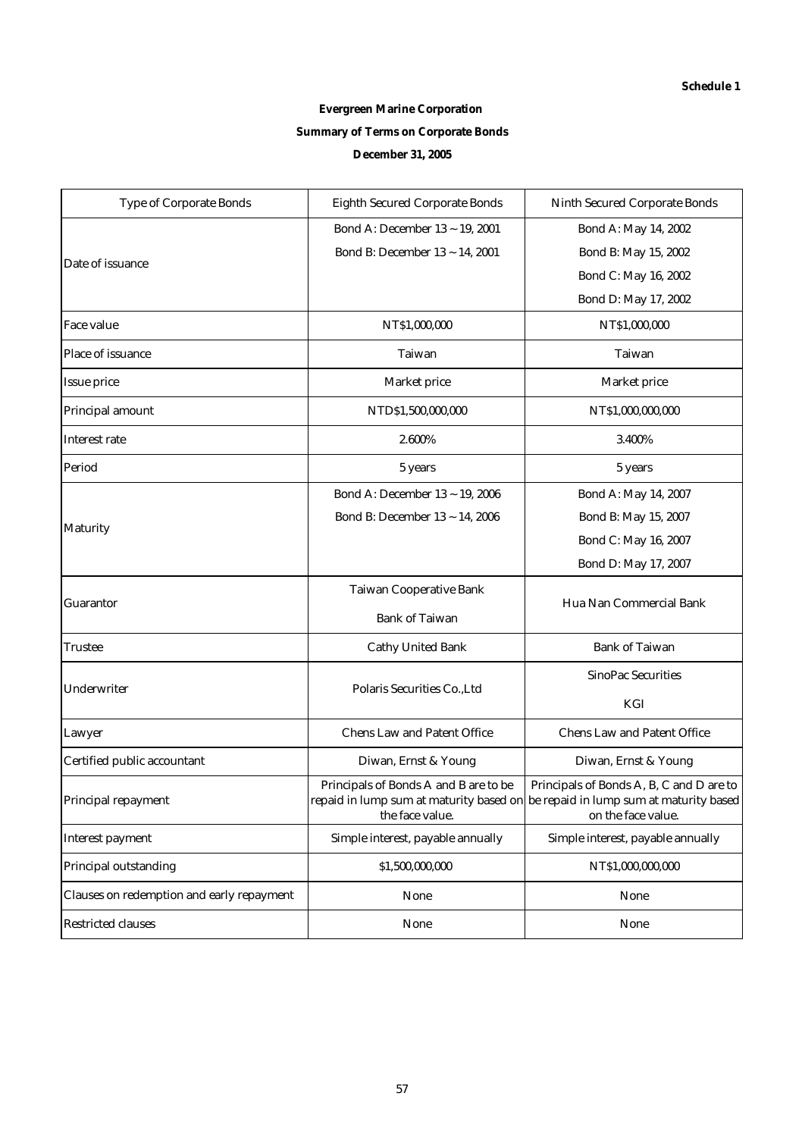# **Evergreen Marine Corporation Summary of Terms on Corporate Bonds December 31, 2005**

| <b>Type of Corporate Bonds</b>            | <b>Eighth Secured Corporate Bonds</b>                    | <b>Ninth Secured Corporate Bonds</b>                                                                                                              |  |
|-------------------------------------------|----------------------------------------------------------|---------------------------------------------------------------------------------------------------------------------------------------------------|--|
|                                           | Bond A: December 13 ~ 19, 2001                           | Bond A: May 14, 2002                                                                                                                              |  |
| Date of issuance                          | Bond B: December 13 ~ 14, 2001                           | Bond B: May 15, 2002                                                                                                                              |  |
|                                           |                                                          | Bond C: May 16, 2002                                                                                                                              |  |
|                                           |                                                          | Bond D: May 17, 2002                                                                                                                              |  |
| <b>Face value</b>                         | NT\$1,000,000                                            | NT\$1,000,000                                                                                                                                     |  |
| Place of issuance                         | <b>Taiwan</b>                                            | <b>Taiwan</b>                                                                                                                                     |  |
| <b>Issue price</b>                        | <b>Market price</b>                                      | Market price                                                                                                                                      |  |
| Principal amount                          | NTD\$1,500,000,000                                       | NT\$1,000,000,000                                                                                                                                 |  |
| <b>Interest rate</b>                      | 2.600%                                                   | 3.400%                                                                                                                                            |  |
| Period                                    | 5 years                                                  | 5 years                                                                                                                                           |  |
|                                           | Bond A: December 13 ~ 19, 2006                           | Bond A: May 14, 2007                                                                                                                              |  |
|                                           | Bond B: December 13 ~ 14, 2006                           | Bond B: May 15, 2007                                                                                                                              |  |
| <b>Maturity</b>                           |                                                          | Bond C: May 16, 2007                                                                                                                              |  |
|                                           |                                                          | Bond D: May 17, 2007                                                                                                                              |  |
|                                           | <b>Taiwan Cooperative Bank</b>                           |                                                                                                                                                   |  |
| <b>Guarantor</b>                          | <b>Bank of Taiwan</b>                                    | Hua Nan Commercial Bank                                                                                                                           |  |
| Trustee                                   | <b>Cathy United Bank</b>                                 | <b>Bank of Taiwan</b>                                                                                                                             |  |
|                                           |                                                          | <b>SinoPac Securities</b>                                                                                                                         |  |
| Underwriter                               | Polaris Securities Co., Ltd                              | KGI                                                                                                                                               |  |
| Lawyer                                    | <b>Chens Law and Patent Office</b>                       | <b>Chens Law and Patent Office</b>                                                                                                                |  |
| Certified public accountant               | Diwan, Ernst & Young                                     | Diwan, Ernst & Young                                                                                                                              |  |
| Principal repayment                       | Principals of Bonds A and B are to be<br>the face value. | Principals of Bonds A, B, C and D are to<br>repaid in lump sum at maturity based on be repaid in lump sum at maturity based<br>on the face value. |  |
| <b>Interest payment</b>                   | Simple interest, payable annually                        | Simple interest, payable annually                                                                                                                 |  |
| <b>Principal outstanding</b>              | \$1,500,000,000                                          | NT\$1,000,000,000                                                                                                                                 |  |
| Clauses on redemption and early repayment | <b>None</b>                                              | None                                                                                                                                              |  |
| <b>Restricted clauses</b>                 | <b>None</b>                                              | None                                                                                                                                              |  |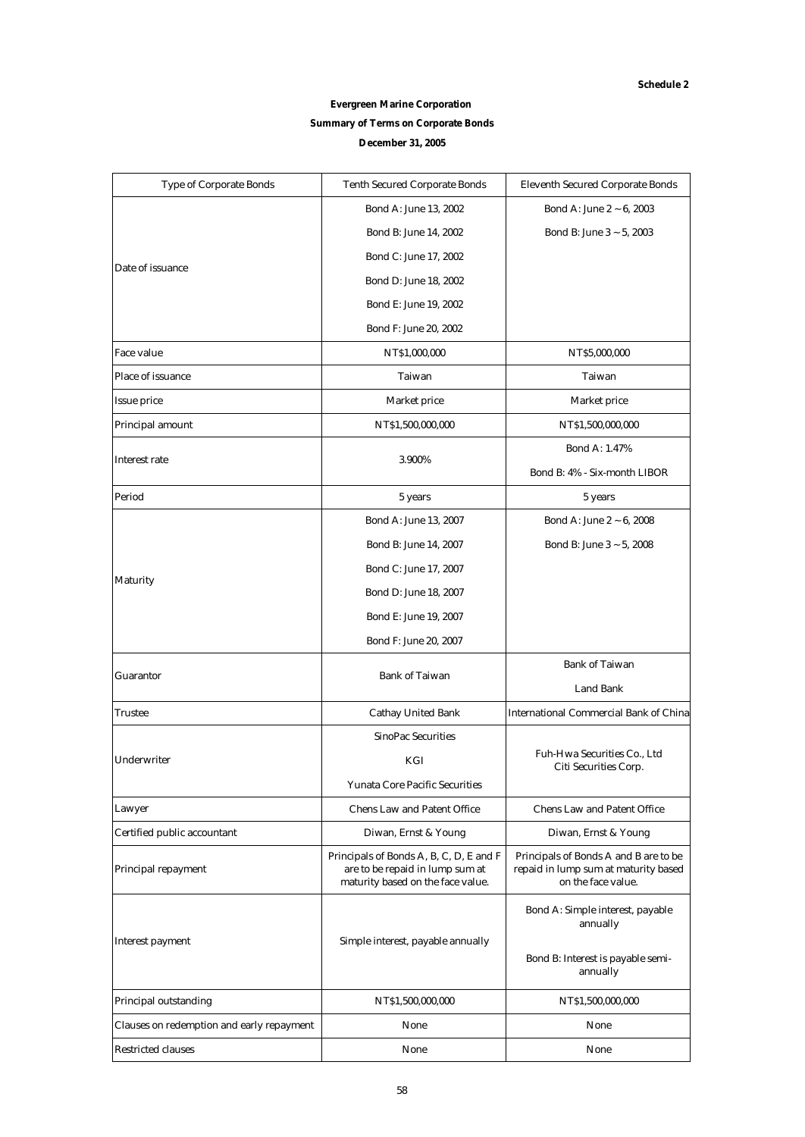## **Evergreen Marine Corporation**

#### **Summary of Terms on Corporate Bonds**

#### **December 31, 2005**

| <b>Type of Corporate Bonds</b>            | <b>Tenth Secured Corporate Bonds</b>                                                                            | <b>Eleventh Secured Corporate Bonds</b>                                                             |
|-------------------------------------------|-----------------------------------------------------------------------------------------------------------------|-----------------------------------------------------------------------------------------------------|
|                                           | Bond A: June 13, 2002                                                                                           | Bond A: June 2 ~ 6, 2003                                                                            |
|                                           | Bond B: June 14, 2002                                                                                           | Bond B: June $3 \sim 5, 2003$                                                                       |
|                                           | Bond C: June 17, 2002                                                                                           |                                                                                                     |
| Date of issuance                          | Bond D: June 18, 2002                                                                                           |                                                                                                     |
|                                           | Bond E: June 19, 2002                                                                                           |                                                                                                     |
|                                           | Bond F: June 20, 2002                                                                                           |                                                                                                     |
| <b>Face value</b>                         | NT\$1,000,000                                                                                                   | NT\$5,000,000                                                                                       |
| <b>Place of issuance</b>                  | Taiwan                                                                                                          | <b>Taiwan</b>                                                                                       |
| <b>Issue price</b>                        | Market price                                                                                                    | Market price                                                                                        |
| <b>Principal amount</b>                   | NT\$1,500,000,000                                                                                               | NT\$1,500,000,000                                                                                   |
|                                           |                                                                                                                 | <b>Bond A: 1.47%</b>                                                                                |
| <b>Interest rate</b>                      | 3.900%                                                                                                          | Bond B: 4% - Six-month LIBOR                                                                        |
| Period                                    | 5 years                                                                                                         | 5 years                                                                                             |
|                                           | Bond A: June 13, 2007                                                                                           | Bond A: June 2 ~ 6, 2008                                                                            |
|                                           | Bond B: June 14, 2007                                                                                           | Bond B: June 3 ~ 5, 2008                                                                            |
|                                           | Bond C: June 17, 2007                                                                                           |                                                                                                     |
| <b>Maturity</b>                           | Bond D: June 18, 2007                                                                                           |                                                                                                     |
|                                           | Bond E: June 19, 2007                                                                                           |                                                                                                     |
|                                           | Bond F: June 20, 2007                                                                                           |                                                                                                     |
| <b>Guarantor</b>                          | <b>Bank of Taiwan</b>                                                                                           | <b>Bank of Taiwan</b>                                                                               |
|                                           |                                                                                                                 | <b>Land Bank</b>                                                                                    |
| Trustee                                   | <b>Cathay United Bank</b>                                                                                       | <b>International Commercial Bank of China</b>                                                       |
|                                           | <b>SinoPac Securities</b>                                                                                       |                                                                                                     |
| Underwriter                               | KGI                                                                                                             | Fuh-Hwa Securities Co., Ltd<br>Citi Securities Corp.                                                |
|                                           | <b>Yunata Core Pacific Securities</b>                                                                           |                                                                                                     |
| Lawyer                                    | <b>Chens Law and Patent Office</b>                                                                              | <b>Chens Law and Patent Office</b>                                                                  |
| Certified public accountant               | Diwan, Ernst & Young                                                                                            | Diwan, Ernst & Young                                                                                |
| Principal repayment                       | Principals of Bonds A, B, C, D, E and F<br>are to be repaid in lump sum at<br>maturity based on the face value. | Principals of Bonds A and B are to be<br>repaid in lump sum at maturity based<br>on the face value. |
|                                           |                                                                                                                 | Bond A: Simple interest, payable<br>annually                                                        |
| <b>Interest payment</b>                   | Simple interest, payable annually                                                                               | Bond B: Interest is payable semi-<br>annually                                                       |
| Principal outstanding                     | NT\$1,500,000,000                                                                                               | NT\$1,500,000,000                                                                                   |
| Clauses on redemption and early repayment | None                                                                                                            | None                                                                                                |
| <b>Restricted clauses</b>                 | None                                                                                                            | None                                                                                                |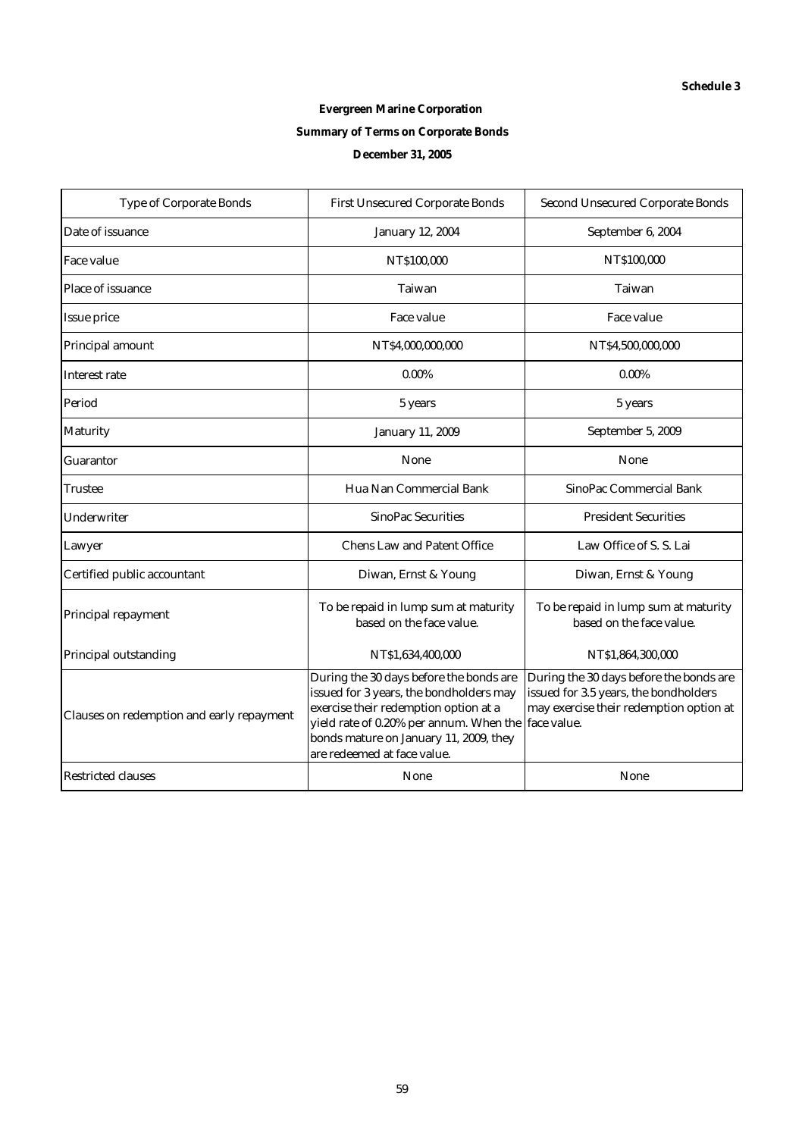# **Evergreen Marine Corporation Summary of Terms on Corporate Bonds December 31, 2005**

| <b>Type of Corporate Bonds</b>            | <b>First Unsecured Corporate Bonds</b>                                                                                                                                                                                                                      | <b>Second Unsecured Corporate Bonds</b>                                                                                     |
|-------------------------------------------|-------------------------------------------------------------------------------------------------------------------------------------------------------------------------------------------------------------------------------------------------------------|-----------------------------------------------------------------------------------------------------------------------------|
| Date of issuance                          | <b>January 12, 2004</b>                                                                                                                                                                                                                                     | September 6, 2004                                                                                                           |
| <b>Face value</b>                         | NT\$100,000                                                                                                                                                                                                                                                 | NT\$100,000                                                                                                                 |
| Place of issuance                         | <b>Taiwan</b>                                                                                                                                                                                                                                               | Taiwan                                                                                                                      |
| <b>Issue price</b>                        | <b>Face value</b>                                                                                                                                                                                                                                           | Face value                                                                                                                  |
| Principal amount                          | NT\$4,000,000,000                                                                                                                                                                                                                                           | NT\$4,500,000,000                                                                                                           |
| <b>Interest rate</b>                      | $0.00\%$                                                                                                                                                                                                                                                    | $0.00\%$                                                                                                                    |
| Period                                    | 5 years                                                                                                                                                                                                                                                     | 5 years                                                                                                                     |
| <b>Maturity</b>                           | <b>January 11, 2009</b>                                                                                                                                                                                                                                     | September 5, 2009                                                                                                           |
| <b>Guarantor</b>                          | <b>None</b>                                                                                                                                                                                                                                                 | <b>None</b>                                                                                                                 |
| Trustee                                   | Hua Nan Commercial Bank                                                                                                                                                                                                                                     | <b>SinoPac Commercial Bank</b>                                                                                              |
| <b>Underwriter</b>                        | <b>SinoPac Securities</b>                                                                                                                                                                                                                                   | <b>President Securities</b>                                                                                                 |
| Lawyer                                    | <b>Chens Law and Patent Office</b>                                                                                                                                                                                                                          | Law Office of S. S. Lai                                                                                                     |
| Certified public accountant               | Diwan, Ernst & Young                                                                                                                                                                                                                                        | Diwan, Ernst & Young                                                                                                        |
| Principal repayment                       | To be repaid in lump sum at maturity<br>based on the face value.                                                                                                                                                                                            | To be repaid in lump sum at maturity<br>based on the face value.                                                            |
| Principal outstanding                     | NT\$1,634,400,000                                                                                                                                                                                                                                           | NT\$1,864,300,000                                                                                                           |
| Clauses on redemption and early repayment | During the 30 days before the bonds are<br>issued for 3 years, the bondholders may<br>exercise their redemption option at a<br>yield rate of 0.20% per annum. When the face value.<br>bonds mature on January 11, 2009, they<br>are redeemed at face value. | During the 30 days before the bonds are<br>issued for 3.5 years, the bondholders<br>may exercise their redemption option at |
| <b>Restricted clauses</b>                 | <b>None</b>                                                                                                                                                                                                                                                 | None                                                                                                                        |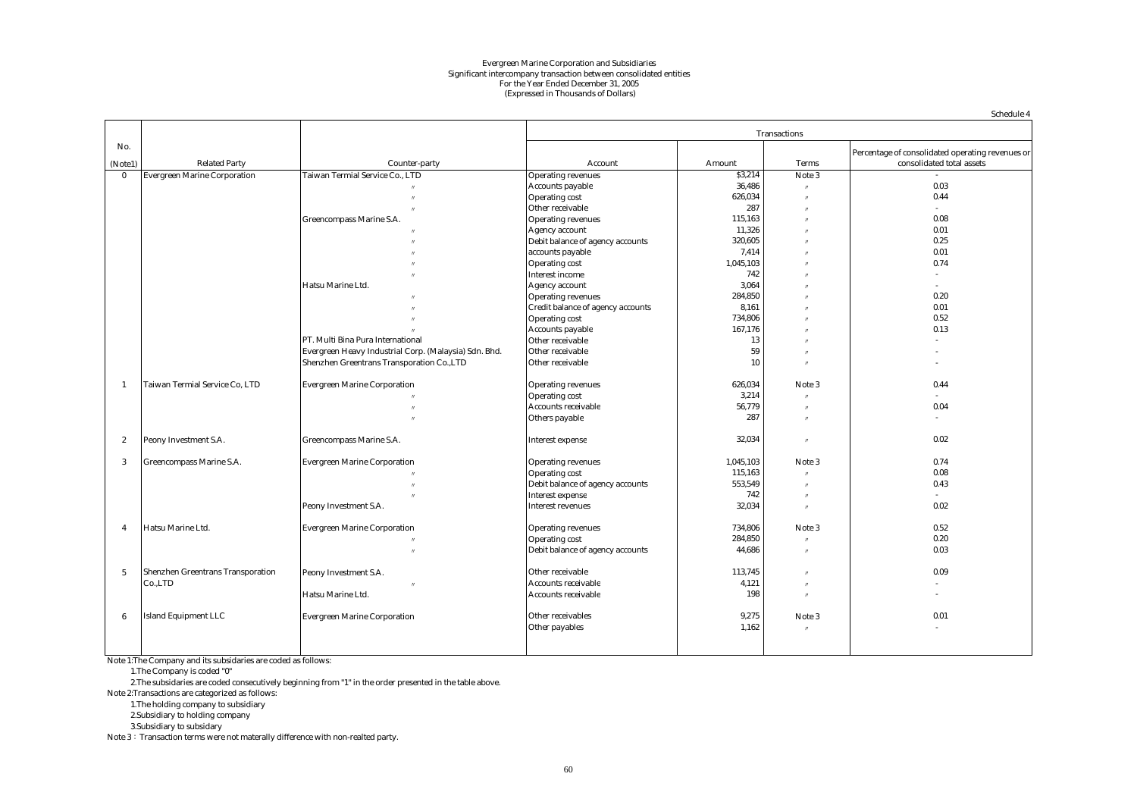#### Evergreen Marine Corporation and Subsidiaries Significant intercompany transaction between consolidated entities (Expressed in Thousands of Dollars) For the Year Ended December 31, 2005

|                  |                                          |                                                       |                                   |           |                     | Schedule 4                                       |
|------------------|------------------------------------------|-------------------------------------------------------|-----------------------------------|-----------|---------------------|--------------------------------------------------|
|                  |                                          |                                                       |                                   |           | <b>Transactions</b> |                                                  |
| No.              |                                          |                                                       |                                   |           |                     | Percentage of consolidated operating revenues or |
| (Note1)          | <b>Related Party</b>                     | Counter-party                                         | Account                           | Amount    | <b>Terms</b>        | consolidated total assets                        |
| $\bf{0}$         | <b>Evergreen Marine Corporation</b>      | Taiwan Termial Service Co., LTD                       | <b>Operating revenues</b>         | \$3,214   | Note 3              |                                                  |
|                  |                                          |                                                       | <b>Accounts payable</b>           | 36,486    | $\prime$            | 0.03                                             |
|                  |                                          |                                                       | <b>Operating cost</b>             | 626,034   | $^{\prime\prime}$   | 0.44                                             |
|                  |                                          |                                                       | Other receivable                  | 287       | $^{\prime\prime}$   | $\sim$                                           |
|                  |                                          | <b>Greencompass Marine S.A.</b>                       | <b>Operating revenues</b>         | 115,163   | $^{\prime\prime}$   | 0.08                                             |
|                  |                                          |                                                       | Agency account                    | 11.326    |                     | 0.01                                             |
|                  |                                          |                                                       |                                   | 320,605   |                     | 0.25                                             |
|                  |                                          |                                                       | Debit balance of agency accounts  |           |                     | 0.01                                             |
|                  |                                          |                                                       | accounts payable                  | 7,414     |                     |                                                  |
|                  |                                          |                                                       | <b>Operating cost</b>             | 1,045,103 |                     | 0.74                                             |
|                  |                                          |                                                       | <b>Interest income</b>            | 742       |                     | $\sim$                                           |
|                  |                                          | Hatsu Marine Ltd.                                     | <b>Agency account</b>             | 3.064     |                     | $\sim$                                           |
|                  |                                          |                                                       | <b>Operating revenues</b>         | 284,850   |                     | 0.20                                             |
|                  |                                          |                                                       | Credit balance of agency accounts | 8,161     |                     | 0.01                                             |
|                  |                                          |                                                       | <b>Operating cost</b>             | 734,806   |                     | 0.52                                             |
|                  |                                          |                                                       | <b>Accounts payable</b>           | 167,176   |                     | 0.13                                             |
|                  |                                          | PT. Multi Bina Pura International                     | Other receivable                  | 13        |                     |                                                  |
|                  |                                          | Evergreen Heavy Industrial Corp. (Malaysia) Sdn. Bhd. | Other receivable                  | 59        |                     |                                                  |
|                  |                                          | Shenzhen Greentrans Transporation Co., LTD            | Other receivable                  | 10        |                     |                                                  |
|                  |                                          |                                                       |                                   |           |                     |                                                  |
| $\mathbf{1}$     | Taiwan Termial Service Co, LTD           | <b>Evergreen Marine Corporation</b>                   | <b>Operating revenues</b>         | 626,034   | Note 3              | 0.44                                             |
|                  |                                          |                                                       | <b>Operating cost</b>             | 3,214     | $^{\prime\prime}$   | $\sim$                                           |
|                  |                                          |                                                       | <b>Accounts receivable</b>        | 56,779    | $\prime$            | 0.04                                             |
|                  |                                          |                                                       | Others payable                    | 287       | $^{\prime\prime}$   |                                                  |
|                  |                                          |                                                       |                                   |           |                     |                                                  |
| $\boldsymbol{2}$ | Peony Investment S.A.                    | <b>Greencompass Marine S.A.</b>                       | <b>Interest expense</b>           | 32,034    | $^{\prime\prime}$   | 0.02                                             |
|                  |                                          |                                                       |                                   |           |                     |                                                  |
| 3                | Greencompass Marine S.A.                 | <b>Evergreen Marine Corporation</b>                   | <b>Operating revenues</b>         | 1,045,103 | Note 3              | 0.74                                             |
|                  |                                          |                                                       | <b>Operating cost</b>             | 115,163   |                     | 0.08                                             |
|                  |                                          |                                                       | Debit balance of agency accounts  | 553,549   | $^{\prime\prime}$   | 0.43                                             |
|                  |                                          |                                                       | <b>Interest expense</b>           | 742       |                     |                                                  |
|                  |                                          | Peony Investment S.A.                                 | <b>Interest revenues</b>          | 32,034    | $^{\prime\prime}$   | 0.02                                             |
|                  |                                          |                                                       |                                   |           |                     |                                                  |
| $\overline{4}$   | Hatsu Marine Ltd.                        | <b>Evergreen Marine Corporation</b>                   | <b>Operating revenues</b>         | 734,806   | Note 3              | 0.52                                             |
|                  |                                          |                                                       | <b>Operating cost</b>             | 284,850   |                     | 0.20                                             |
|                  |                                          | $^{\prime\prime}$                                     | Debit balance of agency accounts  | 44,686    | $^{\prime\prime}$   | 0.03                                             |
|                  |                                          |                                                       |                                   |           |                     |                                                  |
| $\sqrt{5}$       | <b>Shenzhen Greentrans Transporation</b> | Peony Investment S.A.                                 | Other receivable                  | 113,745   | $^{\prime\prime}$   | 0.09                                             |
|                  | Co.,LTD                                  |                                                       | Accounts receivable               | 4,121     | $^{\prime\prime}$   |                                                  |
|                  |                                          | Hatsu Marine Ltd.                                     | <b>Accounts receivable</b>        | 198       | $^{\prime\prime}$   | $\sim$                                           |
|                  |                                          |                                                       |                                   |           |                     |                                                  |
| 6                | <b>Island Equipment LLC</b>              | <b>Evergreen Marine Corporation</b>                   | Other receivables                 | 9,275     | Note 3              | 0.01                                             |
|                  |                                          |                                                       | Other payables                    | 1,162     | $^{\prime\prime}$   | $\sim$                                           |
|                  |                                          |                                                       |                                   |           |                     |                                                  |
|                  |                                          |                                                       |                                   |           |                     |                                                  |

Note 1:The Company and its subsidaries are coded as follows:

1.The Company is coded "0"

2.The subsidaries are coded consecutively beginning from "1" in the order presented in the table above.

Note 2:Transactions are categorized as follows:

1.The holding company to subsidiary

2.Subsidiary to holding company

3.Subsidiary to subsidary

Note 3: Transaction terms were not materally difference with non-realted party.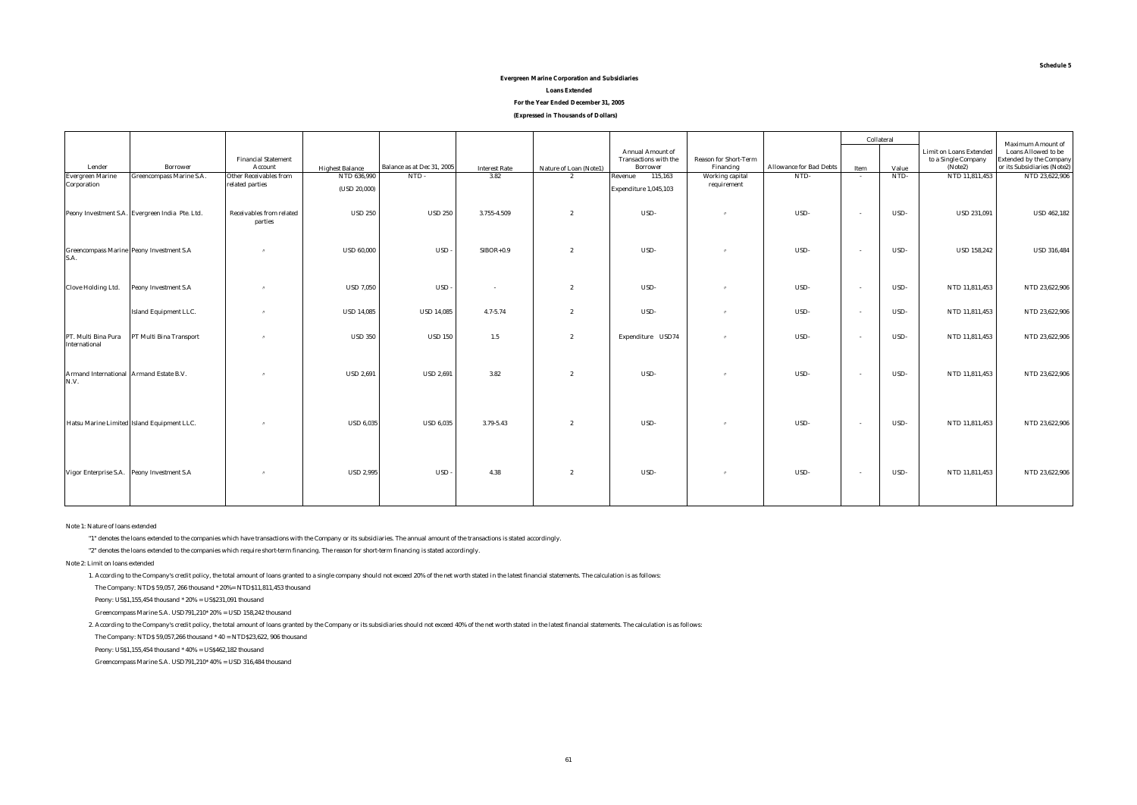#### **(Expressed in Thousands of Dollars) Evergreen Marine Corporation and Subsidiaries Loans Extended For the Year Ended December 31, 2005**

|                                                         |                                                 |                                            |                        |                            |                      |                        |                       |                              |                                | Collateral |       |                                | <b>Maximum Amount of</b>       |
|---------------------------------------------------------|-------------------------------------------------|--------------------------------------------|------------------------|----------------------------|----------------------|------------------------|-----------------------|------------------------------|--------------------------------|------------|-------|--------------------------------|--------------------------------|
|                                                         |                                                 |                                            |                        |                            |                      |                        | Annual Amount of      |                              |                                |            |       | <b>Limit on Loans Extended</b> | Loans Allowed to be            |
|                                                         |                                                 | <b>Financial Statement</b>                 |                        |                            |                      |                        | Transactions with the | <b>Reason for Short-Term</b> |                                |            |       | to a Single Company            | <b>Extended by the Company</b> |
| Lender                                                  | <b>Borrower</b>                                 | Account                                    | <b>Highest Balance</b> | Balance as at Dec 31, 2005 | <b>Interest Rate</b> | Nature of Loan (Note1) | Borrower              | Financing                    | <b>Allowance for Bad Debts</b> | Item       | Value | (Note2)                        | or its Subsidiaries (Note2)    |
| <b>Evergreen Marine</b>                                 | <b>Greencompass Marine S.A.</b>                 | <b>Other Receivables from</b>              | NTD 636,990            | NTD-                       | 3.82                 | $\overline{2}$         | Revenue<br>115,163    | Working capital              | NTD-                           | $\sim$     | NTD-  | NTD 11,811,453                 | NTD 23,622,906                 |
| Corporation                                             |                                                 | related parties                            | (USD 20,000)           |                            |                      |                        | Expenditure 1,045,103 | requirement                  |                                |            |       |                                |                                |
|                                                         | Peony Investment S.A. Evergreen India Pte. Ltd. | <b>Receivables from related</b><br>parties | <b>USD 250</b>         | <b>USD 250</b>             | 3.755-4.509          | $\overline{2}$         | USD-                  | $\boldsymbol{\eta}$          | USD-                           | $\sim$     | USD-  | <b>USD 231,091</b>             | <b>USD 462,182</b>             |
| <b>Greencompass Marine Peony Investment S.A</b><br>S.A. |                                                 | $^{\prime\prime}$                          | <b>USD 60,000</b>      | <b>USD</b>                 | $SIBOR + 0.9$        | $\mathbf{2}$           | USD-                  | $^{\prime\prime}$            | USD-                           | $\sim$     | USD-  | <b>USD 158,242</b>             | <b>USD 316,484</b>             |
| <b>Clove Holding Ltd.</b>                               | Peony Investment S.A                            | $^{\prime\prime}$                          | <b>USD 7,050</b>       | <b>USD</b>                 | $\sim$               | $\overline{2}$         | USD-                  | $\boldsymbol{\eta}$          | USD-                           | $\sim$     | USD-  | NTD 11,811,453                 | NTD 23,622,906                 |
|                                                         | <b>Island Equipment LLC.</b>                    | $^{\prime\prime}$                          | <b>USD 14,085</b>      | <b>USD 14,085</b>          | $4.7 - 5.74$         | $\overline{2}$         | USD-                  | $\boldsymbol{\pi}$           | USD-                           | $\sim$     | USD-  | NTD 11,811,453                 | NTD 23,622,906                 |
| PT. Multi Bina Pura<br>International                    | PT Multi Bina Transport                         | $^{\prime\prime}$                          | <b>USD 350</b>         | <b>USD 150</b>             | $1.5\,$              | $\overline{2}$         | Expenditure USD74     | $\boldsymbol{\pi}$           | USD-                           | $\sim$     | USD-  | NTD 11,811,453                 | NTD 23,622,906                 |
| Armand International Armand Estate B.V.<br>N.V.         |                                                 | $^{\prime\prime}$                          | <b>USD 2,691</b>       | <b>USD 2,691</b>           | 3.82                 | $\overline{2}$         | USD-                  | $^{\prime\prime}$            | USD-                           | $\sim$     | USD-  | NTD 11,811,453                 | NTD 23,622,906                 |
|                                                         | Hatsu Marine Limited Island Equipment LLC.      | $^{\prime\prime}$                          | <b>USD 6,035</b>       | <b>USD 6,035</b>           | 3.79-5.43            | $\overline{2}$         | USD-                  | $\boldsymbol{\eta}$          | USD-                           | $\sim$     | USD-  | NTD 11,811,453                 | NTD 23,622,906                 |
| Vigor Enterprise S.A. Peony Investment S.A.             |                                                 | $^{\prime\prime}$                          | <b>USD 2,995</b>       | <b>USD</b>                 | 4.38                 | $\overline{2}$         | USD-                  | $^{\prime\prime}$            | USD-                           | $\sim$     | USD-  | NTD 11,811,453                 | NTD 23,622,906                 |

#### Note 1: Nature of loans extended

"1" denotes the loans extended to the companies which have transactions with the Company or its subsidiaries. The annual amount of the transactions is stated accordingly.

"2" denotes the loans extended to the companies which require short-term financing. The reason for short-term financing is stated accordingly.

Note 2: Limit on loans extended

1. According to the Company's credit policy, the total amount of loans granted to a single company should not exceed 20% of the net worth stated in the latest financial statements. The calculation is as follows:

The Company: NTD\$ 59,057, 266 thousand \* 20%= NTD\$11,811,453 thousand

Peony: US\$1,155,454 thousand \* 20% = US\$231,091 thousand

Greencompass Marine S.A. USD791,210\* 20% = USD 158,242 thousand

2. According to the Company's credit policy, the total amount of loans granted by the Company or its subsidiaries should not exceed 40% of the net worth stated in the latest financial statements. The calculation is as foll

The Company: NTD\$ 59,057,266 thousand \* 40 = NTD\$23,622, 906 thousand

Peony: US\$1,155,454 thousand \* 40% = US\$462,182 thousand

Greencompass Marine S.A. USD791,210\* 40% = USD 316,484 thousand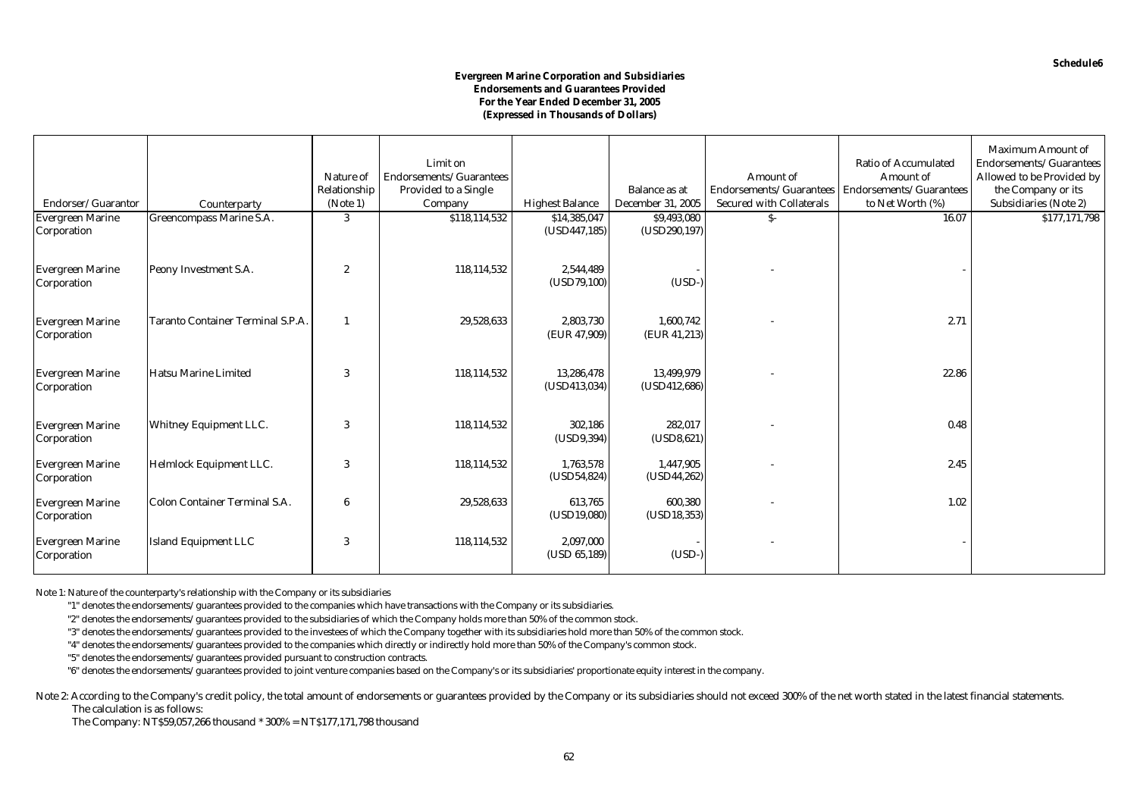#### **Evergreen Marine Corporation and Subsidiaries Endorsements and Guarantees Provided For the Year Ended December 31, 2005 (Expressed in Thousands of Dollars)**

| Endorser/Guarantor                     | Counterparty                             | Nature of<br>Relationship<br>(Note 1) | Limit on<br>Endorsements/Guarantees<br><b>Provided to a Single</b><br>Company | <b>Highest Balance</b>     | <b>Balance as at</b><br><b>December 31, 2005</b> | <b>Amount</b> of<br>Endorsements/Guarantees<br><b>Secured with Collaterals</b> | <b>Ratio of Accumulated</b><br>Amount of<br>Endorsements/Guarantees<br>to Net Worth (%) | <b>Maximum Amount of</b><br>Endorsements/Guarantees<br>Allowed to be Provided by<br>the Company or its<br><b>Subsidiaries (Note 2)</b> |
|----------------------------------------|------------------------------------------|---------------------------------------|-------------------------------------------------------------------------------|----------------------------|--------------------------------------------------|--------------------------------------------------------------------------------|-----------------------------------------------------------------------------------------|----------------------------------------------------------------------------------------------------------------------------------------|
| <b>Evergreen Marine</b>                | Greencompass Marine S.A.                 | 3                                     | \$118,114,532                                                                 | \$14,385,047               | \$9,493,080                                      | $S-$                                                                           | 16.07                                                                                   | \$177,171,798                                                                                                                          |
| Corporation<br><b>Evergreen Marine</b> | Peony Investment S.A.                    | $\boldsymbol{2}$                      | 118,114,532                                                                   | (USD447, 185)<br>2,544,489 | (USD290, 197)                                    |                                                                                |                                                                                         |                                                                                                                                        |
| Corporation                            |                                          |                                       |                                                                               | (USD79, 100)               | $(USD-)$                                         |                                                                                |                                                                                         |                                                                                                                                        |
| <b>Evergreen Marine</b><br>Corporation | <b>Taranto Container Terminal S.P.A.</b> |                                       | 29,528,633                                                                    | 2,803,730<br>(EUR 47,909)  | 1,600,742<br>(EUR 41,213)                        |                                                                                | 2.71                                                                                    |                                                                                                                                        |
| <b>Evergreen Marine</b><br>Corporation | <b>Hatsu Marine Limited</b>              | 3                                     | 118,114,532                                                                   | 13.286.478<br>(USD413,034) | 13,499,979<br>(USD412, 686)                      |                                                                                | 22.86                                                                                   |                                                                                                                                        |
| <b>Evergreen Marine</b><br>Corporation | <b>Whitney Equipment LLC.</b>            | 3                                     | 118,114,532                                                                   | 302,186<br>(USD9, 394)     | 282,017<br>(USD8,621)                            |                                                                                | 0.48                                                                                    |                                                                                                                                        |
| <b>Evergreen Marine</b><br>Corporation | Helmlock Equipment LLC.                  | 3                                     | 118,114,532                                                                   | 1,763,578<br>(USD54, 824)  | 1,447,905<br>(USD44, 262)                        |                                                                                | 2.45                                                                                    |                                                                                                                                        |
| <b>Evergreen Marine</b><br>Corporation | <b>Colon Container Terminal S.A.</b>     | 6                                     | 29,528,633                                                                    | 613.765<br>(USD19,080)     | 600,380<br>(USD18, 353)                          |                                                                                | 1.02                                                                                    |                                                                                                                                        |
| <b>Evergreen Marine</b><br>Corporation | <b>Island Equipment LLC</b>              | 3                                     | 118,114,532                                                                   | 2,097,000<br>(USD 65,189)  | $(USD-)$                                         |                                                                                |                                                                                         |                                                                                                                                        |

Note 1: Nature of the counterparty's relationship with the Company or its subsidiaries

"1" denotes the endorsements/guarantees provided to the companies which have transactions with the Company or its subsidiaries.

"2" denotes the endorsements/guarantees provided to the subsidiaries of which the Company holds more than 50% of the common stock.

"3" denotes the endorsements/guarantees provided to the investees of which the Company together with its subsidiaries hold more than 50% of the common stock.

"4" denotes the endorsements/guarantees provided to the companies which directly or indirectly hold more than 50% of the Company's common stock.

"5" denotes the endorsements/guarantees provided pursuant to construction contracts.

"6" denotes the endorsements/guarantees provided to joint venture companies based on the Company's or its subsidiaries' proportionate equity interest in the company.

Note 2: According to the Company's credit policy, the total amount of endorsements or guarantees provided by the Company or its subsidiaries should not exceed 300% of the net worth stated in the latest financial statements The calculation is as follows:

The Company: NT\$59,057,266 thousand \* 300% = NT\$177,171,798 thousand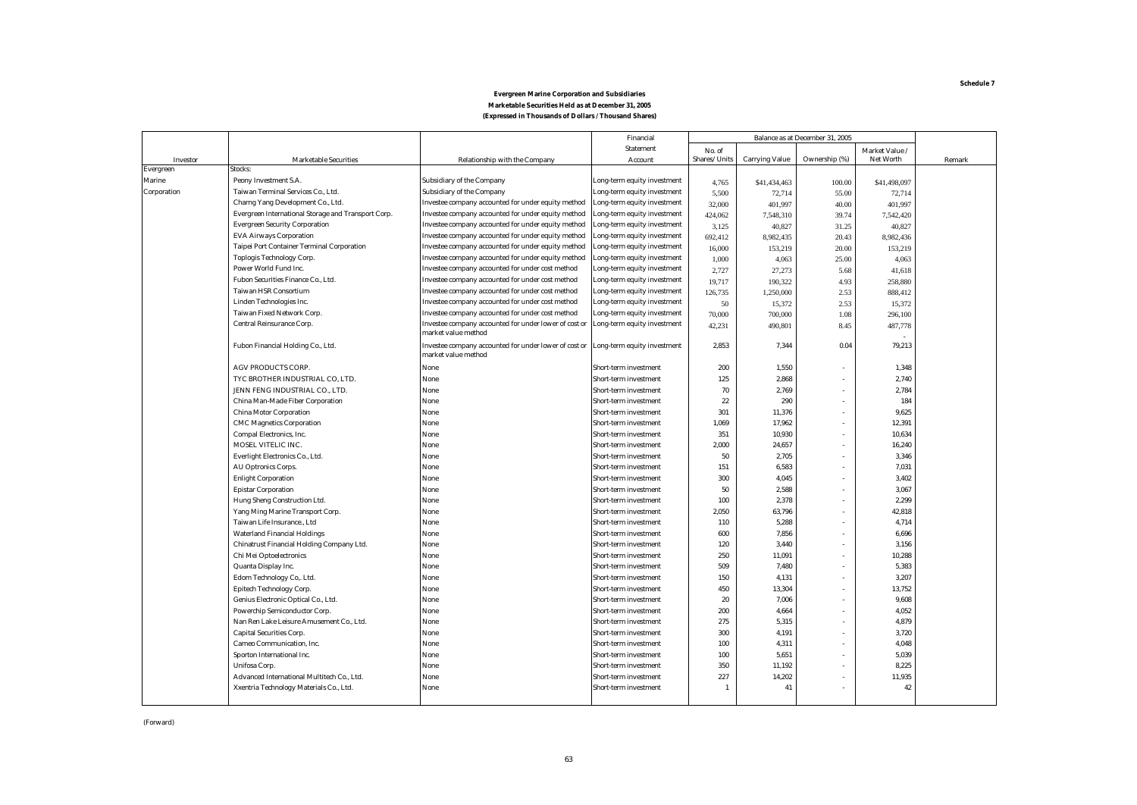|             |                                                     |                                                                              | Financial                   | Balance as at December 31, 2005 |                       |               |                  |        |
|-------------|-----------------------------------------------------|------------------------------------------------------------------------------|-----------------------------|---------------------------------|-----------------------|---------------|------------------|--------|
|             |                                                     |                                                                              | <b>Statement</b>            | No. of                          |                       |               | Market Value /   |        |
| Investor    | <b>Marketable Securities</b>                        | <b>Relationship with the Company</b>                                         | Account                     | Shares/Units                    | <b>Carrying Value</b> | Ownership (%) | <b>Net Worth</b> | Remark |
| Evergreen   | Stocks:                                             |                                                                              |                             |                                 |                       |               |                  |        |
| Marine      | Peony Investment S.A.                               | <b>Subsidiary of the Company</b>                                             | Long-term equity investment | 4,765                           | \$41,434,463          | 100.00        | \$41,498,097     |        |
| Corporation | Taiwan Terminal Services Co., Ltd.                  | <b>Subsidiary of the Company</b>                                             | Long-term equity investment | 5,500                           | 72,714                | 55.00         | 72,714           |        |
|             | Charng Yang Development Co., Ltd.                   | Investee company accounted for under equity method                           | Long-term equity investment | 32,000                          | 401,997               | 40.00         | 401,997          |        |
|             | Evergreen International Storage and Transport Corp. | Investee company accounted for under equity method                           | Long-term equity investment | 424,062                         | 7,548,310             | 39.74         | 7,542,420        |        |
|             | <b>Evergreen Security Corporation</b>               | Investee company accounted for under equity method                           | Long-term equity investment | 3,125                           | 40,827                | 31.25         | 40.827           |        |
|             | <b>EVA Airways Corporation</b>                      | Investee company accounted for under equity method                           | Long-term equity investment | 692,412                         | 8,982,435             | 20.43         | 8,982,436        |        |
|             | <b>Taipei Port Container Terminal Corporation</b>   | Investee company accounted for under equity method                           | Long-term equity investment | 16,000                          | 153,219               | 20.00         | 153,219          |        |
|             | <b>Toplogis Technology Corp.</b>                    | Investee company accounted for under equity method                           | Long-term equity investment | 1,000                           | 4,063                 | 25.00         | 4,063            |        |
|             | Power World Fund Inc.                               | Investee company accounted for under cost method                             | Long-term equity investment | 2,727                           | 27,273                | 5.68          | 41,618           |        |
|             | Fubon Securities Finance Co., Ltd.                  | Investee company accounted for under cost method                             | Long-term equity investment | 19,717                          | 190,322               | 4.93          | 258,880          |        |
|             | <b>Taiwan HSR Consortium</b>                        | Investee company accounted for under cost method                             | Long-term equity investment | 126,735                         | 1,250,000             | 2.53          | 888,412          |        |
|             | Linden Technologies Inc.                            | Investee company accounted for under cost method                             | Long-term equity investment | 50                              | 15,372                | 2.53          | 15,372           |        |
|             | Taiwan Fixed Network Corp.                          | Investee company accounted for under cost method                             | Long-term equity investment | 70,000                          | 700,000               | 1.08          | 296,100          |        |
|             | Central Reinsurance Corp.                           | Investee company accounted for under lower of cost or<br>market value method | Long-term equity investment | 42,231                          | 490,801               | 8.45          | 487,778          |        |
|             | Fubon Financial Holding Co., Ltd.                   | Investee company accounted for under lower of cost or<br>market value method | Long-term equity investment | 2,853                           | 7,344                 | 0.04          | 79,213           |        |
|             | <b>AGV PRODUCTS CORP.</b>                           | None                                                                         | Short-term investment       | 200                             | 1,550                 |               | 1,348            |        |
|             | TYC BROTHER INDUSTRIAL CO, LTD.                     | None                                                                         | Short-term investment       | 125                             | 2,868                 |               | 2,740            |        |
|             | JENN FENG INDUSTRIAL CO., LTD.                      | None                                                                         | Short-term investment       | 70                              | 2,769                 |               | 2,784            |        |
|             | China Man-Made Fiber Corporation                    | None                                                                         | Short-term investment       | 22                              | 290                   |               | 184              |        |
|             | <b>China Motor Corporation</b>                      | None                                                                         | Short-term investment       | 301                             | 11,376                |               | 9,625            |        |
|             | <b>CMC Magnetics Corporation</b>                    | None                                                                         | Short-term investment       | 1.069                           | 17.962                |               | 12,391           |        |
|             | Compal Electronics, Inc.                            | None                                                                         | Short-term investment       | 351                             | 10,930                |               | 10,634           |        |
|             | MOSEL VITELIC INC.                                  | None                                                                         | Short-term investment       | 2,000                           | 24,657                |               | 16,240           |        |
|             | Everlight Electronics Co., Ltd.                     | None                                                                         | Short-term investment       | 50                              | 2.705                 |               | 3,346            |        |
|             | <b>AU Optronics Corps.</b>                          | None                                                                         | Short-term investment       | 151                             | 6,583                 |               | 7,031            |        |
|             | <b>Enlight Corporation</b>                          | None                                                                         | Short-term investment       | 300                             | 4,045                 |               | 3,402            |        |
|             | <b>Epistar Corporation</b>                          | None                                                                         | Short-term investment       | 50                              | 2,588                 |               | 3,067            |        |
|             | Hung Sheng Construction Ltd.                        | None                                                                         | Short-term investment       | 100                             | 2.378                 |               | 2,299            |        |
|             | Yang Ming Marine Transport Corp.                    | None                                                                         | Short-term investment       | 2,050                           | 63,796                |               | 42,818           |        |
|             | Taiwan Life Insurance., Ltd                         | None                                                                         | Short-term investment       | 110                             | 5.288                 |               | 4,714            |        |
|             | <b>Waterland Financial Holdings</b>                 | None                                                                         | Short-term investment       | 600                             | 7,856                 |               | 6,696            |        |
|             | Chinatrust Financial Holding Company Ltd.           | None                                                                         | Short-term investment       | 120                             | 3,440                 |               | 3,156            |        |
|             | Chi Mei Optoelectronics                             | None                                                                         | Short-term investment       | 250                             | 11.091                |               | 10,288           |        |
|             | Quanta Display Inc.                                 | None                                                                         | Short-term investment       | 509                             | 7,480                 |               | 5,383            |        |
|             | Edom Technology Co,. Ltd.                           | None                                                                         | Short-term investment       | 150                             | 4,131                 |               | 3,207            |        |
|             | <b>Epitech Technology Corp.</b>                     | None                                                                         | Short-term investment       | 450                             | 13,304                |               | 13,752           |        |
|             | Genius Electronic Optical Co., Ltd.                 | None                                                                         | Short-term investment       | 20                              | 7,006                 |               | 9,608            |        |
|             | Powerchip Semiconductor Corp.                       | None                                                                         | Short-term investment       | 200                             | 4,664                 |               | 4,052            |        |
|             | Nan Ren Lake Leisure Amusement Co., Ltd.            | None                                                                         | Short-term investment       | 275                             | 5,315                 |               | 4,879            |        |
|             | <b>Capital Securities Corp.</b>                     | None                                                                         | Short-term investment       | 300                             | 4,191                 |               | 3,720            |        |
|             | Cameo Communication, Inc.                           | None                                                                         | Short-term investment       | 100                             | 4,311                 |               | 4,048            |        |
|             | Sporton International Inc.                          | None                                                                         | Short-term investment       | 100                             | 5,651                 |               | 5,039            |        |
|             | Unifosa Corp.                                       | None                                                                         | Short-term investment       | 350                             | 11,192                |               | 8,225            |        |
|             | Advanced International Multitech Co., Ltd.          | None                                                                         | Short-term investment       | 227                             | 14.202                |               | 11,935           |        |
|             | Xxentria Technology Materials Co., Ltd.             | None                                                                         | Short-term investment       | $\mathbf{1}$                    | 41                    |               | 42               |        |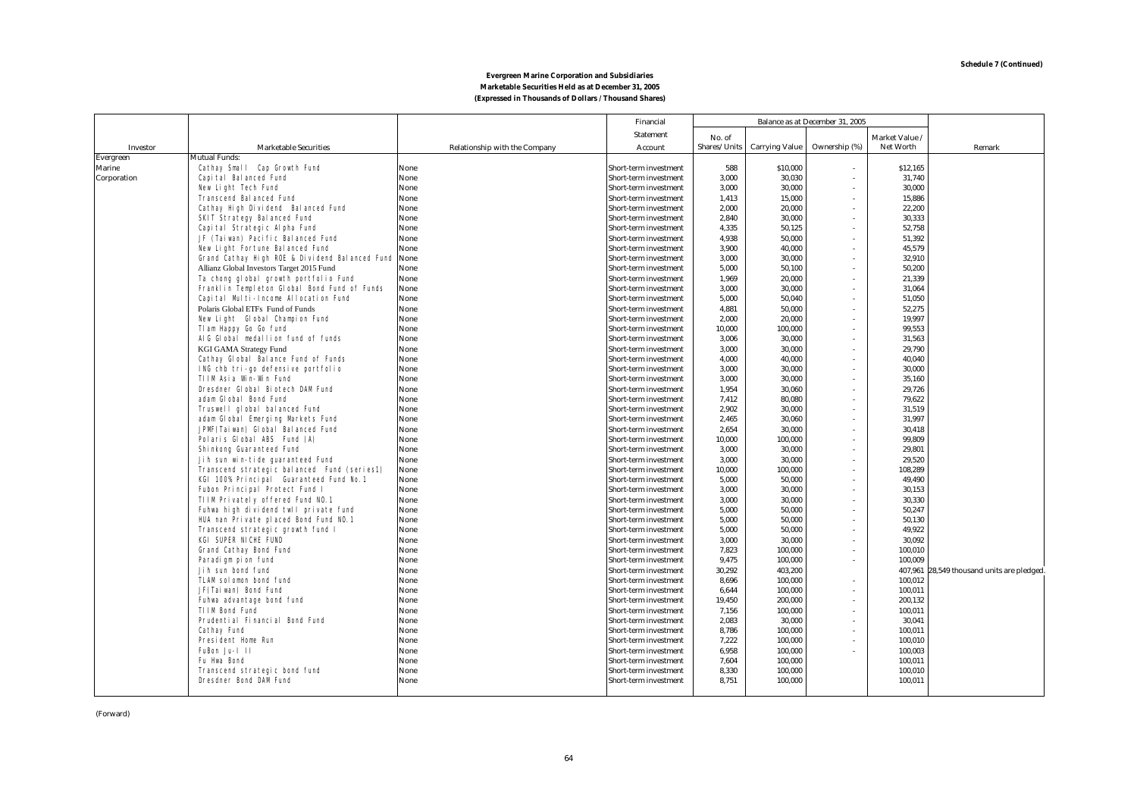|               |                                                                   |                                      | Financial                                      |                | Balance as at December 31, 2005 |               |                  |                                    |
|---------------|-------------------------------------------------------------------|--------------------------------------|------------------------------------------------|----------------|---------------------------------|---------------|------------------|------------------------------------|
|               |                                                                   |                                      | <b>Statement</b>                               | No. of         |                                 |               | Market Value     |                                    |
| Investor      | <b>Marketable Securities</b>                                      | <b>Relationship with the Company</b> | Account                                        | Shares/Units   | <b>Carrying Value</b>           | Ownership (%) | Net Worth        | Remark                             |
| Evergreen     | <b>Mutual Funds:</b>                                              |                                      |                                                |                |                                 |               |                  |                                    |
| <b>Marine</b> | Cathay Small Cap Growth Fund                                      | None                                 | Short-term investment                          | 588            | \$10,000                        |               | \$12,165         |                                    |
| Corporation   | Capital Balanced Fund                                             | None                                 | Short-term investment                          | 3,000          | 30,030                          |               | 31,740           |                                    |
|               | New Light Tech Fund                                               | None                                 | Short-term investment                          | 3.000          | 30.000                          |               | 30,000           |                                    |
|               | <b>Transcend Balanced Fund</b>                                    | None                                 | Short-term investment                          | 1,413          | 15,000                          |               | 15,886           |                                    |
|               | Cathay High Dividend Balanced Fund                                | None                                 | Short-term investment                          | 2,000          | 20,000                          |               | 22,200           |                                    |
|               | <b>SKIT Strategy Balanced Fund</b>                                | None                                 | Short-term investment                          | 2,840          | 30,000                          |               | 30,333           |                                    |
|               | Capital Strategic Alpha Fund                                      | None                                 | Short-term investment                          | 4,335          | 50,125                          |               | 52,758           |                                    |
|               | JF (Taiwan) Pacific Balanced Fund                                 | None                                 | Short-term investment                          | 4,938          | 50,000                          |               | 51,392           |                                    |
|               | New Light Fortune Balanced Fund                                   | None                                 | Short-term investment                          | 3,900          | 40,000                          |               | 45,579           |                                    |
|               | Grand Cathay High ROE & Dividend Balanced Fund None               |                                      | Short-term investment                          | 3,000          | 30,000                          |               | 32,910           |                                    |
|               | Allianz Global Investors Target 2015 Fund                         | None                                 | Short-term investment                          | 5,000          | 50,100                          |               | 50,200           |                                    |
|               | Ta chong global growth portfolio Fund                             | None                                 | Short-term investment                          | 1,969          | 20,000                          |               | 21,339           |                                    |
|               | Franklin Templeton Global Bond Fund of Funds                      | None                                 | Short-term investment                          | 3,000          | 30,000                          |               | 31,064           |                                    |
|               | Capital Multi-Income Allocation Fund                              | None                                 | Short-term investment                          | 5,000          | 50,040                          |               | 51,050           |                                    |
|               | Polaris Global ETFs Fund of Funds                                 | None                                 | Short-term investment                          | 4,881          | 50,000                          |               | 52,275           |                                    |
|               | New Light Global Champion Fund                                    | None                                 | Short-term investment                          | 2,000          | 20,000                          |               | 19,997           |                                    |
|               | Tlam Happy Go Go fund                                             | None                                 | Short-term investment                          | 10,000         | 100,000                         |               | 99,553           |                                    |
|               | AIG Global medallion fund of funds                                | None                                 | Short-term investment                          | 3,006          | 30,000                          |               | 31,563           |                                    |
|               | <b>KGI GAMA Strategy Fund</b>                                     | None                                 | Short-term investment                          | 3,000          | 30,000                          |               | 29,790           |                                    |
|               | Cathay Global Balance Fund of Funds                               | None                                 | Short-term investment                          | 4,000          | 40,000                          |               | 40,040           |                                    |
|               | ING chb tri-go defensive portfolio                                | None                                 | Short-term investment                          | 3.000          | 30.000                          |               | 30.000           |                                    |
|               | <b>TIIM Asia Win-Win Fund</b><br>Dresdner Global Biotech DAM Fund | None                                 | Short-term investment                          | 3.000          | 30.000                          |               | 35.160           |                                    |
|               | adam Global Bond Fund                                             | None<br>None                         | Short-term investment<br>Short-term investment | 1,954<br>7,412 | 30,060<br>80,080                |               | 29,726<br>79,622 |                                    |
|               | Truswell global balanced Fund                                     | None                                 |                                                | 2.902          | 30.000                          |               | 31,519           |                                    |
|               | adam Global Emerging Markets Fund                                 | None                                 | Short-term investment<br>Short-term investment | 2.465          | 30.060                          |               | 31.997           |                                    |
|               | JPMF (Taiwan) Global Balanced Fund                                | None                                 | Short-term investment                          | 2.654          | 30.000                          |               | 30,418           |                                    |
|               | Polaris Global ABS Fund (A)                                       | None                                 | Short-term investment                          | 10.000         | 100.000                         |               | 99,809           |                                    |
|               | Shinkong Guaranteed Fund                                          | None                                 | <b>Short-term investment</b>                   | 3.000          | 30.000                          |               | 29,801           |                                    |
|               | Jih sun win-tide quaranteed Fund                                  | None                                 | Short-term investment                          | 3.000          | 30.000                          |               | 29.520           |                                    |
|               | Transcend strategic balanced Fund (series1)                       | None                                 | <b>Short-term investment</b>                   | 10.000         | 100.000                         |               | 108.289          |                                    |
|               | KGI 100% Principal Guaranteed Fund No.1                           | None                                 | Short-term investment                          | 5.000          | 50.000                          |               | 49,490           |                                    |
|               | Fubon Principal Protect Fund I                                    | None                                 | Short-term investment                          | 3,000          | 30.000                          |               | 30,153           |                                    |
|               | TIIM Privately offered Fund NO.1                                  | None                                 | Short-term investment                          | 3.000          | 30.000                          |               | 30.330           |                                    |
|               | Fuhwa high dividend twll private fund                             | None                                 | Short-term investment                          | 5.000          | 50.000                          |               | 50.247           |                                    |
|               | HUA nan Private placed Bond Fund NO.1                             | None                                 | <b>Short-term investment</b>                   | 5.000          | 50.000                          |               | 50.130           |                                    |
|               | Transcend strategic growth fund I                                 | None                                 | Short-term investment                          | 5.000          | 50.000                          |               | 49.922           |                                    |
|               | <b>KGI SUPER NICHE FUND</b>                                       | None                                 | Short-term investment                          | 3,000          | 30.000                          |               | 30,092           |                                    |
|               | <b>Grand Cathay Bond Fund</b>                                     | None                                 | <b>Short-term investment</b>                   | 7.823          | 100,000                         |               | 100,010          |                                    |
|               | Paradigm pion fund                                                | None                                 | Short-term investment                          | 9.475          | 100.000                         |               | 100.009          |                                    |
|               | Jih sun bond fund                                                 | None                                 | Short-term investment                          | 30.292         | 403.200                         |               | 407,961          | 28,549 thousand units are pledged. |
|               | <b>TLAM solomon bond fund</b>                                     | None                                 | Short-term investment                          | 8.696          | 100.000                         |               | 100,012          |                                    |
|               | JF(Taiwan) Bond Fund                                              | None                                 | <b>Short-term investment</b>                   | 6,644          | 100.000                         |               | 100,011          |                                    |
|               | Fuhwa advantage bond fund                                         | None                                 | Short-term investment                          | 19.450         | 200,000                         |               | 200,132          |                                    |
|               | <b>TIIM Bond Fund</b>                                             | None                                 | Short-term investment                          | 7,156          | 100.000                         |               | 100,011          |                                    |
|               | <b>Prudential Financial Bond Fund</b>                             | None                                 | Short-term investment                          | 2.083          | 30.000                          |               | 30,041           |                                    |
|               | <b>Cathay Fund</b>                                                | None                                 | Short-term investment                          | 8.786          | 100.000                         |               | 100,011          |                                    |
|               | <b>President Home Run</b>                                         | None                                 | <b>Short-term investment</b>                   | 7,222          | 100,000                         |               | 100,010          |                                    |
|               | FuBon Ju-1 11                                                     | None                                 | Short-term investment                          | 6.958          | 100,000                         |               | 100,003          |                                    |
|               | <b>Fu Hwa Bond</b>                                                | None                                 | <b>Short-term investment</b>                   | 7.604          | 100,000                         |               | 100,011          |                                    |
|               | Transcend strategic bond fund                                     | None                                 | <b>Short-term investment</b>                   | 8.330          | 100,000                         |               | 100,010          |                                    |
|               | <b>Dresdner Bond DAM Fund</b>                                     | None                                 | Short-term investment                          | 8.751          | 100,000                         |               | 100,011          |                                    |
|               |                                                                   |                                      |                                                |                |                                 |               |                  |                                    |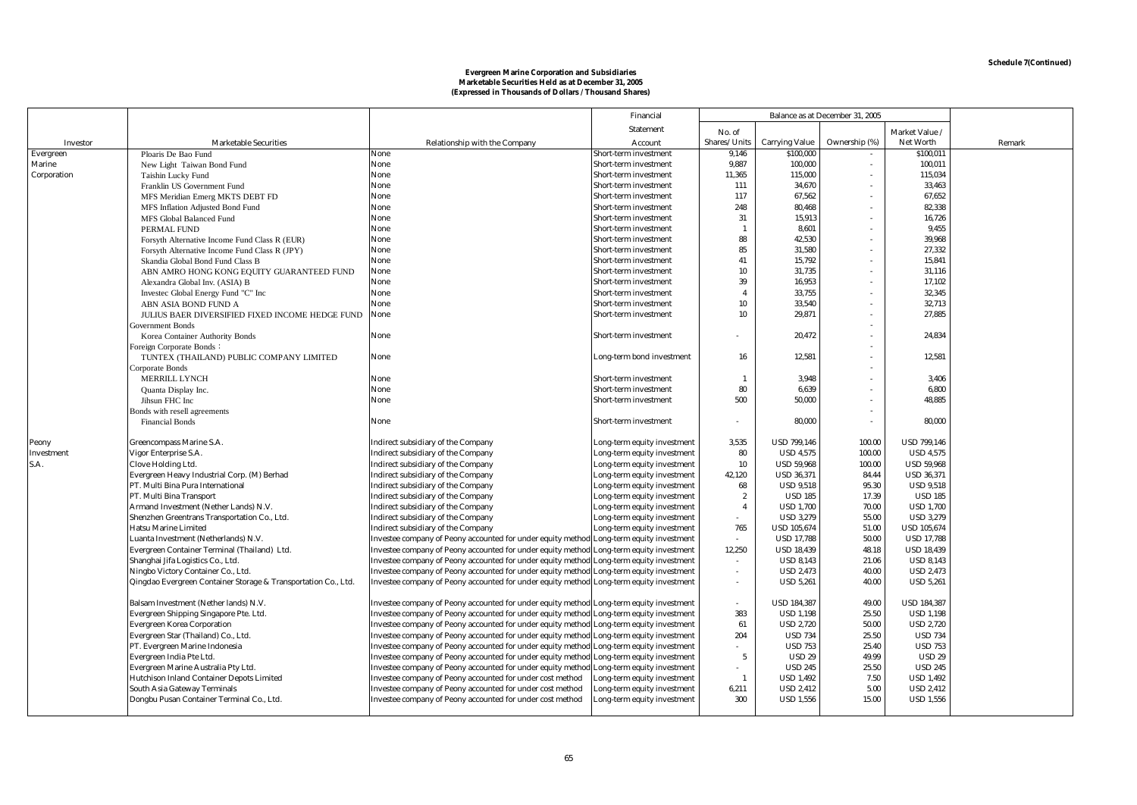|             |                                                                |                                                             | Financial                    |                 |                       | Balance as at December 31, 2005 |                    |        |
|-------------|----------------------------------------------------------------|-------------------------------------------------------------|------------------------------|-----------------|-----------------------|---------------------------------|--------------------|--------|
|             |                                                                |                                                             | <b>Statement</b>             | No. of          |                       |                                 | Market Value       |        |
| Investor    | <b>Marketable Securities</b>                                   | <b>Relationship with the Company</b>                        | Account                      | Shares/Units    | <b>Carrying Value</b> | Ownership (%)                   | <b>Net Worth</b>   | Remark |
| Evergreen   | Ploaris De Bao Fund                                            | None                                                        | Short-term investment        | 9,146           | \$100,000             |                                 | \$100,011          |        |
| Marine      | New Light Taiwan Bond Fund                                     | None                                                        | Short-term investment        | 9,887           | 100,000               | $\sim$                          | 100,011            |        |
| Corporation | Taishin Lucky Fund                                             | None                                                        | <b>Short-term investment</b> | 11,365          | 115,000               | $\sim$                          | 115,034            |        |
|             | Franklin US Government Fund                                    | None                                                        | Short-term investment        | 111             | 34,670                |                                 | 33,463             |        |
|             | MFS Meridian Emerg MKTS DEBT FD                                | None                                                        | Short-term investment        | 117             | 67,562                |                                 | 67,652             |        |
|             | MFS Inflation Adjusted Bond Fund                               | None                                                        | Short-term investment        | 248             | 80,468                |                                 | 82,338             |        |
|             | MFS Global Balanced Fund                                       | None                                                        | <b>Short-term investment</b> | 31              | 15,913                |                                 | 16,726             |        |
|             | PERMAL FUND                                                    | None                                                        | Short-term investment        | - 1             | 8,601                 |                                 | 9,455              |        |
|             | Forsyth Alternative Income Fund Class R (EUR)                  | None                                                        | Short-term investment        | 88              | 42,530                |                                 | 39,968             |        |
|             | Forsyth Alternative Income Fund Class R (JPY)                  | None                                                        | <b>Short-term investment</b> | 85              | 31,580                |                                 | 27,332             |        |
|             | Skandia Global Bond Fund Class B                               | None                                                        | Short-term investment        | 41              | 15,792                | $\sim$                          | 15,841             |        |
|             | ABN AMRO HONG KONG EQUITY GUARANTEED FUND                      | None                                                        | Short-term investment        | 10              | 31,735                | $\sim$                          | 31,116             |        |
|             | Alexandra Global Inv. (ASIA) B                                 | None                                                        | Short-term investment        | 39              | 16,953                |                                 | 17,102             |        |
|             | Investec Global Energy Fund "C" Inc                            | None                                                        | <b>Short-term investment</b> | $\overline{4}$  | 33,755                |                                 | 32,345             |        |
|             | ABN ASIA BOND FUND A                                           | None                                                        | <b>Short-term investment</b> | 10              | 33,540                |                                 | 32,713             |        |
|             | JULIUS BAER DIVERSIFIED FIXED INCOME HEDGE FUND                | None                                                        | Short-term investment        | 10              | 29,871                |                                 | 27,885             |        |
|             | Government Bonds                                               |                                                             |                              |                 |                       |                                 |                    |        |
|             | Korea Container Authority Bonds                                | None                                                        | <b>Short-term investment</b> |                 | 20,472                | $\sim$                          | 24,834             |        |
|             | Foreign Corporate Bonds:                                       |                                                             |                              |                 |                       |                                 |                    |        |
|             | TUNTEX (THAILAND) PUBLIC COMPANY LIMITED                       | None                                                        | Long-term bond investment    | 16              | 12,581                |                                 | 12,581             |        |
|             | Corporate Bonds                                                |                                                             |                              |                 |                       |                                 |                    |        |
|             | MERRILL LYNCH                                                  | None                                                        | <b>Short-term investment</b> | -1              | 3,948                 |                                 | 3,406              |        |
|             | Quanta Display Inc.                                            | None                                                        | Short-term investment        | 80              | 6,639                 |                                 | 6,800              |        |
|             | Jihsun FHC Inc                                                 | None                                                        | Short-term investment        | 500             | 50,000                |                                 | 48,885             |        |
|             | Bonds with resell agreements                                   |                                                             |                              |                 |                       |                                 |                    |        |
|             | <b>Financial Bonds</b>                                         | None                                                        | Short-term investment        | ٠               | 80,000                | $\sim$                          | 80,000             |        |
| Peony       | Greencompass Marine S.A.                                       | Indirect subsidiary of the Company                          | Long-term equity investment  | 3,535           | <b>USD 799,146</b>    | 100.00                          | <b>USD 799,146</b> |        |
| Investment  | Vigor Enterprise S.A.                                          | Indirect subsidiary of the Company                          | ong-term equity investment   | 80              | <b>USD 4,575</b>      | 100.00                          | <b>USD 4,575</b>   |        |
| S.A.        | <b>Clove Holding Ltd.</b>                                      | Indirect subsidiary of the Company                          | ong-term equity investment.  | 10              | <b>USD 59,968</b>     | 100.00                          | <b>USD 59,968</b>  |        |
|             | Evergreen Heavy Industrial Corp. (M) Berhad                    | Indirect subsidiary of the Company                          | ong-term equity investment.  | 42,120          | <b>USD 36,371</b>     | 84.44                           | <b>USD 36,371</b>  |        |
|             | PT. Multi Bina Pura International                              | Indirect subsidiary of the Company                          | ong-term equity investment.  | 68              | <b>USD 9,518</b>      | 95.30                           | <b>USD 9.518</b>   |        |
|             | PT. Multi Bina Transport                                       | Indirect subsidiary of the Company                          | ong-term equity investment.  | $\overline{2}$  | <b>USD 185</b>        | 17.39                           | <b>USD 185</b>     |        |
|             | Armand Investment (Nether Lands) N.V.                          | Indirect subsidiary of the Company                          | ong-term equity investment.  | $\overline{4}$  | <b>USD 1,700</b>      | 70.00                           | <b>USD 1,700</b>   |        |
|             | Shenzhen Greentrans Transportation Co., Ltd.                   | Indirect subsidiary of the Company                          | ong-term equity investment.  |                 | <b>USD 3,279</b>      | 55.00                           | <b>USD 3,279</b>   |        |
|             | <b>Hatsu Marine Limited</b>                                    | Indirect subsidiary of the Company                          | Long-term equity investment  | 765             | <b>USD 105,674</b>    | 51.00                           | <b>USD 105,674</b> |        |
|             | Luanta Investment (Netherlands) N.V.                           | Investee company of Peony accounted for under equity method | Long-term equity investment  |                 | <b>USD 17,788</b>     | 50.00                           | <b>USD 17,788</b>  |        |
|             | Evergreen Container Terminal (Thailand) Ltd.                   | Investee company of Peony accounted for under equity method | Long-term equity investment  | 12,250          | <b>USD 18,439</b>     | 48.18                           | <b>USD 18,439</b>  |        |
|             | Shanghai Jifa Logistics Co., Ltd.                              | Investee company of Peony accounted for under equity method | Long-term equity investment  |                 | <b>USD 8,143</b>      | 21.06                           | <b>USD 8,143</b>   |        |
|             | Ningbo Victory Container Co., Ltd.                             | Investee company of Peony accounted for under equity method | Long-term equity investment  |                 | <b>USD 2,473</b>      | 40.00                           | <b>USD 2,473</b>   |        |
|             | Qingdao Evergreen Container Storage & Transportation Co., Ltd. | Investee company of Peony accounted for under equity method | Long-term equity investment  |                 | <b>USD 5,261</b>      | 40.00                           | <b>USD 5,261</b>   |        |
|             | Balsam Investment (Nether lands) N.V.                          | Investee company of Peony accounted for under equity method | Long-term equity investment  |                 | <b>USD 184,387</b>    | 49.00                           | <b>USD 184,387</b> |        |
|             | Evergreen Shipping Singapore Pte. Ltd.                         | Investee company of Peony accounted for under equity method | Long-term equity investment  | 383             | <b>USD 1,198</b>      | 25.50                           | <b>USD 1,198</b>   |        |
|             | <b>Evergreen Korea Corporation</b>                             | Investee company of Peony accounted for under equity method | Long-term equity investment  | 61              | <b>USD 2,720</b>      | 50.00                           | <b>USD 2,720</b>   |        |
|             | Evergreen Star (Thailand) Co., Ltd.                            | Investee company of Peony accounted for under equity method | Long-term equity investment  | 204             | <b>USD 734</b>        | 25.50                           | <b>USD 734</b>     |        |
|             | PT. Evergreen Marine Indonesia                                 | Investee company of Peony accounted for under equity method | Long-term equity investment  |                 | <b>USD 753</b>        | 25.40                           | <b>USD 753</b>     |        |
|             | Evergreen India Pte Ltd.                                       | Investee company of Peony accounted for under equity method | Long-term equity investment  | $5\phantom{.0}$ | <b>USD 29</b>         | 49.99                           | <b>USD 29</b>      |        |
|             | Evergreen Marine Australia Pty Ltd.                            | Investee company of Peony accounted for under equity metho  | ong-term equity investment.  |                 | <b>USD 245</b>        | 25.50                           | <b>USD 245</b>     |        |
|             | Hutchison Inland Container Depots Limited                      | Investee company of Peony accounted for under cost method   | ong-term equity investment   | $\mathbf{1}$    | <b>USD 1,492</b>      | 7.50                            | <b>USD 1,492</b>   |        |
|             | South Asia Gateway Terminals                                   | Investee company of Peony accounted for under cost method   | ong-term equity investment   | 6,211           | <b>USD 2,412</b>      | 5.00                            | <b>USD 2,412</b>   |        |
|             | Dongbu Pusan Container Terminal Co., Ltd.                      | Investee company of Peony accounted for under cost method   | ong-term equity investment   | 300             | <b>USD 1,556</b>      | 15.00                           | <b>USD 1,556</b>   |        |
|             |                                                                |                                                             |                              |                 |                       |                                 |                    |        |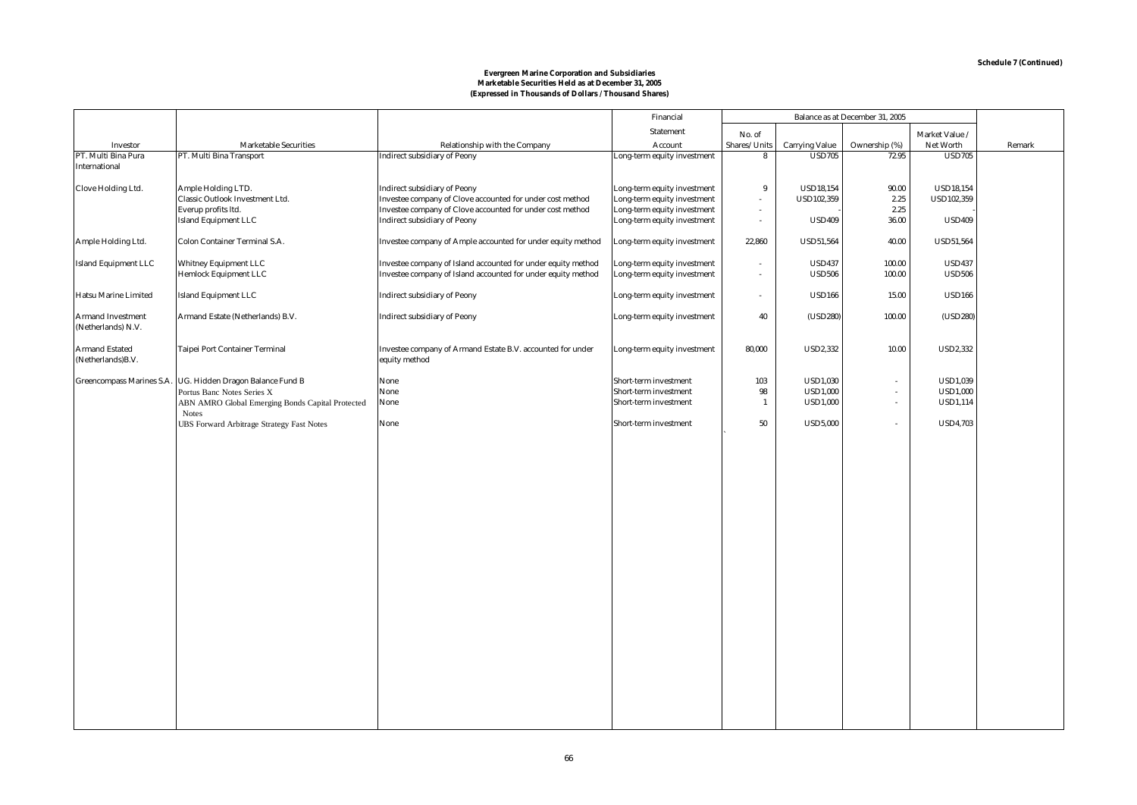|                                                |                                                              |                                                                                                                              | Financial                                                  |                  |                                | Balance as at December 31, 2005 |                                |        |
|------------------------------------------------|--------------------------------------------------------------|------------------------------------------------------------------------------------------------------------------------------|------------------------------------------------------------|------------------|--------------------------------|---------------------------------|--------------------------------|--------|
|                                                |                                                              |                                                                                                                              | <b>Statement</b>                                           | No. of           |                                |                                 | Market Value /                 |        |
| Investor                                       | <b>Marketable Securities</b>                                 | Relationship with the Company                                                                                                | Account                                                    | Shares/Units     | <b>Carrying Value</b>          | Ownership (%)                   | <b>Net Worth</b>               | Remark |
| PT. Multi Bina Pura<br><b>International</b>    | PT. Multi Bina Transport                                     | <b>Indirect subsidiary of Peony</b>                                                                                          | Long-term equity investment                                | 8                | <b>USD705</b>                  | 72.95                           | <b>USD705</b>                  |        |
|                                                |                                                              |                                                                                                                              |                                                            |                  |                                |                                 |                                |        |
| <b>Clove Holding Ltd.</b>                      | Ample Holding LTD.                                           | <b>Indirect subsidiary of Peony</b>                                                                                          | Long-term equity investment                                | 9                | <b>USD18,154</b>               | 90.00                           | <b>USD18,154</b>               |        |
|                                                | Classic Outlook Investment Ltd.                              | Investee company of Clove accounted for under cost method                                                                    | Long-term equity investment                                |                  | USD102,359                     | 2.25                            | <b>USD102,359</b>              |        |
|                                                | Everup profits ltd.                                          | Investee company of Clove accounted for under cost method                                                                    | Long-term equity investment                                | $\sim$           |                                | 2.25                            |                                |        |
|                                                | <b>Island Equipment LLC</b>                                  | <b>Indirect subsidiary of Peony</b>                                                                                          | Long-term equity investment                                | $\sim$           | <b>USD409</b>                  | 36.00                           | <b>USD409</b>                  |        |
| Ample Holding Ltd.                             | <b>Colon Container Terminal S.A.</b>                         | Investee company of Ample accounted for under equity method                                                                  | Long-term equity investment                                | 22,860           | <b>USD51,564</b>               | 40.00                           | <b>USD51,564</b>               |        |
| <b>Island Equipment LLC</b>                    | <b>Whitney Equipment LLC</b><br><b>Hemlock Equipment LLC</b> | Investee company of Island accounted for under equity method<br>Investee company of Island accounted for under equity method | Long-term equity investment<br>Long-term equity investment | $\sim$<br>$\sim$ | <b>USD437</b><br><b>USD506</b> | 100.00<br>100.00                | <b>USD437</b><br><b>USD506</b> |        |
| Hatsu Marine Limited                           | <b>Island Equipment LLC</b>                                  | <b>Indirect subsidiary of Peony</b>                                                                                          | Long-term equity investment                                | $\sim$           | <b>USD166</b>                  | 15.00                           | <b>USD166</b>                  |        |
| <b>Armand Investment</b><br>(Netherlands) N.V. | Armand Estate (Netherlands) B.V.                             | <b>Indirect subsidiary of Peony</b>                                                                                          | Long-term equity investment                                | 40               | (USD280)                       | 100.00                          | (USD280)                       |        |
| <b>Armand Estated</b><br>(Netherlands)B.V.     | <b>Taipei Port Container Terminal</b>                        | Investee company of Armand Estate B.V. accounted for under<br>equity method                                                  | Long-term equity investment                                | 80,000           | <b>USD2,332</b>                | 10.00                           | <b>USD2,332</b>                |        |
|                                                | Greencompass Marines S.A. UG. Hidden Dragon Balance Fund B   | None                                                                                                                         | Short-term investment                                      | 103              | <b>USD1,030</b>                | $\sim$                          | <b>USD1,039</b>                |        |
|                                                | Portus Banc Notes Series X                                   | None                                                                                                                         | Short-term investment                                      | 98               | <b>USD1,000</b>                | $\sim$                          | <b>USD1,000</b>                |        |
|                                                | ABN AMRO Global Emerging Bonds Capital Protected             | None                                                                                                                         | Short-term investment                                      | $\mathbf{1}$     | <b>USD1,000</b>                | $\sim$                          | <b>USD1,114</b>                |        |
|                                                | <b>Notes</b>                                                 |                                                                                                                              |                                                            |                  |                                |                                 |                                |        |
|                                                | UBS Forward Arbitrage Strategy Fast Notes                    | None                                                                                                                         | Short-term investment                                      | 50               | <b>USD5,000</b>                | $\sim$                          | <b>USD4,703</b>                |        |
|                                                |                                                              |                                                                                                                              |                                                            |                  |                                |                                 |                                |        |
|                                                |                                                              |                                                                                                                              |                                                            |                  |                                |                                 |                                |        |
|                                                |                                                              |                                                                                                                              |                                                            |                  |                                |                                 |                                |        |
|                                                |                                                              |                                                                                                                              |                                                            |                  |                                |                                 |                                |        |
|                                                |                                                              |                                                                                                                              |                                                            |                  |                                |                                 |                                |        |
|                                                |                                                              |                                                                                                                              |                                                            |                  |                                |                                 |                                |        |
|                                                |                                                              |                                                                                                                              |                                                            |                  |                                |                                 |                                |        |
|                                                |                                                              |                                                                                                                              |                                                            |                  |                                |                                 |                                |        |
|                                                |                                                              |                                                                                                                              |                                                            |                  |                                |                                 |                                |        |
|                                                |                                                              |                                                                                                                              |                                                            |                  |                                |                                 |                                |        |
|                                                |                                                              |                                                                                                                              |                                                            |                  |                                |                                 |                                |        |
|                                                |                                                              |                                                                                                                              |                                                            |                  |                                |                                 |                                |        |
|                                                |                                                              |                                                                                                                              |                                                            |                  |                                |                                 |                                |        |
|                                                |                                                              |                                                                                                                              |                                                            |                  |                                |                                 |                                |        |
|                                                |                                                              |                                                                                                                              |                                                            |                  |                                |                                 |                                |        |
|                                                |                                                              |                                                                                                                              |                                                            |                  |                                |                                 |                                |        |
|                                                |                                                              |                                                                                                                              |                                                            |                  |                                |                                 |                                |        |
|                                                |                                                              |                                                                                                                              |                                                            |                  |                                |                                 |                                |        |
|                                                |                                                              |                                                                                                                              |                                                            |                  |                                |                                 |                                |        |
|                                                |                                                              |                                                                                                                              |                                                            |                  |                                |                                 |                                |        |
|                                                |                                                              |                                                                                                                              |                                                            |                  |                                |                                 |                                |        |
|                                                |                                                              |                                                                                                                              |                                                            |                  |                                |                                 |                                |        |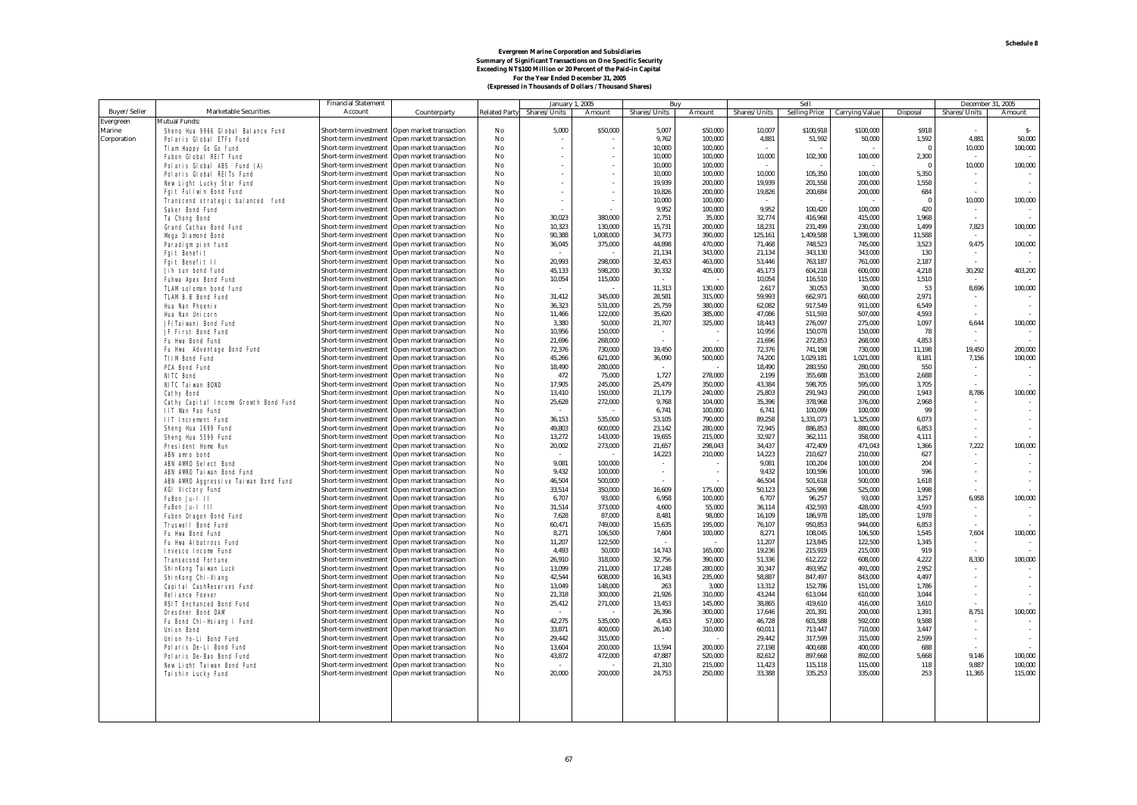# Evergreen Marine Corporation and Subsidiaries<br>Summary of Significant Transactions on One Specific Security<br>Exceeding NT\$100 Million or 20 Percent of the Paid-in Capital<br>For the Year Ended December 31, 2005<br>(Expressed in Th

|              |                                                             | <b>Financial Statement</b>                     |                                                    |                      | <b>January 1, 2005</b> |                          |               | <b>Buy</b>         | Sell             |                      | December 31, 2005     |                 |              |         |
|--------------|-------------------------------------------------------------|------------------------------------------------|----------------------------------------------------|----------------------|------------------------|--------------------------|---------------|--------------------|------------------|----------------------|-----------------------|-----------------|--------------|---------|
| Buver/Seller | <b>Marketable Securities</b>                                | Account                                        | Counterparty                                       | <b>Related Party</b> | Shares/Units           | Amount                   | Shares/Units  | Amount             | Shares/Units     | <b>Selling Price</b> | <b>Carrying Value</b> | <b>Disposal</b> | Shares/Units | Amount  |
| Evergreen    | Mutual Funds:                                               |                                                |                                                    |                      |                        |                          |               |                    |                  |                      |                       |                 |              |         |
| Marine       | Sheng Hua 9966 Global Balance Fund                          | Short-term investment                          | Open market transaction                            | No                   | 5.000                  | \$50,000                 | 5.007         | \$50,000           | 10.007           | \$100.918            | \$100,000             | <b>S918</b>     |              | $S-$    |
| Corporation  | <b>Polaris Global ETFs Fund</b>                             | Short-term investment                          | Open market transaction                            | No                   |                        |                          | 9.762         | 100,000            | 4,881            | 51,592               | 50,000                | 1.592           | 4.881        | 50,000  |
|              | TI am Happy Go Go fund                                      | Short-term investment                          | Open market transaction                            | N <sub>0</sub>       | $\mathbf{r}$           | $\sim$                   | 10.000        | 100.000            |                  |                      |                       | - 0             | 10,000       | 100,000 |
|              | <b>Fubon Global REIT Fund</b>                               | Short-term investment                          | Open market transaction                            | No                   |                        | $\overline{\phantom{a}}$ | 10,000        | 100,000            | 10,000           | 102,300              | 100,000               | 2,300           |              |         |
|              | Polaris Global ABS Fund (A)                                 | Short-term investment                          | Open market transaction                            | No                   | $\bar{a}$              | $\sim$                   | 10,000        | 100.000            |                  |                      |                       |                 | 10,000       | 100,000 |
|              | <b>Polaris Global REITs Fund</b>                            | Short-term investment                          | Open market transaction                            | No                   | ÷.                     | ×.                       | 10.000        | 100.000            | 10.000           | 105.350              | 100.000               | 5.350           |              |         |
|              | New Light Lucky Star Fund                                   | Short-term investment                          | Open market transaction                            | No                   | $\bar{a}$              | $\sim$                   | 19.939        | 200.000            | 19.939           | 201,558              | 200.000               | 1,558           | $\sim$       |         |
|              | <b>Fait Fullwin Bond Fund</b>                               | Short-term investment                          | Open market transaction                            | No                   | $\bar{a}$              | ×,                       | 19.826        | 200,000            | 19.826           | 200,684              | 200.000               | 684             |              |         |
|              | Transcend strategic balanced fund                           | Short-term investment                          | Open market transaction                            | No                   | ÷                      |                          | 10,000        | 100,000            |                  |                      |                       | $\mathbf{0}$    | 10,000       | 100,000 |
|              | <b>Saker Bond Fund</b>                                      | Short-term investment                          | Open market transaction                            | No                   |                        |                          | 9.952         | 100.000            | 9.952            | 100.420              | 100.000               | 420             |              |         |
|              | <b>Ta Chong Bond</b>                                        | Short-term investment                          | Open market transaction                            | No                   | 30.023                 | 380,000                  | 2.751         | 35,000             | 32,774           | 416.968              | 415,000               | 1.968           |              |         |
|              | <b>Grand Cathay Bond Fund</b>                               | Short-term investment                          | Open market transaction                            | N <sub>0</sub>       | 10.323                 | 130,000                  | 15,731        | 200,000            | 18.231           | 231.499              | 230,000               | 1.499           | 7,823        | 100,000 |
|              | <b>Mega Diamond Bond</b>                                    | Short-term investment                          | Open market transaction                            | No                   | 90,388                 | 1,008,000                | 34,773        | 390,000            | 125,161          | 1,409,588            | 1,398,000             | 11,588          |              |         |
|              | Paradiam pion fund                                          | Short-term investment                          | Open market transaction                            | No                   | 36,045                 | 375,000                  | 44,898        | 470.000            | 71,468           | 748.523              | 745.000               | 3,523           | 9,475        | 100,000 |
|              | <b>Fait Benefit</b>                                         | Short-term investment                          | Open market transaction                            | No                   |                        |                          | 21.134        | 343,000            | 21.134           | 343.130              | 343,000               | 130             |              |         |
|              | <b>Fgit Benefit II</b>                                      | Short-term investment                          | Open market transaction                            | No                   | 20.993                 | 298,000                  | 32.453        | 463.000            | 53,446           | 763.187              | 761.000               | 2,187           |              |         |
|              | Jih sun bond fund                                           | Short-term investment                          | Open market transaction                            | No                   | 45,133                 | 598.200                  | 30,332        | 405,000            | 45,173           | 604,218              | 600,000               | 4,218           | 30,292       | 403,200 |
|              | <b>Fuhwa Apex Bond Fund</b>                                 | Short-term investment                          | Open market transaction                            | No                   | 10,054                 | 115,000                  |               |                    | 10,054           | 116,510              | 115,000               | 1,510           |              |         |
|              | <b>TLAM solomon bond fund</b>                               | Short-term investment                          | Open market transaction                            | N <sub>0</sub>       |                        |                          | 11.313        | 130.000            | 2.617            | 30.053               | 30.000                | 53              | 8,696        | 100,000 |
|              | <b>TLAM B.B Bond Fund</b>                                   | Short-term investment                          | Open market transaction                            | No                   | 31,412                 | 345,000                  | 28,581        | 315,000            | 59,993           | 662,971              | 660,000               | 2,971           |              |         |
|              | Hua Nan Phoenix                                             | Short-term investment                          | Open market transaction                            | N <sub>0</sub>       | 36.323                 | 531,000                  | 25.759        | 380,000            | 62.082           | 917,549              | 911.000               | 6,549           | $\sim$       | $\sim$  |
|              | Hua Nan Unicorn                                             | Short-term investment                          | Open market transaction                            | No                   | 11,466                 | 122,000                  | 35,620        | 385,000            | 47.086           | 511,593              | 507.000               | 4,593           |              |         |
|              | JF(Taiwan) Bond Fund                                        | Short-term investment                          | Open market transaction                            | No                   | 3,380                  | 50,000                   | 21,707        | 325,000            | 18,443           | 276,097              | 275,000               | 1,097           | 6,644        | 100,000 |
|              | <b>JF First Bond Fund</b>                                   | Short-term investment                          | Open market transaction                            | N <sub>0</sub>       | 10.956                 | 150,000                  | $\sim$        |                    | 10.956           | 150,078              | 150.000               | 78              |              |         |
|              | Fu Hwa Bond Fund                                            | Short-term investment                          | Open market transaction                            | No                   | 21.696                 | 268,000                  |               |                    | 21.696           | 272,853              | 268,000               | 4.853           |              |         |
|              | Fu Hwa Adventage Bond Fund                                  | Short-term investment                          | Open market transaction                            | No                   | 72.376                 | 730,000                  | 19.450        | 200.000            | 72,376           | 741.198              | 730,000               | 11.198          | 19.450       | 200.000 |
|              | <b>TIIM Bond Fund</b>                                       | Short-term investment                          | Open market transaction                            | No                   | 45,266                 | 621,000                  | 36,090        | 500,000            | 74,200           | 1,029,181            | 1,021,000             | 8,181           | 7,156        | 100,000 |
|              | <b>PCA Bond Fund</b>                                        | Short-term investment                          | Open market transaction                            | No                   | 18,490                 | 280,000                  |               |                    | 18.490           | 280.550              | 280.000               | 550             | $\sim$       |         |
|              | <b>NITC Bond</b>                                            | Short-term investment                          | Open market transaction                            | No                   | 472                    | 75,000                   | 1,727         | 278,000            | 2,199            | 355,688              | 353,000               | 2.688           | $\sim$       |         |
|              | <b>NITC Taiwan ROND</b>                                     | Short-term investment                          | Open market transaction                            | No                   | 17.905                 | 245.000                  | 25.479        | 350,000            | 43.384           | 598,705              | 595,000               | 3.705           |              |         |
|              | <b>Cathy Bond</b>                                           | Short-term investment                          | Open market transaction                            | N <sub>0</sub>       | 13.410                 | 150,000                  | 21.179        | 240,000            | 25.803           | 291.943              | 290,000               | 1.943           | 8,786        | 100,000 |
|              | Cathy Capital Income Growth Bond Fund                       | Short-term investment                          | Open market transaction                            | No                   | 25,628                 | 272,000                  | 9,768         | 104,000            | 35,396           | 378,968              | 376,000               | 2,968           |              |         |
|              | <b>IIT Wan Pao Fund</b>                                     | Short-term investment                          | Open market transaction                            | No                   |                        |                          | 6,741         | 100.000            | 6.741            | 100.099              | 100.000               | 99              |              |         |
|              | <b>IIT Increment Fund</b>                                   | Short-term investment                          | Open market transaction                            | No                   | 36,153                 | 535,000                  | 53,105        | 790,000            | 89,258           | 1,331,073            | 1,325,000             | 6,073           | $\sim$       |         |
|              | Sheng Hua 1699 Fund                                         | Short-term investment                          | Open market transaction                            | No                   | 49.803                 | 600.000                  | 23.142        | 280,000            | 72.945           | 886.853              | 880.000               | 6,853           | $\sim$       |         |
|              | Sheng Hua 5599 Fund                                         | Short-term investment                          | Open market transaction                            | No                   | 13,272                 | 143,000                  | 19,655        | 215,000            | 32,927           | 362,111              | 358,000               | 4,111           |              |         |
|              | <b>President Home Run</b>                                   | Short-term investment                          | Open market transaction                            | No                   | 20,002                 | 273,000                  | 21,657        | 298,043            | 34,437           | 472,409              | 471,043               | 1,366           | 7,222        | 100,000 |
|              | ABN amro bond                                               | Short-term investment                          | Open market transaction                            | N <sub>0</sub>       |                        |                          | 14,223        | 210,000            | 14.223           | 210.627              | 210,000               | 627             |              |         |
|              | ABN AMRO Select Bond                                        | Short-term investment                          | Open market transaction                            | N <sub>0</sub>       | 9.081                  | 100.000                  | $\sim$        |                    | 9.081            | 100.204              | 100,000               | 204             | $\sim$       |         |
|              | ABN AMRO Taiwan Bond Fund                                   | Short-term investment                          | Open market transaction                            | N <sub>0</sub>       | 9.432                  | 100.000                  | $\sim$        |                    | 9.432            | 100.596              | 100,000               | 596             | $\sim$       |         |
|              | ABN AMRO Aggressive Taiwan Bond Fund                        | <b>Short-term investment</b>                   | Open market transaction                            | No                   | 46,504                 | 500,000                  |               |                    | 46,504           | 501,618              | 500,000               | 1,618           | $\sim$       |         |
|              | <b>KGI Victory Fund</b>                                     | Short-term investment                          | Open market transaction                            | N <sub>0</sub>       | 33,514                 | 350,000                  | 16.609        | 175,000            | 50.123           | 526,998              | 525,000               | 1.998           |              |         |
|              | FuBon Ju-1 11                                               | Short-term investment                          | Open market transaction                            | No                   | 6,707                  | 93,000                   | 6,958         | 100,000            | 6,707            | 96,257               | 93,000                | 3,257           | 6,958        | 100,000 |
|              | FuBon Ju-1 111                                              | Short-term investment                          | Open market transaction                            | No                   | 31.514                 | 373,000                  | 4.600         | 55,000             | 36.114           | 432.593              | 428.000               | 4.593           |              |         |
|              | <b>Fubon Dragon Bond Fund</b>                               | Short-term investment                          | Open market transaction                            | N <sub>0</sub>       | 7.628                  | 87.000                   | 8.481         | 98.000             | 16.109           | 186.978              | 185,000               | 1.978           | a.           |         |
|              | <b>Truswell Bond Fund</b>                                   | Short-term investment                          | Open market transaction                            | No                   | 60,471                 | 749,000                  | 15,635        | 195,000            | 76,107           | 950,853              | 944,000               | 6,853           |              |         |
|              | Fu Hwa Bond Fund                                            | Short-term investment                          | Open market transaction                            | N <sub>0</sub>       | 8.271                  | 106.500                  | 7,604         | 100.000            | 8.271            | 108,045              | 106,500               | 1.545           | 7,604        | 100,000 |
|              | <b>Fu Hwa Albatross Fund</b>                                | Short-term investment                          | Open market transaction                            | No                   | 11,207                 | 122,500                  |               |                    | 11,207           | 123,845              | 122,500               | 1,345           | $\sim$       |         |
|              | <b>Invesco Income Fund</b>                                  | Short-term investment                          | Open market transaction                            | No                   | 4.493                  | 50.000                   | 14.743        | 165,000<br>390,000 | 19.236           | 215,919              | 215,000               | 919             | a.           |         |
|              | <b>Transecond Fortune</b>                                   | Short-term investment                          | Open market transaction                            | No                   | 26,910                 | 318,000                  | 32,756        |                    | 51,336           | 612,222              | 608,000               | 4,222<br>2,952  | 8,330        | 100,000 |
|              | ShinKong Taiwan Luck                                        | Short-term investment<br>Short-term investment | Open market transaction<br>Open market transaction | No<br>No             | 13,099<br>42.544       | 211,000<br>608.000       | 17,248        | 280,000<br>235,000 | 30,347<br>58.887 | 493,952<br>847.497   | 491,000<br>843.000    | 4.497           | $\sim$       |         |
|              | ShinKona Chi-Xiana                                          | Short-term investment                          | Open market transaction                            | No                   | 13.049                 | 148,000                  | 16,343<br>263 | 3.000              | 13.312           | 152.786              | 151.000               | 1.786           | $\sim$       |         |
|              | <b>Capital CashReserves Fund</b><br><b>Reliance Foever</b>  | Short-term investment                          | Open market transaction                            | No                   | 21.318                 | 300.000                  | 21.926        | 310,000            | 43.244           | 613.044              | 610,000               | 3.044           | $\sim$       |         |
|              |                                                             | Short-term investment                          |                                                    |                      | 25,412                 | 271,000                  | 13,453        | 145,000            | 38.865           | 419,610              | 416,000               | 3,610           |              |         |
|              | <b>RSIT Enchanced Bond Fund</b><br><b>Dresdner Bond DAM</b> | Short-term investment                          | Open market transaction<br>Open market transaction | No<br>N <sub>0</sub> |                        |                          | 26.396        | 300,000            | 17.646           | 201.391              | 200.000               | 1,391           | 8,751        | 100,000 |
|              | Fu Bond Chi-Hsiang I Fund                                   | Short-term investment                          | Open market transaction                            | No                   | 42,275                 | 535,000                  | 4,453         | 57,000             | 46,728           | 601.588              | 592.000               | 9.588           |              |         |
|              | <b>Union Bond</b>                                           | Short-term investment                          | Open market transaction                            | No                   | 33,871                 | 400.000                  | 26,140        | 310,000            | 60.011           | 713.447              | 710,000               | 3.447           | $\sim$       | $\sim$  |
|              | Union Yo-Li Bond Fund                                       | Short-term investment                          | Open market transaction                            | No                   | 29.442                 | 315,000                  |               |                    | 29.442           | 317,599              | 315,000               | 2,599           | $\sim$       | $\sim$  |
|              | <b>Polaris De-Li Bond Fund</b>                              | Short-term investment                          | Open market transaction                            | No                   | 13,604                 | 200,000                  | 13,594        | 200.000            | 27,198           | 400,688              | 400,000               | 688             |              |         |
|              | Polaris De-Bao Bond Fund                                    | Short-term investment                          | Open market transaction                            | N <sub>0</sub>       | 43.872                 | 472.000                  | 47.887        | 520,000            | 82.612           | 897.668              | 892.000               | 5.668           | 9.146        | 100.000 |
|              | New Light Taiwan Bond Fund                                  | Short-term investment                          | Open market transaction                            | No                   |                        |                          | 21,310        | 215,000            | 11,423           | 115,118              | 115,000               | 118             | 9,887        | 100,000 |
|              | <b>Taishin Lucky Fund</b>                                   | Short-term investment                          | Open market transaction                            | No                   | 20.000                 | 200.000                  | 24.753        | 250,000            | 33.388           | 335.253              | 335,000               | 253             | 11.365       | 115,000 |
|              |                                                             |                                                |                                                    |                      |                        |                          |               |                    |                  |                      |                       |                 |              |         |
|              |                                                             |                                                |                                                    |                      |                        |                          |               |                    |                  |                      |                       |                 |              |         |
|              |                                                             |                                                |                                                    |                      |                        |                          |               |                    |                  |                      |                       |                 |              |         |
|              |                                                             |                                                |                                                    |                      |                        |                          |               |                    |                  |                      |                       |                 |              |         |
|              |                                                             |                                                |                                                    |                      |                        |                          |               |                    |                  |                      |                       |                 |              |         |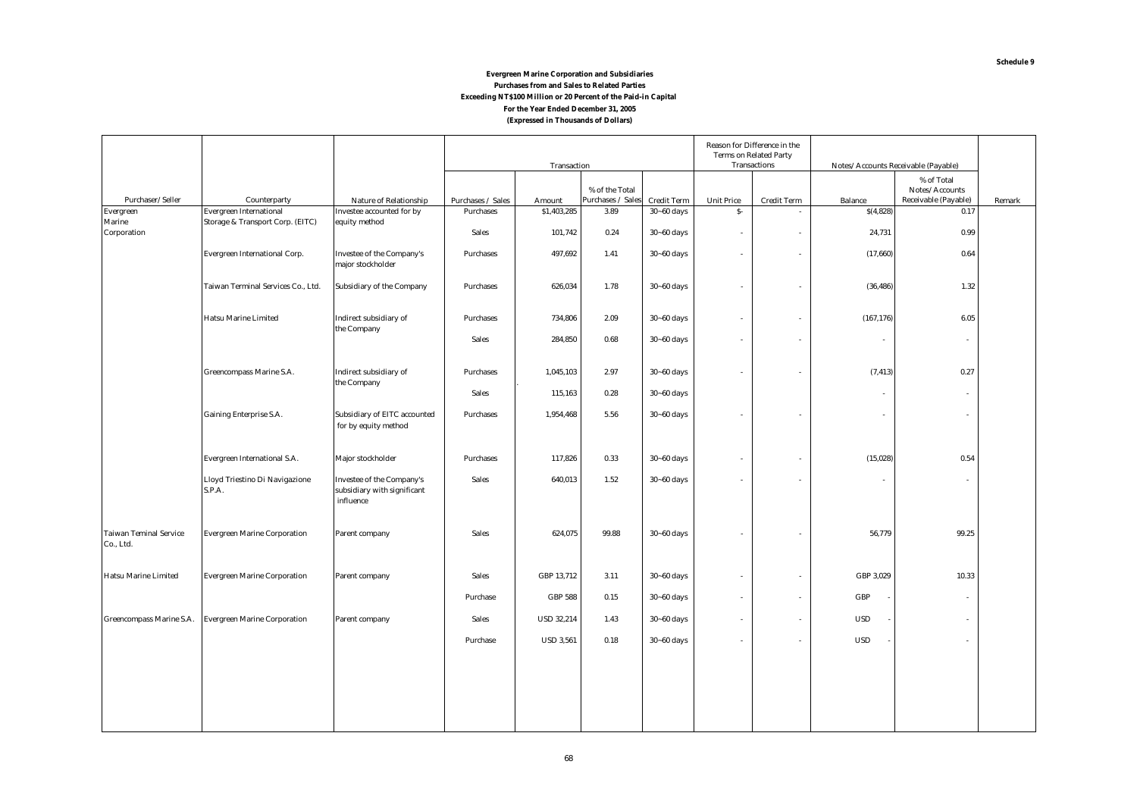#### **(Expressed in Thousands of Dollars) Evergreen Marine Corporation and Subsidiaries Purchases from and Sales to Related Parties Exceeding NT\$100 Million or 20 Percent of the Paid-in Capital For the Year Ended December 31, 2005**

|                                            |                                          |                                                                       |                   | Transaction       |                   |                    |                   | Reason for Difference in the<br><b>Terms on Related Party</b><br><b>Transactions</b> |                          | Notes/Accounts Receivable (Payable) |        |
|--------------------------------------------|------------------------------------------|-----------------------------------------------------------------------|-------------------|-------------------|-------------------|--------------------|-------------------|--------------------------------------------------------------------------------------|--------------------------|-------------------------------------|--------|
|                                            |                                          |                                                                       |                   |                   | % of the Total    |                    |                   |                                                                                      |                          | $\%$ of Total<br>Notes/Accounts     |        |
| Purchaser/Seller                           | Counterparty                             | Nature of Relationship                                                | Purchases / Sales | Amount            | Purchases / Sales | <b>Credit Term</b> | <b>Unit Price</b> | <b>Credit Term</b>                                                                   | <b>Balance</b>           | Receivable (Payable)                | Remark |
| Evergreen                                  | <b>Evergreen International</b>           | Investee accounted for by                                             | <b>Purchases</b>  | \$1,403,285       | 3.89              | $30 - 60$ days     | $S-$              | $\overline{\phantom{a}}$                                                             | \$(4,828)                | 0.17                                |        |
| <b>Marine</b><br>Corporation               | Storage & Transport Corp. (EITC)         | equity method                                                         | <b>Sales</b>      | 101,742           | 0.24              | $30 - 60$ days     | $\sim$            | ÷                                                                                    | 24,731                   | 0.99                                |        |
|                                            | <b>Evergreen International Corp.</b>     | <b>Investee of the Company's</b><br>major stockholder                 | <b>Purchases</b>  | 497,692           | 1.41              | $30 - 60$ days     | $\sim$            | $\overline{\phantom{a}}$                                                             | (17,660)                 | 0.64                                |        |
|                                            | Taiwan Terminal Services Co., Ltd.       | Subsidiary of the Company                                             | <b>Purchases</b>  | 626,034           | 1.78              | $30 - 60$ days     | $\sim$            | $\overline{\phantom{a}}$                                                             | (36, 486)                | 1.32                                |        |
|                                            | <b>Hatsu Marine Limited</b>              | Indirect subsidiary of<br>the Company                                 | <b>Purchases</b>  | 734,806           | 2.09              | $30 - 60$ days     | $\sim$            | $\overline{\phantom{a}}$                                                             | (167, 176)               | 6.05                                |        |
|                                            |                                          |                                                                       | <b>Sales</b>      | 284,850           | 0.68              | $30 - 60$ days     | $\sim$            | ÷                                                                                    |                          | $\sim$                              |        |
|                                            | Greencompass Marine S.A.                 | Indirect subsidiary of<br>the Company                                 | <b>Purchases</b>  | 1,045,103         | 2.97              | $30 - 60$ days     | $\sim$            | ٠                                                                                    | (7, 413)                 | 0.27                                |        |
|                                            |                                          |                                                                       | <b>Sales</b>      | 115,163           | 0.28              | $30 - 60$ days     |                   |                                                                                      | $\overline{\phantom{a}}$ | $\sim$                              |        |
|                                            | <b>Gaining Enterprise S.A.</b>           | Subsidiary of EITC accounted<br>for by equity method                  | <b>Purchases</b>  | 1,954,468         | 5.56              | $30 - 60$ days     | ÷                 | ÷                                                                                    |                          | ÷                                   |        |
|                                            | Evergreen International S.A.             | Major stockholder                                                     | Purchases         | 117,826           | 0.33              | $30 - 60$ days     | $\sim$            | ٠                                                                                    | (15, 028)                | 0.54                                |        |
|                                            | Lloyd Triestino Di Navigazione<br>S.P.A. | Investee of the Company's<br>subsidiary with significant<br>influence | Sales             | 640,013           | 1.52              | $30 - 60$ days     | $\sim$            | $\sim$                                                                               |                          | $\sim$                              |        |
| <b>Taiwan Teminal Service</b><br>Co., Ltd. | <b>Evergreen Marine Corporation</b>      | Parent company                                                        | <b>Sales</b>      | 624,075           | 99.88             | $30 - 60$ days     |                   |                                                                                      | 56,779                   | 99.25                               |        |
| <b>Hatsu Marine Limited</b>                | <b>Evergreen Marine Corporation</b>      | Parent company                                                        | <b>Sales</b>      | GBP 13,712        | 3.11              | $30 - 60$ days     | $\sim$            | ٠                                                                                    | GBP 3,029                | 10.33                               |        |
|                                            |                                          |                                                                       | Purchase          | <b>GBP 588</b>    | 0.15              | $30 - 60$ days     | $\sim$            | $\overline{\phantom{a}}$                                                             | GBP                      | $\sim$                              |        |
| Greencompass Marine S.A.                   | <b>Evergreen Marine Corporation</b>      | Parent company                                                        | <b>Sales</b>      | <b>USD 32,214</b> | 1.43              | $30 - 60$ days     | $\sim$            | $\overline{\phantom{a}}$                                                             | <b>USD</b>               | $\sim$                              |        |
|                                            |                                          |                                                                       | Purchase          | <b>USD 3,561</b>  | 0.18              | $30 - 60$ days     | $\sim$            | $\overline{\phantom{a}}$                                                             | <b>USD</b>               | $\sim$                              |        |
|                                            |                                          |                                                                       |                   |                   |                   |                    |                   |                                                                                      |                          |                                     |        |
|                                            |                                          |                                                                       |                   |                   |                   |                    |                   |                                                                                      |                          |                                     |        |
|                                            |                                          |                                                                       |                   |                   |                   |                    |                   |                                                                                      |                          |                                     |        |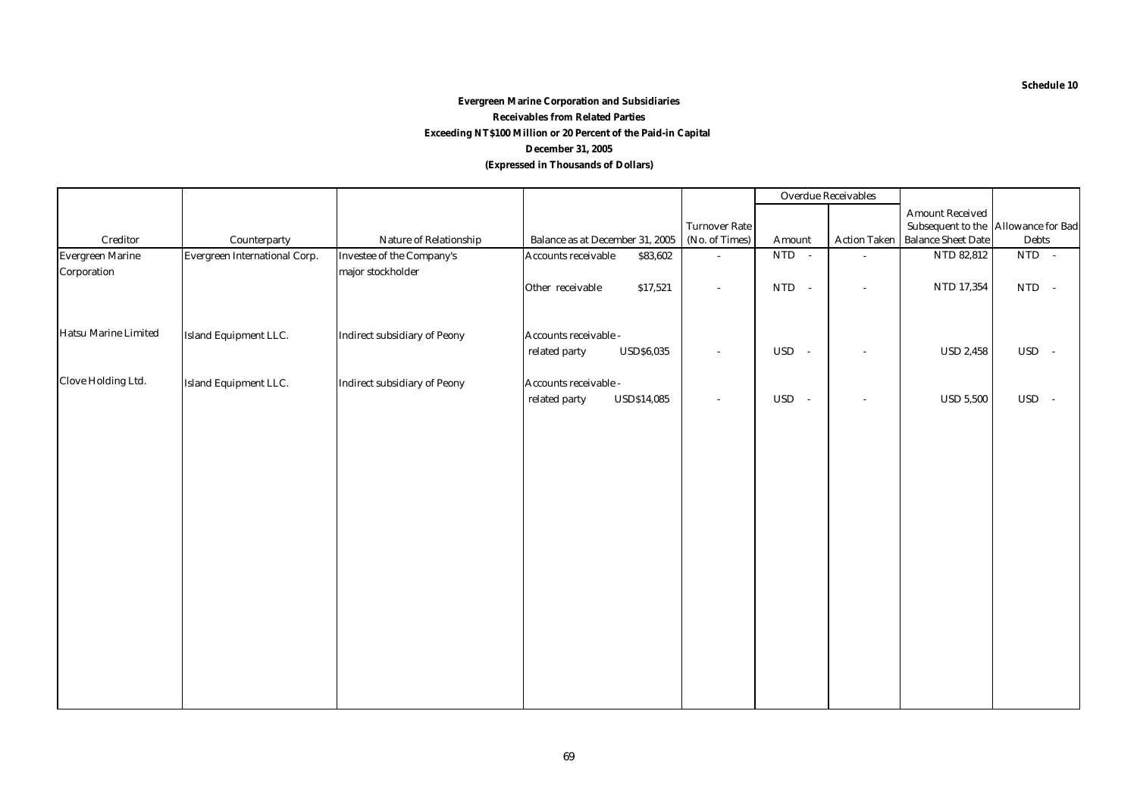#### **(Expressed in Thousands of Dollars) Evergreen Marine Corporation and Subsidiaries Receivables from Related Parties December 31, 2005 Exceeding NT\$100 Million or 20 Percent of the Paid-in Capital**

|                         |                               |                                     |                                     |                      | <b>Overdue Receivables</b> |                          |                                     |                      |
|-------------------------|-------------------------------|-------------------------------------|-------------------------------------|----------------------|----------------------------|--------------------------|-------------------------------------|----------------------|
|                         |                               |                                     |                                     |                      |                            |                          | <b>Amount Received</b>              |                      |
|                         |                               |                                     |                                     | <b>Turnover Rate</b> |                            |                          | Subsequent to the Allowance for Bad |                      |
| $\bf Creditor$          | Counterparty                  | Nature of Relationship              | Balance as at December 31, 2005     | (No. of Times)       | Amount                     | <b>Action Taken</b>      | <b>Balance Sheet Date</b>           | <b>Debts</b>         |
| <b>Evergreen Marine</b> | Evergreen International Corp. | <b>Investee of the Company's</b>    | Accounts receivable<br>\$83,602     | ×.                   | $NTD -$                    | ×,                       | NTD 82,812                          | $NTD -$              |
| Corporation             |                               | major stockholder                   |                                     |                      |                            |                          |                                     |                      |
|                         |                               |                                     | Other receivable<br>\$17,521        | $\sim$               | <b>NTD</b><br>$\sim$       | $\sim$                   | NTD 17,354                          | NTD -                |
|                         |                               |                                     |                                     |                      |                            |                          |                                     |                      |
| Hatsu Marine Limited    | Island Equipment LLC.         | <b>Indirect subsidiary of Peony</b> | Accounts receivable -               |                      |                            |                          |                                     |                      |
|                         |                               |                                     | related party<br><b>USD\$6,035</b>  | $\sim$               | USD -                      | $\overline{\phantom{a}}$ | <b>USD 2,458</b>                    | USD -                |
| Clove Holding Ltd.      | Island Equipment LLC.         | <b>Indirect subsidiary of Peony</b> | Accounts receivable -               |                      |                            |                          |                                     |                      |
|                         |                               |                                     | related party<br><b>USD\$14,085</b> | $\sim$               | $_{\rm USD}$<br>$\sim$     | $\overline{\phantom{a}}$ | <b>USD 5,500</b>                    | <b>USD</b><br>$\sim$ |
|                         |                               |                                     |                                     |                      |                            |                          |                                     |                      |
|                         |                               |                                     |                                     |                      |                            |                          |                                     |                      |
|                         |                               |                                     |                                     |                      |                            |                          |                                     |                      |
|                         |                               |                                     |                                     |                      |                            |                          |                                     |                      |
|                         |                               |                                     |                                     |                      |                            |                          |                                     |                      |
|                         |                               |                                     |                                     |                      |                            |                          |                                     |                      |
|                         |                               |                                     |                                     |                      |                            |                          |                                     |                      |
|                         |                               |                                     |                                     |                      |                            |                          |                                     |                      |
|                         |                               |                                     |                                     |                      |                            |                          |                                     |                      |
|                         |                               |                                     |                                     |                      |                            |                          |                                     |                      |
|                         |                               |                                     |                                     |                      |                            |                          |                                     |                      |
|                         |                               |                                     |                                     |                      |                            |                          |                                     |                      |
|                         |                               |                                     |                                     |                      |                            |                          |                                     |                      |
|                         |                               |                                     |                                     |                      |                            |                          |                                     |                      |
|                         |                               |                                     |                                     |                      |                            |                          |                                     |                      |
|                         |                               |                                     |                                     |                      |                            |                          |                                     |                      |
|                         |                               |                                     |                                     |                      |                            |                          |                                     |                      |
|                         |                               |                                     |                                     |                      |                            |                          |                                     |                      |

**Schedule 10**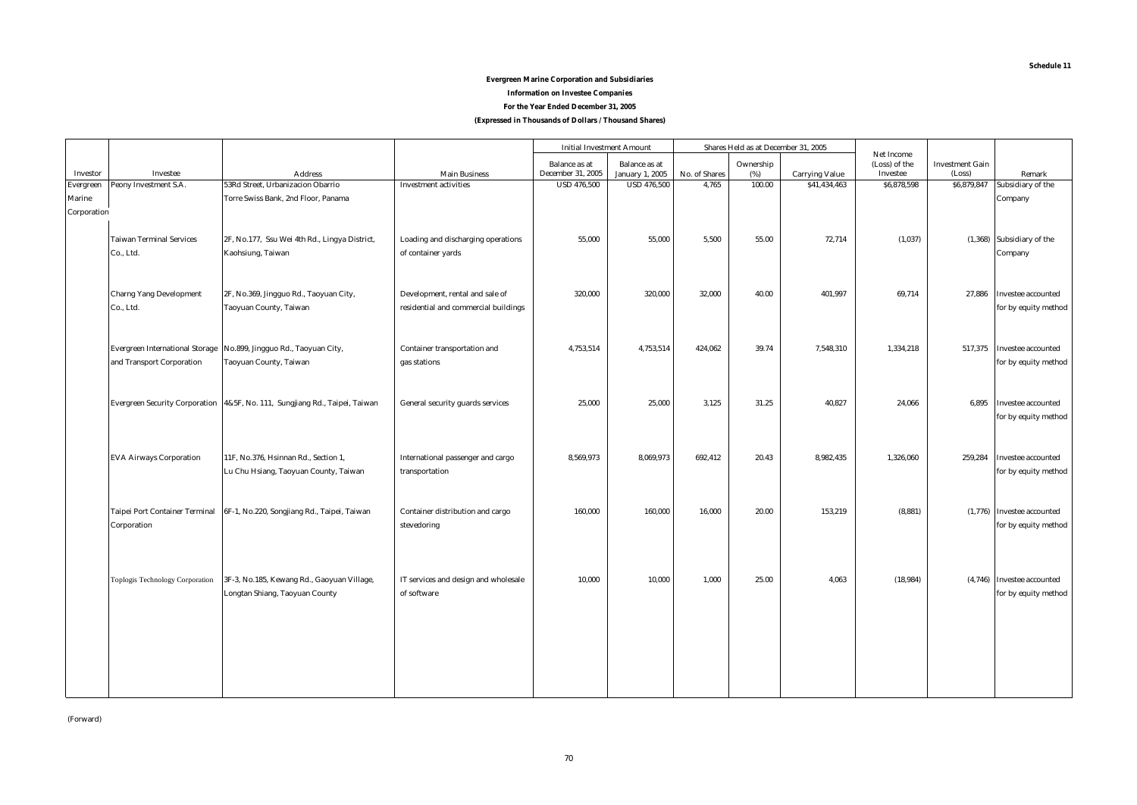#### **Schedule 11**

#### **Evergreen Marine Corporation and Subsidiaries**

**Information on Investee Companies**

**For the Year Ended December 31, 2005**

**(Expressed in Thousands of Dollars / Thousand Shares)**

|                  |                                        |                                                                             |                                      | <b>Initial Investment Amount</b>          |                                                |               | Shares Held as at December 31, 2005 |                       |                                         |                                  |                            |
|------------------|----------------------------------------|-----------------------------------------------------------------------------|--------------------------------------|-------------------------------------------|------------------------------------------------|---------------|-------------------------------------|-----------------------|-----------------------------------------|----------------------------------|----------------------------|
| Investor         | Investee                               | <b>Address</b>                                                              | <b>Main Business</b>                 | <b>Balance</b> as at<br>December 31, 2005 | <b>Balance</b> as at<br><b>January 1, 2005</b> | No. of Shares | Ownership<br>(%)                    | <b>Carrying Value</b> | Net Income<br>(Loss) of the<br>Investee | <b>Investment Gain</b><br>(Loss) | Remark                     |
| <b>Evergreen</b> | Peony Investment S.A.                  | 53Rd Street, Urbanizacion Obarrio                                           | <b>Investment activities</b>         | <b>USD 476,500</b>                        | <b>USD 476,500</b>                             | 4,765         | 100.00                              | \$41,434,463          | \$6,878,598                             | \$6,879,847                      | Subsidiary of the          |
| <b>Marine</b>    |                                        | Torre Swiss Bank, 2nd Floor, Panama                                         |                                      |                                           |                                                |               |                                     |                       |                                         |                                  | Company                    |
| Corporation      |                                        |                                                                             |                                      |                                           |                                                |               |                                     |                       |                                         |                                  |                            |
|                  |                                        |                                                                             |                                      |                                           |                                                |               |                                     |                       |                                         |                                  |                            |
|                  | <b>Taiwan Terminal Services</b>        | 2F, No.177, Ssu Wei 4th Rd., Lingya District,                               | Loading and discharging operations   | 55.000                                    | 55.000                                         | 5.500         | 55.00                               | 72,714                | (1,037)                                 |                                  | (1,368) Subsidiary of the  |
|                  | Co., Ltd.                              | Kaohsiung, Taiwan                                                           | of container yards                   |                                           |                                                |               |                                     |                       |                                         |                                  | Company                    |
|                  |                                        |                                                                             |                                      |                                           |                                                |               |                                     |                       |                                         |                                  |                            |
|                  |                                        |                                                                             |                                      |                                           |                                                |               |                                     |                       |                                         |                                  |                            |
|                  | <b>Charng Yang Development</b>         | 2F, No.369, Jingguo Rd., Taoyuan City,                                      | Development, rental and sale of      | 320,000                                   | 320,000                                        | 32,000        | 40.00                               | 401,997               | 69,714                                  | 27,886                           | Investee accounted         |
|                  | Co., Ltd.                              | Taoyuan County, Taiwan                                                      | residential and commercial buildings |                                           |                                                |               |                                     |                       |                                         |                                  | for by equity method       |
|                  |                                        |                                                                             |                                      |                                           |                                                |               |                                     |                       |                                         |                                  |                            |
|                  |                                        |                                                                             |                                      |                                           |                                                |               |                                     |                       |                                         |                                  |                            |
|                  | <b>Evergreen International Storage</b> | No.899, Jingguo Rd., Taoyuan City,                                          | Container transportation and         | 4,753,514                                 | 4,753,514                                      | 424,062       | 39.74                               | 7,548,310             | 1,334,218                               | 517,375                          | <b>Investee accounted</b>  |
|                  | and Transport Corporation              | Taoyuan County, Taiwan                                                      | gas stations                         |                                           |                                                |               |                                     |                       |                                         |                                  | for by equity method       |
|                  |                                        |                                                                             |                                      |                                           |                                                |               |                                     |                       |                                         |                                  |                            |
|                  |                                        |                                                                             |                                      |                                           |                                                |               |                                     |                       |                                         |                                  |                            |
|                  |                                        | Evergreen Security Corporation 4&5F, No. 111, Sungjiang Rd., Taipei, Taiwan | General security guards services     | 25,000                                    | 25,000                                         | 3,125         | 31.25                               | 40,827                | 24,066                                  | 6,895                            | Investee accounted         |
|                  |                                        |                                                                             |                                      |                                           |                                                |               |                                     |                       |                                         |                                  | for by equity method       |
|                  |                                        |                                                                             |                                      |                                           |                                                |               |                                     |                       |                                         |                                  |                            |
|                  | <b>EVA Airways Corporation</b>         | 11F, No.376, Hsinnan Rd., Section 1,                                        | International passenger and cargo    | 8,569,973                                 | 8,069,973                                      | 692,412       | 20.43                               | 8,982,435             | 1,326,060                               | 259,284                          | Investee accounted         |
|                  |                                        | Lu Chu Hsiang, Taoyuan County, Taiwan                                       | transportation                       |                                           |                                                |               |                                     |                       |                                         |                                  | for by equity method       |
|                  |                                        |                                                                             |                                      |                                           |                                                |               |                                     |                       |                                         |                                  |                            |
|                  |                                        |                                                                             |                                      |                                           |                                                |               |                                     |                       |                                         |                                  |                            |
|                  | <b>Taipei Port Container Terminal</b>  | 6F-1, No.220, Songjiang Rd., Taipei, Taiwan                                 | Container distribution and cargo     | 160.000                                   | 160,000                                        | 16,000        | 20.00                               | 153,219               | (8, 881)                                |                                  | (1,776) Investee accounted |
|                  | Corporation                            |                                                                             | stevedoring                          |                                           |                                                |               |                                     |                       |                                         |                                  | for by equity method       |
|                  |                                        |                                                                             |                                      |                                           |                                                |               |                                     |                       |                                         |                                  |                            |
|                  |                                        |                                                                             |                                      |                                           |                                                |               |                                     |                       |                                         |                                  |                            |
|                  |                                        |                                                                             |                                      |                                           |                                                |               |                                     |                       |                                         |                                  |                            |
|                  | Toplogis Technology Corporation        | 3F-3, No.185, Kewang Rd., Gaoyuan Village,                                  | IT services and design and wholesale | 10,000                                    | 10,000                                         | 1,000         | 25.00                               | 4,063                 | (18, 984)                               |                                  | (4,746) Investee accounted |
|                  |                                        | Longtan Shiang, Taoyuan County                                              | of software                          |                                           |                                                |               |                                     |                       |                                         |                                  | for by equity method       |
|                  |                                        |                                                                             |                                      |                                           |                                                |               |                                     |                       |                                         |                                  |                            |
|                  |                                        |                                                                             |                                      |                                           |                                                |               |                                     |                       |                                         |                                  |                            |
|                  |                                        |                                                                             |                                      |                                           |                                                |               |                                     |                       |                                         |                                  |                            |
|                  |                                        |                                                                             |                                      |                                           |                                                |               |                                     |                       |                                         |                                  |                            |
|                  |                                        |                                                                             |                                      |                                           |                                                |               |                                     |                       |                                         |                                  |                            |
|                  |                                        |                                                                             |                                      |                                           |                                                |               |                                     |                       |                                         |                                  |                            |
|                  |                                        |                                                                             |                                      |                                           |                                                |               |                                     |                       |                                         |                                  |                            |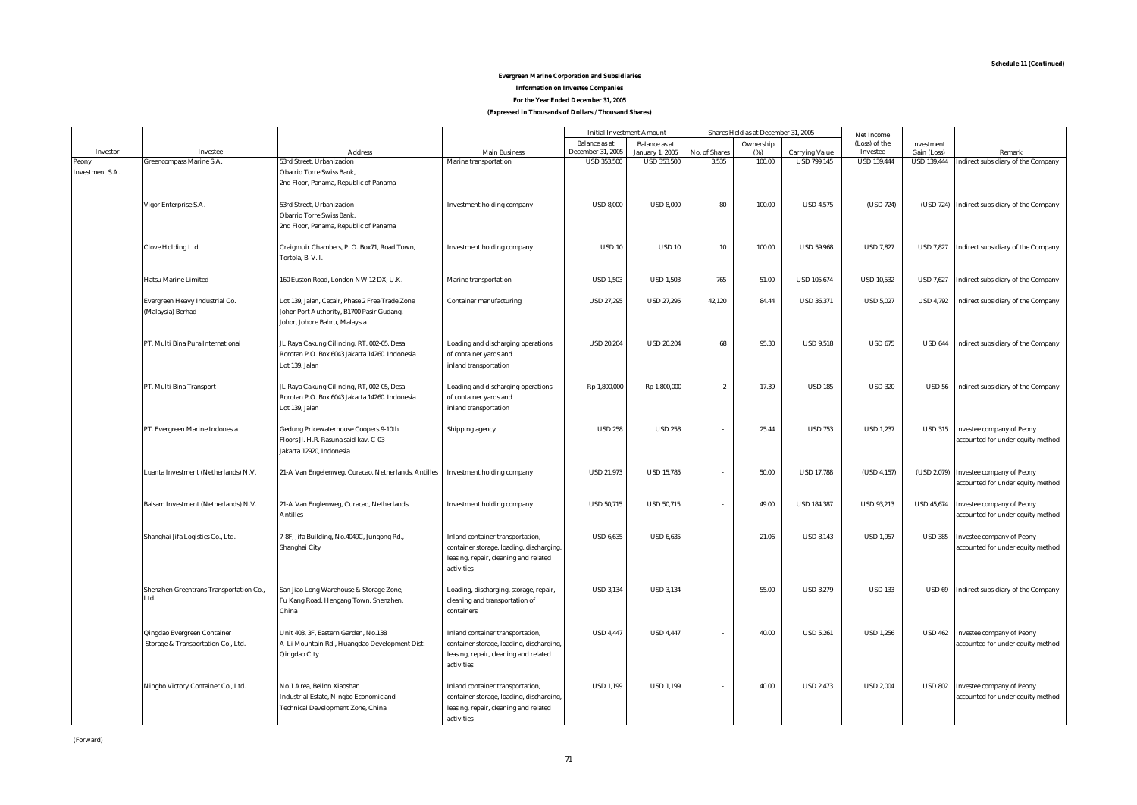#### **For the Year Ended December 31, 2005 (Expressed in Thousands of Dollars / Thousand Shares) Evergreen Marine Corporation and Subsidiaries Information on Investee Companies**

|                        |                                                 |                                                     |                                                      | <b>Initial Investment Amount</b>        |                                              |                        | Shares Held as at December 31, 2005 |                                             | Net Income                     |                                   |                                                     |
|------------------------|-------------------------------------------------|-----------------------------------------------------|------------------------------------------------------|-----------------------------------------|----------------------------------------------|------------------------|-------------------------------------|---------------------------------------------|--------------------------------|-----------------------------------|-----------------------------------------------------|
|                        |                                                 |                                                     |                                                      | <b>Balance</b> as at                    | <b>Balance</b> as at                         |                        | Ownership                           |                                             | (Loss) of the                  | <b>Investment</b>                 |                                                     |
| Investor<br>Peony      | Investee<br>Greencompass Marine S.A.            | <b>Address</b><br>53rd Street, Urbanizacion         | <b>Main Business</b><br><b>Marine</b> transportation | December 31, 2005<br><b>USD 353,500</b> | <b>January 1, 2005</b><br><b>USD 353,500</b> | No. of Shares<br>3,535 | (%)<br>100.00                       | <b>Carrying Value</b><br><b>USD 799.145</b> | Investee<br><b>USD 139,444</b> | Gain (Loss)<br><b>USD 139,444</b> | Remark<br><b>Indirect subsidiary of the Company</b> |
| <b>Investment S.A.</b> |                                                 | <b>Obarrio Torre Swiss Bank,</b>                    |                                                      |                                         |                                              |                        |                                     |                                             |                                |                                   |                                                     |
|                        |                                                 | 2nd Floor, Panama, Republic of Panama               |                                                      |                                         |                                              |                        |                                     |                                             |                                |                                   |                                                     |
|                        |                                                 |                                                     |                                                      |                                         |                                              |                        |                                     |                                             |                                |                                   |                                                     |
|                        | Vigor Enterprise S.A.                           | 53rd Street, Urbanizacion                           | Investment holding company                           | <b>USD 8,000</b>                        | <b>USD 8.000</b>                             | 80                     | 100.00                              | <b>USD 4,575</b>                            | (USD 724)                      |                                   | (USD 724) Indirect subsidiary of the Company        |
|                        |                                                 | <b>Obarrio Torre Swiss Bank,</b>                    |                                                      |                                         |                                              |                        |                                     |                                             |                                |                                   |                                                     |
|                        |                                                 | 2nd Floor, Panama, Republic of Panama               |                                                      |                                         |                                              |                        |                                     |                                             |                                |                                   |                                                     |
|                        |                                                 |                                                     |                                                      |                                         |                                              |                        |                                     |                                             |                                |                                   |                                                     |
|                        | Clove Holding Ltd.                              | Craigmuir Chambers, P. O. Box71, Road Town,         | <b>Investment holding company</b>                    | <b>USD 10</b>                           | <b>USD 10</b>                                | 10                     | 100.00                              | <b>USD 59,968</b>                           | <b>USD 7,827</b>               |                                   | USD 7,827 Indirect subsidiary of the Company        |
|                        |                                                 | Tortola, B.V.I.                                     |                                                      |                                         |                                              |                        |                                     |                                             |                                |                                   |                                                     |
|                        |                                                 |                                                     |                                                      |                                         |                                              |                        |                                     |                                             |                                |                                   |                                                     |
|                        | <b>Hatsu Marine Limited</b>                     | 160 Euston Road, London NW 12 DX, U.K.              | Marine transportation                                | <b>USD 1,503</b>                        | <b>USD 1,503</b>                             | 765                    | 51.00                               | <b>USD 105,674</b>                          | <b>USD 10,532</b>              |                                   | USD 7,627 Indirect subsidiary of the Company        |
|                        |                                                 |                                                     |                                                      |                                         |                                              |                        |                                     |                                             |                                |                                   |                                                     |
|                        | Evergreen Heavy Industrial Co.                  | Lot 139, Jalan, Cecair, Phase 2 Free Trade Zone     | <b>Container manufacturing</b>                       | <b>USD 27,295</b>                       | <b>USD 27,295</b>                            | 42,120                 | 84.44                               | <b>USD 36,371</b>                           | <b>USD 5,027</b>               |                                   | USD 4,792 Indirect subsidiary of the Company        |
|                        | (Malaysia) Berhad                               | Johor Port Authority, B1700 Pasir Gudang,           |                                                      |                                         |                                              |                        |                                     |                                             |                                |                                   |                                                     |
|                        |                                                 | Johor, Johore Bahru, Malaysia                       |                                                      |                                         |                                              |                        |                                     |                                             |                                |                                   |                                                     |
|                        | PT. Multi Bina Pura International               | JL Raya Cakung Cilincing, RT, 002-05, Desa          | Loading and discharging operations                   | <b>USD 20,204</b>                       | <b>USD 20,204</b>                            | 68                     | 95.30                               | <b>USD 9,518</b>                            | <b>USD 675</b>                 |                                   | USD 644 Indirect subsidiary of the Company          |
|                        |                                                 | Rorotan P.O. Box 6043 Jakarta 14260. Indonesia      | of container yards and                               |                                         |                                              |                        |                                     |                                             |                                |                                   |                                                     |
|                        |                                                 | Lot 139, Jalan                                      | inland transportation                                |                                         |                                              |                        |                                     |                                             |                                |                                   |                                                     |
|                        |                                                 |                                                     |                                                      |                                         |                                              |                        |                                     |                                             |                                |                                   |                                                     |
|                        | PT. Multi Bina Transport                        | JL Raya Cakung Cilincing, RT, 002-05, Desa          | Loading and discharging operations                   | Rp 1,800,000                            | Rp 1,800,000                                 | $\overline{2}$         | 17.39                               | <b>USD 185</b>                              | <b>USD 320</b>                 |                                   | USD 56 Indirect subsidiary of the Company           |
|                        |                                                 | Rorotan P.O. Box 6043 Jakarta 14260. Indonesia      | of container yards and                               |                                         |                                              |                        |                                     |                                             |                                |                                   |                                                     |
|                        |                                                 | Lot 139, Jalan                                      | inland transportation                                |                                         |                                              |                        |                                     |                                             |                                |                                   |                                                     |
|                        |                                                 |                                                     |                                                      |                                         |                                              |                        |                                     |                                             |                                |                                   |                                                     |
|                        | PT. Evergreen Marine Indonesia                  | <b>Gedung Pricewaterhouse Coopers 9-10th</b>        | Shipping agency                                      | <b>USD 258</b>                          | <b>USD 258</b>                               |                        | 25.44                               | <b>USD 753</b>                              | <b>USD 1,237</b>               |                                   | USD 315 Investee company of Peony                   |
|                        |                                                 | Floors Jl. H.R. Rasuna said kay. C-03               |                                                      |                                         |                                              |                        |                                     |                                             |                                |                                   | accounted for under equity method                   |
|                        |                                                 | Jakarta 12920, Indonesia                            |                                                      |                                         |                                              |                        |                                     |                                             |                                |                                   |                                                     |
|                        | Luanta Investment (Netherlands) N.V.            |                                                     |                                                      | <b>USD 21,973</b>                       | <b>USD 15,785</b>                            | $\sim$                 | 50.00                               | <b>USD 17.788</b>                           | (USD 4.157)                    |                                   | (USD 2,079) Investee company of Peony               |
|                        |                                                 | 21-A Van Engelenweg, Curacao, Netherlands, Antilles | <b>Investment holding company</b>                    |                                         |                                              |                        |                                     |                                             |                                |                                   | accounted for under equity method                   |
|                        |                                                 |                                                     |                                                      |                                         |                                              |                        |                                     |                                             |                                |                                   |                                                     |
|                        | Balsam Investment (Netherlands) N.V.            | 21-A Van Englenweg, Curacao, Netherlands,           | Investment holding company                           | <b>USD 50,715</b>                       | <b>USD 50,715</b>                            | $\sim$                 | 49.00                               | <b>USD 184,387</b>                          | <b>USD 93,213</b>              |                                   | USD 45,674 Investee company of Peony                |
|                        |                                                 | <b>Antilles</b>                                     |                                                      |                                         |                                              |                        |                                     |                                             |                                |                                   | accounted for under equity method                   |
|                        |                                                 |                                                     |                                                      |                                         |                                              |                        |                                     |                                             |                                |                                   |                                                     |
|                        | Shanghai Jifa Logistics Co., Ltd.               | 7-8F, Jifa Building, No.4049C, Jungong Rd.,         | Inland container transportation,                     | <b>USD 6,635</b>                        | <b>USD 6,635</b>                             | $\sim$                 | 21.06                               | <b>USD 8,143</b>                            | <b>USD 1,957</b>               | <b>USD 385</b>                    | <b>Investee company of Peony</b>                    |
|                        |                                                 | Shanghai City                                       | container storage, loading, discharging,             |                                         |                                              |                        |                                     |                                             |                                |                                   | accounted for under equity method                   |
|                        |                                                 |                                                     | leasing, repair, cleaning and related                |                                         |                                              |                        |                                     |                                             |                                |                                   |                                                     |
|                        |                                                 |                                                     | activities                                           |                                         |                                              |                        |                                     |                                             |                                |                                   |                                                     |
|                        |                                                 |                                                     |                                                      |                                         |                                              |                        |                                     |                                             |                                |                                   |                                                     |
|                        | Shenzhen Greentrans Transportation Co.,<br>Ltd. | San Jiao Long Warehouse & Storage Zone,             | Loading, discharging, storage, repair,               | <b>USD 3,134</b>                        | <b>USD 3,134</b>                             |                        | 55.00                               | <b>USD 3,279</b>                            | <b>USD 133</b>                 |                                   | USD 69 Indirect subsidiary of the Company           |
|                        |                                                 | Fu Kang Road, Hengang Town, Shenzhen,<br>China      | cleaning and transportation of                       |                                         |                                              |                        |                                     |                                             |                                |                                   |                                                     |
|                        |                                                 |                                                     | containers                                           |                                         |                                              |                        |                                     |                                             |                                |                                   |                                                     |
|                        | Qingdao Evergreen Container                     | Unit 403, 3F, Eastern Garden, No.138                | Inland container transportation,                     | <b>USD 4,447</b>                        | <b>USD 4,447</b>                             |                        | 40.00                               | <b>USD 5,261</b>                            | <b>USD 1,256</b>               |                                   | USD 462 Investee company of Peony                   |
|                        | Storage & Transportation Co., Ltd.              | A-Li Mountain Rd., Huangdao Development Dist.       | container storage, loading, discharging,             |                                         |                                              |                        |                                     |                                             |                                |                                   | accounted for under equity method                   |
|                        |                                                 | Qingdao City                                        | leasing, repair, cleaning and related                |                                         |                                              |                        |                                     |                                             |                                |                                   |                                                     |
|                        |                                                 |                                                     | activities                                           |                                         |                                              |                        |                                     |                                             |                                |                                   |                                                     |
|                        |                                                 |                                                     |                                                      |                                         |                                              |                        |                                     |                                             |                                |                                   |                                                     |
|                        | Ningbo Victory Container Co., Ltd.              | No.1 Area, Beilnn Xiaoshan                          | Inland container transportation,                     | <b>USD 1,199</b>                        | <b>USD 1,199</b>                             |                        | 40.00                               | <b>USD 2,473</b>                            | <b>USD 2,004</b>               |                                   | USD 802 Investee company of Peony                   |
|                        |                                                 | Industrial Estate, Ningbo Economic and              | container storage, loading, discharging,             |                                         |                                              |                        |                                     |                                             |                                |                                   | accounted for under equity method                   |
|                        |                                                 | Technical Development Zone, China                   | leasing, repair, cleaning and related                |                                         |                                              |                        |                                     |                                             |                                |                                   |                                                     |
|                        |                                                 |                                                     | activities                                           |                                         |                                              |                        |                                     |                                             |                                |                                   |                                                     |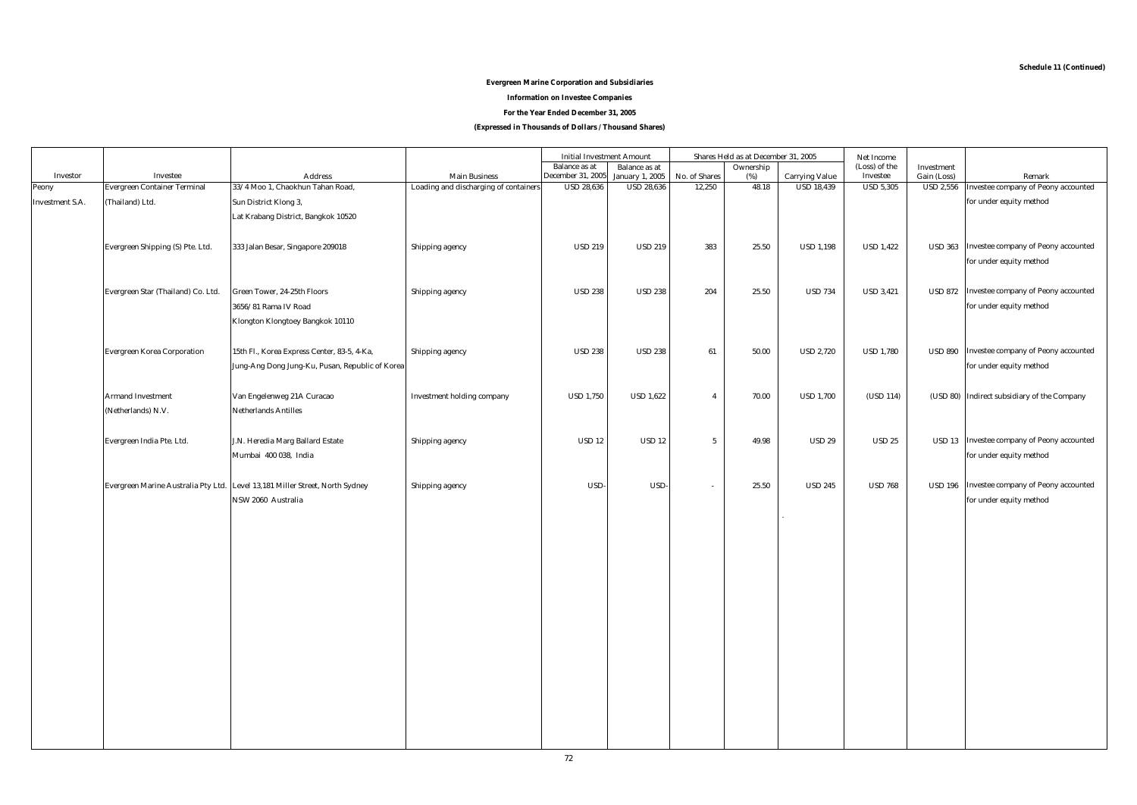## **Evergreen Marine Corporation and Subsidiaries**

**Information on Investee Companies**

**For the Year Ended December 31, 2005**

**(Expressed in Thousands of Dollars / Thousand Shares)**

|                        |                                     |                                                                              |                                       | <b>Initial Investment Amount</b> |                        |                          | Shares Held as at December 31, 2005 |                       | Net Income       |                        |                                             |
|------------------------|-------------------------------------|------------------------------------------------------------------------------|---------------------------------------|----------------------------------|------------------------|--------------------------|-------------------------------------|-----------------------|------------------|------------------------|---------------------------------------------|
|                        |                                     |                                                                              |                                       | <b>Balance</b> as at             | <b>Balance</b> as at   |                          | Ownership                           |                       | (Loss) of the    | Investment             |                                             |
| Investor               | <b>Investee</b>                     | <b>Address</b>                                                               | <b>Main Business</b>                  | December 31, 2005                | <b>January 1, 2005</b> | No. of Shares            | (%)                                 | <b>Carrying Value</b> | Investee         | Gain (Loss)            | Remark                                      |
| Peony                  | <b>Evergreen Container Terminal</b> | 33/4 Moo 1, Chaokhun Tahan Road,                                             | Loading and discharging of containers | <b>USD 28,636</b>                | <b>USD 28,636</b>      | 12,250                   | 48.18                               | <b>USD 18,439</b>     | <b>USD 5,305</b> | $\overline{$ USD 2,556 | Investee company of Peony accounted         |
| <b>Investment S.A.</b> | (Thailand) Ltd.                     | Sun District Klong 3,                                                        |                                       |                                  |                        |                          |                                     |                       |                  |                        | for under equity method                     |
|                        |                                     | Lat Krabang District, Bangkok 10520                                          |                                       |                                  |                        |                          |                                     |                       |                  |                        |                                             |
|                        |                                     |                                                                              |                                       |                                  |                        |                          |                                     |                       |                  |                        |                                             |
|                        | Evergreen Shipping (S) Pte. Ltd.    | 333 Jalan Besar, Singapore 209018                                            | Shipping agency                       | <b>USD 219</b>                   | <b>USD 219</b>         | 383                      | 25.50                               | <b>USD 1,198</b>      | <b>USD 1,422</b> | <b>USD 363</b>         | Investee company of Peony accounted         |
|                        |                                     |                                                                              |                                       |                                  |                        |                          |                                     |                       |                  |                        |                                             |
|                        |                                     |                                                                              |                                       |                                  |                        |                          |                                     |                       |                  |                        | for under equity method                     |
|                        |                                     |                                                                              |                                       |                                  |                        |                          |                                     |                       |                  |                        |                                             |
|                        | Evergreen Star (Thailand) Co. Ltd.  | Green Tower, 24-25th Floors                                                  | Shipping agency                       | <b>USD 238</b>                   | <b>USD 238</b>         | 204                      | 25.50                               | <b>USD 734</b>        | <b>USD 3,421</b> |                        | USD 872 Investee company of Peony accounted |
|                        |                                     | 3656/81 Rama IV Road                                                         |                                       |                                  |                        |                          |                                     |                       |                  |                        | for under equity method                     |
|                        |                                     | Klongton Klongtoey Bangkok 10110                                             |                                       |                                  |                        |                          |                                     |                       |                  |                        |                                             |
|                        |                                     |                                                                              |                                       |                                  |                        |                          |                                     |                       |                  |                        |                                             |
|                        | <b>Evergreen Korea Corporation</b>  | 15th Fl., Korea Express Center, 83-5, 4-Ka,                                  | Shipping agency                       | <b>USD 238</b>                   | <b>USD 238</b>         | 61                       | 50.00                               | <b>USD 2,720</b>      | <b>USD 1,780</b> |                        | USD 890 Investee company of Peony accounted |
|                        |                                     |                                                                              |                                       |                                  |                        |                          |                                     |                       |                  |                        | for under equity method                     |
|                        |                                     | Jung-Ang Dong Jung-Ku, Pusan, Republic of Korea                              |                                       |                                  |                        |                          |                                     |                       |                  |                        |                                             |
|                        |                                     |                                                                              |                                       |                                  |                        |                          |                                     |                       |                  |                        |                                             |
|                        | <b>Armand Investment</b>            | Van Engelenweg 21A Curacao                                                   | Investment holding company            | <b>USD 1,750</b>                 | <b>USD 1,622</b>       | $\overline{4}$           | 70.00                               | <b>USD 1,700</b>      | (USD 114)        |                        | (USD 80) Indirect subsidiary of the Company |
|                        | (Netherlands) N.V.                  | <b>Netherlands Antilles</b>                                                  |                                       |                                  |                        |                          |                                     |                       |                  |                        |                                             |
|                        |                                     |                                                                              |                                       |                                  |                        |                          |                                     |                       |                  |                        |                                             |
|                        | Evergreen India Pte. Ltd.           | J.N. Heredia Marg Ballard Estate                                             | Shipping agency                       | <b>USD 12</b>                    | <b>USD 12</b>          | $5\phantom{.0}$          | 49.98                               | <b>USD 29</b>         | <b>USD 25</b>    |                        | USD 13 Investee company of Peony accounted  |
|                        |                                     | Mumbai 400 038, India                                                        |                                       |                                  |                        |                          |                                     |                       |                  |                        | for under equity method                     |
|                        |                                     |                                                                              |                                       |                                  |                        |                          |                                     |                       |                  |                        |                                             |
|                        |                                     | Evergreen Marine Australia Pty Ltd. Level 13,181 Miller Street, North Sydney | Shipping agency                       | USD-                             | USD-                   | $\overline{\phantom{a}}$ | 25.50                               | <b>USD 245</b>        | <b>USD 768</b>   |                        | USD 196 Investee company of Peony accounted |
|                        |                                     | NSW 2060 Australia                                                           |                                       |                                  |                        |                          |                                     |                       |                  |                        | for under equity method                     |
|                        |                                     |                                                                              |                                       |                                  |                        |                          |                                     |                       |                  |                        |                                             |
|                        |                                     |                                                                              |                                       |                                  |                        |                          |                                     |                       |                  |                        |                                             |
|                        |                                     |                                                                              |                                       |                                  |                        |                          |                                     |                       |                  |                        |                                             |
|                        |                                     |                                                                              |                                       |                                  |                        |                          |                                     |                       |                  |                        |                                             |
|                        |                                     |                                                                              |                                       |                                  |                        |                          |                                     |                       |                  |                        |                                             |
|                        |                                     |                                                                              |                                       |                                  |                        |                          |                                     |                       |                  |                        |                                             |
|                        |                                     |                                                                              |                                       |                                  |                        |                          |                                     |                       |                  |                        |                                             |
|                        |                                     |                                                                              |                                       |                                  |                        |                          |                                     |                       |                  |                        |                                             |
|                        |                                     |                                                                              |                                       |                                  |                        |                          |                                     |                       |                  |                        |                                             |
|                        |                                     |                                                                              |                                       |                                  |                        |                          |                                     |                       |                  |                        |                                             |
|                        |                                     |                                                                              |                                       |                                  |                        |                          |                                     |                       |                  |                        |                                             |
|                        |                                     |                                                                              |                                       |                                  |                        |                          |                                     |                       |                  |                        |                                             |
|                        |                                     |                                                                              |                                       |                                  |                        |                          |                                     |                       |                  |                        |                                             |
|                        |                                     |                                                                              |                                       |                                  |                        |                          |                                     |                       |                  |                        |                                             |
|                        |                                     |                                                                              |                                       |                                  |                        |                          |                                     |                       |                  |                        |                                             |
|                        |                                     |                                                                              |                                       |                                  |                        |                          |                                     |                       |                  |                        |                                             |
|                        |                                     |                                                                              |                                       |                                  |                        |                          |                                     |                       |                  |                        |                                             |
|                        |                                     |                                                                              |                                       |                                  |                        |                          |                                     |                       |                  |                        |                                             |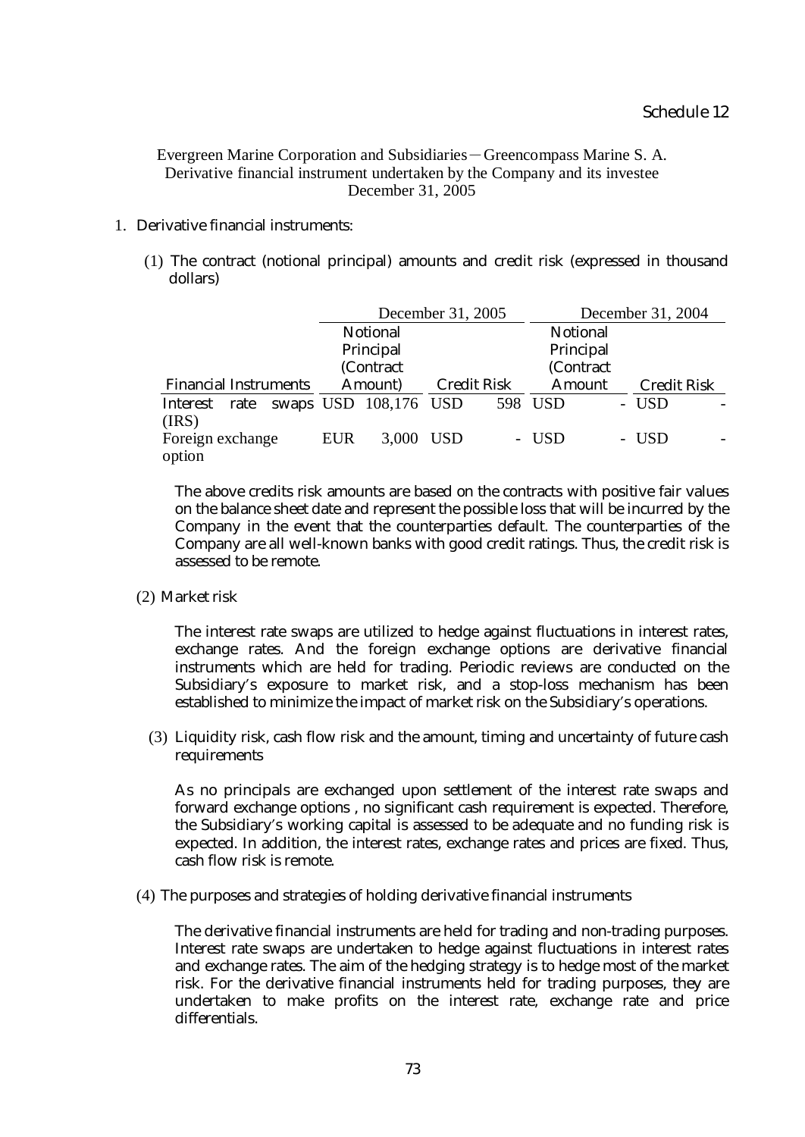Evergreen Marine Corporation and Subsidiaries-Greencompass Marine S. A. Derivative financial instrument undertaken by the Company and its investee December 31, 2005

## 1. Derivative financial instruments:

(1) The contract (notional principal) amounts and credit risk (expressed in thousand dollars)

| December 31, 2005            |  |                 |                       |                    |           | December 31, 2004 |  |                    |  |  |  |
|------------------------------|--|-----------------|-----------------------|--------------------|-----------|-------------------|--|--------------------|--|--|--|
|                              |  | <b>Notional</b> |                       | <b>Notional</b>    |           |                   |  |                    |  |  |  |
| Principal                    |  |                 |                       | Principal          |           |                   |  |                    |  |  |  |
|                              |  |                 | (Contract             |                    | (Contract |                   |  |                    |  |  |  |
| <b>Financial Instruments</b> |  | Amount)         |                       | <b>Credit Risk</b> |           | <b>Amount</b>     |  | <b>Credit Risk</b> |  |  |  |
| Interest<br>rate             |  |                 | swaps USD 108,176 USD |                    |           | 598 USD           |  | - USD              |  |  |  |
| (IRS)                        |  |                 |                       |                    |           |                   |  |                    |  |  |  |
| Foreign exchange             |  | <b>EUR</b>      | 3,000 USD             |                    |           | - USD             |  | - USD              |  |  |  |
| option                       |  |                 |                       |                    |           |                   |  |                    |  |  |  |

The above credits risk amounts are based on the contracts with positive fair values on the balance sheet date and represent the possible loss that will be incurred by the Company in the event that the counterparties default. The counterparties of the Company are all well-known banks with good credit ratings. Thus, the credit risk is assessed to be remote.

(2) Market risk

The interest rate swaps are utilized to hedge against fluctuations in interest rates, exchange rates. And the foreign exchange options are derivative financial instruments which are held for trading. Periodic reviews are conducted on the Subsidiary's exposure to market risk, and a stop-loss mechanism has been established to minimize the impact of market risk on the Subsidiary's operations.

(3) Liquidity risk, cash flow risk and the amount, timing and uncertainty of future cash requirements

As no principals are exchanged upon settlement of the interest rate swaps and forward exchange options , no significant cash requirement is expected. Therefore, the Subsidiary's working capital is assessed to be adequate and no funding risk is expected. In addition, the interest rates, exchange rates and prices are fixed. Thus, cash flow risk is remote.

(4) The purposes and strategies of holding derivative financial instruments

The derivative financial instruments are held for trading and non-trading purposes. Interest rate swaps are undertaken to hedge against fluctuations in interest rates and exchange rates. The aim of the hedging strategy is to hedge most of the market risk. For the derivative financial instruments held for trading purposes, they are undertaken to make profits on the interest rate, exchange rate and price differentials.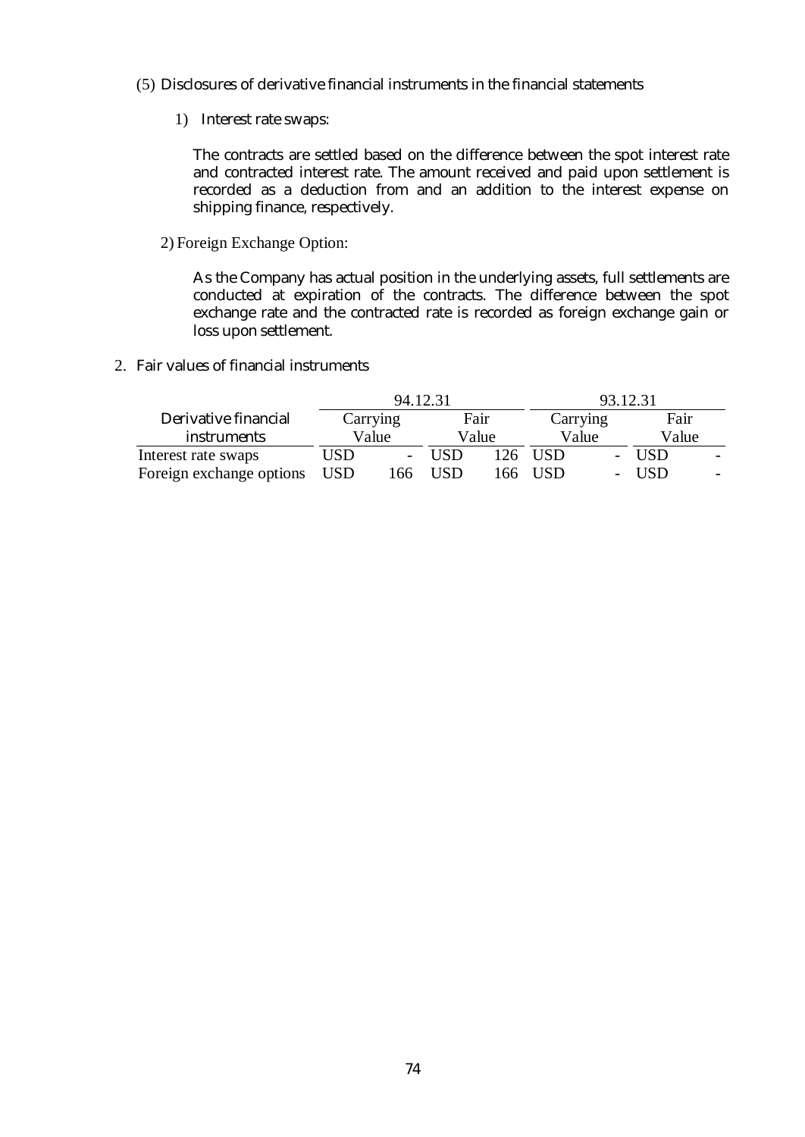- (5) Disclosures of derivative financial instruments in the financial statements
	- 1) Interest rate swaps:

The contracts are settled based on the difference between the spot interest rate and contracted interest rate. The amount received and paid upon settlement is recorded as a deduction from and an addition to the interest expense on shipping finance, respectively.

2) Foreign Exchange Option:

As the Company has actual position in the underlying assets, full settlements are conducted at expiration of the contracts. The difference between the spot exchange rate and the contracted rate is recorded as foreign exchange gain or loss upon settlement.

2. Fair values of financial instruments

|                          | 94.12.31   |     |            |      | 93.12.31 |  |       |  |
|--------------------------|------------|-----|------------|------|----------|--|-------|--|
| Derivative financial     | Carrying   |     | Fair       |      | Carrying |  | Fair  |  |
| <i>instruments</i>       | Value      |     | Value      |      | Value    |  | Value |  |
| Interest rate swaps      | USD        |     | <b>USD</b> | 126. | USD.     |  | USD.  |  |
| Foreign exchange options | <b>USD</b> | .66 | USD        | 166  | USD      |  | USD.  |  |